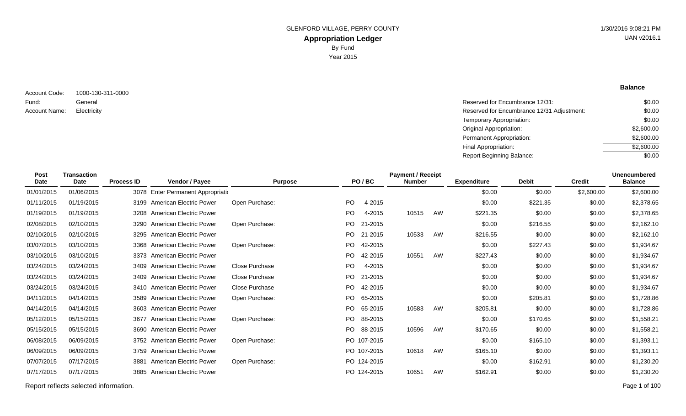**Balance**

\$2,600.00 \$2,600.00  $\sqrt{$0.00}$ 

1000-130-311-0000 General Electricity Reserved for Encumbrance 12/31 Adjustment: Account Code: Fund: Account Name:

Reserved for Encumbrance 12/31: \$0.00 \$0.00 \$0.00 \$2,600.00

Temporary Appropriation: Original Appropriation: Permanent Appropriation: Final Appropriation: Report Beginning Balance:

| <b>Post</b><br>Date | <b>Transaction</b><br><b>Date</b> | <b>Process ID</b> |                                    | <b>Purpose</b>        |                | PO/BC       | <b>Payment / Receipt</b><br><b>Number</b> |    | <b>Expenditure</b> | <b>Debit</b> | <b>Credit</b> | <b>Unencumbered</b><br><b>Balance</b> |
|---------------------|-----------------------------------|-------------------|------------------------------------|-----------------------|----------------|-------------|-------------------------------------------|----|--------------------|--------------|---------------|---------------------------------------|
|                     |                                   |                   | Vendor / Payee                     |                       |                |             |                                           |    |                    |              |               |                                       |
| 01/01/2015          | 01/06/2015                        |                   | 3078 Enter Permanent Appropriation |                       |                |             |                                           |    | \$0.00             | \$0.00       | \$2,600.00    | \$2,600.00                            |
| 01/11/2015          | 01/19/2015                        |                   | 3199 American Electric Power       | Open Purchase:        | P <sub>O</sub> | 4-2015      |                                           |    | \$0.00             | \$221.35     | \$0.00        | \$2,378.65                            |
| 01/19/2015          | 01/19/2015                        |                   | 3208 American Electric Power       |                       | <b>PO</b>      | 4-2015      | 10515                                     | AW | \$221.35           | \$0.00       | \$0.00        | \$2,378.65                            |
| 02/08/2015          | 02/10/2015                        |                   | 3290 American Electric Power       | Open Purchase:        | PO.            | 21-2015     |                                           |    | \$0.00             | \$216.55     | \$0.00        | \$2,162.10                            |
| 02/10/2015          | 02/10/2015                        |                   | 3295 American Electric Power       |                       | PO.            | 21-2015     | 10533                                     | AW | \$216.55           | \$0.00       | \$0.00        | \$2,162.10                            |
| 03/07/2015          | 03/10/2015                        |                   | 3368 American Electric Power       | Open Purchase:        | PO.            | 42-2015     |                                           |    | \$0.00             | \$227.43     | \$0.00        | \$1,934.67                            |
| 03/10/2015          | 03/10/2015                        |                   | 3373 American Electric Power       |                       | P <sub>O</sub> | 42-2015     | 10551                                     | AW | \$227.43           | \$0.00       | \$0.00        | \$1,934.67                            |
| 03/24/2015          | 03/24/2015                        |                   | 3409 American Electric Power       | Close Purchase        | PO.            | 4-2015      |                                           |    | \$0.00             | \$0.00       | \$0.00        | \$1,934.67                            |
| 03/24/2015          | 03/24/2015                        |                   | 3409 American Electric Power       | Close Purchase        | <b>PO</b>      | 21-2015     |                                           |    | \$0.00             | \$0.00       | \$0.00        | \$1,934.67                            |
| 03/24/2015          | 03/24/2015                        |                   | 3410 American Electric Power       | <b>Close Purchase</b> | PO.            | 42-2015     |                                           |    | \$0.00             | \$0.00       | \$0.00        | \$1,934.67                            |
| 04/11/2015          | 04/14/2015                        |                   | 3589 American Electric Power       | Open Purchase:        | PO.            | 65-2015     |                                           |    | \$0.00             | \$205.81     | \$0.00        | \$1,728.86                            |
| 04/14/2015          | 04/14/2015                        |                   | 3603 American Electric Power       |                       | PO.            | 65-2015     | 10583                                     | AW | \$205.81           | \$0.00       | \$0.00        | \$1,728.86                            |
| 05/12/2015          | 05/15/2015                        |                   | 3677 American Electric Power       | Open Purchase:        | PO.            | 88-2015     |                                           |    | \$0.00             | \$170.65     | \$0.00        | \$1,558.21                            |
| 05/15/2015          | 05/15/2015                        |                   | 3690 American Electric Power       |                       | PO.            | 88-2015     | 10596                                     | AW | \$170.65           | \$0.00       | \$0.00        | \$1,558.21                            |
| 06/08/2015          | 06/09/2015                        |                   | 3752 American Electric Power       | Open Purchase:        |                | PO 107-2015 |                                           |    | \$0.00             | \$165.10     | \$0.00        | \$1,393.11                            |
| 06/09/2015          | 06/09/2015                        |                   | 3759 American Electric Power       |                       |                | PO 107-2015 | 10618                                     | AW | \$165.10           | \$0.00       | \$0.00        | \$1,393.11                            |
| 07/07/2015          | 07/17/2015                        | 3881              | <b>American Electric Power</b>     | Open Purchase:        |                | PO 124-2015 |                                           |    | \$0.00             | \$162.91     | \$0.00        | \$1,230.20                            |
| 07/17/2015          | 07/17/2015                        | 3885              | <b>American Electric Power</b>     |                       |                | PO 124-2015 | 10651                                     | AW | \$162.91           | \$0.00       | \$0.00        | \$1,230.20                            |
|                     |                                   |                   |                                    |                       |                |             |                                           |    |                    |              |               |                                       |

Report reflects selected information. Page 1 of 100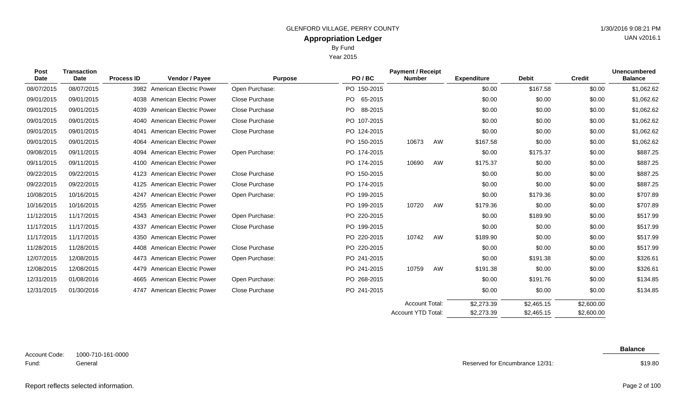Year 2015

| <b>Post</b><br>Date | <b>Transaction</b><br>Date | <b>Process ID</b> | <b>Vendor / Payee</b>          | <b>Purpose</b>        | PO/BC       | <b>Payment / Receipt</b><br><b>Number</b> |    | <b>Expenditure</b> | <b>Debit</b> | <b>Credit</b> | <b>Unencumbered</b><br><b>Balance</b> |
|---------------------|----------------------------|-------------------|--------------------------------|-----------------------|-------------|-------------------------------------------|----|--------------------|--------------|---------------|---------------------------------------|
|                     |                            |                   |                                |                       |             |                                           |    |                    |              |               |                                       |
| 08/07/2015          | 08/07/2015                 |                   | 3982 American Electric Power   | Open Purchase:        | PO 150-2015 |                                           |    | \$0.00             | \$167.58     | \$0.00        | \$1,062.62                            |
| 09/01/2015          | 09/01/2015                 |                   | 4038 American Electric Power   | Close Purchase        | PO 65-2015  |                                           |    | \$0.00             | \$0.00       | \$0.00        | \$1,062.62                            |
| 09/01/2015          | 09/01/2015                 |                   | 4039 American Electric Power   | Close Purchase        | PO 88-2015  |                                           |    | \$0.00             | \$0.00       | \$0.00        | \$1,062.62                            |
| 09/01/2015          | 09/01/2015                 |                   | 4040 American Electric Power   | Close Purchase        | PO 107-2015 |                                           |    | \$0.00             | \$0.00       | \$0.00        | \$1,062.62                            |
| 09/01/2015          | 09/01/2015                 | 4041              | <b>American Electric Power</b> | Close Purchase        | PO 124-2015 |                                           |    | \$0.00             | \$0.00       | \$0.00        | \$1,062.62                            |
| 09/01/2015          | 09/01/2015                 |                   | 4064 American Electric Power   |                       | PO 150-2015 | 10673                                     | AW | \$167.58           | \$0.00       | \$0.00        | \$1,062.62                            |
| 09/08/2015          | 09/11/2015                 | 4094              | <b>American Electric Power</b> | Open Purchase:        | PO 174-2015 |                                           |    | \$0.00             | \$175.37     | \$0.00        | \$887.25                              |
| 09/11/2015          | 09/11/2015                 | 4100              | American Electric Power        |                       | PO 174-2015 | 10690                                     | AW | \$175.37           | \$0.00       | \$0.00        | \$887.25                              |
| 09/22/2015          | 09/22/2015                 |                   | 4123 American Electric Power   | Close Purchase        | PO 150-2015 |                                           |    | \$0.00             | \$0.00       | \$0.00        | \$887.25                              |
| 09/22/2015          | 09/22/2015                 | 4125              | <b>American Electric Power</b> | <b>Close Purchase</b> | PO 174-2015 |                                           |    | \$0.00             | \$0.00       | \$0.00        | \$887.25                              |
| 10/08/2015          | 10/16/2015                 | 4247              | <b>American Electric Power</b> | Open Purchase:        | PO 199-2015 |                                           |    | \$0.00             | \$179.36     | \$0.00        | \$707.89                              |
| 10/16/2015          | 10/16/2015                 |                   | 4255 American Electric Power   |                       | PO 199-2015 | 10720                                     | AW | \$179.36           | \$0.00       | \$0.00        | \$707.89                              |
| 11/12/2015          | 11/17/2015                 |                   | 4343 American Electric Power   | Open Purchase:        | PO 220-2015 |                                           |    | \$0.00             | \$189.90     | \$0.00        | \$517.99                              |
| 11/17/2015          | 11/17/2015                 | 4337              | <b>American Electric Power</b> | Close Purchase        | PO 199-2015 |                                           |    | \$0.00             | \$0.00       | \$0.00        | \$517.99                              |
| 11/17/2015          | 11/17/2015                 |                   | 4350 American Electric Power   |                       | PO 220-2015 | 10742                                     | AW | \$189.90           | \$0.00       | \$0.00        | \$517.99                              |
| 11/28/2015          | 11/28/2015                 |                   | 4408 American Electric Power   | Close Purchase        | PO 220-2015 |                                           |    | \$0.00             | \$0.00       | \$0.00        | \$517.99                              |
| 12/07/2015          | 12/08/2015                 |                   | 4473 American Electric Power   | Open Purchase:        | PO 241-2015 |                                           |    | \$0.00             | \$191.38     | \$0.00        | \$326.61                              |
| 12/08/2015          | 12/08/2015                 |                   | 4479 American Electric Power   |                       | PO 241-2015 | 10759                                     | AW | \$191.38           | \$0.00       | \$0.00        | \$326.61                              |
| 12/31/2015          | 01/08/2016                 |                   | 4665 American Electric Power   | Open Purchase:        | PO 268-2015 |                                           |    | \$0.00             | \$191.76     | \$0.00        | \$134.85                              |
| 12/31/2015          | 01/30/2016                 |                   | 4747 American Electric Power   | Close Purchase        | PO 241-2015 |                                           |    | \$0.00             | \$0.00       | \$0.00        | \$134.85                              |
|                     |                            |                   |                                |                       |             | <b>Account Total:</b>                     |    | \$2,273.39         | \$2,465.15   | \$2,600.00    |                                       |

1000-710-161-0000 General Account Code: Fund:

Reserved for Encumbrance 12/31:

\$2,273.39

Account YTD Total:

**Balance**

\$2,600.00

\$2,465.15

\$19.80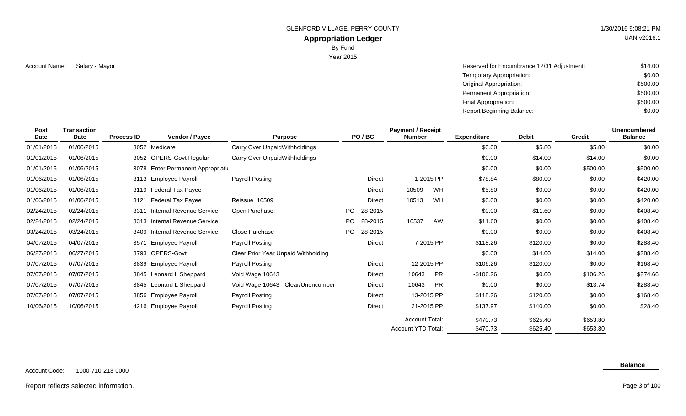GLENFORD VILLAGE, PERRY COUNTY 61 AU 1/30/2016 9:08:21 PM

# **Appropriation Ledger**

By Fund

Year 2015

Salary - Mayor Reserved for Encumbrance 12/31 Adjustment: Account Name: \$14.00 Temporary Appropriation: Original Appropriation: Permanent Appropriation: Final Appropriation: Report Beginning Balance: \$0.00 \$500.00 \$500.00 \$500.00 \$0.00

| Post<br><b>Date</b> | <b>Transaction</b><br><b>Date</b> | <b>Process ID</b> | Vendor / Payee                     | <b>Purpose</b>                      |     | PO/BC   | <b>Payment / Receipt</b><br><b>Number</b> |            | <b>Expenditure</b> | <b>Debit</b> | <b>Credit</b> | <b>Unencumbered</b><br><b>Balance</b> |
|---------------------|-----------------------------------|-------------------|------------------------------------|-------------------------------------|-----|---------|-------------------------------------------|------------|--------------------|--------------|---------------|---------------------------------------|
| 01/01/2015          | 01/06/2015                        |                   | 3052 Medicare                      | Carry Over UnpaidWithholdings       |     |         |                                           |            | \$0.00             | \$5.80       | \$5.80        | \$0.00                                |
| 01/01/2015          | 01/06/2015                        |                   | 3052 OPERS-Govt Regular            | Carry Over UnpaidWithholdings       |     |         |                                           |            | \$0.00             | \$14.00      | \$14.00       | \$0.00                                |
| 01/01/2015          | 01/06/2015                        |                   | 3078 Enter Permanent Appropriation |                                     |     |         |                                           |            | \$0.00             | \$0.00       | \$500.00      | \$500.00                              |
| 01/06/2015          | 01/06/2015                        |                   | 3113 Employee Payroll              | Payroll Posting                     |     | Direct  |                                           | 1-2015 PP  | \$78.84            | \$80.00      | \$0.00        | \$420.00                              |
| 01/06/2015          | 01/06/2015                        |                   | 3119 Federal Tax Payee             |                                     |     | Direct  | 10509                                     | WH         | \$5.80             | \$0.00       | \$0.00        | \$420.00                              |
| 01/06/2015          | 01/06/2015                        | 3121              | Federal Tax Payee                  | Reissue 10509                       |     | Direct  | 10513                                     | <b>WH</b>  | \$0.00             | \$0.00       | \$0.00        | \$420.00                              |
| 02/24/2015          | 02/24/2015                        | 3311              | Internal Revenue Service           | Open Purchase:                      | PO. | 28-2015 |                                           |            | \$0.00             | \$11.60      | \$0.00        | \$408.40                              |
| 02/24/2015          | 02/24/2015                        |                   | 3313 Internal Revenue Service      |                                     | PO  | 28-2015 | 10537                                     | AW         | \$11.60            | \$0.00       | \$0.00        | \$408.40                              |
| 03/24/2015          | 03/24/2015                        | 3409              | Internal Revenue Service           | <b>Close Purchase</b>               | PO  | 28-2015 |                                           |            | \$0.00             | \$0.00       | \$0.00        | \$408.40                              |
| 04/07/2015          | 04/07/2015                        | 3571              | <b>Employee Payroll</b>            | Payroll Posting                     |     | Direct  |                                           | 7-2015 PP  | \$118.26           | \$120.00     | \$0.00        | \$288.40                              |
| 06/27/2015          | 06/27/2015                        |                   | 3793 OPERS-Govt                    | Clear Prior Year Unpaid Withholding |     |         |                                           |            | \$0.00             | \$14.00      | \$14.00       | \$288.40                              |
| 07/07/2015          | 07/07/2015                        |                   | 3839 Employee Payroll              | Payroll Posting                     |     | Direct  |                                           | 12-2015 PP | \$106.26           | \$120.00     | \$0.00        | \$168.40                              |
| 07/07/2015          | 07/07/2015                        |                   | 3845 Leonard L Sheppard            | Void Wage 10643                     |     | Direct  | 10643                                     | PR         | -\$106.26          | \$0.00       | \$106.26      | \$274.66                              |
| 07/07/2015          | 07/07/2015                        |                   | 3845 Leonard L Sheppard            | Void Wage 10643 - Clear/Unencumber  |     | Direct  | 10643                                     | PR         | \$0.00             | \$0.00       | \$13.74       | \$288.40                              |
| 07/07/2015          | 07/07/2015                        |                   | 3856 Employee Payroll              | Payroll Posting                     |     | Direct  |                                           | 13-2015 PP | \$118.26           | \$120.00     | \$0.00        | \$168.40                              |
| 10/06/2015          | 10/06/2015                        |                   | 4216 Employee Payroll              | Payroll Posting                     |     | Direct  |                                           | 21-2015 PP | \$137.97           | \$140.00     | \$0.00        | \$28.40                               |
|                     |                                   |                   |                                    |                                     |     |         | <b>Account Total:</b>                     |            | \$470.73           | \$625.40     | \$653.80      |                                       |
|                     |                                   |                   |                                    |                                     |     |         | Account YTD Total:                        |            | \$470.73           | \$625.40     | \$653.80      |                                       |

#### **Balance**

#### Report reflects selected information. Page 3 of 100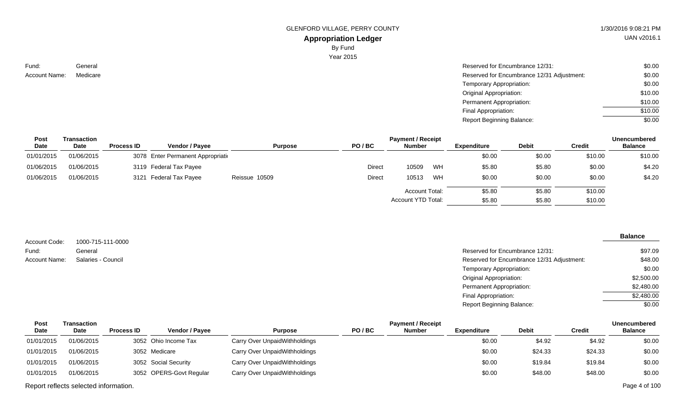GLENFORD VILLAGE, PERRY COUNTY 61 AU 1/30/2016 9:08:21 PM

# **Appropriation Ledger**

By Fund

Year 2015

Fund: Account Name:

| 1 <del>0</del> 11 2 2 1 2 1 |                                            |         |
|-----------------------------|--------------------------------------------|---------|
| General                     | Reserved for Encumbrance 12/31:            | \$0.00  |
| Medicare                    | Reserved for Encumbrance 12/31 Adjustment: | \$0.00  |
|                             | Temporary Appropriation:                   | \$0.00  |
|                             | Original Appropriation:                    | \$10.00 |
|                             | Permanent Appropriation:                   | \$10.00 |

Final Appropriation: Report Beginning Balance:

| <b>Post</b> | Transaction |                   |                                    |                |               |                           | <b>Unencumbered</b> |                    |              |               |                |
|-------------|-------------|-------------------|------------------------------------|----------------|---------------|---------------------------|---------------------|--------------------|--------------|---------------|----------------|
| <b>Date</b> | <b>Date</b> | <b>Process ID</b> | <b>Vendor / Pavee</b>              | <b>Purpose</b> | PO/BC         | <b>Number</b>             |                     | <b>Expenditure</b> | <b>Debit</b> | <b>Credit</b> | <b>Balance</b> |
| 01/01/2015  | 01/06/2015  |                   | 3078 Enter Permanent Appropriation |                |               |                           |                     | \$0.00             | \$0.00       | \$10.00       | \$10.00        |
| 01/06/2015  | 01/06/2015  |                   | 3119 Federal Tax Payee             |                | <b>Direct</b> | 10509                     | WH                  | \$5.80             | \$5.80       | \$0.00        | \$4.20         |
| 01/06/2015  | 01/06/2015  |                   | 3121 Federal Tax Payee             | Reissue 10509  | Direct        | 10513                     | WH                  | \$0.00             | \$0.00       | \$0.00        | \$4.20         |
|             |             |                   |                                    |                |               | Account Total:            |                     | \$5.80             | \$5.80       | \$10.00       |                |
|             |             |                   |                                    |                |               | <b>Account YTD Total:</b> |                     | \$5.80             | \$5.80       | \$10.00       |                |

|                        |                              |                                            | <b>Balance</b> |
|------------------------|------------------------------|--------------------------------------------|----------------|
| Account Code:<br>Fund: | 1000-715-111-0000<br>General | Reserved for Encumbrance 12/31:            | \$97.09        |
| <b>Account Name:</b>   | Salaries - Council           | Reserved for Encumbrance 12/31 Adjustment: | \$48.00        |
|                        |                              | Temporary Appropriation:                   | \$0.00         |
|                        |                              | Original Appropriation:                    | \$2,500.00     |
|                        |                              | Permanent Appropriation:                   | \$2,480.00     |
|                        |                              | Final Appropriation:                       | \$2,480.00     |
|                        |                              | <b>Report Beginning Balance:</b>           | \$0.00         |

| Post        | Transaction |                   |                         |                               |       | <b>Payment / Receipt</b> |                    |              |         | <b>Unencumbered</b> |
|-------------|-------------|-------------------|-------------------------|-------------------------------|-------|--------------------------|--------------------|--------------|---------|---------------------|
| <b>Date</b> | Date        | <b>Process ID</b> | <b>Vendor / Pavee</b>   | <b>Purpose</b>                | PO/BC | <b>Number</b>            | <b>Expenditure</b> | <b>Debit</b> | Credit  | <b>Balance</b>      |
| 01/01/2015  | 01/06/2015  |                   | 3052 Ohio Income Tax    | Carry Over UnpaidWithholdings |       |                          | \$0.00             | \$4.92       | \$4.92  | \$0.00              |
| 01/01/2015  | 01/06/2015  |                   | 3052 Medicare           | Carry Over UnpaidWithholdings |       |                          | \$0.00             | \$24.33      | \$24.33 | \$0.00              |
| 01/01/2015  | 01/06/2015  |                   | 3052 Social Security    | Carry Over UnpaidWithholdings |       |                          | \$0.00             | \$19.84      | \$19.84 | \$0.00              |
| 01/01/2015  | 01/06/2015  |                   | 3052 OPERS-Govt Regular | Carry Over UnpaidWithholdings |       |                          | \$0.00             | \$48.00      | \$48.00 | \$0.00              |

Report reflects selected information. Page 4 of 100

UAN v2016.1

\$10.00 \$0.00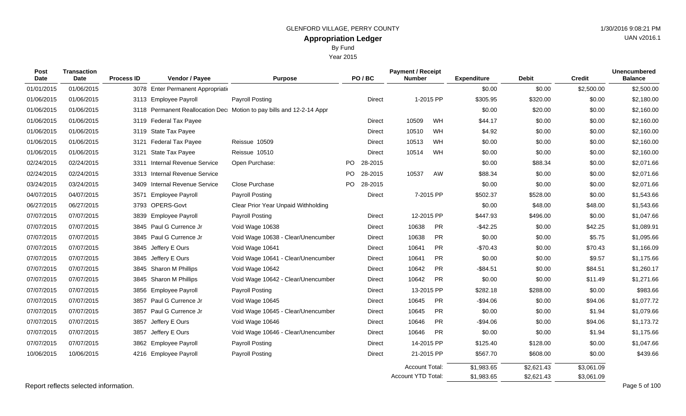| <b>Post</b><br><b>Date</b> | <b>Transaction</b><br>Date | <b>Process ID</b> | Vendor / Payee                     | <b>Purpose</b>                                                       |     | PO/BC         | <b>Payment / Receipt</b><br><b>Number</b>   |           | <b>Expenditure</b>       | <b>Debit</b>             | <b>Credit</b>            | <b>Unencumbered</b><br><b>Balance</b> |
|----------------------------|----------------------------|-------------------|------------------------------------|----------------------------------------------------------------------|-----|---------------|---------------------------------------------|-----------|--------------------------|--------------------------|--------------------------|---------------------------------------|
| 01/01/2015                 | 01/06/2015                 |                   | 3078 Enter Permanent Appropriation |                                                                      |     |               |                                             |           | \$0.00                   | \$0.00                   | \$2,500.00               | \$2,500.00                            |
| 01/06/2015                 | 01/06/2015                 |                   | 3113 Employee Payroll              | <b>Payroll Posting</b>                                               |     | <b>Direct</b> |                                             | 1-2015 PP | \$305.95                 | \$320.00                 | \$0.00                   | \$2,180.00                            |
| 01/06/2015                 | 01/06/2015                 |                   |                                    | 3118 Permanent Reallocation Dec Motion to pay bills and 12-2-14 Appr |     |               |                                             |           | \$0.00                   | \$20.00                  | \$0.00                   | \$2,160.00                            |
| 01/06/2015                 | 01/06/2015                 |                   | 3119 Federal Tax Payee             |                                                                      |     | <b>Direct</b> | 10509                                       | WH        | \$44.17                  | \$0.00                   | \$0.00                   | \$2,160.00                            |
| 01/06/2015                 | 01/06/2015                 |                   | 3119 State Tax Payee               |                                                                      |     | Direct        | 10510                                       | WH        | \$4.92                   | \$0.00                   | \$0.00                   | \$2,160.00                            |
| 01/06/2015                 | 01/06/2015                 | 3121              | Federal Tax Payee                  | Reissue 10509                                                        |     | Direct        | 10513                                       | WH        | \$0.00                   | \$0.00                   | \$0.00                   | \$2,160.00                            |
| 01/06/2015                 | 01/06/2015                 | 3121              | State Tax Payee                    | Reissue 10510                                                        |     | Direct        | 10514                                       | WH        | \$0.00                   | \$0.00                   | \$0.00                   | \$2,160.00                            |
| 02/24/2015                 | 02/24/2015                 | 3311              | <b>Internal Revenue Service</b>    | Open Purchase:                                                       | PO. | 28-2015       |                                             |           | \$0.00                   | \$88.34                  | \$0.00                   | \$2,071.66                            |
| 02/24/2015                 | 02/24/2015                 |                   | 3313 Internal Revenue Service      |                                                                      |     | PO 28-2015    | 10537                                       | AW        | \$88.34                  | \$0.00                   | \$0.00                   | \$2,071.66                            |
| 03/24/2015                 | 03/24/2015                 | 3409              | <b>Internal Revenue Service</b>    | Close Purchase                                                       | PO  | 28-2015       |                                             |           | \$0.00                   | \$0.00                   | \$0.00                   | \$2,071.66                            |
| 04/07/2015                 | 04/07/2015                 | 3571              | <b>Employee Payroll</b>            | Payroll Posting                                                      |     | Direct        |                                             | 7-2015 PP | \$502.37                 | \$528.00                 | \$0.00                   | \$1,543.66                            |
| 06/27/2015                 | 06/27/2015                 |                   | 3793 OPERS-Govt                    | Clear Prior Year Unpaid Withholding                                  |     |               |                                             |           | \$0.00                   | \$48.00                  | \$48.00                  | \$1,543.66                            |
| 07/07/2015                 | 07/07/2015                 |                   | 3839 Employee Payroll              | Payroll Posting                                                      |     | Direct        | 12-2015 PP                                  |           | \$447.93                 | \$496.00                 | \$0.00                   | \$1,047.66                            |
| 07/07/2015                 | 07/07/2015                 |                   | 3845 Paul G Currence Jr            | Void Wage 10638                                                      |     | Direct        | 10638                                       | <b>PR</b> | $-$42.25$                | \$0.00                   | \$42.25                  | \$1,089.91                            |
| 07/07/2015                 | 07/07/2015                 |                   | 3845 Paul G Currence Jr            | Void Wage 10638 - Clear/Unencumber                                   |     | Direct        | 10638                                       | <b>PR</b> | \$0.00                   | \$0.00                   | \$5.75                   | \$1,095.66                            |
| 07/07/2015                 | 07/07/2015                 |                   | 3845 Jeffery E Ours                | Void Wage 10641                                                      |     | Direct        | 10641                                       | <b>PR</b> | $-$70.43$                | \$0.00                   | \$70.43                  | \$1,166.09                            |
| 07/07/2015                 | 07/07/2015                 |                   | 3845 Jeffery E Ours                | Void Wage 10641 - Clear/Unencumber                                   |     | Direct        | 10641                                       | <b>PR</b> | \$0.00                   | \$0.00                   | \$9.57                   | \$1,175.66                            |
| 07/07/2015                 | 07/07/2015                 |                   | 3845 Sharon M Phillips             | Void Wage 10642                                                      |     | Direct        | 10642                                       | <b>PR</b> | $-$ \$84.51              | \$0.00                   | \$84.51                  | \$1,260.17                            |
| 07/07/2015                 | 07/07/2015                 |                   | 3845 Sharon M Phillips             | Void Wage 10642 - Clear/Unencumber                                   |     | Direct        | 10642                                       | <b>PR</b> | \$0.00                   | \$0.00                   | \$11.49                  | \$1,271.66                            |
| 07/07/2015                 | 07/07/2015                 |                   | 3856 Employee Payroll              | <b>Payroll Posting</b>                                               |     | Direct        | 13-2015 PP                                  |           | \$282.18                 | \$288.00                 | \$0.00                   | \$983.66                              |
| 07/07/2015                 | 07/07/2015                 | 3857              | Paul G Currence Jr                 | Void Wage 10645                                                      |     | Direct        | 10645                                       | PR        | $-$94.06$                | \$0.00                   | \$94.06                  | \$1,077.72                            |
| 07/07/2015                 | 07/07/2015                 | 3857              | Paul G Currence Jr                 | Void Wage 10645 - Clear/Unencumber                                   |     | Direct        | 10645                                       | <b>PR</b> | \$0.00                   | \$0.00                   | \$1.94                   | \$1,079.66                            |
| 07/07/2015                 | 07/07/2015                 | 3857              | Jeffery E Ours                     | Void Wage 10646                                                      |     | Direct        | 10646                                       | <b>PR</b> | $-$94.06$                | \$0.00                   | \$94.06                  | \$1,173.72                            |
| 07/07/2015                 | 07/07/2015                 | 3857              | Jeffery E Ours                     | Void Wage 10646 - Clear/Unencumber                                   |     | Direct        | 10646                                       | <b>PR</b> | \$0.00                   | \$0.00                   | \$1.94                   | \$1,175.66                            |
| 07/07/2015                 | 07/07/2015                 | 3862              | <b>Employee Payroll</b>            | Payroll Posting                                                      |     | Direct        | 14-2015 PP                                  |           | \$125.40                 | \$128.00                 | \$0.00                   | \$1,047.66                            |
| 10/06/2015                 | 10/06/2015                 |                   | 4216 Employee Payroll              | Payroll Posting                                                      |     | Direct        | 21-2015 PP                                  |           | \$567.70                 | \$608.00                 | \$0.00                   | \$439.66                              |
|                            |                            |                   |                                    |                                                                      |     |               | <b>Account Total:</b><br>Account YTD Total: |           | \$1,983.65<br>\$1,983.65 | \$2,621.43<br>\$2.621.43 | \$3,061.09<br>\$3.061.09 |                                       |

Report reflects selected information. Page 5 of 100

UAN v2016.1

Year 2015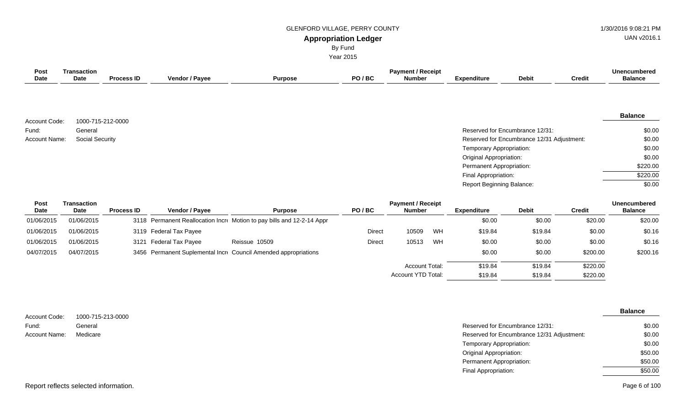#### GLENFORD VILLAGE, PERRY COUNTY 1/30/2016 9:08:21 PM

UAN v2016.1

# **Appropriation Ledger**

By Fund

Year 2015

| <b>Post</b>   | <b>Transaction</b>                |                   |                          |                                                                        |               | <b>Payment / Receipt</b>                  |    |                           |                                            |               | <b>Unencumbered</b>                   |
|---------------|-----------------------------------|-------------------|--------------------------|------------------------------------------------------------------------|---------------|-------------------------------------------|----|---------------------------|--------------------------------------------|---------------|---------------------------------------|
| Date          | Date                              | <b>Process ID</b> | Vendor / Payee           | <b>Purpose</b>                                                         | PO/BC         | <b>Number</b>                             |    | <b>Expenditure</b>        | <b>Debit</b>                               | <b>Credit</b> | <b>Balance</b>                        |
|               |                                   |                   |                          |                                                                        |               |                                           |    |                           |                                            |               |                                       |
| Account Code: | 1000-715-212-0000                 |                   |                          |                                                                        |               |                                           |    |                           |                                            |               | <b>Balance</b>                        |
| Fund:         | General                           |                   |                          |                                                                        |               |                                           |    |                           | Reserved for Encumbrance 12/31:            |               | \$0.00                                |
| Account Name: | <b>Social Security</b>            |                   |                          |                                                                        |               |                                           |    |                           | Reserved for Encumbrance 12/31 Adjustment: |               | \$0.00                                |
|               |                                   |                   |                          |                                                                        |               |                                           |    | Temporary Appropriation:  |                                            |               | \$0.00                                |
|               |                                   |                   |                          |                                                                        |               |                                           |    | Original Appropriation:   |                                            |               | \$0.00                                |
|               |                                   |                   |                          |                                                                        |               |                                           |    | Permanent Appropriation:  |                                            |               | \$220.00                              |
|               |                                   |                   |                          |                                                                        |               |                                           |    | Final Appropriation:      |                                            |               | \$220.00                              |
|               |                                   |                   |                          |                                                                        |               |                                           |    | Report Beginning Balance: |                                            |               | \$0.00                                |
| Post<br>Date  | <b>Transaction</b><br><b>Date</b> | <b>Process ID</b> | Vendor / Payee           | <b>Purpose</b>                                                         | PO/BC         | <b>Payment / Receipt</b><br><b>Number</b> |    | <b>Expenditure</b>        | <b>Debit</b>                               | <b>Credit</b> | <b>Unencumbered</b><br><b>Balance</b> |
| 01/06/2015    | 01/06/2015                        |                   |                          | 3118 Permanent Reallocation Incre Motion to pay bills and 12-2-14 Appr |               |                                           |    | \$0.00                    | \$0.00                                     | \$20.00       | \$20.00                               |
| 01/06/2015    | 01/06/2015                        |                   | 3119 Federal Tax Payee   |                                                                        | Direct        | 10509                                     | WH | \$19.84                   | \$19.84                                    | \$0.00        | \$0.16                                |
| 01/06/2015    | 01/06/2015                        | 3121              | <b>Federal Tax Payee</b> | Reissue 10509                                                          | <b>Direct</b> | 10513                                     | WH | \$0.00                    | \$0.00                                     | \$0.00        | \$0.16                                |

|            |            | . . <del>.</del>                                                | - - - - - -<br>.<br>. | .       | .       | .        | .        |
|------------|------------|-----------------------------------------------------------------|-----------------------|---------|---------|----------|----------|
| 04/07/2015 | 04/07/2015 | 3456 Permanent Suplemental Incre Council Amended appropriations |                       | \$0.00  | \$0.00  | \$200.00 | \$200.16 |
|            |            |                                                                 | Account Total:        | \$19.84 | \$19.84 | \$220.00 |          |
|            |            |                                                                 | Account YTD Total:    | \$19.84 | \$19.84 | \$220.00 |          |

|                      |                   |                                            | <b>Balance</b> |
|----------------------|-------------------|--------------------------------------------|----------------|
| Account Code:        | 1000-715-213-0000 |                                            |                |
| Fund:                | General           | Reserved for Encumbrance 12/31:            | \$0.00         |
| <b>Account Name:</b> | Medicare          | Reserved for Encumbrance 12/31 Adjustment: | \$0.00         |
|                      |                   | Temporary Appropriation:                   | \$0.00         |
|                      |                   | <b>Original Appropriation:</b>             | \$50.00        |
|                      |                   | Permanent Appropriation:                   | \$50.00        |
|                      |                   | Final Appropriation:                       | \$50.00        |
|                      |                   |                                            |                |

Page 6 of 100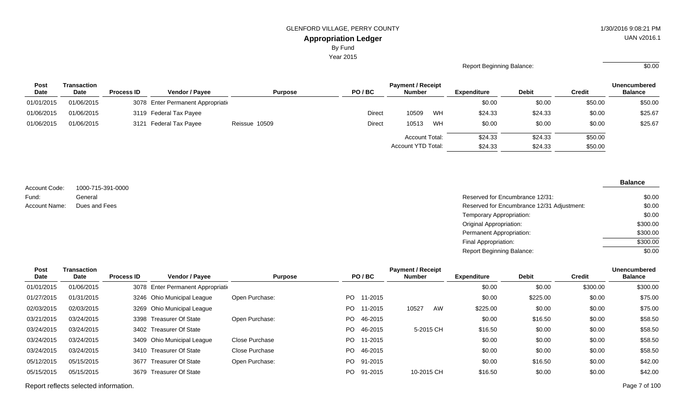By Fund

Year 2015

#### Report Beginning Balance:  $\overline{\hspace{1.5cm}80.00}$

| <b>Post</b> | Transaction |                   |                                    |                |        |                           |    |                    | <b>Unencumbered</b> |         |                |
|-------------|-------------|-------------------|------------------------------------|----------------|--------|---------------------------|----|--------------------|---------------------|---------|----------------|
| <b>Date</b> | <b>Date</b> | <b>Process ID</b> | <b>Vendor / Pavee</b>              | <b>Purpose</b> | PO/BC  | <b>Number</b>             |    | <b>Expenditure</b> | Debit               | Credit  | <b>Balance</b> |
| 01/01/2015  | 01/06/2015  |                   | 3078 Enter Permanent Appropriation |                |        |                           |    | \$0.00             | \$0.00              | \$50.00 | \$50.00        |
| 01/06/2015  | 01/06/2015  |                   | 3119 Federal Tax Payee             |                | Direct | 10509                     | WH | \$24.33            | \$24.33             | \$0.00  | \$25.67        |
| 01/06/2015  | 01/06/2015  |                   | 3121 Federal Tax Payee             | Reissue 10509  | Direct | 10513                     | WH | \$0.00             | \$0.00              | \$0.00  | \$25.67        |
|             |             |                   |                                    |                |        | <b>Account Total:</b>     |    | \$24.33            | \$24.33             | \$50.00 |                |
|             |             |                   |                                    |                |        | <b>Account YTD Total:</b> |    | \$24.33            | \$24.33             | \$50.00 |                |

1000-715-391-0000 General Account Code: Fund: Account Name:

| General       | Reserved for Encumbrance 12/31:            | \$0.00   |
|---------------|--------------------------------------------|----------|
| Dues and Fees | Reserved for Encumbrance 12/31 Adjustment: | \$0.00   |
|               | Temporary Appropriation:                   | \$0.00   |
|               | Original Appropriation:                    | \$300.00 |
|               | Permanent Appropriation:                   | \$300.00 |
|               | Final Appropriation:                       | \$300.00 |
|               | <b>Report Beginning Balance:</b>           | \$0.00   |

| Post       | Transaction |                   |                                    |                |      |            | <b>Payment / Receipt</b> |    |                    |              |               | <b>Unencumbered</b> |
|------------|-------------|-------------------|------------------------------------|----------------|------|------------|--------------------------|----|--------------------|--------------|---------------|---------------------|
| Date       | <b>Date</b> | <b>Process ID</b> | Vendor / Payee                     | <b>Purpose</b> |      | PO/BC      | <b>Number</b>            |    | <b>Expenditure</b> | <b>Debit</b> | <b>Credit</b> | <b>Balance</b>      |
| 01/01/2015 | 01/06/2015  |                   | 3078 Enter Permanent Appropriation |                |      |            |                          |    | \$0.00             | \$0.00       | \$300.00      | \$300.00            |
| 01/27/2015 | 01/31/2015  |                   | 3246 Ohio Municipal League         | Open Purchase: | PO.  | 11-2015    |                          |    | \$0.00             | \$225.00     | \$0.00        | \$75.00             |
| 02/03/2015 | 02/03/2015  | 3269              | <b>Ohio Municipal League</b>       |                | PO.  | 11-2015    | 10527                    | AW | \$225.00           | \$0.00       | \$0.00        | \$75.00             |
| 03/21/2015 | 03/24/2015  | 3398              | Treasurer Of State                 | Open Purchase: | PO.  | 46-2015    |                          |    | \$0.00             | \$16.50      | \$0.00        | \$58.50             |
| 03/24/2015 | 03/24/2015  |                   | 3402 Treasurer Of State            |                | PO.  | 46-2015    | 5-2015 CH                |    | \$16.50            | \$0.00       | \$0.00        | \$58.50             |
| 03/24/2015 | 03/24/2015  | 3409              | <b>Ohio Municipal League</b>       | Close Purchase | PO.  | 11-2015    |                          |    | \$0.00             | \$0.00       | \$0.00        | \$58.50             |
| 03/24/2015 | 03/24/2015  | 3410              | Treasurer Of State                 | Close Purchase | PO - | 46-2015    |                          |    | \$0.00             | \$0.00       | \$0.00        | \$58.50             |
| 05/12/2015 | 05/15/2015  | 3677              | <b>Treasurer Of State</b>          | Open Purchase: |      | PO 91-2015 |                          |    | \$0.00             | \$16.50      | \$0.00        | \$42.00             |
| 05/15/2015 | 05/15/2015  | 3679              | Treasurer Of State                 |                | PO.  | 91-2015    | 10-2015 CH               |    | \$16.50            | \$0.00       | \$0.00        | \$42.00             |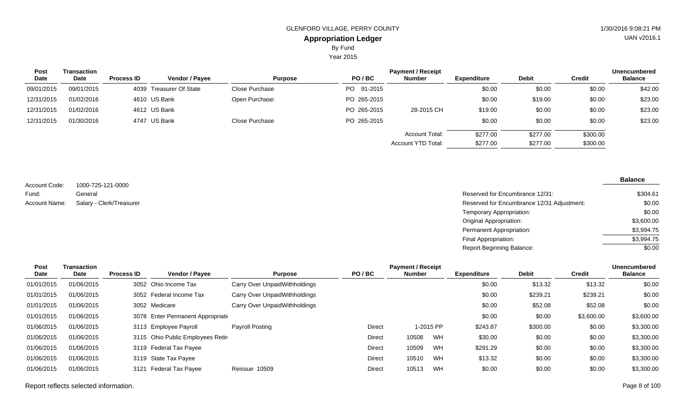Year 2015

| Transaction |                   |                |                                                                         |             | <b>Payment / Receipt</b> |                    |              |               | <b>Unencumbered</b> |
|-------------|-------------------|----------------|-------------------------------------------------------------------------|-------------|--------------------------|--------------------|--------------|---------------|---------------------|
| <b>Date</b> | <b>Process ID</b> | Vendor / Payee | <b>Purpose</b>                                                          | PO/BC       | <b>Number</b>            | <b>Expenditure</b> | <b>Debit</b> | <b>Credit</b> | <b>Balance</b>      |
| 09/01/2015  |                   |                | Close Purchase                                                          | PO 91-2015  |                          | \$0.00             | \$0.00       | \$0.00        | \$42.00             |
| 01/02/2016  |                   |                | Open Purchase:                                                          | PO 265-2015 |                          | \$0.00             | \$19.00      | \$0.00        | \$23.00             |
| 01/02/2016  |                   |                |                                                                         | PO 265-2015 | 28-2015 CH               | \$19.00            | \$0.00       | \$0.00        | \$23.00             |
| 01/30/2016  |                   |                | Close Purchase                                                          | PO 265-2015 |                          | \$0.00             | \$0.00       | \$0.00        | \$23.00             |
|             |                   |                |                                                                         |             | <b>Account Total:</b>    | \$277.00           | \$277.00     | \$300.00      |                     |
|             |                   |                |                                                                         |             | Account YTD Total:       | \$277.00           | \$277.00     | \$300.00      |                     |
|             |                   |                | 4039 Treasurer Of State<br>4610 US Bank<br>4612 US Bank<br>4747 US Bank |             |                          |                    |              |               |                     |

1000-725-121-0000 General Salary - Clerk/Treasurer Account Code: Fund: Account Name:

| Reserved for Encumbrance 12/31:            | \$304.61   |
|--------------------------------------------|------------|
| Reserved for Encumbrance 12/31 Adjustment: | \$0.00     |
| Temporary Appropriation:                   | \$0.00     |
| Original Appropriation:                    | \$3,600.00 |
| Permanent Appropriation:                   | \$3,994.75 |
| Final Appropriation:                       | \$3.994.75 |
| Report Beginning Balance:                  | \$0.00     |

| Post       | Transaction |                   |                                    |                               |        | <b>Payment / Receipt</b> |           |                    |              |            | Unencumbered   |
|------------|-------------|-------------------|------------------------------------|-------------------------------|--------|--------------------------|-----------|--------------------|--------------|------------|----------------|
| Date       | <b>Date</b> | <b>Process ID</b> | <b>Vendor / Payee</b>              | <b>Purpose</b>                | PO/BC  | Number                   |           | <b>Expenditure</b> | <b>Debit</b> | Credit     | <b>Balance</b> |
| 01/01/2015 | 01/06/2015  |                   | 3052 Ohio Income Tax               | Carry Over UnpaidWithholdings |        |                          |           | \$0.00             | \$13.32      | \$13.32    | \$0.00         |
| 01/01/2015 | 01/06/2015  |                   | 3052 Federal Income Tax            | Carry Over UnpaidWithholdings |        |                          |           | \$0.00             | \$239.21     | \$239.21   | \$0.00         |
| 01/01/2015 | 01/06/2015  |                   | 3052 Medicare                      | Carry Over UnpaidWithholdings |        |                          |           | \$0.00             | \$52.08      | \$52.08    | \$0.00         |
| 01/01/2015 | 01/06/2015  |                   | 3078 Enter Permanent Appropriation |                               |        |                          |           | \$0.00             | \$0.00       | \$3,600.00 | \$3,600.00     |
| 01/06/2015 | 01/06/2015  |                   | 3113 Employee Payroll              | Payroll Posting               | Direct |                          | 1-2015 PP | \$243.87           | \$300.00     | \$0.00     | \$3,300.00     |
| 01/06/2015 | 01/06/2015  |                   | 3115 Ohio Public Employees Retir   |                               | Direct | 10508                    | WH        | \$30.00            | \$0.00       | \$0.00     | \$3,300.00     |
| 01/06/2015 | 01/06/2015  |                   | 3119 Federal Tax Payee             |                               | Direct | 10509                    | WH        | \$291.29           | \$0.00       | \$0.00     | \$3,300.00     |
| 01/06/2015 | 01/06/2015  |                   | 3119 State Tax Payee               |                               | Direct | 10510                    | WH        | \$13.32            | \$0.00       | \$0.00     | \$3,300.00     |
| 01/06/2015 | 01/06/2015  | 3121              | Federal Tax Payee                  | Reissue 10509                 | Direct | 10513                    | WH        | \$0.00             | \$0.00       | \$0.00     | \$3,300.00     |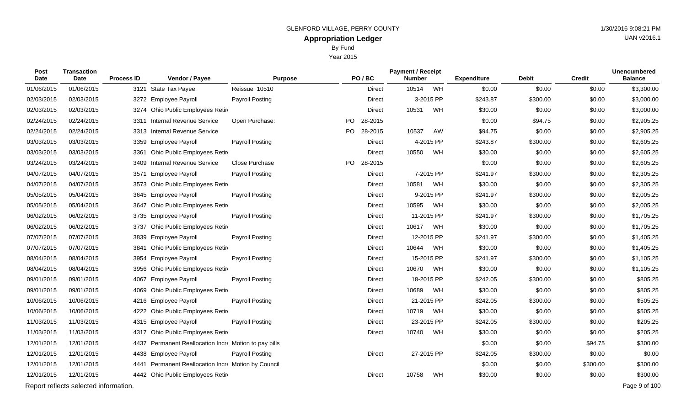|                     | <b>Dy</b> Luiu<br>Year 2015 |                   |                                  |                        |     |               |                                           |           |                    |              |               |                                       |
|---------------------|-----------------------------|-------------------|----------------------------------|------------------------|-----|---------------|-------------------------------------------|-----------|--------------------|--------------|---------------|---------------------------------------|
| <b>Post</b><br>Date | Transaction<br>Date         | <b>Process ID</b> | Vendor / Payee                   | <b>Purpose</b>         |     | PO/BC         | <b>Payment / Receipt</b><br><b>Number</b> |           | <b>Expenditure</b> | <b>Debit</b> | <b>Credit</b> | <b>Unencumbered</b><br><b>Balance</b> |
| 01/06/2015          | 01/06/2015                  |                   | 3121 State Tax Payee             | Reissue 10510          |     | <b>Direct</b> | 10514                                     | WH        | \$0.00             | \$0.00       | \$0.00        | \$3,300.00                            |
| 02/03/2015          | 02/03/2015                  |                   | 3272 Employee Payroll            | <b>Payroll Posting</b> |     | <b>Direct</b> |                                           | 3-2015 PP | \$243.87           | \$300.00     | \$0.00        | \$3,000.00                            |
| 02/03/2015          | 02/03/2015                  |                   | 3274 Ohio Public Employees Retir |                        |     | Direct        | 10531                                     | WH        | \$30.00            | \$0.00       | \$0.00        | \$3,000.00                            |
| 02/24/2015          | 02/24/2015                  |                   | 3311 Internal Revenue Service    | Open Purchase:         |     | PO 28-2015    |                                           |           | \$0.00             | \$94.75      | \$0.00        | \$2,905.25                            |
| 02/24/2015          | 02/24/2015                  |                   | 3313 Internal Revenue Service    |                        | PO. | 28-2015       | 10537                                     | AW        | \$94.75            | \$0.00       | \$0.00        | \$2,905.25                            |

| 02/03/2015 | 02/03/2015                            | 3272 Employee Payroll                                 | Payroll Posting |           | <b>Direct</b> |            | 3-2015 PP | \$243.87 | \$300.00 | \$0.00   | \$3,000.00    |
|------------|---------------------------------------|-------------------------------------------------------|-----------------|-----------|---------------|------------|-----------|----------|----------|----------|---------------|
| 02/03/2015 | 02/03/2015                            | 3274 Ohio Public Employees Retir                      |                 |           | <b>Direct</b> | 10531      | WH        | \$30.00  | \$0.00   | \$0.00   | \$3,000.00    |
| 02/24/2015 | 02/24/2015                            | 3311 Internal Revenue Service                         | Open Purchase:  | PO.       | 28-2015       |            |           | \$0.00   | \$94.75  | \$0.00   | \$2,905.25    |
| 02/24/2015 | 02/24/2015                            | 3313 Internal Revenue Service                         |                 | PO.       | 28-2015       | 10537      | AW        | \$94.75  | \$0.00   | \$0.00   | \$2,905.25    |
| 03/03/2015 | 03/03/2015                            | 3359 Employee Payroll                                 | Payroll Posting |           | <b>Direct</b> |            | 4-2015 PP | \$243.87 | \$300.00 | \$0.00   | \$2,605.25    |
| 03/03/2015 | 03/03/2015                            | 3361 Ohio Public Employees Retir                      |                 |           | <b>Direct</b> | 10550      | WH        | \$30.00  | \$0.00   | \$0.00   | \$2,605.25    |
| 03/24/2015 | 03/24/2015                            | <b>Internal Revenue Service</b><br>3409               | Close Purchase  | <b>PO</b> | 28-2015       |            |           | \$0.00   | \$0.00   | \$0.00   | \$2,605.25    |
| 04/07/2015 | 04/07/2015                            | <b>Employee Payroll</b><br>3571                       | Payroll Posting |           | Direct        |            | 7-2015 PP | \$241.97 | \$300.00 | \$0.00   | \$2,305.25    |
| 04/07/2015 | 04/07/2015                            | 3573 Ohio Public Employees Retir                      |                 |           | Direct        | 10581 WH   |           | \$30.00  | \$0.00   | \$0.00   | \$2,305.25    |
| 05/05/2015 | 05/04/2015                            | 3645 Employee Payroll                                 | Payroll Posting |           | <b>Direct</b> |            | 9-2015 PP | \$241.97 | \$300.00 | \$0.00   | \$2,005.25    |
| 05/05/2015 | 05/04/2015                            | 3647 Ohio Public Employees Retire                     |                 |           | <b>Direct</b> | 10595      | WH        | \$30.00  | \$0.00   | \$0.00   | \$2,005.25    |
| 06/02/2015 | 06/02/2015                            | 3735 Employee Payroll                                 | Payroll Posting |           | <b>Direct</b> | 11-2015 PP |           | \$241.97 | \$300.00 | \$0.00   | \$1,705.25    |
| 06/02/2015 | 06/02/2015                            | Ohio Public Employees Retir<br>3737                   |                 |           | <b>Direct</b> | 10617 WH   |           | \$30.00  | \$0.00   | \$0.00   | \$1,705.25    |
| 07/07/2015 | 07/07/2015                            | 3839 Employee Payroll                                 | Payroll Posting |           | <b>Direct</b> | 12-2015 PP |           | \$241.97 | \$300.00 | \$0.00   | \$1,405.25    |
| 07/07/2015 | 07/07/2015                            | 3841 Ohio Public Employees Retire                     |                 |           | Direct        | 10644 WH   |           | \$30.00  | \$0.00   | \$0.00   | \$1,405.25    |
| 08/04/2015 | 08/04/2015                            | 3954 Employee Payroll                                 | Payroll Posting |           | <b>Direct</b> | 15-2015 PP |           | \$241.97 | \$300.00 | \$0.00   | \$1,105.25    |
| 08/04/2015 | 08/04/2015                            | 3956 Ohio Public Employees Retir                      |                 |           | <b>Direct</b> | 10670      | WH        | \$30.00  | \$0.00   | \$0.00   | \$1,105.25    |
| 09/01/2015 | 09/01/2015                            | 4067 Employee Payroll                                 | Payroll Posting |           | Direct        | 18-2015 PP |           | \$242.05 | \$300.00 | \$0.00   | \$805.25      |
| 09/01/2015 | 09/01/2015                            | Ohio Public Employees Retir<br>4069                   |                 |           | Direct        | 10689      | WH        | \$30.00  | \$0.00   | \$0.00   | \$805.25      |
| 10/06/2015 | 10/06/2015                            | 4216 Employee Payroll                                 | Payroll Posting |           | <b>Direct</b> | 21-2015 PP |           | \$242.05 | \$300.00 | \$0.00   | \$505.25      |
| 10/06/2015 | 10/06/2015                            | 4222 Ohio Public Employees Retire                     |                 |           | <b>Direct</b> | 10719 WH   |           | \$30.00  | \$0.00   | \$0.00   | \$505.25      |
| 11/03/2015 | 11/03/2015                            | 4315 Employee Payroll                                 | Payroll Posting |           | <b>Direct</b> | 23-2015 PP |           | \$242.05 | \$300.00 | \$0.00   | \$205.25      |
| 11/03/2015 | 11/03/2015                            | 4317 Ohio Public Employees Retire                     |                 |           | Direct        | 10740      | WH        | \$30.00  | \$0.00   | \$0.00   | \$205.25      |
| 12/01/2015 | 12/01/2015                            | 4437 Permanent Reallocation Incre Motion to pay bills |                 |           |               |            |           | \$0.00   | \$0.00   | \$94.75  | \$300.00      |
| 12/01/2015 | 12/01/2015                            | 4438 Employee Payroll                                 | Payroll Posting |           | <b>Direct</b> | 27-2015 PP |           | \$242.05 | \$300.00 | \$0.00   | \$0.00        |
| 12/01/2015 | 12/01/2015                            | 4441 Permanent Reallocation Incre Motion by Council   |                 |           |               |            |           | \$0.00   | \$0.00   | \$300.00 | \$300.00      |
| 12/01/2015 | 12/01/2015                            | 4442 Ohio Public Employees Retir                      |                 |           | <b>Direct</b> | 10758      | WH        | \$30.00  | \$0.00   | \$0.00   | \$300.00      |
|            | Report reflects selected information. |                                                       |                 |           |               |            |           |          |          |          | Page 9 of 100 |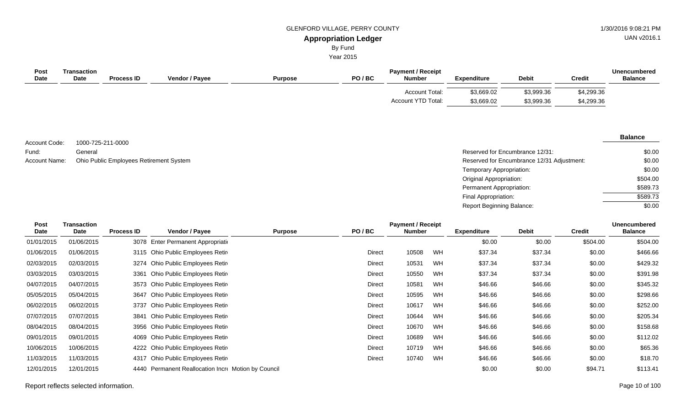By Fund

Year 2015

| <b>Post</b><br>Date | Transaction<br><b>Date</b> | <b>Process ID</b> | <b>Vendor / Payee</b> | <b>Purpose</b> | PO/BC | <b>Payment / Receipt</b><br><b>Number</b>          | <b>Expenditure</b>       | <b>Debit</b>             | <b>Credit</b>            | <b>Unencumbered</b><br><b>Balance</b> |
|---------------------|----------------------------|-------------------|-----------------------|----------------|-------|----------------------------------------------------|--------------------------|--------------------------|--------------------------|---------------------------------------|
|                     |                            |                   |                       |                |       | <b>Account Total:</b><br><b>Account YTD Total:</b> | \$3,669.02<br>\$3,669.02 | \$3,999.36<br>\$3,999.36 | \$4,299.36<br>\$4,299.36 |                                       |

1000-725-211-0000 General Account Name: Ohio Public Employees Retirement System **Reserved for Encumbrance 12/31 Adjustment:** Account Name: Compared for Encumbrance 12/31 Adjustment: Account Code: Fund:

#### **Balance**

| Reserved for Encumbrance 12/31:            | \$0.00   |
|--------------------------------------------|----------|
| Reserved for Encumbrance 12/31 Adjustment: | \$0.00   |
| Temporary Appropriation:                   | \$0.00   |
| Original Appropriation:                    | \$504.00 |
| Permanent Appropriation:                   | \$589.73 |
| Final Appropriation:                       | \$589.73 |
| <b>Report Beginning Balance:</b>           | \$0.00   |

| Post        | <b>Transaction</b> |                   |                                                     |                |               | <b>Payment / Receipt</b> |    |                    |              |               | <b>Unencumbered</b> |
|-------------|--------------------|-------------------|-----------------------------------------------------|----------------|---------------|--------------------------|----|--------------------|--------------|---------------|---------------------|
| <b>Date</b> | Date               | <b>Process ID</b> | Vendor / Payee                                      | <b>Purpose</b> | PO/BC         | <b>Number</b>            |    | <b>Expenditure</b> | <b>Debit</b> | <b>Credit</b> | <b>Balance</b>      |
| 01/01/2015  | 01/06/2015         |                   | 3078 Enter Permanent Appropriation                  |                |               |                          |    | \$0.00             | \$0.00       | \$504.00      | \$504.00            |
| 01/06/2015  | 01/06/2015         |                   | 3115 Ohio Public Employees Retire                   |                | <b>Direct</b> | 10508                    | WH | \$37.34            | \$37.34      | \$0.00        | \$466.66            |
| 02/03/2015  | 02/03/2015         |                   | 3274 Ohio Public Employees Retire                   |                | Direct        | 10531                    | WH | \$37.34            | \$37.34      | \$0.00        | \$429.32            |
| 03/03/2015  | 03/03/2015         | 3361              | Ohio Public Employees Retir                         |                | Direct        | 10550                    | WH | \$37.34            | \$37.34      | \$0.00        | \$391.98            |
| 04/07/2015  | 04/07/2015         |                   | 3573 Ohio Public Employees Retire                   |                | Direct        | 10581                    | WH | \$46.66            | \$46.66      | \$0.00        | \$345.32            |
| 05/05/2015  | 05/04/2015         |                   | 3647 Ohio Public Employees Retir                    |                | Direct        | 10595                    | WH | \$46.66            | \$46.66      | \$0.00        | \$298.66            |
| 06/02/2015  | 06/02/2015         |                   | 3737 Ohio Public Employees Retire                   |                | Direct        | 10617                    | WH | \$46.66            | \$46.66      | \$0.00        | \$252.00            |
| 07/07/2015  | 07/07/2015         |                   | 3841 Ohio Public Employees Retire                   |                | Direct        | 10644                    | WH | \$46.66            | \$46.66      | \$0.00        | \$205.34            |
| 08/04/2015  | 08/04/2015         |                   | 3956 Ohio Public Employees Retir                    |                | Direct        | 10670                    | WH | \$46.66            | \$46.66      | \$0.00        | \$158.68            |
| 09/01/2015  | 09/01/2015         |                   | 4069 Ohio Public Employees Retir                    |                | Direct        | 10689                    | WH | \$46.66            | \$46.66      | \$0.00        | \$112.02            |
| 10/06/2015  | 10/06/2015         |                   | 4222 Ohio Public Employees Retire                   |                | <b>Direct</b> | 10719                    | WH | \$46.66            | \$46.66      | \$0.00        | \$65.36             |
| 11/03/2015  | 11/03/2015         |                   | 4317 Ohio Public Employees Retire                   |                | Direct        | 10740                    | WH | \$46.66            | \$46.66      | \$0.00        | \$18.70             |
| 12/01/2015  | 12/01/2015         |                   | 4440 Permanent Reallocation Incre Motion by Council |                |               |                          |    | \$0.00             | \$0.00       | \$94.71       | \$113.41            |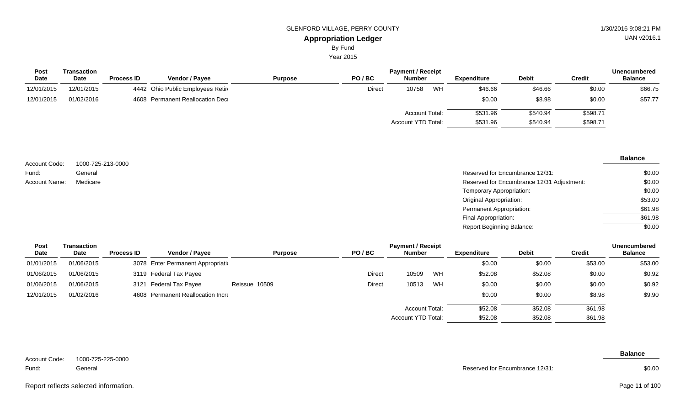Year 2015

| Transaction |                   |                       |                                                                     |               |       |    |                                                                                          |              |          | <b>Unencumbered</b> |
|-------------|-------------------|-----------------------|---------------------------------------------------------------------|---------------|-------|----|------------------------------------------------------------------------------------------|--------------|----------|---------------------|
| <b>Date</b> | <b>Process ID</b> | <b>Vendor / Pavee</b> | <b>Purpose</b>                                                      | PO/BC         |       |    | Expenditure                                                                              | <b>Debit</b> | Credit   | <b>Balance</b>      |
| 12/01/2015  |                   |                       |                                                                     | <b>Direct</b> | 10758 | WH | \$46.66                                                                                  | \$46.66      | \$0.00   | \$66.75             |
| 01/02/2016  |                   |                       |                                                                     |               |       |    | \$0.00                                                                                   | \$8.98       | \$0.00   | \$57.77             |
|             |                   |                       |                                                                     |               |       |    | \$531.96                                                                                 | \$540.94     | \$598.71 |                     |
|             |                   |                       |                                                                     |               |       |    | \$531.96                                                                                 | \$540.94     | \$598.71 |                     |
|             |                   |                       | 4442 Ohio Public Employees Retir<br>4608 Permanent Reallocation Dec |               |       |    | <b>Payment / Receipt</b><br><b>Number</b><br><b>Account Total:</b><br>Account YTD Total: |              |          |                     |

| Account Code: | 1000-725-213-0000 |                                            | <b>Balance</b> |
|---------------|-------------------|--------------------------------------------|----------------|
| Fund:         | General           | Reserved for Encumbrance 12/31:            | \$0.00         |
| Account Name: | Medicare          | Reserved for Encumbrance 12/31 Adjustment: | \$0.00         |
|               |                   | Temporary Appropriation:                   | \$0.00         |
|               |                   | <b>Original Appropriation:</b>             | \$53.00        |

| <b>Post</b> | Transaction |                   |                                    |                |        | <b>Payment / Receipt</b> |    |                    |              |         | <b>Unencumbered</b> |
|-------------|-------------|-------------------|------------------------------------|----------------|--------|--------------------------|----|--------------------|--------------|---------|---------------------|
| Date        | Date        | <b>Process ID</b> | <b>Vendor / Payee</b>              | <b>Purpose</b> | PO/BC  | <b>Number</b>            |    | <b>Expenditure</b> | <b>Debit</b> | Credit  | <b>Balance</b>      |
| 01/01/2015  | 01/06/2015  |                   | 3078 Enter Permanent Appropriation |                |        |                          |    | \$0.00             | \$0.00       | \$53.00 | \$53.00             |
| 01/06/2015  | 01/06/2015  |                   | 3119 Federal Tax Payee             |                | Direct | 10509                    | WH | \$52.08            | \$52.08      | \$0.00  | \$0.92              |
| 01/06/2015  | 01/06/2015  |                   | 3121 Federal Tax Payee             | Reissue 10509  | Direct | 10513                    | WH | \$0.00             | \$0.00       | \$0.00  | \$0.92              |
| 12/01/2015  | 01/02/2016  |                   | 4608 Permanent Reallocation Incre  |                |        |                          |    | \$0.00             | \$0.00       | \$8.98  | \$9.90              |
|             |             |                   |                                    |                |        | Account Total:           |    | \$52.08            | \$52.08      | \$61.98 |                     |
|             |             |                   |                                    |                |        | Account YTD Total:       |    | \$52.08            | \$52.08      | \$61.98 |                     |

| Account Code: | 1000-725-225-0000 |
|---------------|-------------------|
|               |                   |

General Fund:

Reserved for Encumbrance 12/31:

Permanent Appropriation: Final Appropriation: Report Beginning Balance:

# **Balance**

\$0.00

\$61.98 \$61.98 \$0.00

# UAN v2016.1

Report reflects selected information. Page 11 of 100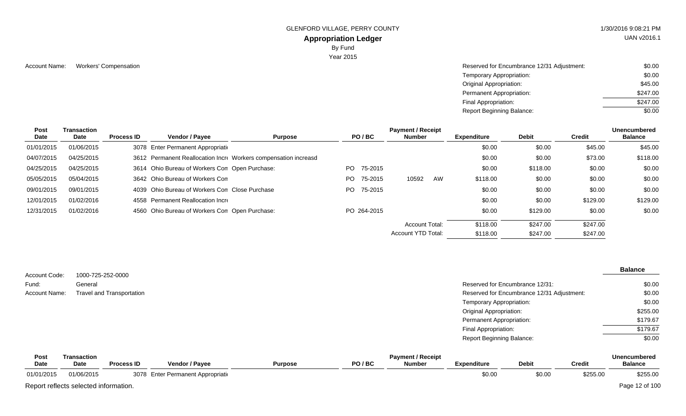GLENFORD VILLAGE, PERRY COUNTY 1/30/2016 9:08:21 PM

# **Appropriation Ledger**

By Fund

Year 2015

Account Name: Workers' Compensation **Account Name:** Workers' Compensation \$0.00 Temporary Appropriation: Original Appropriation: Permanent Appropriation: Final Appropriation: Report Beginning Balance: \$0.00 \$45.00 \$247.00 \$247.00 \$0.00

| Post<br>Date | <b>Transaction</b><br>Date | <b>Process ID</b> | Vendor / Payee                                 | <b>Purpose</b>                                                  | PO/BC          | <b>Payment / Receipt</b><br>Number | <b>Expenditure</b> | Debit    | <b>Credit</b> | <b>Unencumbered</b><br><b>Balance</b> |
|--------------|----------------------------|-------------------|------------------------------------------------|-----------------------------------------------------------------|----------------|------------------------------------|--------------------|----------|---------------|---------------------------------------|
| 01/01/2015   | 01/06/2015                 |                   | 3078 Enter Permanent Appropriation             |                                                                 |                |                                    | \$0.00             | \$0.00   | \$45.00       | \$45.00                               |
| 04/07/2015   | 04/25/2015                 |                   |                                                | 3612 Permanent Reallocation Incre Workers compensation increasd |                |                                    | \$0.00             | \$0.00   | \$73.00       | \$118.00                              |
|              |                            |                   |                                                |                                                                 |                |                                    |                    |          |               |                                       |
| 04/25/2015   | 04/25/2015                 |                   | 3614 Ohio Bureau of Workers Con Open Purchase: |                                                                 | 75-2015<br>PO. |                                    | \$0.00             | \$118.00 | \$0.00        | \$0.00                                |
| 05/05/2015   | 05/04/2015                 |                   | 3642 Ohio Bureau of Workers Com                |                                                                 | PO.<br>75-2015 | AW<br>10592                        | \$118.00           | \$0.00   | \$0.00        | \$0.00                                |
| 09/01/2015   | 09/01/2015                 |                   | 4039 Ohio Bureau of Workers Con Close Purchase |                                                                 | 75-2015<br>PO. |                                    | \$0.00             | \$0.00   | \$0.00        | \$0.00                                |
| 12/01/2015   | 01/02/2016                 |                   | 4558 Permanent Reallocation Incre              |                                                                 |                |                                    | \$0.00             | \$0.00   | \$129.00      | \$129.00                              |
| 12/31/2015   | 01/02/2016                 |                   | 4560 Ohio Bureau of Workers Con Open Purchase: |                                                                 | PO 264-2015    |                                    | \$0.00             | \$129.00 | \$0.00        | \$0.00                                |
|              |                            |                   |                                                |                                                                 |                | <b>Account Total:</b>              | \$118.00           | \$247.00 | \$247.00      |                                       |
|              |                            |                   |                                                |                                                                 |                | Account YTD Total:                 | \$118.00           | \$247.00 | \$247.00      |                                       |

|               |                                  |                                            | <b>Balance</b> |
|---------------|----------------------------------|--------------------------------------------|----------------|
| Account Code: | 1000-725-252-0000                |                                            |                |
| Fund:         | General                          | Reserved for Encumbrance 12/31:            | \$0.00         |
| Account Name: | <b>Travel and Transportation</b> | Reserved for Encumbrance 12/31 Adjustment: | \$0.00         |
|               |                                  | Temporary Appropriation:                   | \$0.00         |
|               |                                  | <b>Original Appropriation:</b>             | \$255.00       |
|               |                                  | Permanent Appropriation:                   | \$179.67       |
|               |                                  | Final Appropriation:                       | \$179.67       |
|               |                                  | <b>Report Beginning Balance:</b>           | \$0.00         |

| Post        | <b>Fransaction</b>                    |                   |                                    |                |       | <b>Payment / Receipt</b> |                    |              |               | <b>Unencumbered</b> |
|-------------|---------------------------------------|-------------------|------------------------------------|----------------|-------|--------------------------|--------------------|--------------|---------------|---------------------|
| <b>Date</b> | <b>Date</b>                           | <b>Process ID</b> | Vendor / Payee                     | <b>Purpose</b> | PO/BC | Number                   | <b>Expenditure</b> | <b>Debit</b> | <b>Credit</b> | <b>Balance</b>      |
| 01/01/2015  | 01/06/2015                            |                   | 3078 Enter Permanent Appropriation |                |       |                          | \$0.00             | \$0.00       | \$255.00      | \$255.00            |
|             | Report reflects selected information. |                   |                                    |                |       |                          |                    |              |               | Page 12 of 100      |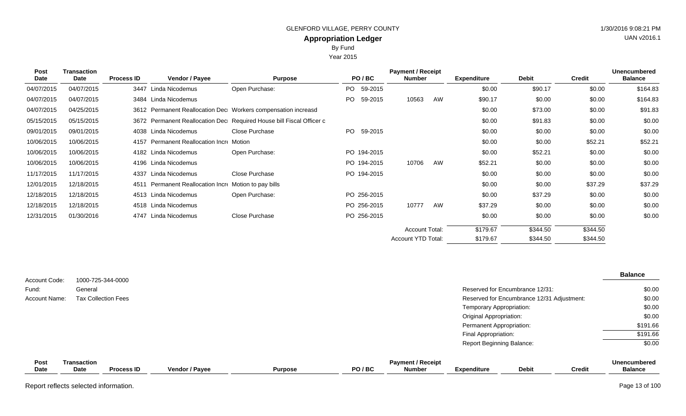Year 2015

| <b>Post</b><br><b>Date</b> | <b>Transaction</b><br><b>Date</b> | <b>Process ID</b> | Vendor / Payee                                        | <b>Purpose</b>                                                       | PO/BC       | <b>Payment / Receipt</b><br><b>Number</b> |    | <b>Expenditure</b> | <b>Debit</b> | <b>Credit</b> | <b>Unencumbered</b><br><b>Balance</b> |
|----------------------------|-----------------------------------|-------------------|-------------------------------------------------------|----------------------------------------------------------------------|-------------|-------------------------------------------|----|--------------------|--------------|---------------|---------------------------------------|
| 04/07/2015                 | 04/07/2015                        |                   | 3447 Linda Nicodemus                                  | Open Purchase:                                                       | PO 59-2015  |                                           |    | \$0.00             | \$90.17      | \$0.00        | \$164.83                              |
| 04/07/2015                 | 04/07/2015                        |                   | 3484 Linda Nicodemus                                  |                                                                      | PO 59-2015  | 10563                                     | AW | \$90.17            | \$0.00       | \$0.00        | \$164.83                              |
| 04/07/2015                 | 04/25/2015                        |                   |                                                       | 3612 Permanent Reallocation Dec Workers compensation increasd        |             |                                           |    | \$0.00             | \$73.00      | \$0.00        | \$91.83                               |
| 05/15/2015                 | 05/15/2015                        |                   |                                                       | 3672 Permanent Reallocation Dec Required House bill Fiscal Officer c |             |                                           |    | \$0.00             | \$91.83      | \$0.00        | \$0.00                                |
| 09/01/2015                 | 09/01/2015                        |                   | 4038 Linda Nicodemus                                  | Close Purchase                                                       | PO 59-2015  |                                           |    | \$0.00             | \$0.00       | \$0.00        | \$0.00                                |
| 10/06/2015                 | 10/06/2015                        |                   | 4157 Permanent Reallocation Incre Motion              |                                                                      |             |                                           |    | \$0.00             | \$0.00       | \$52.21       | \$52.21                               |
| 10/06/2015                 | 10/06/2015                        |                   | 4182 Linda Nicodemus                                  | Open Purchase:                                                       | PO 194-2015 |                                           |    | \$0.00             | \$52.21      | \$0.00        | \$0.00                                |
| 10/06/2015                 | 10/06/2015                        |                   | 4196 Linda Nicodemus                                  |                                                                      | PO 194-2015 | 10706                                     | AW | \$52.21            | \$0.00       | \$0.00        | \$0.00                                |
| 11/17/2015                 | 11/17/2015                        |                   | 4337 Linda Nicodemus                                  | Close Purchase                                                       | PO 194-2015 |                                           |    | \$0.00             | \$0.00       | \$0.00        | \$0.00                                |
| 12/01/2015                 | 12/18/2015                        |                   | 4511 Permanent Reallocation Incre Motion to pay bills |                                                                      |             |                                           |    | \$0.00             | \$0.00       | \$37.29       | \$37.29                               |
| 12/18/2015                 | 12/18/2015                        |                   | 4513 Linda Nicodemus                                  | Open Purchase:                                                       | PO 256-2015 |                                           |    | \$0.00             | \$37.29      | \$0.00        | \$0.00                                |
| 12/18/2015                 | 12/18/2015                        |                   | 4518 Linda Nicodemus                                  |                                                                      | PO 256-2015 | 10777                                     | AW | \$37.29            | \$0.00       | \$0.00        | \$0.00                                |
| 12/31/2015                 | 01/30/2016                        |                   | 4747 Linda Nicodemus                                  | Close Purchase                                                       | PO 256-2015 |                                           |    | \$0.00             | \$0.00       | \$0.00        | \$0.00                                |
|                            |                                   |                   |                                                       |                                                                      |             | <b>Account Total:</b>                     |    | \$179.67           | \$344.50     | \$344.50      |                                       |
|                            |                                   |                   |                                                       |                                                                      |             | Account YTD Total:                        |    | \$179.67           | \$344.50     | \$344.50      |                                       |

| Account Code: | 1000-725-344-0000          |                                            | <b>Balance</b>      |
|---------------|----------------------------|--------------------------------------------|---------------------|
| Fund:         | General                    | Reserved for Encumbrance 12/31:            | \$0.00              |
| Account Name: | <b>Tax Collection Fees</b> | Reserved for Encumbrance 12/31 Adjustment: | \$0.00              |
|               |                            | Temporary Appropriation:                   | \$0.00              |
|               |                            | <b>Original Appropriation:</b>             | \$0.00              |
|               |                            | Permanent Appropriation:                   | \$191.66            |
|               |                            | Final Appropriation:                       | \$191.66            |
|               |                            | <b>Report Beginning Balance:</b>           | \$0.00              |
| Post          | Transaction                | <b>Payment / Receipt</b>                   | <b>Unencumbered</b> |

#### **Vendor / Payee Expenditure Debit Payment / Receipt PO/BC Post** Date **Date Process ID Transaction Date Unencumbered Credit Balance**

Report reflects selected information. Page 13 of 100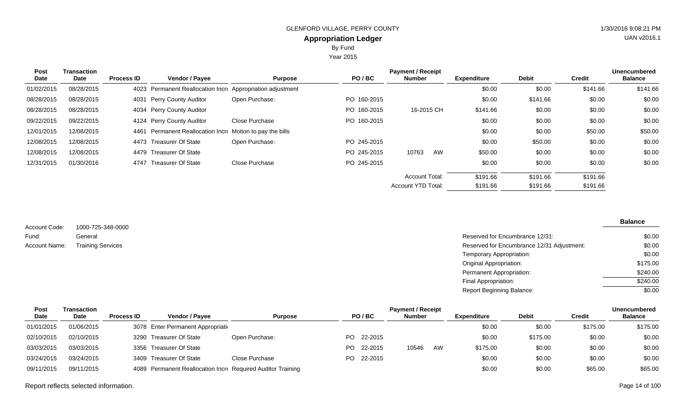Year 2015

| Post<br>Date | Transaction<br>Date | <b>Process ID</b> | <b>Vendor / Payee</b>                                 | <b>Purpose</b> | PO/BC       | <b>Payment / Receipt</b><br><b>Number</b> | <b>Expenditure</b> | <b>Debit</b> | Credit   | <b>Unencumbered</b><br><b>Balance</b> |
|--------------|---------------------|-------------------|-------------------------------------------------------|----------------|-------------|-------------------------------------------|--------------------|--------------|----------|---------------------------------------|
|              |                     |                   |                                                       |                |             |                                           |                    |              |          |                                       |
| 01/02/2015   | 08/28/2015          | 4023              | Permanent Reallocation Incre Appropriation adjustment |                |             |                                           | \$0.00             | \$0.00       | \$141.66 | \$141.66                              |
| 08/28/2015   | 08/28/2015          | 4031              | Perry County Auditor                                  | Open Purchase: | PO 160-2015 |                                           | \$0.00             | \$141.66     | \$0.00   | \$0.00                                |
| 08/28/2015   | 08/28/2015          |                   | 4034 Perry County Auditor                             |                | PO 160-2015 | 16-2015 CH                                | \$141.66           | \$0.00       | \$0.00   | \$0.00                                |
| 09/22/2015   | 09/22/2015          |                   | 4124 Perry County Auditor                             | Close Purchase | PO 160-2015 |                                           | \$0.00             | \$0.00       | \$0.00   | \$0.00                                |
| 12/01/2015   | 12/08/2015          | 4461              | Permanent Reallocation Incre Motion to pay the bills  |                |             |                                           | \$0.00             | \$0.00       | \$50.00  | \$50.00                               |
| 12/08/2015   | 12/08/2015          |                   | 4473 Treasurer Of State                               | Open Purchase: | PO 245-2015 |                                           | \$0.00             | \$50.00      | \$0.00   | \$0.00                                |
| 12/08/2015   | 12/08/2015          | 4479              | <b>Treasurer Of State</b>                             |                | PO 245-2015 | AW<br>10763                               | \$50.00            | \$0.00       | \$0.00   | \$0.00                                |
| 12/31/2015   | 01/30/2016          | 4747              | <b>Treasurer Of State</b>                             | Close Purchase | PO 245-2015 |                                           | \$0.00             | \$0.00       | \$0.00   | \$0.00                                |
|              |                     |                   |                                                       |                |             | <b>Account Total:</b>                     | \$191.66           | \$191.66     | \$191.66 |                                       |
|              |                     |                   |                                                       |                |             | <b>Account YTD Total:</b>                 | \$191.66           | \$191.66     | \$191.66 |                                       |

1000-725-348-0000 General Account Code: Fund: Account Name: Training Services

| General                  | Reserved for Encumbrance 12/31:            | \$0.00   |
|--------------------------|--------------------------------------------|----------|
| <b>Training Services</b> | Reserved for Encumbrance 12/31 Adjustment: | \$0.00   |
|                          | Temporary Appropriation:                   | \$0.00   |
|                          | Original Appropriation:                    | \$175.00 |
|                          | Permanent Appropriation:                   | \$240.00 |
|                          | Final Appropriation:                       | \$240.00 |
|                          | <b>Report Beginning Balance:</b>           | \$0.00   |
|                          |                                            |          |

| Post       | Transaction |                   |                                                             |                |     |            | <b>Payment / Receipt</b> |    |                    |              |          | <b>Unencumbered</b> |
|------------|-------------|-------------------|-------------------------------------------------------------|----------------|-----|------------|--------------------------|----|--------------------|--------------|----------|---------------------|
| Date       | <b>Date</b> | <b>Process ID</b> | Vendor / Pavee                                              | <b>Purpose</b> |     | PO/BC      | <b>Number</b>            |    | <b>Expenditure</b> | <b>Debit</b> | Credit   | <b>Balance</b>      |
| 01/01/2015 | 01/06/2015  |                   | 3078 Enter Permanent Appropriation                          |                |     |            |                          |    | \$0.00             | \$0.00       | \$175.00 | \$175.00            |
| 02/10/2015 | 02/10/2015  |                   | 3290 Treasurer Of State                                     | Open Purchase: |     | PO 22-2015 |                          |    | \$0.00             | \$175.00     | \$0.00   | \$0.00              |
| 03/03/2015 | 03/03/2015  |                   | 3356 Treasurer Of State                                     |                | PO. | 22-2015    | 10546                    | AW | \$175.00           | \$0.00       | \$0.00   | \$0.00              |
| 03/24/2015 | 03/24/2015  |                   | 3409 Treasurer Of State                                     | Close Purchase |     | PO 22-2015 |                          |    | \$0.00             | \$0.00       | \$0.00   | \$0.00              |
| 09/11/2015 | 09/11/2015  |                   | 4089 Permanent Reallocation Incre Required Auditor Training |                |     |            |                          |    | \$0.00             | \$0.00       | \$65.00  | \$65.00             |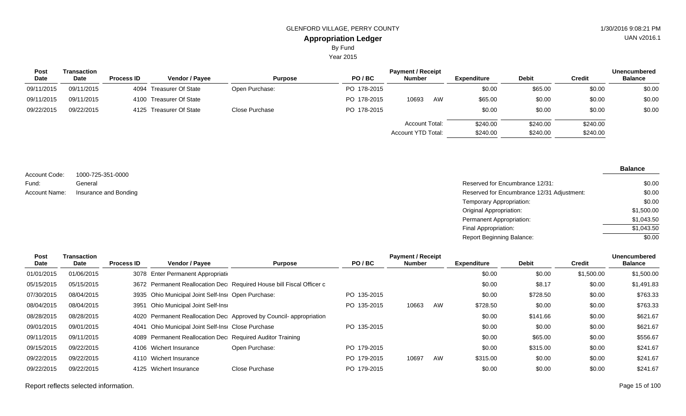Year 2015

| Post        | <b>Transaction</b> |                   |                         |                |             | <b>Payment / Receipt</b>             |                      |                      |                      | <b>Unencumbered</b> |
|-------------|--------------------|-------------------|-------------------------|----------------|-------------|--------------------------------------|----------------------|----------------------|----------------------|---------------------|
| <b>Date</b> | <b>Date</b>        | <b>Process ID</b> | <b>Vendor / Payee</b>   | <b>Purpose</b> | PO/BC       | <b>Number</b>                        | Expenditure          | <b>Debit</b>         | <b>Credit</b>        | <b>Balance</b>      |
| 09/11/2015  | 09/11/2015         |                   | 4094 Treasurer Of State | Open Purchase: | PO 178-2015 |                                      | \$0.00               | \$65.00              | \$0.00               | \$0.00              |
| 09/11/2015  | 09/11/2015         |                   | 4100 Treasurer Of State |                | PO 178-2015 | 10693<br>AW                          | \$65.00              | \$0.00               | \$0.00               | \$0.00              |
| 09/22/2015  | 09/22/2015         |                   | 4125 Treasurer Of State | Close Purchase | PO 178-2015 |                                      | \$0.00               | \$0.00               | \$0.00               | \$0.00              |
|             |                    |                   |                         |                |             | Account Total:<br>Account YTD Total: | \$240.00<br>\$240.00 | \$240.00<br>\$240.00 | \$240.00<br>\$240.00 |                     |

|               |                       |                                            | <b>Balance</b> |
|---------------|-----------------------|--------------------------------------------|----------------|
| Account Code: | 1000-725-351-0000     |                                            |                |
| Fund:         | General               | Reserved for Encumbrance 12/31:            | \$0.00         |
| Account Name: | Insurance and Bonding | Reserved for Encumbrance 12/31 Adjustment: | \$0.00         |
|               |                       | Temporary Appropriation:                   | \$0.00         |
|               |                       | Original Appropriation:                    | \$1,500.00     |
|               |                       | Permanent Appropriation:                   | \$1,043.50     |

Final Appropriation: Report Beginning Balance:

| Post<br>Date | Transaction<br>Date | <b>Process ID</b> | Vendor / Payee                                            | <b>Purpose</b>                                                       | PO/BC       | <b>Payment / Receipt</b><br><b>Number</b> |    | <b>Expenditure</b> | <b>Debit</b> | <b>Credit</b> | <b>Unencumbered</b><br><b>Balance</b> |
|--------------|---------------------|-------------------|-----------------------------------------------------------|----------------------------------------------------------------------|-------------|-------------------------------------------|----|--------------------|--------------|---------------|---------------------------------------|
| 01/01/2015   | 01/06/2015          |                   | 3078 Enter Permanent Appropriation                        |                                                                      |             |                                           |    | \$0.00             | \$0.00       | \$1,500.00    | \$1,500.00                            |
| 05/15/2015   | 05/15/2015          |                   |                                                           | 3672 Permanent Reallocation Dec Required House bill Fiscal Officer c |             |                                           |    | \$0.00             | \$8.17       | \$0.00        | \$1,491.83                            |
| 07/30/2015   | 08/04/2015          |                   | 3935 Ohio Municipal Joint Self-Insi Open Purchase:        |                                                                      | PO 135-2015 |                                           |    | \$0.00             | \$728.50     | \$0.00        | \$763.33                              |
| 08/04/2015   | 08/04/2015          | 3951              | Ohio Municipal Joint Self-Insi                            |                                                                      | PO 135-2015 | 10663                                     | AW | \$728.50           | \$0.00       | \$0.00        | \$763.33                              |
| 08/28/2015   | 08/28/2015          |                   |                                                           | 4020 Permanent Reallocation Dec Approved by Council-appropriation    |             |                                           |    | \$0.00             | \$141.66     | \$0.00        | \$621.67                              |
| 09/01/2015   | 09/01/2015          |                   | 4041 Ohio Municipal Joint Self-Insi Close Purchase        |                                                                      | PO 135-2015 |                                           |    | \$0.00             | \$0.00       | \$0.00        | \$621.67                              |
| 09/11/2015   | 09/11/2015          |                   | 4089 Permanent Reallocation Dec Required Auditor Training |                                                                      |             |                                           |    | \$0.00             | \$65.00      | \$0.00        | \$556.67                              |
| 09/15/2015   | 09/22/2015          |                   | 4106 Wichert Insurance                                    | Open Purchase:                                                       | PO 179-2015 |                                           |    | \$0.00             | \$315.00     | \$0.00        | \$241.67                              |
| 09/22/2015   | 09/22/2015          |                   | 4110 Wichert Insurance                                    |                                                                      | PO 179-2015 | 10697                                     | AW | \$315.00           | \$0.00       | \$0.00        | \$241.67                              |
| 09/22/2015   | 09/22/2015          |                   | 4125 Wichert Insurance                                    | Close Purchase                                                       | PO 179-2015 |                                           |    | \$0.00             | \$0.00       | \$0.00        | \$241.67                              |

 $\overline{$1,043.50}$  $\frac{1}{0.00}$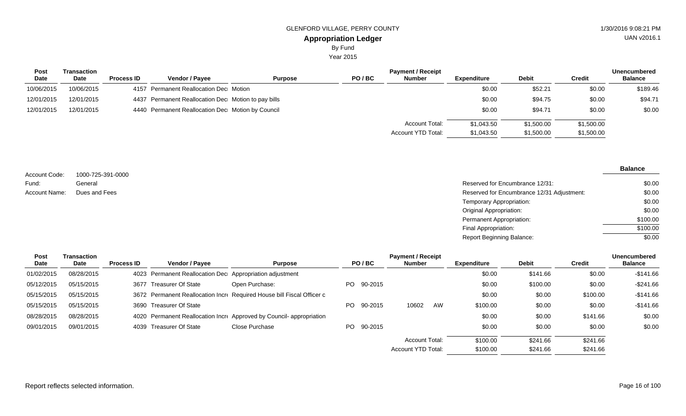# **Appropriation Ledger** GLENFORD VILLAGE, PERRY COUNTY 61 ACCESS 1998 121 PM By Fund

Year 2015

| <b>Post</b> | Transaction |                   |                                                     |                |       | <b>Payment / Receipt</b> |             |              |               | <b>Unencumbered</b> |
|-------------|-------------|-------------------|-----------------------------------------------------|----------------|-------|--------------------------|-------------|--------------|---------------|---------------------|
| Date        | Date        | <b>Process ID</b> | <b>Vendor / Payee</b>                               | <b>Purpose</b> | PO/BC | <b>Number</b>            | Expenditure | <b>Debit</b> | <b>Credit</b> | <b>Balance</b>      |
| 10/06/2015  | 10/06/2015  |                   | 4157 Permanent Reallocation Dec Motion              |                |       |                          | \$0.00      | \$52.21      | \$0.00        | \$189.46            |
| 12/01/2015  | 12/01/2015  |                   | 4437 Permanent Reallocation Dec Motion to pay bills |                |       |                          | \$0.00      | \$94.75      | \$0.00        | \$94.71             |
| 12/01/2015  | 12/01/2015  |                   | 4440 Permanent Reallocation Dec Motion by Council   |                |       |                          | \$0.00      | \$94.71      | \$0.00        | \$0.00              |
|             |             |                   |                                                     |                |       | Account Total:           | \$1,043.50  | \$1,500.00   | \$1,500.00    |                     |
|             |             |                   |                                                     |                |       | Account YTD Total:       | \$1,043.50  | \$1,500.00   | \$1,500.00    |                     |

|                        |                              |                                            | <b>Balance</b> |
|------------------------|------------------------------|--------------------------------------------|----------------|
| Account Code:<br>Fund: | 1000-725-391-0000<br>General | Reserved for Encumbrance 12/31:            | \$0.00         |
| <b>Account Name:</b>   | Dues and Fees                | Reserved for Encumbrance 12/31 Adjustment: | \$0.00         |
|                        |                              | Temporary Appropriation:                   | \$0.00         |
|                        |                              | <b>Original Appropriation:</b>             | \$0.00         |
|                        |                              | Permanent Appropriation:                   | \$100.00       |
|                        |                              | Final Appropriation:                       | \$100.00       |
|                        |                              | <b>Report Beginning Balance:</b>           | \$0.00         |

| <b>Post</b> | Transaction |                   |                                                          |                                                                        |            | <b>Payment / Receipt</b>  |    |             |              |               | <b>Unencumbered</b> |
|-------------|-------------|-------------------|----------------------------------------------------------|------------------------------------------------------------------------|------------|---------------------------|----|-------------|--------------|---------------|---------------------|
| Date        | Date        | <b>Process ID</b> | Vendor / Payee                                           | <b>Purpose</b>                                                         | PO/BC      | Number                    |    | Expenditure | <b>Debit</b> | <b>Credit</b> | <b>Balance</b>      |
| 01/02/2015  | 08/28/2015  |                   | 4023 Permanent Reallocation Dec Appropriation adjustment |                                                                        |            |                           |    | \$0.00      | \$141.66     | \$0.00        | $-$141.66$          |
| 05/12/2015  | 05/15/2015  |                   | 3677 Treasurer Of State                                  | Open Purchase:                                                         | PO 90-2015 |                           |    | \$0.00      | \$100.00     | \$0.00        | $-$ \$241.66        |
| 05/15/2015  | 05/15/2015  |                   |                                                          | 3672 Permanent Reallocation Incre Required House bill Fiscal Officer c |            |                           |    | \$0.00      | \$0.00       | \$100.00      | $-$ \$141.66        |
| 05/15/2015  | 05/15/2015  |                   | 3690 Treasurer Of State                                  |                                                                        | PO 90-2015 | 10602                     | AW | \$100.00    | \$0.00       | \$0.00        | $-$ \$141.66        |
| 08/28/2015  | 08/28/2015  |                   |                                                          | 4020 Permanent Reallocation Incre Approved by Council-appropriation    |            |                           |    | \$0.00      | \$0.00       | \$141.66      | \$0.00              |
| 09/01/2015  | 09/01/2015  |                   | 4039 Treasurer Of State                                  | Close Purchase                                                         | PO 90-2015 |                           |    | \$0.00      | \$0.00       | \$0.00        | \$0.00              |
|             |             |                   |                                                          |                                                                        |            | Account Total:            |    | \$100.00    | \$241.66     | \$241.66      |                     |
|             |             |                   |                                                          |                                                                        |            | <b>Account YTD Total:</b> |    | \$100.00    | \$241.66     | \$241.66      |                     |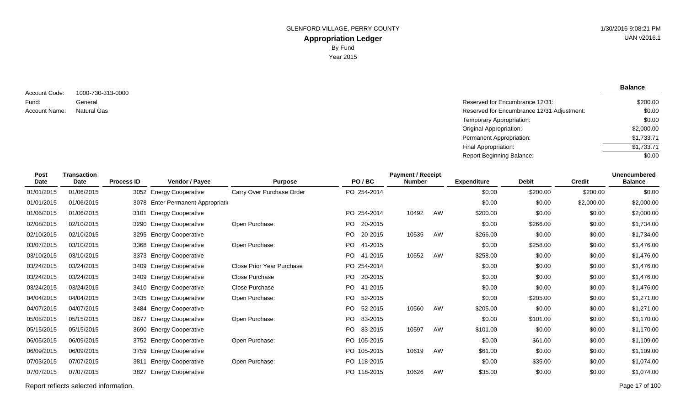**Balance**

1000-730-313-0000 General Account Code: Fund: Account Name:

Reserved for Encumbrance 12/31: Natural Gas **Reserved for Encumbrance 12/31 Adjustment:** Temporary Appropriation: Original Appropriation: Permanent Appropriation: Final Appropriation: Report Beginning Balance: \$200.00 \$0.00 \$0.00 \$2,000.00 \$1,733.71 \$1,733.71  $\sqrt{$0.00}$ 

| Post<br><b>Date</b> | <b>Transaction</b><br><b>Date</b> | <b>Process ID</b> | Vendor / Payee                     | <b>Purpose</b>            | PO/BC          | <b>Payment / Receipt</b><br><b>Number</b> |    | <b>Expenditure</b> | <b>Debit</b> | <b>Credit</b> | <b>Unencumbered</b><br><b>Balance</b> |
|---------------------|-----------------------------------|-------------------|------------------------------------|---------------------------|----------------|-------------------------------------------|----|--------------------|--------------|---------------|---------------------------------------|
| 01/01/2015          | 01/06/2015                        |                   | 3052 Energy Cooperative            | Carry Over Purchase Order | PO 254-2014    |                                           |    | \$0.00             | \$200.00     | \$200.00      | \$0.00                                |
| 01/01/2015          | 01/06/2015                        |                   | 3078 Enter Permanent Appropriation |                           |                |                                           |    | \$0.00             | \$0.00       | \$2,000.00    | \$2,000.00                            |
| 01/06/2015          | 01/06/2015                        | 3101              | <b>Energy Cooperative</b>          |                           | PO 254-2014    | 10492                                     | AW | \$200.00           | \$0.00       | \$0.00        | \$2,000.00                            |
| 02/08/2015          | 02/10/2015                        | 3290              | <b>Energy Cooperative</b>          | Open Purchase:            | 20-2015<br>PO. |                                           |    | \$0.00             | \$266.00     | \$0.00        | \$1,734.00                            |
| 02/10/2015          | 02/10/2015                        | 3295              | <b>Energy Cooperative</b>          |                           | PO.<br>20-2015 | 10535                                     | AW | \$266.00           | \$0.00       | \$0.00        | \$1,734.00                            |
| 03/07/2015          | 03/10/2015                        | 3368              | <b>Energy Cooperative</b>          | Open Purchase:            | PO.<br>41-2015 |                                           |    | \$0.00             | \$258.00     | \$0.00        | \$1,476.00                            |
| 03/10/2015          | 03/10/2015                        |                   | 3373 Energy Cooperative            |                           | PO 41-2015     | 10552                                     | AW | \$258.00           | \$0.00       | \$0.00        | \$1,476.00                            |
| 03/24/2015          | 03/24/2015                        | 3409              | <b>Energy Cooperative</b>          | Close Prior Year Purchase | PO 254-2014    |                                           |    | \$0.00             | \$0.00       | \$0.00        | \$1,476.00                            |
| 03/24/2015          | 03/24/2015                        | 3409              | <b>Energy Cooperative</b>          | Close Purchase            | PO 20-2015     |                                           |    | \$0.00             | \$0.00       | \$0.00        | \$1,476.00                            |
| 03/24/2015          | 03/24/2015                        |                   | 3410 Energy Cooperative            | Close Purchase            | PO.<br>41-2015 |                                           |    | \$0.00             | \$0.00       | \$0.00        | \$1,476.00                            |
| 04/04/2015          | 04/04/2015                        |                   | 3435 Energy Cooperative            | Open Purchase:            | PO.<br>52-2015 |                                           |    | \$0.00             | \$205.00     | \$0.00        | \$1,271.00                            |
| 04/07/2015          | 04/07/2015                        |                   | 3484 Energy Cooperative            |                           | PO 52-2015     | 10560                                     | AW | \$205.00           | \$0.00       | \$0.00        | \$1,271.00                            |
| 05/05/2015          | 05/15/2015                        |                   | 3677 Energy Cooperative            | Open Purchase:            | PO.<br>83-2015 |                                           |    | \$0.00             | \$101.00     | \$0.00        | \$1,170.00                            |
| 05/15/2015          | 05/15/2015                        |                   | 3690 Energy Cooperative            |                           | PO.<br>83-2015 | 10597                                     | AW | \$101.00           | \$0.00       | \$0.00        | \$1,170.00                            |
| 06/05/2015          | 06/09/2015                        |                   | 3752 Energy Cooperative            | Open Purchase:            | PO 105-2015    |                                           |    | \$0.00             | \$61.00      | \$0.00        | \$1,109.00                            |
| 06/09/2015          | 06/09/2015                        | 3759              | <b>Energy Cooperative</b>          |                           | PO 105-2015    | 10619                                     | AW | \$61.00            | \$0.00       | \$0.00        | \$1,109.00                            |
| 07/03/2015          | 07/07/2015                        | 3811              | <b>Energy Cooperative</b>          | Open Purchase:            | PO 118-2015    |                                           |    | \$0.00             | \$35.00      | \$0.00        | \$1,074.00                            |
| 07/07/2015          | 07/07/2015                        | 3827              | <b>Energy Cooperative</b>          |                           | PO 118-2015    | 10626                                     | AW | \$35.00            | \$0.00       | \$0.00        | \$1,074.00                            |
|                     |                                   |                   |                                    |                           |                |                                           |    |                    |              |               |                                       |

Report reflects selected information. Page 17 of 100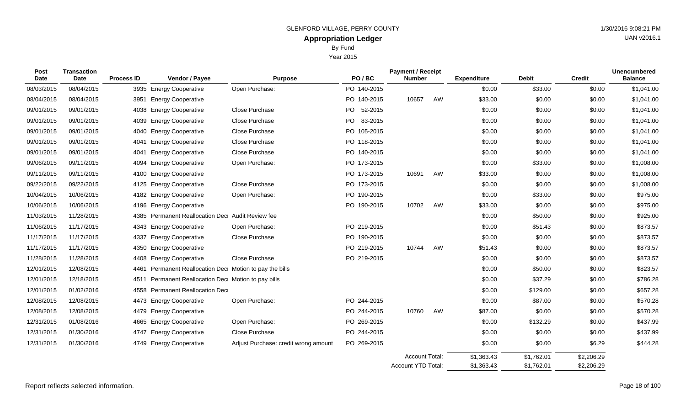Year 2015

| <b>Post</b><br><b>Date</b> | <b>Transaction</b><br><b>Date</b> | <b>Process ID</b> | Vendor / Payee                                     | <b>Purpose</b>                       | PO/BC           | <b>Payment / Receipt</b><br><b>Number</b>   |    | <b>Expenditure</b>       | <b>Debit</b>             | <b>Credit</b>            | <b>Unencumbered</b><br><b>Balance</b> |
|----------------------------|-----------------------------------|-------------------|----------------------------------------------------|--------------------------------------|-----------------|---------------------------------------------|----|--------------------------|--------------------------|--------------------------|---------------------------------------|
| 08/03/2015                 | 08/04/2015                        | 3935              | <b>Energy Cooperative</b>                          | Open Purchase:                       | PO 140-2015     |                                             |    | \$0.00                   | \$33.00                  | \$0.00                   | \$1,041.00                            |
| 08/04/2015                 | 08/04/2015                        | 3951              | <b>Energy Cooperative</b>                          |                                      | PO 140-2015     | 10657                                       | AW | \$33.00                  | \$0.00                   | \$0.00                   | \$1,041.00                            |
| 09/01/2015                 | 09/01/2015                        | 4038              | <b>Energy Cooperative</b>                          | <b>Close Purchase</b>                | PO 52-2015      |                                             |    | \$0.00                   | \$0.00                   | \$0.00                   | \$1,041.00                            |
| 09/01/2015                 | 09/01/2015                        | 4039              | <b>Energy Cooperative</b>                          | <b>Close Purchase</b>                | PO -<br>83-2015 |                                             |    | \$0.00                   | \$0.00                   | \$0.00                   | \$1,041.00                            |
| 09/01/2015                 | 09/01/2015                        | 4040              | <b>Energy Cooperative</b>                          | Close Purchase                       | PO 105-2015     |                                             |    | \$0.00                   | \$0.00                   | \$0.00                   | \$1,041.00                            |
| 09/01/2015                 | 09/01/2015                        | 4041              | <b>Energy Cooperative</b>                          | Close Purchase                       | PO 118-2015     |                                             |    | \$0.00                   | \$0.00                   | \$0.00                   | \$1,041.00                            |
| 09/01/2015                 | 09/01/2015                        | 4041              | <b>Energy Cooperative</b>                          | Close Purchase                       | PO 140-2015     |                                             |    | \$0.00                   | \$0.00                   | \$0.00                   | \$1,041.00                            |
| 09/06/2015                 | 09/11/2015                        | 4094              | <b>Energy Cooperative</b>                          | Open Purchase:                       | PO 173-2015     |                                             |    | \$0.00                   | \$33.00                  | \$0.00                   | \$1,008.00                            |
| 09/11/2015                 | 09/11/2015                        | 4100              | <b>Energy Cooperative</b>                          |                                      | PO 173-2015     | 10691                                       | AW | \$33.00                  | \$0.00                   | \$0.00                   | \$1,008.00                            |
| 09/22/2015                 | 09/22/2015                        | 4125              | <b>Energy Cooperative</b>                          | Close Purchase                       | PO 173-2015     |                                             |    | \$0.00                   | \$0.00                   | \$0.00                   | \$1,008.00                            |
| 10/04/2015                 | 10/06/2015                        | 4182              | <b>Energy Cooperative</b>                          | Open Purchase:                       | PO 190-2015     |                                             |    | \$0.00                   | \$33.00                  | \$0.00                   | \$975.00                              |
| 10/06/2015                 | 10/06/2015                        | 4196              | <b>Energy Cooperative</b>                          |                                      | PO 190-2015     | 10702                                       | AW | \$33.00                  | \$0.00                   | \$0.00                   | \$975.00                              |
| 11/03/2015                 | 11/28/2015                        | 4385              | Permanent Reallocation Dec Audit Review fee        |                                      |                 |                                             |    | \$0.00                   | \$50.00                  | \$0.00                   | \$925.00                              |
| 11/06/2015                 | 11/17/2015                        | 4343              | <b>Energy Cooperative</b>                          | Open Purchase:                       | PO 219-2015     |                                             |    | \$0.00                   | \$51.43                  | \$0.00                   | \$873.57                              |
| 11/17/2015                 | 11/17/2015                        | 4337              | <b>Energy Cooperative</b>                          | Close Purchase                       | PO 190-2015     |                                             |    | \$0.00                   | \$0.00                   | \$0.00                   | \$873.57                              |
| 11/17/2015                 | 11/17/2015                        | 4350              | <b>Energy Cooperative</b>                          |                                      | PO 219-2015     | 10744                                       | AW | \$51.43                  | \$0.00                   | \$0.00                   | \$873.57                              |
| 11/28/2015                 | 11/28/2015                        | 4408              | <b>Energy Cooperative</b>                          | Close Purchase                       | PO 219-2015     |                                             |    | \$0.00                   | \$0.00                   | \$0.00                   | \$873.57                              |
| 12/01/2015                 | 12/08/2015                        | 4461              | Permanent Reallocation Dec Motion to pay the bills |                                      |                 |                                             |    | \$0.00                   | \$50.00                  | \$0.00                   | \$823.57                              |
| 12/01/2015                 | 12/18/2015                        | 4511              | Permanent Reallocation Dec Motion to pay bills     |                                      |                 |                                             |    | \$0.00                   | \$37.29                  | \$0.00                   | \$786.28                              |
| 12/01/2015                 | 01/02/2016                        | 4558              | <b>Permanent Reallocation Dec</b>                  |                                      |                 |                                             |    | \$0.00                   | \$129.00                 | \$0.00                   | \$657.28                              |
| 12/08/2015                 | 12/08/2015                        | 4473              | <b>Energy Cooperative</b>                          | Open Purchase:                       | PO 244-2015     |                                             |    | \$0.00                   | \$87.00                  | \$0.00                   | \$570.28                              |
| 12/08/2015                 | 12/08/2015                        | 4479              | <b>Energy Cooperative</b>                          |                                      | PO 244-2015     | 10760                                       | AW | \$87.00                  | \$0.00                   | \$0.00                   | \$570.28                              |
| 12/31/2015                 | 01/08/2016                        | 4665              | <b>Energy Cooperative</b>                          | Open Purchase:                       | PO 269-2015     |                                             |    | \$0.00                   | \$132.29                 | \$0.00                   | \$437.99                              |
| 12/31/2015                 | 01/30/2016                        | 4747              | <b>Energy Cooperative</b>                          | Close Purchase                       | PO 244-2015     |                                             |    | \$0.00                   | \$0.00                   | \$0.00                   | \$437.99                              |
| 12/31/2015                 | 01/30/2016                        | 4749              | <b>Energy Cooperative</b>                          | Adjust Purchase: credit wrong amount | PO 269-2015     |                                             |    | \$0.00                   | \$0.00                   | \$6.29                   | \$444.28                              |
|                            |                                   |                   |                                                    |                                      |                 | <b>Account Total:</b><br>Account YTD Total: |    | \$1,363.43<br>\$1,363.43 | \$1,762.01<br>\$1,762.01 | \$2,206.29<br>\$2,206.29 |                                       |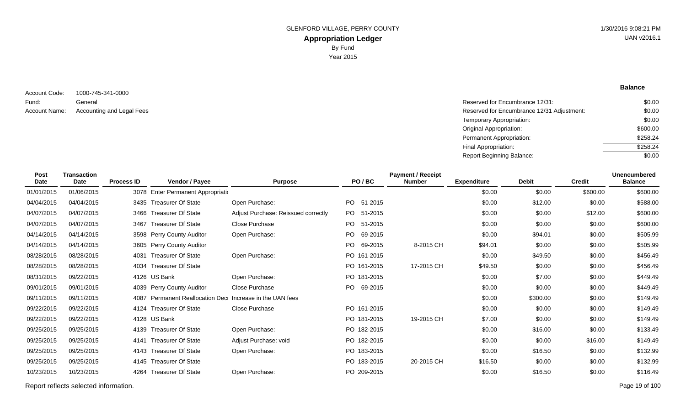**Balance**

1000-745-341-0000 General Account Code: Fund: Account Name:

Reserved for Encumbrance 12/31: Accounting and Legal Fees **Reserved for Encumbrance 12/31 Adjustment:** Temporary Appropriation: Original Appropriation: Permanent Appropriation: Final Appropriation: Report Beginning Balance: \$0.00 \$0.00 \$0.00 \$600.00 \$258.24 \$258.24 \$0.00

| Post<br><b>Date</b> | <b>Transaction</b><br><b>Date</b> | <b>Process ID</b> | Vendor / Payee                     | <b>Purpose</b>                      | PO/BC          | <b>Payment / Receipt</b><br><b>Number</b> | <b>Expenditure</b> | <b>Debit</b> | <b>Credit</b> | <b>Unencumbered</b><br><b>Balance</b> |
|---------------------|-----------------------------------|-------------------|------------------------------------|-------------------------------------|----------------|-------------------------------------------|--------------------|--------------|---------------|---------------------------------------|
| 01/01/2015          | 01/06/2015                        |                   | 3078 Enter Permanent Appropriation |                                     |                |                                           | \$0.00             | \$0.00       | \$600.00      | \$600.00                              |
|                     |                                   |                   |                                    |                                     |                |                                           |                    |              |               |                                       |
| 04/04/2015          | 04/04/2015                        |                   | 3435 Treasurer Of State            | Open Purchase:                      | PO 51-2015     |                                           | \$0.00             | \$12.00      | \$0.00        | \$588.00                              |
| 04/07/2015          | 04/07/2015                        | 3466              | <b>Treasurer Of State</b>          | Adjust Purchase: Reissued correctly | PO 51-2015     |                                           | \$0.00             | \$0.00       | \$12.00       | \$600.00                              |
| 04/07/2015          | 04/07/2015                        | 3467              | <b>Treasurer Of State</b>          | Close Purchase                      | PO.<br>51-2015 |                                           | \$0.00             | \$0.00       | \$0.00        | \$600.00                              |
| 04/14/2015          | 04/14/2015                        |                   | 3598 Perry County Auditor          | Open Purchase:                      | PO.<br>69-2015 |                                           | \$0.00             | \$94.01      | \$0.00        | \$505.99                              |
| 04/14/2015          | 04/14/2015                        |                   | 3605 Perry County Auditor          |                                     | PO.<br>69-2015 | 8-2015 CH                                 | \$94.01            | \$0.00       | \$0.00        | \$505.99                              |
| 08/28/2015          | 08/28/2015                        | 4031              | <b>Treasurer Of State</b>          | Open Purchase:                      | PO 161-2015    |                                           | \$0.00             | \$49.50      | \$0.00        | \$456.49                              |
| 08/28/2015          | 08/28/2015                        | 4034              | <b>Treasurer Of State</b>          |                                     | PO 161-2015    | 17-2015 CH                                | \$49.50            | \$0.00       | \$0.00        | \$456.49                              |
| 08/31/2015          | 09/22/2015                        |                   | 4126 US Bank                       | Open Purchase:                      | PO 181-2015    |                                           | \$0.00             | \$7.00       | \$0.00        | \$449.49                              |
| 09/01/2015          | 09/01/2015                        |                   | 4039 Perry County Auditor          | Close Purchase                      | PO 69-2015     |                                           | \$0.00             | \$0.00       | \$0.00        | \$449.49                              |
| 09/11/2015          | 09/11/2015                        | 4087              | <b>Permanent Reallocation Dec</b>  | Increase in the UAN fees            |                |                                           | \$0.00             | \$300.00     | \$0.00        | \$149.49                              |
| 09/22/2015          | 09/22/2015                        |                   | 4124 Treasurer Of State            | Close Purchase                      | PO 161-2015    |                                           | \$0.00             | \$0.00       | \$0.00        | \$149.49                              |
| 09/22/2015          | 09/22/2015                        |                   | 4128 US Bank                       |                                     | PO 181-2015    | 19-2015 CH                                | \$7.00             | \$0.00       | \$0.00        | \$149.49                              |
| 09/25/2015          | 09/25/2015                        |                   | 4139 Treasurer Of State            | Open Purchase:                      | PO 182-2015    |                                           | \$0.00             | \$16.00      | \$0.00        | \$133.49                              |
| 09/25/2015          | 09/25/2015                        | 4141              | <b>Treasurer Of State</b>          | Adjust Purchase: void               | PO 182-2015    |                                           | \$0.00             | \$0.00       | \$16.00       | \$149.49                              |
| 09/25/2015          | 09/25/2015                        | 4143              | <b>Treasurer Of State</b>          | Open Purchase:                      | PO 183-2015    |                                           | \$0.00             | \$16.50      | \$0.00        | \$132.99                              |
| 09/25/2015          | 09/25/2015                        | 4145              | <b>Treasurer Of State</b>          |                                     | PO 183-2015    | 20-2015 CH                                | \$16.50            | \$0.00       | \$0.00        | \$132.99                              |
| 10/23/2015          | 10/23/2015                        | 4264              | <b>Treasurer Of State</b>          | Open Purchase:                      | PO 209-2015    |                                           | \$0.00             | \$16.50      | \$0.00        | \$116.49                              |
|                     |                                   |                   |                                    |                                     |                |                                           |                    |              |               |                                       |

Report reflects selected information. Page 19 of 100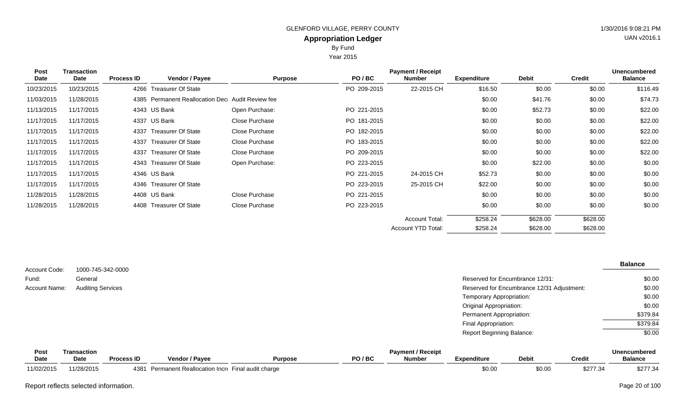By Fund

Year 2015

| <b>Post</b> | Transaction |                   |                                                  |                |             | <b>Payment / Receipt</b> |                    |              |               | <b>Unencumbered</b> |
|-------------|-------------|-------------------|--------------------------------------------------|----------------|-------------|--------------------------|--------------------|--------------|---------------|---------------------|
| Date        | Date        | <b>Process ID</b> | <b>Vendor / Payee</b>                            | <b>Purpose</b> | PO/BC       | <b>Number</b>            | <b>Expenditure</b> | <b>Debit</b> | <b>Credit</b> | <b>Balance</b>      |
| 10/23/2015  | 10/23/2015  |                   | 4266 Treasurer Of State                          |                | PO 209-2015 | 22-2015 CH               | \$16.50            | \$0.00       | \$0.00        | \$116.49            |
| 11/03/2015  | 11/28/2015  |                   | 4385 Permanent Reallocation Dec Audit Review fee |                |             |                          | \$0.00             | \$41.76      | \$0.00        | \$74.73             |
| 11/13/2015  | 11/17/2015  |                   | 4343 US Bank                                     | Open Purchase: | PO 221-2015 |                          | \$0.00             | \$52.73      | \$0.00        | \$22.00             |
| 11/17/2015  | 11/17/2015  |                   | 4337 US Bank                                     | Close Purchase | PO 181-2015 |                          | \$0.00             | \$0.00       | \$0.00        | \$22.00             |
| 11/17/2015  | 11/17/2015  | 4337              | <b>Treasurer Of State</b>                        | Close Purchase | PO 182-2015 |                          | \$0.00             | \$0.00       | \$0.00        | \$22.00             |
| 11/17/2015  | 11/17/2015  |                   | 4337 Treasurer Of State                          | Close Purchase | PO 183-2015 |                          | \$0.00             | \$0.00       | \$0.00        | \$22.00             |
| 11/17/2015  | 11/17/2015  | 4337              | <b>Treasurer Of State</b>                        | Close Purchase | PO 209-2015 |                          | \$0.00             | \$0.00       | \$0.00        | \$22.00             |
| 11/17/2015  | 11/17/2015  |                   | 4343 Treasurer Of State                          | Open Purchase: | PO 223-2015 |                          | \$0.00             | \$22.00      | \$0.00        | \$0.00              |
| 11/17/2015  | 11/17/2015  |                   | 4346 US Bank                                     |                | PO 221-2015 | 24-2015 CH               | \$52.73            | \$0.00       | \$0.00        | \$0.00              |
| 11/17/2015  | 11/17/2015  |                   | 4346 Treasurer Of State                          |                | PO 223-2015 | 25-2015 CH               | \$22.00            | \$0.00       | \$0.00        | \$0.00              |
| 11/28/2015  | 11/28/2015  |                   | 4408 US Bank                                     | Close Purchase | PO 221-2015 |                          | \$0.00             | \$0.00       | \$0.00        | \$0.00              |
| 11/28/2015  | 11/28/2015  |                   | 4408 Treasurer Of State                          | Close Purchase | PO 223-2015 |                          | \$0.00             | \$0.00       | \$0.00        | \$0.00              |
|             |             |                   |                                                  |                |             | <b>Account Total:</b>    | \$258.24           | \$628.00     | \$628.00      |                     |
|             |             |                   |                                                  |                |             | Account YTD Total:       | \$258.24           | \$628.00     | \$628.00      |                     |

|               |                          |                                            | <b>Balance</b> |
|---------------|--------------------------|--------------------------------------------|----------------|
| Account Code: | 1000-745-342-0000        |                                            |                |
| Fund:         | General                  | Reserved for Encumbrance 12/31:            | \$0.00         |
| Account Name: | <b>Auditing Services</b> | Reserved for Encumbrance 12/31 Adjustment: | \$0.00         |
|               |                          | Temporary Appropriation:                   | \$0.00         |
|               |                          | <b>Original Appropriation:</b>             | \$0.00         |
|               |                          | Permanent Appropriation:                   | \$379.84       |
|               |                          | Final Appropriation:                       | \$379.84       |
|               |                          | <b>Report Beginning Balance:</b>           | \$0.00         |

| Post        | ransaction  |                   |                              |                    |         | <b>Payment / Receipt</b> |                    |              |                                | <b>Unencumbered</b> |
|-------------|-------------|-------------------|------------------------------|--------------------|---------|--------------------------|--------------------|--------------|--------------------------------|---------------------|
| <b>Date</b> | <b>Date</b> | <b>Process ID</b> | <b>Vendor / Pavee</b>        | Purpose            | PO / BC | <b>Number</b>            | <b>Expenditure</b> | <b>Debit</b> | Credit                         | <b>Balance</b>      |
| 11/02/2015  | 11/28/2015  | 4381              | Permanent Reallocation Incr∈ | Final audit charge |         |                          | \$0.00             | \$0.00       | 2077.3 <sub>0</sub><br>3211.34 | \$277.34            |

Report reflects selected information. Page 20 of 100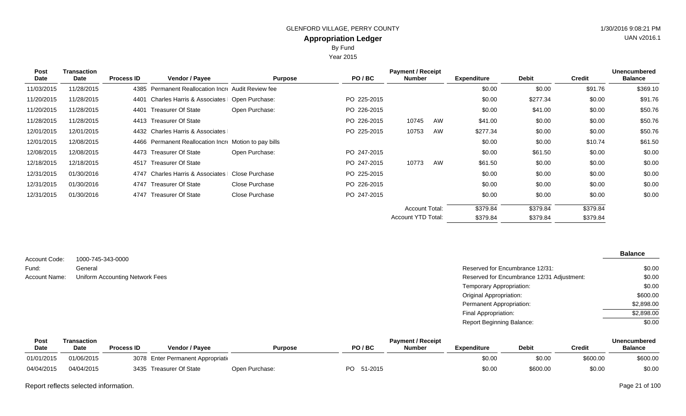# **Appropriation Ledger** GLENFORD VILLAGE, PERRY COUNTY 61 ACCESS 1998 121 PM By Fund

Year 2015

| Post       | <b>Transaction</b> |                   |                                                       |                |             | <b>Payment / Receipt</b> |    |                    |              |               | <b>Unencumbered</b> |
|------------|--------------------|-------------------|-------------------------------------------------------|----------------|-------------|--------------------------|----|--------------------|--------------|---------------|---------------------|
| Date       | Date               | <b>Process ID</b> | Vendor / Payee                                        | <b>Purpose</b> | PO/BC       | <b>Number</b>            |    | <b>Expenditure</b> | <b>Debit</b> | <b>Credit</b> | <b>Balance</b>      |
| 11/03/2015 | 11/28/2015         | 4385              | Permanent Reallocation Incre Audit Review fee         |                |             |                          |    | \$0.00             | \$0.00       | \$91.76       | \$369.10            |
| 11/20/2015 | 11/28/2015         | 4401              | Charles Harris & Associates   Open Purchase:          |                | PO 225-2015 |                          |    | \$0.00             | \$277.34     | \$0.00        | \$91.76             |
| 11/20/2015 | 11/28/2015         | 4401              | <b>Treasurer Of State</b>                             | Open Purchase: | PO 226-2015 |                          |    | \$0.00             | \$41.00      | \$0.00        | \$50.76             |
| 11/28/2015 | 11/28/2015         |                   | 4413 Treasurer Of State                               |                | PO 226-2015 | 10745                    | AW | \$41.00            | \$0.00       | \$0.00        | \$50.76             |
| 12/01/2015 | 12/01/2015         |                   | 4432 Charles Harris & Associates                      |                | PO 225-2015 | 10753                    | AW | \$277.34           | \$0.00       | \$0.00        | \$50.76             |
| 12/01/2015 | 12/08/2015         |                   | 4466 Permanent Reallocation Incre Motion to pay bills |                |             |                          |    | \$0.00             | \$0.00       | \$10.74       | \$61.50             |
| 12/08/2015 | 12/08/2015         |                   | 4473 Treasurer Of State                               | Open Purchase: | PO 247-2015 |                          |    | \$0.00             | \$61.50      | \$0.00        | \$0.00              |
| 12/18/2015 | 12/18/2015         | 4517              | Treasurer Of State                                    |                | PO 247-2015 | 10773                    | AW | \$61.50            | \$0.00       | \$0.00        | \$0.00              |
| 12/31/2015 | 01/30/2016         | 4747              | Charles Harris & Associates                           | Close Purchase | PO 225-2015 |                          |    | \$0.00             | \$0.00       | \$0.00        | \$0.00              |
| 12/31/2015 | 01/30/2016         | 4747              | <b>Treasurer Of State</b>                             | Close Purchase | PO 226-2015 |                          |    | \$0.00             | \$0.00       | \$0.00        | \$0.00              |
| 12/31/2015 | 01/30/2016         | 4747              | <b>Treasurer Of State</b>                             | Close Purchase | PO 247-2015 |                          |    | \$0.00             | \$0.00       | \$0.00        | \$0.00              |
|            |                    |                   |                                                       |                |             | <b>Account Total:</b>    |    | \$379.84           | \$379.84     | \$379.84      |                     |
|            |                    |                   |                                                       |                |             | Account YTD Total:       |    | \$379.84           | \$379.84     | \$379.84      |                     |

| Account Code: | 1000-745-343-0000               |
|---------------|---------------------------------|
| Fund:         | General                         |
| Account Name: | Uniform Accounting Network Fees |

| Reserved for Encumbrance 12/31:            | \$0.00     |
|--------------------------------------------|------------|
| Reserved for Encumbrance 12/31 Adjustment: | \$0.00     |
| Temporary Appropriation:                   | \$0.00     |
| Original Appropriation:                    | \$600.00   |
| Permanent Appropriation:                   | \$2,898.00 |
| Final Appropriation:                       | \$2,898.00 |
| Report Beginning Balance:                  | \$0.00     |

| Post        | Transaction |                   |                                    |                |                | <b>Payment / Receipt</b> |             |              |               | <b>Unencumbered</b> |
|-------------|-------------|-------------------|------------------------------------|----------------|----------------|--------------------------|-------------|--------------|---------------|---------------------|
| <b>Date</b> | Date        | <b>Process ID</b> | Vendor / Pavee                     | <b>Purpose</b> | PO/BC          | Number                   | Expenditure | <b>Debit</b> | <b>Credit</b> | <b>Balance</b>      |
| 01/01/2015  | 01/06/2015  |                   | 3078 Enter Permanent Appropriation |                |                |                          | \$0.00      | \$0.00       | \$600.00      | \$600.00            |
| 04/04/2015  | 04/04/2015  | 3435              | Treasurer Of State                 | Open Purchase: | PO.<br>51-2015 |                          | \$0.00      | \$600.00     | \$0.00        | \$0.00              |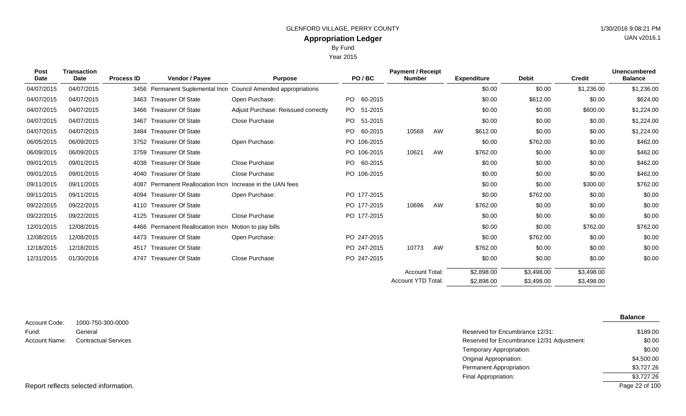Year 2015

|  |  | UAN v2016.1 |
|--|--|-------------|
|  |  |             |

| Post<br><b>Date</b> | <b>Transaction</b><br>Date | <b>Process ID</b> | Vendor / Payee                    | <b>Purpose</b>                                                  | PO/BC          | <b>Payment / Receipt</b><br><b>Number</b> |    | <b>Expenditure</b> | <b>Debit</b> | <b>Credit</b> | <b>Unencumbered</b><br><b>Balance</b> |
|---------------------|----------------------------|-------------------|-----------------------------------|-----------------------------------------------------------------|----------------|-------------------------------------------|----|--------------------|--------------|---------------|---------------------------------------|
|                     |                            |                   |                                   |                                                                 |                |                                           |    |                    |              |               |                                       |
| 04/07/2015          | 04/07/2015                 |                   |                                   | 3456 Permanent Suplemental Incre Council Amended appropriations |                |                                           |    | \$0.00             | \$0.00       | \$1,236.00    | \$1,236.00                            |
| 04/07/2015          | 04/07/2015                 |                   | 3463 Treasurer Of State           | Open Purchase:                                                  | PO.<br>60-2015 |                                           |    | \$0.00             | \$612.00     | \$0.00        | \$624.00                              |
| 04/07/2015          | 04/07/2015                 | 3466              | <b>Treasurer Of State</b>         | Adjust Purchase: Reissued correctly                             | PO 51-2015     |                                           |    | \$0.00             | \$0.00       | \$600.00      | \$1,224.00                            |
| 04/07/2015          | 04/07/2015                 | 3467              | <b>Treasurer Of State</b>         | Close Purchase                                                  | PO 51-2015     |                                           |    | \$0.00             | \$0.00       | \$0.00        | \$1,224.00                            |
| 04/07/2015          | 04/07/2015                 | 3484              | <b>Treasurer Of State</b>         |                                                                 | PO.<br>60-2015 | 10568                                     | AW | \$612.00           | \$0.00       | \$0.00        | \$1,224.00                            |
| 06/05/2015          | 06/09/2015                 |                   | 3752 Treasurer Of State           | Open Purchase:                                                  | PO 106-2015    |                                           |    | \$0.00             | \$762.00     | \$0.00        | \$462.00                              |
| 06/09/2015          | 06/09/2015                 | 3759              | <b>Treasurer Of State</b>         |                                                                 | PO 106-2015    | 10621                                     | AW | \$762.00           | \$0.00       | \$0.00        | \$462.00                              |
| 09/01/2015          | 09/01/2015                 | 4038              | <b>Treasurer Of State</b>         | Close Purchase                                                  | PO 60-2015     |                                           |    | \$0.00             | \$0.00       | \$0.00        | \$462.00                              |
| 09/01/2015          | 09/01/2015                 | 4040              | <b>Treasurer Of State</b>         | Close Purchase                                                  | PO 106-2015    |                                           |    | \$0.00             | \$0.00       | \$0.00        | \$462.00                              |
| 09/11/2015          | 09/11/2015                 | 4087              | Permanent Reallocation Incre      | Increase in the UAN fees                                        |                |                                           |    | \$0.00             | \$0.00       | \$300.00      | \$762.00                              |
| 09/11/2015          | 09/11/2015                 | 4094              | <b>Treasurer Of State</b>         | Open Purchase:                                                  | PO 177-2015    |                                           |    | \$0.00             | \$762.00     | \$0.00        | \$0.00                                |
| 09/22/2015          | 09/22/2015                 | 4110              | <b>Treasurer Of State</b>         |                                                                 | PO 177-2015    | 10696                                     | AW | \$762.00           | \$0.00       | \$0.00        | \$0.00                                |
| 09/22/2015          | 09/22/2015                 | 4125              | <b>Treasurer Of State</b>         | Close Purchase                                                  | PO 177-2015    |                                           |    | \$0.00             | \$0.00       | \$0.00        | \$0.00                                |
| 12/01/2015          | 12/08/2015                 |                   | 4466 Permanent Reallocation Incre | Motion to pay bills                                             |                |                                           |    | \$0.00             | \$0.00       | \$762.00      | \$762.00                              |
| 12/08/2015          | 12/08/2015                 | 4473              | <b>Treasurer Of State</b>         | Open Purchase:                                                  | PO 247-2015    |                                           |    | \$0.00             | \$762.00     | \$0.00        | \$0.00                                |
| 12/18/2015          | 12/18/2015                 | 4517              | <b>Treasurer Of State</b>         |                                                                 | PO 247-2015    | 10773                                     | AW | \$762.00           | \$0.00       | \$0.00        | \$0.00                                |
| 12/31/2015          | 01/30/2016                 | 4747              | <b>Treasurer Of State</b>         | Close Purchase                                                  | PO 247-2015    |                                           |    | \$0.00             | \$0.00       | \$0.00        | \$0.00                                |
|                     |                            |                   |                                   |                                                                 |                | <b>Account Total:</b>                     |    | \$2,898,00         | \$3.498.00   | \$3,498.00    |                                       |
|                     |                            |                   |                                   |                                                                 |                | <b>Account YTD Total:</b>                 |    | \$2,898,00         | \$3,498.00   | \$3,498.00    |                                       |

1000-750-300-0000 General **Contractual Services** Account Code: Fund: Account Name:

**Balance**

| Reserved for Encumbrance 12/31:            | \$189.00   |
|--------------------------------------------|------------|
| Reserved for Encumbrance 12/31 Adjustment: | \$0.00     |
| Temporary Appropriation:                   | \$0.00     |
| Original Appropriation:                    | \$4,500.00 |
| Permanent Appropriation:                   | \$3,727.26 |
| Final Appropriation:                       | \$3,727.26 |
|                                            |            |

Report reflects selected information.

Page 22 of 100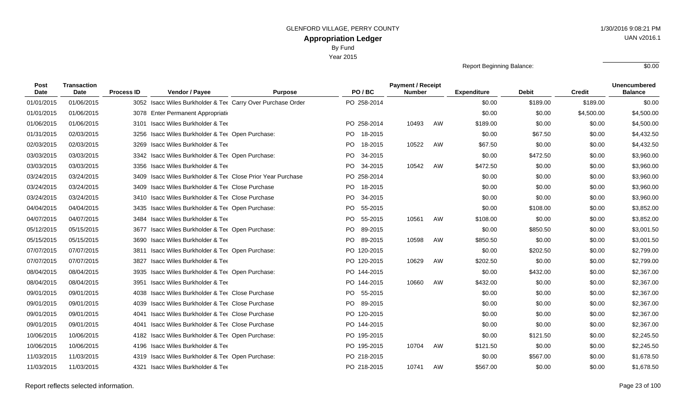Year 2015

Report Beginning Balance: \$0.00

| Post<br><b>Date</b> | <b>Transaction</b><br><b>Date</b> | <b>Process ID</b> | Vendor / Payee                                              | <b>Purpose</b> | PO/BC          | <b>Payment / Receipt</b><br><b>Number</b> |    | <b>Expenditure</b> | <b>Debit</b> | <b>Credit</b> | <b>Unencumbered</b><br><b>Balance</b> |
|---------------------|-----------------------------------|-------------------|-------------------------------------------------------------|----------------|----------------|-------------------------------------------|----|--------------------|--------------|---------------|---------------------------------------|
| 01/01/2015          | 01/06/2015                        |                   | 3052 Isacc Wiles Burkholder & Tet Carry Over Purchase Order |                | PO 258-2014    |                                           |    | \$0.00             | \$189.00     | \$189.00      | \$0.00                                |
| 01/01/2015          | 01/06/2015                        |                   | 3078 Enter Permanent Appropriation                          |                |                |                                           |    | \$0.00             | \$0.00       | \$4,500.00    | \$4,500.00                            |
| 01/06/2015          | 01/06/2015                        |                   | 3101 Isacc Wiles Burkholder & Tee                           |                | PO 258-2014    | 10493                                     | AW | \$189.00           | \$0.00       | \$0.00        | \$4,500.00                            |
| 01/31/2015          | 02/03/2015                        |                   | 3256 Isacc Wiles Burkholder & Ter Open Purchase:            |                | PO 18-2015     |                                           |    | \$0.00             | \$67.50      | \$0.00        | \$4,432.50                            |
| 02/03/2015          | 02/03/2015                        |                   | 3269 Isacc Wiles Burkholder & Tee                           |                | PO.<br>18-2015 | 10522                                     | AW | \$67.50            | \$0.00       | \$0.00        | \$4,432.50                            |
| 03/03/2015          | 03/03/2015                        |                   | 3342 Isacc Wiles Burkholder & Ter Open Purchase:            |                | PO.<br>34-2015 |                                           |    | \$0.00             | \$472.50     | \$0.00        | \$3,960.00                            |
| 03/03/2015          | 03/03/2015                        |                   | 3356 Isacc Wiles Burkholder & Tee                           |                | PO.<br>34-2015 | 10542                                     | AW | \$472.50           | \$0.00       | \$0.00        | \$3,960.00                            |
| 03/24/2015          | 03/24/2015                        |                   | 3409 Isacc Wiles Burkholder & Tee Close Prior Year Purchase |                | PO 258-2014    |                                           |    | \$0.00             | \$0.00       | \$0.00        | \$3,960.00                            |
| 03/24/2015          | 03/24/2015                        |                   | 3409 Isacc Wiles Burkholder & Ter Close Purchase            |                | PO 18-2015     |                                           |    | \$0.00             | \$0.00       | \$0.00        | \$3,960.00                            |
| 03/24/2015          | 03/24/2015                        |                   | 3410 Isacc Wiles Burkholder & Ter Close Purchase            |                | PO.<br>34-2015 |                                           |    | \$0.00             | \$0.00       | \$0.00        | \$3,960.00                            |
| 04/04/2015          | 04/04/2015                        |                   | 3435 Isacc Wiles Burkholder & Ter Open Purchase:            |                | PO.<br>55-2015 |                                           |    | \$0.00             | \$108.00     | \$0.00        | \$3,852.00                            |
| 04/07/2015          | 04/07/2015                        |                   | 3484 Isacc Wiles Burkholder & Tee                           |                | PO.<br>55-2015 | 10561                                     | AW | \$108.00           | \$0.00       | \$0.00        | \$3,852.00                            |
| 05/12/2015          | 05/15/2015                        |                   | 3677 Isacc Wiles Burkholder & Ter Open Purchase:            |                | PO.<br>89-2015 |                                           |    | \$0.00             | \$850.50     | \$0.00        | \$3,001.50                            |
| 05/15/2015          | 05/15/2015                        |                   | 3690 Isacc Wiles Burkholder & Tee                           |                | PO 89-2015     | 10598                                     | AW | \$850.50           | \$0.00       | \$0.00        | \$3,001.50                            |
| 07/07/2015          | 07/07/2015                        |                   | 3811 Isacc Wiles Burkholder & Ter Open Purchase:            |                | PO 120-2015    |                                           |    | \$0.00             | \$202.50     | \$0.00        | \$2,799.00                            |
| 07/07/2015          | 07/07/2015                        | 3827              | Isacc Wiles Burkholder & Tee                                |                | PO 120-2015    | 10629                                     | AW | \$202.50           | \$0.00       | \$0.00        | \$2,799.00                            |
| 08/04/2015          | 08/04/2015                        |                   | 3935 Isacc Wiles Burkholder & Ter Open Purchase:            |                | PO 144-2015    |                                           |    | \$0.00             | \$432.00     | \$0.00        | \$2,367.00                            |
| 08/04/2015          | 08/04/2015                        | 3951              | Isacc Wiles Burkholder & Tee                                |                | PO 144-2015    | 10660                                     | AW | \$432.00           | \$0.00       | \$0.00        | \$2,367.00                            |
| 09/01/2015          | 09/01/2015                        |                   | 4038 Isacc Wiles Burkholder & Ter Close Purchase            |                | PO 55-2015     |                                           |    | \$0.00             | \$0.00       | \$0.00        | \$2,367.00                            |
| 09/01/2015          | 09/01/2015                        |                   | 4039 Isacc Wiles Burkholder & Tet Close Purchase            |                | PO 89-2015     |                                           |    | \$0.00             | \$0.00       | \$0.00        | \$2,367.00                            |
| 09/01/2015          | 09/01/2015                        |                   | 4041 Isacc Wiles Burkholder & Ter Close Purchase            |                | PO 120-2015    |                                           |    | \$0.00             | \$0.00       | \$0.00        | \$2,367.00                            |
| 09/01/2015          | 09/01/2015                        |                   | 4041 Isacc Wiles Burkholder & Ter Close Purchase            |                | PO 144-2015    |                                           |    | \$0.00             | \$0.00       | \$0.00        | \$2,367.00                            |
| 10/06/2015          | 10/06/2015                        |                   | 4182 Isacc Wiles Burkholder & Ter Open Purchase:            |                | PO 195-2015    |                                           |    | \$0.00             | \$121.50     | \$0.00        | \$2,245.50                            |
| 10/06/2015          | 10/06/2015                        |                   | 4196 Isacc Wiles Burkholder & Tee                           |                | PO 195-2015    | 10704                                     | AW | \$121.50           | \$0.00       | \$0.00        | \$2,245.50                            |
| 11/03/2015          | 11/03/2015                        |                   | 4319 Isacc Wiles Burkholder & Ter Open Purchase:            |                | PO 218-2015    |                                           |    | \$0.00             | \$567.00     | \$0.00        | \$1,678.50                            |
| 11/03/2015          | 11/03/2015                        |                   | 4321 Isacc Wiles Burkholder & Tee                           |                | PO 218-2015    | 10741                                     | AW | \$567.00           | \$0.00       | \$0.00        | \$1,678.50                            |

Report reflects selected information. Page 23 of 100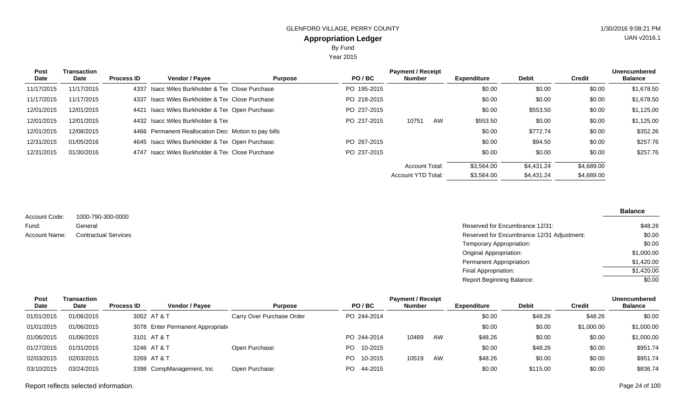Year 2015

| Post<br>Date | <b>Transaction</b><br>Date | <b>Process ID</b> | <b>Vendor / Payee</b>                               | <b>Purpose</b> | PO/BC       | <b>Payment / Receipt</b><br>Number |    | <b>Expenditure</b> | <b>Debit</b> | <b>Credit</b> | <b>Unencumbered</b><br><b>Balance</b> |
|--------------|----------------------------|-------------------|-----------------------------------------------------|----------------|-------------|------------------------------------|----|--------------------|--------------|---------------|---------------------------------------|
| 11/17/2015   | 11/17/2015                 |                   | 4337 Isacc Wiles Burkholder & Ter Close Purchase    |                | PO 195-2015 |                                    |    | \$0.00             | \$0.00       | \$0.00        | \$1,678.50                            |
| 11/17/2015   | 11/17/2015                 |                   | 4337 Isacc Wiles Burkholder & Ter Close Purchase    |                | PO 218-2015 |                                    |    | \$0.00             | \$0.00       | \$0.00        | \$1,678.50                            |
| 12/01/2015   | 12/01/2015                 |                   | 4421 Isacc Wiles Burkholder & Ter Open Purchase:    |                | PO 237-2015 |                                    |    | \$0.00             | \$553.50     | \$0.00        | \$1,125.00                            |
| 12/01/2015   | 12/01/2015                 |                   | 4432 Isacc Wiles Burkholder & Tee                   |                | PO 237-2015 | 10751                              | AW | \$553.50           | \$0.00       | \$0.00        | \$1,125.00                            |
| 12/01/2015   | 12/08/2015                 |                   | 4466 Permanent Reallocation Dec Motion to pay bills |                |             |                                    |    | \$0.00             | \$772.74     | \$0.00        | \$352.26                              |
| 12/31/2015   | 01/05/2016                 |                   | 4645 Isacc Wiles Burkholder & Ter Open Purchase:    |                | PO 267-2015 |                                    |    | \$0.00             | \$94.50      | \$0.00        | \$257.76                              |
| 12/31/2015   | 01/30/2016                 |                   | 4747 Isacc Wiles Burkholder & Ter Close Purchase    |                | PO 237-2015 |                                    |    | \$0.00             | \$0.00       | \$0.00        | \$257.76                              |
|              |                            |                   |                                                     |                |             | Account Total:                     |    | \$3,564.00         | \$4.431.24   | \$4,689.00    |                                       |
|              |                            |                   |                                                     |                |             | Account YTD Total:                 |    | \$3,564.00         | \$4,431.24   | \$4,689.00    |                                       |

1000-790-300-0000 General Contractual Services Account Code: Fund: Account Name:

 $\overline{\phantom{a}}$ 

| Reserved for Encumbrance 12/31:            | \$48.26    |
|--------------------------------------------|------------|
| Reserved for Encumbrance 12/31 Adjustment: | \$0.00     |
| Temporary Appropriation:                   | \$0.00     |
| Original Appropriation:                    | \$1,000.00 |
| Permanent Appropriation:                   | \$1,420.00 |
| Final Appropriation:                       | \$1,420.00 |
| Report Beginning Balance:                  | \$0.00     |

| Post        | Transaction |                   |                                    |                           |                | <b>Payment / Receipt</b> |    |             |              |            | <b>Unencumbered</b> |
|-------------|-------------|-------------------|------------------------------------|---------------------------|----------------|--------------------------|----|-------------|--------------|------------|---------------------|
| <b>Date</b> | <b>Date</b> | <b>Process ID</b> | <b>Vendor / Pavee</b>              | <b>Purpose</b>            | PO/BC          | <b>Number</b>            |    | Expenditure | <b>Debit</b> | Credit     | <b>Balance</b>      |
| 01/01/2015  | 01/06/2015  |                   | 3052 AT & T                        | Carry Over Purchase Order | PO 244-2014    |                          |    | \$0.00      | \$48.26      | \$48.26    | \$0.00              |
| 01/01/2015  | 01/06/2015  |                   | 3078 Enter Permanent Appropriation |                           |                |                          |    | \$0.00      | \$0.00       | \$1,000.00 | \$1,000.00          |
| 01/06/2015  | 01/06/2015  |                   | 3101 AT & T                        |                           | PO 244-2014    | 10489                    | AW | \$48.26     | \$0.00       | \$0.00     | \$1,000.00          |
| 01/27/2015  | 01/31/2015  |                   | 3246 AT & T                        | Open Purchase:            | 10-2015<br>PO. |                          |    | \$0.00      | \$48.26      | \$0.00     | \$951.74            |
| 02/03/2015  | 02/03/2015  |                   | 3269 AT & T                        |                           | 10-2015<br>PO. | 10519                    | AW | \$48.26     | \$0.00       | \$0.00     | \$951.74            |
| 03/10/2015  | 03/24/2015  |                   | 3398 CompManagement, Inc.          | Open Purchase:            | 44-2015<br>PO. |                          |    | \$0.00      | \$115.00     | \$0.00     | \$836.74            |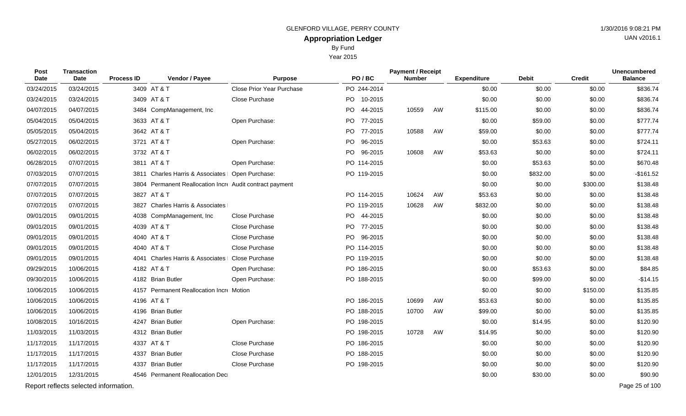Year 2015

| <b>Post</b><br>Date | <b>Transaction</b><br>Date | <b>Process ID</b> | Vendor / Payee                                           | <b>Purpose</b>                   | PO/BC       | <b>Payment / Receipt</b><br><b>Number</b> |    | <b>Expenditure</b> | <b>Debit</b> | <b>Credit</b> | <b>Unencumbered</b><br><b>Balance</b> |
|---------------------|----------------------------|-------------------|----------------------------------------------------------|----------------------------------|-------------|-------------------------------------------|----|--------------------|--------------|---------------|---------------------------------------|
| 03/24/2015          | 03/24/2015                 |                   | 3409 AT & T                                              | <b>Close Prior Year Purchase</b> | PO 244-2014 |                                           |    | \$0.00             | \$0.00       | \$0.00        | \$836.74                              |
| 03/24/2015          | 03/24/2015                 |                   | 3409 AT & T                                              | Close Purchase                   | PO 10-2015  |                                           |    | \$0.00             | \$0.00       | \$0.00        | \$836.74                              |
| 04/07/2015          | 04/07/2015                 |                   | 3484 CompManagement, Inc                                 |                                  | PO 44-2015  | 10559                                     | AW | \$115.00           | \$0.00       | \$0.00        | \$836.74                              |
| 05/04/2015          | 05/04/2015                 |                   | 3633 AT & T                                              | Open Purchase:                   | PO 77-2015  |                                           |    | \$0.00             | \$59.00      | \$0.00        | \$777.74                              |
| 05/05/2015          | 05/04/2015                 |                   | 3642 AT & T                                              |                                  | PO 77-2015  | 10588                                     | AW | \$59.00            | \$0.00       | \$0.00        | \$777.74                              |
| 05/27/2015          | 06/02/2015                 |                   | 3721 AT & T                                              | Open Purchase:                   | PO 96-2015  |                                           |    | \$0.00             | \$53.63      | \$0.00        | \$724.11                              |
| 06/02/2015          | 06/02/2015                 |                   | 3732 AT & T                                              |                                  | PO 96-2015  | 10608                                     | AW | \$53.63            | \$0.00       | \$0.00        | \$724.11                              |
| 06/28/2015          | 07/07/2015                 |                   | 3811 AT & T                                              | Open Purchase:                   | PO 114-2015 |                                           |    | \$0.00             | \$53.63      | \$0.00        | \$670.48                              |
| 07/03/2015          | 07/07/2015                 |                   | 3811 Charles Harris & Associates   Open Purchase:        |                                  | PO 119-2015 |                                           |    | \$0.00             | \$832.00     | \$0.00        | $-$161.52$                            |
| 07/07/2015          | 07/07/2015                 |                   | 3804 Permanent Reallocation Incre Audit contract payment |                                  |             |                                           |    | \$0.00             | \$0.00       | \$300.00      | \$138.48                              |
| 07/07/2015          | 07/07/2015                 |                   | 3827 AT & T                                              |                                  | PO 114-2015 | 10624                                     | AW | \$53.63            | \$0.00       | \$0.00        | \$138.48                              |
| 07/07/2015          | 07/07/2015                 |                   | 3827 Charles Harris & Associates                         |                                  | PO 119-2015 | 10628                                     | AW | \$832.00           | \$0.00       | \$0.00        | \$138.48                              |
| 09/01/2015          | 09/01/2015                 |                   | 4038 CompManagement, Inc.                                | Close Purchase                   | PO 44-2015  |                                           |    | \$0.00             | \$0.00       | \$0.00        | \$138.48                              |
| 09/01/2015          | 09/01/2015                 |                   | 4039 AT & T                                              | Close Purchase                   | PO 77-2015  |                                           |    | \$0.00             | \$0.00       | \$0.00        | \$138.48                              |
| 09/01/2015          | 09/01/2015                 |                   | 4040 AT & T                                              | Close Purchase                   | PO 96-2015  |                                           |    | \$0.00             | \$0.00       | \$0.00        | \$138.48                              |
| 09/01/2015          | 09/01/2015                 |                   | 4040 AT & T                                              | Close Purchase                   | PO 114-2015 |                                           |    | \$0.00             | \$0.00       | \$0.00        | \$138.48                              |
| 09/01/2015          | 09/01/2015                 |                   | 4041 Charles Harris & Associates                         | Close Purchase                   | PO 119-2015 |                                           |    | \$0.00             | \$0.00       | \$0.00        | \$138.48                              |
| 09/29/2015          | 10/06/2015                 |                   | 4182 AT & T                                              | Open Purchase:                   | PO 186-2015 |                                           |    | \$0.00             | \$53.63      | \$0.00        | \$84.85                               |
| 09/30/2015          | 10/06/2015                 |                   | 4182 Brian Butler                                        | Open Purchase:                   | PO 188-2015 |                                           |    | \$0.00             | \$99.00      | \$0.00        | $-$14.15$                             |
| 10/06/2015          | 10/06/2015                 |                   | 4157 Permanent Reallocation Incre Motion                 |                                  |             |                                           |    | \$0.00             | \$0.00       | \$150.00      | \$135.85                              |
| 10/06/2015          | 10/06/2015                 |                   | 4196 AT & T                                              |                                  | PO 186-2015 | 10699                                     | AW | \$53.63            | \$0.00       | \$0.00        | \$135.85                              |
| 10/06/2015          | 10/06/2015                 |                   | 4196 Brian Butler                                        |                                  | PO 188-2015 | 10700                                     | AW | \$99.00            | \$0.00       | \$0.00        | \$135.85                              |
| 10/08/2015          | 10/16/2015                 |                   | 4247 Brian Butler                                        | Open Purchase:                   | PO 198-2015 |                                           |    | \$0.00             | \$14.95      | \$0.00        | \$120.90                              |
| 11/03/2015          | 11/03/2015                 |                   | 4312 Brian Butler                                        |                                  | PO 198-2015 | 10728                                     | AW | \$14.95            | \$0.00       | \$0.00        | \$120.90                              |
| 11/17/2015          | 11/17/2015                 |                   | 4337 AT & T                                              | Close Purchase                   | PO 186-2015 |                                           |    | \$0.00             | \$0.00       | \$0.00        | \$120.90                              |
| 11/17/2015          | 11/17/2015                 |                   | 4337 Brian Butler                                        | Close Purchase                   | PO 188-2015 |                                           |    | \$0.00             | \$0.00       | \$0.00        | \$120.90                              |
| 11/17/2015          | 11/17/2015                 |                   | 4337 Brian Butler                                        | Close Purchase                   | PO 198-2015 |                                           |    | \$0.00             | \$0.00       | \$0.00        | \$120.90                              |
| 12/01/2015          | 12/31/2015                 |                   | 4546 Permanent Reallocation Dec                          |                                  |             |                                           |    | \$0.00             | \$30.00      | \$0.00        | \$90.90                               |
|                     |                            |                   |                                                          |                                  |             |                                           |    |                    |              |               |                                       |

Report reflects selected information. Page 25 of 100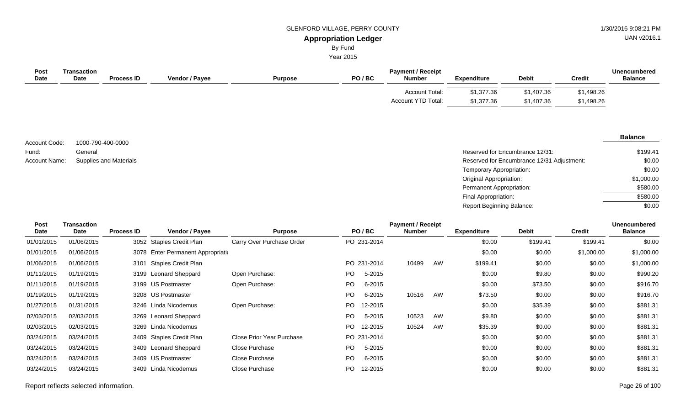# GLENFORD VILLAGE, PERRY COUNTY 61 AU 1/30/2016 9:08:21 PM

UAN v2016.1

#### **Appropriation Ledger** By Fund

Year 2015

| Post<br><b>Date</b> | Transaction<br><b>Date</b> | <b>Process ID</b> | <b>Vendor / Payee</b> | <b>Purpose</b> | PO/BC | <b>Payment / Receipt</b><br><b>Number</b> | <b>Expenditure</b>       | <b>Debit</b>             | <b>Credit</b>            | <b>Unencumbered</b><br><b>Balance</b> |
|---------------------|----------------------------|-------------------|-----------------------|----------------|-------|-------------------------------------------|--------------------------|--------------------------|--------------------------|---------------------------------------|
|                     |                            |                   |                       |                |       | Account Total:<br>Account YTD Total:      | \$1,377.36<br>\$1,377.36 | \$1,407.36<br>\$1,407.36 | \$1,498.26<br>\$1,498.26 |                                       |

1000-790-400-0000 General Account Code: Fund:

| Fund:         | General                | Reserved for Encumbrance 12/31:            | \$199.41   |
|---------------|------------------------|--------------------------------------------|------------|
| Account Name: | Supplies and Materials | Reserved for Encumbrance 12/31 Adjustment: | \$0.00     |
|               |                        | Temporary Appropriation:                   | \$0.00     |
|               |                        | Original Appropriation:                    | \$1,000.00 |
|               |                        | Permanent Appropriation:                   | \$580.00   |
|               |                        | Final Appropriation:                       | \$580.00   |
|               |                        | <b>Report Beginning Balance:</b>           | \$0.00     |

| <b>Post</b><br><b>Date</b> | <b>Transaction</b><br>Date | <b>Process ID</b> | Vendor / Payee                     | <b>Purpose</b>                   |     | PO/BC       | <b>Payment / Receipt</b><br><b>Number</b> |    | <b>Expenditure</b> | <b>Debit</b> | <b>Credit</b> | <b>Unencumbered</b><br><b>Balance</b> |
|----------------------------|----------------------------|-------------------|------------------------------------|----------------------------------|-----|-------------|-------------------------------------------|----|--------------------|--------------|---------------|---------------------------------------|
| 01/01/2015                 | 01/06/2015                 |                   | 3052 Staples Credit Plan           | Carry Over Purchase Order        |     | PO 231-2014 |                                           |    | \$0.00             | \$199.41     | \$199.41      | \$0.00                                |
| 01/01/2015                 | 01/06/2015                 |                   | 3078 Enter Permanent Appropriation |                                  |     |             |                                           |    | \$0.00             | \$0.00       | \$1,000.00    | \$1,000.00                            |
| 01/06/2015                 | 01/06/2015                 |                   | 3101 Staples Credit Plan           |                                  |     | PO 231-2014 | 10499                                     | AW | \$199.41           | \$0.00       | \$0.00        | \$1,000.00                            |
| 01/11/2015                 | 01/19/2015                 |                   | 3199 Leonard Sheppard              | Open Purchase:                   | PO. | 5-2015      |                                           |    | \$0.00             | \$9.80       | \$0.00        | \$990.20                              |
| 01/11/2015                 | 01/19/2015                 |                   | 3199 US Postmaster                 | Open Purchase:                   | PO. | 6-2015      |                                           |    | \$0.00             | \$73.50      | \$0.00        | \$916.70                              |
| 01/19/2015                 | 01/19/2015                 |                   | 3208 US Postmaster                 |                                  | PO. | 6-2015      | 10516                                     | AW | \$73.50            | \$0.00       | \$0.00        | \$916.70                              |
| 01/27/2015                 | 01/31/2015                 |                   | 3246 Linda Nicodemus               | Open Purchase:                   | PO. | 12-2015     |                                           |    | \$0.00             | \$35.39      | \$0.00        | \$881.31                              |
| 02/03/2015                 | 02/03/2015                 |                   | 3269 Leonard Sheppard              |                                  | PO. | 5-2015      | 10523                                     | AW | \$9.80             | \$0.00       | \$0.00        | \$881.31                              |
| 02/03/2015                 | 02/03/2015                 |                   | 3269 Linda Nicodemus               |                                  | PO. | 12-2015     | 10524                                     | AW | \$35.39            | \$0.00       | \$0.00        | \$881.31                              |
| 03/24/2015                 | 03/24/2015                 |                   | 3409 Staples Credit Plan           | <b>Close Prior Year Purchase</b> |     | PO 231-2014 |                                           |    | \$0.00             | \$0.00       | \$0.00        | \$881.31                              |
| 03/24/2015                 | 03/24/2015                 |                   | 3409 Leonard Sheppard              | Close Purchase                   | PO. | 5-2015      |                                           |    | \$0.00             | \$0.00       | \$0.00        | \$881.31                              |
| 03/24/2015                 | 03/24/2015                 |                   | 3409 US Postmaster                 | Close Purchase                   | PO. | 6-2015      |                                           |    | \$0.00             | \$0.00       | \$0.00        | \$881.31                              |
| 03/24/2015                 | 03/24/2015                 |                   | 3409 Linda Nicodemus               | Close Purchase                   | PO. | 12-2015     |                                           |    | \$0.00             | \$0.00       | \$0.00        | \$881.31                              |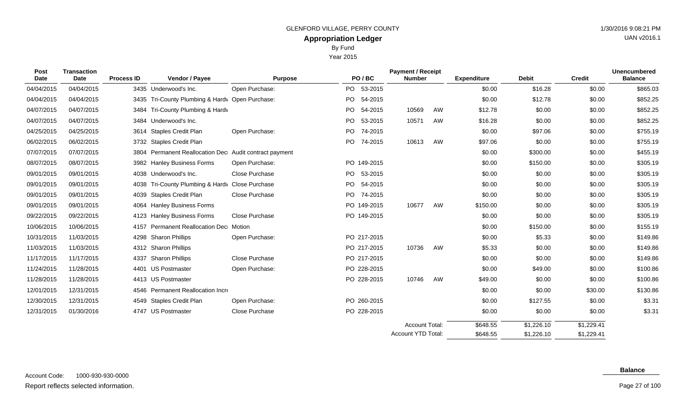Year 2015

| Post<br>Date | <b>Transaction</b><br><b>Date</b> | <b>Process ID</b> | Vendor / Payee                                    | <b>Purpose</b>        |     | PO/BC       | <b>Payment / Receipt</b><br><b>Number</b> |    | <b>Expenditure</b> | <b>Debit</b> | <b>Credit</b> | <b>Unencumbered</b><br><b>Balance</b> |
|--------------|-----------------------------------|-------------------|---------------------------------------------------|-----------------------|-----|-------------|-------------------------------------------|----|--------------------|--------------|---------------|---------------------------------------|
| 04/04/2015   | 04/04/2015                        |                   | 3435 Underwood's Inc.                             | Open Purchase:        |     | PO 53-2015  |                                           |    | \$0.00             | \$16.28      | \$0.00        | \$865.03                              |
| 04/04/2015   | 04/04/2015                        |                   | 3435 Tri-County Plumbing & Hardy Open Purchase:   |                       |     | PO 54-2015  |                                           |    | \$0.00             | \$12.78      | \$0.00        | \$852.25                              |
| 04/07/2015   | 04/07/2015                        | 3484              | Tri-County Plumbing & Hardv                       |                       |     | PO 54-2015  | 10569                                     | AW | \$12.78            | \$0.00       | \$0.00        | \$852.25                              |
| 04/07/2015   | 04/07/2015                        |                   | 3484 Underwood's Inc.                             |                       | PO. | 53-2015     | 10571                                     | AW | \$16.28            | \$0.00       | \$0.00        | \$852.25                              |
| 04/25/2015   | 04/25/2015                        |                   | 3614 Staples Credit Plan                          | Open Purchase:        | PO. | 74-2015     |                                           |    | \$0.00             | \$97.06      | \$0.00        | \$755.19                              |
| 06/02/2015   | 06/02/2015                        |                   | 3732 Staples Credit Plan                          |                       |     | PO 74-2015  | 10613                                     | AW | \$97.06            | \$0.00       | \$0.00        | \$755.19                              |
| 07/07/2015   | 07/07/2015                        | 3804              | Permanent Reallocation Dec Audit contract payment |                       |     |             |                                           |    | \$0.00             | \$300.00     | \$0.00        | \$455.19                              |
| 08/07/2015   | 08/07/2015                        |                   | 3982 Hanley Business Forms                        | Open Purchase:        |     | PO 149-2015 |                                           |    | \$0.00             | \$150.00     | \$0.00        | \$305.19                              |
| 09/01/2015   | 09/01/2015                        |                   | 4038 Underwood's Inc.                             | Close Purchase        |     | PO 53-2015  |                                           |    | \$0.00             | \$0.00       | \$0.00        | \$305.19                              |
| 09/01/2015   | 09/01/2015                        |                   | 4038 Tri-County Plumbing & Hardy Close Purchase   |                       |     | PO 54-2015  |                                           |    | \$0.00             | \$0.00       | \$0.00        | \$305.19                              |
| 09/01/2015   | 09/01/2015                        | 4039              | <b>Staples Credit Plan</b>                        | Close Purchase        |     | PO 74-2015  |                                           |    | \$0.00             | \$0.00       | \$0.00        | \$305.19                              |
| 09/01/2015   | 09/01/2015                        |                   | 4064 Hanley Business Forms                        |                       |     | PO 149-2015 | 10677                                     | AW | \$150.00           | \$0.00       | \$0.00        | \$305.19                              |
| 09/22/2015   | 09/22/2015                        |                   | 4123 Hanley Business Forms                        | <b>Close Purchase</b> |     | PO 149-2015 |                                           |    | \$0.00             | \$0.00       | \$0.00        | \$305.19                              |
| 10/06/2015   | 10/06/2015                        | 4157              | Permanent Reallocation Dec Motion                 |                       |     |             |                                           |    | \$0.00             | \$150.00     | \$0.00        | \$155.19                              |
| 10/31/2015   | 11/03/2015                        | 4298              | <b>Sharon Phillips</b>                            | Open Purchase:        |     | PO 217-2015 |                                           |    | \$0.00             | \$5.33       | \$0.00        | \$149.86                              |
| 11/03/2015   | 11/03/2015                        |                   | 4312 Sharon Phillips                              |                       |     | PO 217-2015 | 10736                                     | AW | \$5.33             | \$0.00       | \$0.00        | \$149.86                              |
| 11/17/2015   | 11/17/2015                        | 4337              | <b>Sharon Phillips</b>                            | Close Purchase        |     | PO 217-2015 |                                           |    | \$0.00             | \$0.00       | \$0.00        | \$149.86                              |
| 11/24/2015   | 11/28/2015                        | 4401              | <b>US Postmaster</b>                              | Open Purchase:        |     | PO 228-2015 |                                           |    | \$0.00             | \$49.00      | \$0.00        | \$100.86                              |
| 11/28/2015   | 11/28/2015                        |                   | 4413 US Postmaster                                |                       |     | PO 228-2015 | 10746                                     | AW | \$49.00            | \$0.00       | \$0.00        | \$100.86                              |
| 12/01/2015   | 12/31/2015                        | 4546              | Permanent Reallocation Incre                      |                       |     |             |                                           |    | \$0.00             | \$0.00       | \$30.00       | \$130.86                              |
| 12/30/2015   | 12/31/2015                        |                   | 4549 Staples Credit Plan                          | Open Purchase:        |     | PO 260-2015 |                                           |    | \$0.00             | \$127.55     | \$0.00        | \$3.31                                |
| 12/31/2015   | 01/30/2016                        |                   | 4747 US Postmaster                                | Close Purchase        |     | PO 228-2015 |                                           |    | \$0.00             | \$0.00       | \$0.00        | \$3.31                                |
|              |                                   |                   |                                                   |                       |     |             | <b>Account Total:</b>                     |    | \$648.55           | \$1,226.10   | \$1,229.41    |                                       |

#### **Balance**

\$1,229.41

\$1,226.10

\$648.55

Account YTD Total: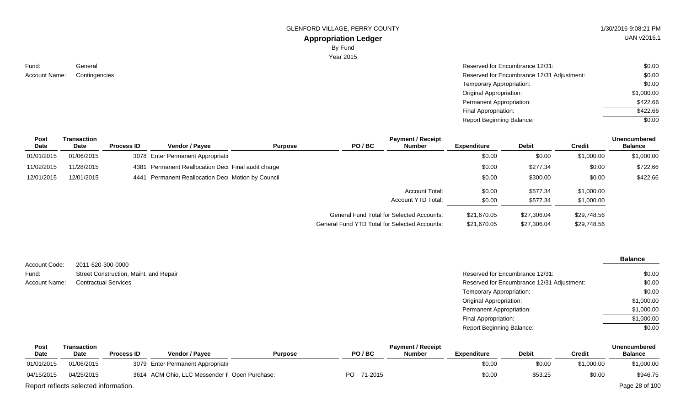GLENFORD VILLAGE, PERRY COUNTY 61 AU 1/30/2016 9:08:21 PM

# **Appropriation Ledger**

By Fund

|               | $-9$ , and       |                                            |        |
|---------------|------------------|--------------------------------------------|--------|
|               | <b>Year 2015</b> |                                            |        |
| General       |                  | Reserved for Encumbrance 12/31:            | \$0.00 |
| Contingencies |                  | Reserved for Encumbrance 12/31 Adjustment: | \$0.00 |
|               |                  | Temporary Appropriation:                   | \$0.00 |

| Temporary Appropriation:         | \$0.00     |
|----------------------------------|------------|
| Original Appropriation:          | \$1,000.00 |
| Permanent Appropriation:         | \$422.66   |
| Final Appropriation:             | \$422.66   |
| <b>Report Beginning Balance:</b> | \$0.00     |

| Post       | Transaction |                   |                                                    |                |                                                  | <b>Payment / Receipt</b> |                    |              |               | <b>Unencumbered</b> |
|------------|-------------|-------------------|----------------------------------------------------|----------------|--------------------------------------------------|--------------------------|--------------------|--------------|---------------|---------------------|
| Date       | Date        | <b>Process ID</b> | <b>Vendor / Payee</b>                              | <b>Purpose</b> | PO/BC                                            | <b>Number</b>            | <b>Expenditure</b> | <b>Debit</b> | <b>Credit</b> | <b>Balance</b>      |
| 01/01/2015 | 01/06/2015  |                   | 3078 Enter Permanent Appropriation                 |                |                                                  |                          | \$0.00             | \$0.00       | \$1,000.00    | \$1,000.00          |
| 11/02/2015 | 11/28/2015  |                   | 4381 Permanent Reallocation Dec Final audit charge |                |                                                  |                          | \$0.00             | \$277.34     | \$0.00        | \$722.66            |
| 12/01/2015 | 12/01/2015  |                   | 4441 Permanent Reallocation Dec Motion by Council  |                |                                                  |                          | \$0.00             | \$300.00     | \$0.00        | \$422.66            |
|            |             |                   |                                                    |                |                                                  | <b>Account Total:</b>    | \$0.00             | \$577.34     | \$1,000.00    |                     |
|            |             |                   |                                                    |                |                                                  | Account YTD Total:       | \$0.00             | \$577.34     | \$1,000.00    |                     |
|            |             |                   |                                                    |                | <b>General Fund Total for Selected Accounts:</b> |                          | \$21,670.05        | \$27.306.04  | \$29,748.56   |                     |
|            |             |                   |                                                    |                | General Fund YTD Total for Selected Accounts:    |                          | \$21,670.05        | \$27,306.04  | \$29,748.56   |                     |
|            |             |                   |                                                    |                |                                                  |                          |                    |              |               |                     |

|               |                                        |                                            | <b>Balance</b> |
|---------------|----------------------------------------|--------------------------------------------|----------------|
| Account Code: | 2011-620-300-0000                      |                                            |                |
| Fund:         | Street Construction, Maint. and Repair | Reserved for Encumbrance 12/31:            | \$0.00         |
| Account Name: | <b>Contractual Services</b>            | Reserved for Encumbrance 12/31 Adjustment: | \$0.00         |
|               |                                        | Temporary Appropriation:                   | \$0.00         |
|               |                                        | <b>Original Appropriation:</b>             | \$1,000.00     |
|               |                                        | Permanent Appropriation:                   | \$1,000.00     |
|               |                                        | Final Appropriation:                       | \$1,000.00     |
|               |                                        | <b>Report Beginning Balance:</b>           | \$0.00         |

| Post        | Transaction                           |                   |                                               |                | <b>Payment / Receipt</b> |               |                    |              |            |                |  |
|-------------|---------------------------------------|-------------------|-----------------------------------------------|----------------|--------------------------|---------------|--------------------|--------------|------------|----------------|--|
| <b>Date</b> | <b>Date</b>                           | <b>Process ID</b> | <b>Vendor / Pavee</b>                         | <b>Purpose</b> | PO/BC                    | <b>Number</b> | <b>Expenditure</b> | <b>Debit</b> | Credit     | <b>Balance</b> |  |
| 01/01/2015  | 01/06/2015                            |                   | 3079 Enter Permanent Appropriation            |                |                          |               | \$0.00             | \$0.00       | \$1,000.00 | \$1,000.00     |  |
| 04/15/2015  | 04/25/2015                            |                   | 3614 ACM Ohio, LLC Messender F Open Purchase: |                | PO -<br>71-2015          |               | \$0.00             | \$53.25      | \$0.00     | \$946.75       |  |
|             | Report reflects selected information. |                   |                                               |                |                          |               |                    |              |            | Page 28 of 100 |  |

Fund:

Account Name: Contingencies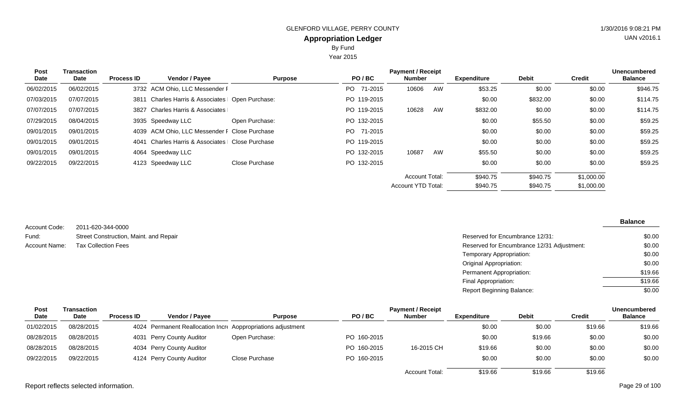Year 2015

| <b>Post</b><br>Date | <b>Transaction</b><br>Date | <b>Process ID</b> | <b>Vendor / Payee</b>                         | <b>Purpose</b> | PO/BC           | <b>Payment / Receipt</b><br><b>Number</b> |    | <b>Expenditure</b> | <b>Debit</b> | <b>Credit</b> | <b>Unencumbered</b><br><b>Balance</b> |
|---------------------|----------------------------|-------------------|-----------------------------------------------|----------------|-----------------|-------------------------------------------|----|--------------------|--------------|---------------|---------------------------------------|
| 06/02/2015          | 06/02/2015                 |                   | 3732 ACM Ohio, LLC Messender F                |                | PO -<br>71-2015 | 10606                                     | AW | \$53.25            | \$0.00       | \$0.00        | \$946.75                              |
| 07/03/2015          | 07/07/2015                 | 3811              | Charles Harris & Associates   Open Purchase:  |                | PO 119-2015     |                                           |    | \$0.00             | \$832.00     | \$0.00        | \$114.75                              |
| 07/07/2015          | 07/07/2015                 |                   | 3827 Charles Harris & Associates              |                | PO 119-2015     | 10628                                     | AW | \$832.00           | \$0.00       | \$0.00        | \$114.75                              |
| 07/29/2015          | 08/04/2015                 |                   | 3935 Speedway LLC                             | Open Purchase: | PO 132-2015     |                                           |    | \$0.00             | \$55.50      | \$0.00        | \$59.25                               |
| 09/01/2015          | 09/01/2015                 |                   | 4039 ACM Ohio, LLC Messender F Close Purchase |                | PO 71-2015      |                                           |    | \$0.00             | \$0.00       | \$0.00        | \$59.25                               |
| 09/01/2015          | 09/01/2015                 | 4041              | Charles Harris & Associates   Close Purchase  |                | PO 119-2015     |                                           |    | \$0.00             | \$0.00       | \$0.00        | \$59.25                               |
| 09/01/2015          | 09/01/2015                 |                   | 4064 Speedway LLC                             |                | PO 132-2015     | 10687                                     | AW | \$55.50            | \$0.00       | \$0.00        | \$59.25                               |
| 09/22/2015          | 09/22/2015                 |                   | 4123 Speedway LLC                             | Close Purchase | PO 132-2015     |                                           |    | \$0.00             | \$0.00       | \$0.00        | \$59.25                               |
|                     |                            |                   |                                               |                |                 | <b>Account Total:</b>                     |    | \$940.75           | \$940.75     | \$1,000.00    |                                       |
|                     |                            |                   |                                               |                |                 | Account YTD Total:                        |    | \$940.75           | \$940.75     | \$1,000.00    |                                       |

| Account Code: | 2011-620-344-0000                      |
|---------------|----------------------------------------|
| Fund:         | Street Construction, Maint. and Repair |
| Account Name: | <b>Tax Collection Fees</b>             |

| Street Construction, Maint. and Repair | Reserved for Encumbrance 12/31:            | \$0.00  |
|----------------------------------------|--------------------------------------------|---------|
| Tax Collection Fees                    | Reserved for Encumbrance 12/31 Adjustment: | \$0.00  |
|                                        | Temporary Appropriation:                   | \$0.00  |
|                                        | Original Appropriation:                    | \$0.00  |
|                                        | Permanent Appropriation:                   | \$19.66 |
|                                        | Final Appropriation:                       | \$19.66 |
|                                        | <b>Report Beginning Balance:</b>           | \$0.00  |

| Post        | Transaction |                   |                                                              |                |             | <b>Payment / Receipt</b> |             |              |         | <b>Unencumbered</b> |
|-------------|-------------|-------------------|--------------------------------------------------------------|----------------|-------------|--------------------------|-------------|--------------|---------|---------------------|
| <b>Date</b> | Date        | <b>Process ID</b> | <b>Vendor / Pavee</b>                                        | <b>Purpose</b> | PO/BC       | <b>Number</b>            | Expenditure | <b>Debit</b> | Credit  | <b>Balance</b>      |
| 01/02/2015  | 08/28/2015  |                   | 4024 Permanent Reallocation Incre Aoppropriations adjustment |                |             |                          | \$0.00      | \$0.00       | \$19.66 | \$19.66             |
| 08/28/2015  | 08/28/2015  |                   | 4031 Perry County Auditor                                    | Open Purchase: | PO 160-2015 |                          | \$0.00      | \$19.66      | \$0.00  | \$0.00              |
| 08/28/2015  | 08/28/2015  |                   | 4034 Perry County Auditor                                    |                | PO 160-2015 | 16-2015 CH               | \$19.66     | \$0.00       | \$0.00  | \$0.00              |
| 09/22/2015  | 09/22/2015  |                   | 4124 Perry County Auditor                                    | Close Purchase | PO 160-2015 |                          | \$0.00      | \$0.00       | \$0.00  | \$0.00              |
|             |             |                   |                                                              |                |             | <b>Account Total:</b>    | \$19.66     | \$19.66      | \$19.66 |                     |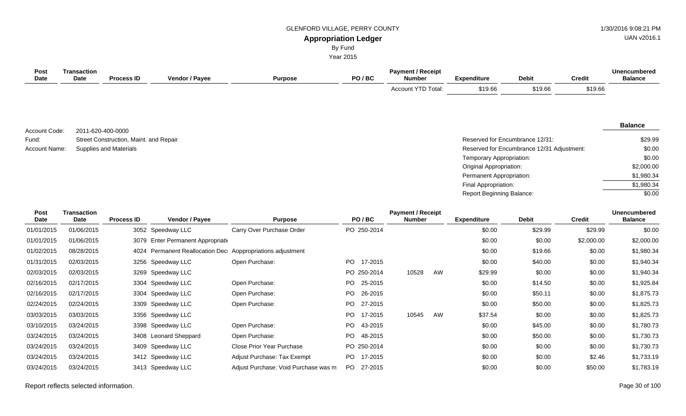#### GLENFORD VILLAGE, PERRY COUNTY 61 AU 1/30/2016 9:08:21 PM

# UAN v2016.1

# **Appropriation Ledger**

By Fund

Year 2015

| <b>Post</b><br>Date        | <b>Transaction</b><br><b>Date</b> | <b>Process ID</b>                      | Vendor / Payee                                        | <b>Purpose</b>            | PO/BC          | <b>Payment / Receipt</b><br><b>Number</b> | <b>Expenditure</b>        | <b>Debit</b>                               | <b>Credit</b> | <b>Unencumbered</b><br><b>Balance</b> |
|----------------------------|-----------------------------------|----------------------------------------|-------------------------------------------------------|---------------------------|----------------|-------------------------------------------|---------------------------|--------------------------------------------|---------------|---------------------------------------|
|                            |                                   |                                        |                                                       |                           |                | Account YTD Total:                        | \$19.66                   | \$19.66                                    | \$19.66       |                                       |
| Account Code:              |                                   | 2011-620-400-0000                      |                                                       |                           |                |                                           |                           |                                            |               | <b>Balance</b>                        |
| Fund:                      |                                   | Street Construction, Maint. and Repair |                                                       |                           |                |                                           |                           | Reserved for Encumbrance 12/31:            |               | \$29.99                               |
| Account Name:              |                                   | <b>Supplies and Materials</b>          |                                                       |                           |                |                                           |                           | Reserved for Encumbrance 12/31 Adjustment: |               | \$0.00                                |
|                            |                                   |                                        |                                                       |                           |                |                                           | Temporary Appropriation:  |                                            |               | \$0.00                                |
|                            |                                   |                                        |                                                       |                           |                |                                           | Original Appropriation:   |                                            |               | \$2,000.00                            |
|                            |                                   |                                        |                                                       |                           |                |                                           | Permanent Appropriation:  |                                            |               | \$1,980.34                            |
|                            |                                   |                                        |                                                       |                           |                |                                           | Final Appropriation:      |                                            |               | \$1,980.34                            |
|                            |                                   |                                        |                                                       |                           |                |                                           | Report Beginning Balance: |                                            |               | \$0.00                                |
| <b>Post</b><br><b>Date</b> | <b>Transaction</b><br>Date        | <b>Process ID</b>                      | Vendor / Payee                                        | <b>Purpose</b>            | PO/BC          | <b>Payment / Receipt</b><br><b>Number</b> | <b>Expenditure</b>        | <b>Debit</b>                               | <b>Credit</b> | <b>Unencumbered</b><br><b>Balance</b> |
| 01/01/2015                 | 01/06/2015                        |                                        | 3052 Speedway LLC                                     | Carry Over Purchase Order | PO 250-2014    |                                           | \$0.00                    | \$29.99                                    | \$29.99       | \$0.00                                |
| 01/01/2015                 | 01/06/2015                        | 3079                                   | Enter Permanent Appropriatio                          |                           |                |                                           | \$0.00                    | \$0.00                                     | \$2,000.00    | \$2,000.00                            |
| 01/02/2015                 | 08/28/2015                        | 4024                                   | Permanent Reallocation Dec Aoppropriations adjustment |                           |                |                                           | \$0.00                    | \$19.66                                    | \$0.00        | \$1,980.34                            |
| 01/31/2015                 | 02/03/2015                        | 3256                                   | Speedway LLC                                          | Open Purchase:            | PO.<br>17-2015 |                                           | \$0.00                    | \$40.00                                    | \$0.00        | \$1,940.34                            |
| 02/03/2015                 | 02/03/2015                        | 3269                                   | Speedway LLC                                          |                           | PO 250-2014    | AW<br>10528                               | \$29.99                   | \$0.00                                     | \$0.00        | \$1,940.34                            |
| 02/16/2015                 | 02/17/2015                        | 3304                                   | Speedway LLC                                          | Open Purchase:            | PO<br>25-2015  |                                           | \$0.00                    | \$14.50                                    | \$0.00        | \$1,925.84                            |
| 02/16/2015                 | 02/17/2015                        | 3304                                   | Speedway LLC                                          | Open Purchase:            | PO<br>26-2015  |                                           | \$0.00                    | \$50.11                                    | \$0.00        | \$1,875.73                            |
| 02/24/2015                 | 02/24/2015                        | 3309                                   | Speedway LLC                                          | Open Purchase:            | PO<br>27-2015  |                                           | \$0.00                    | \$50.00                                    | \$0.00        | \$1,825.73                            |
| 03/03/2015                 | 03/03/2015                        | 3356                                   | Speedway LLC                                          |                           | PO<br>17-2015  | AW<br>10545                               | \$37.54                   | \$0.00                                     | \$0.00        | \$1,825.73                            |
| 03/10/2015                 | 03/24/2015                        | 3398                                   | Speedway LLC                                          | Open Purchase:            | PO<br>43-2015  |                                           | \$0.00                    | \$45.00                                    | \$0.00        | \$1,780.73                            |
| 03/24/2015                 | 03/24/2015                        |                                        | 3408 Leonard Sheppard                                 | Open Purchase:            | PO.<br>48-2015 |                                           | \$0.00                    | \$50.00                                    | \$0.00        | \$1,730.73                            |
| 03/24/2015                 | 03/24/2015                        | 3409                                   | Speedway LLC                                          | Close Prior Year Purchase | PO 250-2014    |                                           | \$0.00                    | \$0.00                                     | \$0.00        | \$1,730.73                            |

03/24/2015 03/24/2015 3412 Speedway LLC Adjust Purchase: Tax Exempt PO 17-2015 \$0.00 \$0.00 \$0.00 \$2.46 \$1,733.19 03/24/2015 03/24/2015 3413 Speedway LLC Adjust Purchase: Void Purchase was m PO 27-2015 \$0.00 \$0.00 \$0.00 \$50.00 \$1,783.19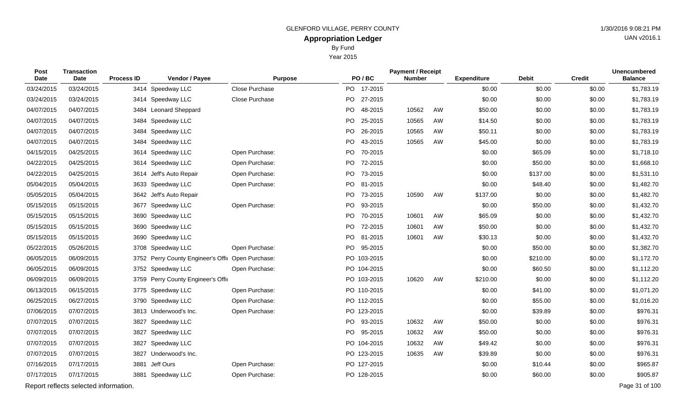By Fund

Year 2015

| Post<br>Date | <b>Transaction</b><br>Date            | <b>Process ID</b> | Vendor / Payee                                    | <b>Purpose</b> |    | PO/BC       | <b>Payment / Receipt</b><br><b>Number</b> |    | <b>Expenditure</b> | <b>Debit</b> | <b>Credit</b> | <b>Unencumbered</b><br><b>Balance</b> |
|--------------|---------------------------------------|-------------------|---------------------------------------------------|----------------|----|-------------|-------------------------------------------|----|--------------------|--------------|---------------|---------------------------------------|
| 03/24/2015   | 03/24/2015                            |                   | 3414 Speedway LLC                                 | Close Purchase |    | PO 17-2015  |                                           |    | \$0.00             | \$0.00       | \$0.00        | \$1,783.19                            |
| 03/24/2015   | 03/24/2015                            |                   | 3414 Speedway LLC                                 | Close Purchase | PO | 27-2015     |                                           |    | \$0.00             | \$0.00       | \$0.00        | \$1,783.19                            |
| 04/07/2015   | 04/07/2015                            |                   | 3484 Leonard Sheppard                             |                | PO | 48-2015     | 10562                                     | AW | \$50.00            | \$0.00       | \$0.00        | \$1,783.19                            |
| 04/07/2015   | 04/07/2015                            | 3484              | Speedway LLC                                      |                | PO | 25-2015     | 10565                                     | AW | \$14.50            | \$0.00       | \$0.00        | \$1,783.19                            |
| 04/07/2015   | 04/07/2015                            | 3484              | Speedway LLC                                      |                |    | PO 26-2015  | 10565                                     | AW | \$50.11            | \$0.00       | \$0.00        | \$1,783.19                            |
| 04/07/2015   | 04/07/2015                            | 3484              | Speedway LLC                                      |                | PO | 43-2015     | 10565                                     | AW | \$45.00            | \$0.00       | \$0.00        | \$1,783.19                            |
| 04/15/2015   | 04/25/2015                            | 3614              | Speedway LLC                                      | Open Purchase: |    | PO 70-2015  |                                           |    | \$0.00             | \$65.09      | \$0.00        | \$1,718.10                            |
| 04/22/2015   | 04/25/2015                            | 3614              | Speedway LLC                                      | Open Purchase: | PO | 72-2015     |                                           |    | \$0.00             | \$50.00      | \$0.00        | \$1,668.10                            |
| 04/22/2015   | 04/25/2015                            |                   | 3614 Jeff's Auto Repair                           | Open Purchase: |    | PO 73-2015  |                                           |    | \$0.00             | \$137.00     | \$0.00        | \$1,531.10                            |
| 05/04/2015   | 05/04/2015                            |                   | 3633 Speedway LLC                                 | Open Purchase: | PO | 81-2015     |                                           |    | \$0.00             | \$48.40      | \$0.00        | \$1,482.70                            |
| 05/05/2015   | 05/04/2015                            |                   | 3642 Jeff's Auto Repair                           |                |    | PO 73-2015  | 10590                                     | AW | \$137.00           | \$0.00       | \$0.00        | \$1,482.70                            |
| 05/15/2015   | 05/15/2015                            | 3677              | Speedway LLC                                      | Open Purchase: | PO | 93-2015     |                                           |    | \$0.00             | \$50.00      | \$0.00        | \$1,432.70                            |
| 05/15/2015   | 05/15/2015                            |                   | 3690 Speedway LLC                                 |                |    | PO 70-2015  | 10601                                     | AW | \$65.09            | \$0.00       | \$0.00        | \$1,432.70                            |
| 05/15/2015   | 05/15/2015                            |                   | 3690 Speedway LLC                                 |                | PO | 72-2015     | 10601                                     | AW | \$50.00            | \$0.00       | \$0.00        | \$1,432.70                            |
| 05/15/2015   | 05/15/2015                            |                   | 3690 Speedway LLC                                 |                |    | PO 81-2015  | 10601                                     | AW | \$30.13            | \$0.00       | \$0.00        | \$1,432.70                            |
| 05/22/2015   | 05/26/2015                            |                   | 3708 Speedway LLC                                 | Open Purchase: | PO | 95-2015     |                                           |    | \$0.00             | \$50.00      | \$0.00        | \$1,382.70                            |
| 06/05/2015   | 06/09/2015                            |                   | 3752 Perry County Engineer's Offic Open Purchase: |                |    | PO 103-2015 |                                           |    | \$0.00             | \$210.00     | \$0.00        | \$1,172.70                            |
| 06/05/2015   | 06/09/2015                            |                   | 3752 Speedway LLC                                 | Open Purchase: |    | PO 104-2015 |                                           |    | \$0.00             | \$60.50      | \$0.00        | \$1,112.20                            |
| 06/09/2015   | 06/09/2015                            |                   | 3759 Perry County Engineer's Offic                |                |    | PO 103-2015 | 10620                                     | AW | \$210.00           | \$0.00       | \$0.00        | \$1,112.20                            |
| 06/13/2015   | 06/15/2015                            |                   | 3775 Speedway LLC                                 | Open Purchase: |    | PO 110-2015 |                                           |    | \$0.00             | \$41.00      | \$0.00        | \$1,071.20                            |
| 06/25/2015   | 06/27/2015                            |                   | 3790 Speedway LLC                                 | Open Purchase: |    | PO 112-2015 |                                           |    | \$0.00             | \$55.00      | \$0.00        | \$1,016.20                            |
| 07/06/2015   | 07/07/2015                            |                   | 3813 Underwood's Inc.                             | Open Purchase: |    | PO 123-2015 |                                           |    | \$0.00             | \$39.89      | \$0.00        | \$976.31                              |
| 07/07/2015   | 07/07/2015                            | 3827              | Speedway LLC                                      |                |    | PO 93-2015  | 10632                                     | AW | \$50.00            | \$0.00       | \$0.00        | \$976.31                              |
| 07/07/2015   | 07/07/2015                            | 3827              | Speedway LLC                                      |                |    | PO 95-2015  | 10632                                     | AW | \$50.00            | \$0.00       | \$0.00        | \$976.31                              |
| 07/07/2015   | 07/07/2015                            | 3827              | Speedway LLC                                      |                |    | PO 104-2015 | 10632                                     | AW | \$49.42            | \$0.00       | \$0.00        | \$976.31                              |
| 07/07/2015   | 07/07/2015                            |                   | 3827 Underwood's Inc.                             |                |    | PO 123-2015 | 10635                                     | AW | \$39.89            | \$0.00       | \$0.00        | \$976.31                              |
| 07/16/2015   | 07/17/2015                            |                   | 3881 Jeff Ours                                    | Open Purchase: |    | PO 127-2015 |                                           |    | \$0.00             | \$10.44      | \$0.00        | \$965.87                              |
| 07/17/2015   | 07/17/2015                            |                   | 3881 Speedway LLC                                 | Open Purchase: |    | PO 128-2015 |                                           |    | \$0.00             | \$60.00      | \$0.00        | \$905.87                              |
|              | Report reflects selected information. |                   |                                                   |                |    |             |                                           |    |                    |              |               | Page 31 of 100                        |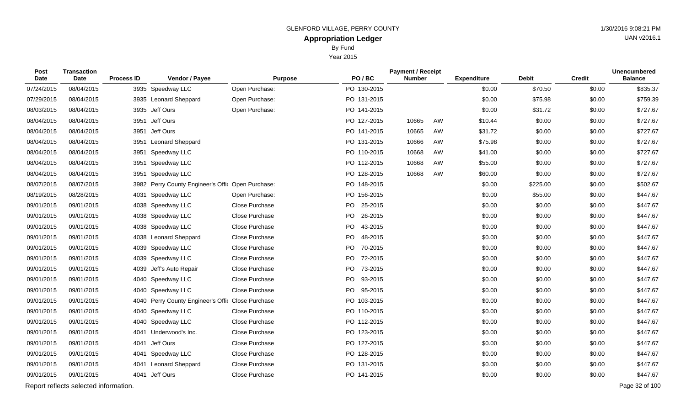Year 2015

| <b>Post</b><br>Date | <b>Transaction</b><br>Date            | <b>Process ID</b> | Vendor / Payee                               | <b>Purpose</b> | PO/BC         | <b>Payment / Receipt</b><br><b>Number</b> |    | <b>Expenditure</b> | <b>Debit</b> | <b>Credit</b> | <b>Unencumbered</b><br><b>Balance</b> |
|---------------------|---------------------------------------|-------------------|----------------------------------------------|----------------|---------------|-------------------------------------------|----|--------------------|--------------|---------------|---------------------------------------|
| 07/24/2015          | 08/04/2015                            |                   | 3935 Speedway LLC                            | Open Purchase: | PO 130-2015   |                                           |    | \$0.00             | \$70.50      | \$0.00        | \$835.37                              |
| 07/29/2015          | 08/04/2015                            |                   | 3935 Leonard Sheppard                        | Open Purchase: | PO 131-2015   |                                           |    | \$0.00             | \$75.98      | \$0.00        | \$759.39                              |
| 08/03/2015          | 08/04/2015                            |                   | 3935 Jeff Ours                               | Open Purchase: | PO 141-2015   |                                           |    | \$0.00             | \$31.72      | \$0.00        | \$727.67                              |
| 08/04/2015          | 08/04/2015                            | 3951              | Jeff Ours                                    |                | PO 127-2015   | 10665                                     | AW | \$10.44            | \$0.00       | \$0.00        | \$727.67                              |
| 08/04/2015          | 08/04/2015                            |                   | 3951 Jeff Ours                               |                | PO 141-2015   | 10665                                     | AW | \$31.72            | \$0.00       | \$0.00        | \$727.67                              |
| 08/04/2015          | 08/04/2015                            | 3951              | <b>Leonard Sheppard</b>                      |                | PO 131-2015   | 10666                                     | AW | \$75.98            | \$0.00       | \$0.00        | \$727.67                              |
| 08/04/2015          | 08/04/2015                            | 3951              | Speedway LLC                                 |                | PO 110-2015   | 10668                                     | AW | \$41.00            | \$0.00       | \$0.00        | \$727.67                              |
| 08/04/2015          | 08/04/2015                            | 3951              | Speedway LLC                                 |                | PO 112-2015   | 10668                                     | AW | \$55.00            | \$0.00       | \$0.00        | \$727.67                              |
| 08/04/2015          | 08/04/2015                            | 3951              | Speedway LLC                                 |                | PO 128-2015   | 10668                                     | AW | \$60.00            | \$0.00       | \$0.00        | \$727.67                              |
| 08/07/2015          | 08/07/2015                            | 3982              | Perry County Engineer's Offic Open Purchase: |                | PO 148-2015   |                                           |    | \$0.00             | \$225.00     | \$0.00        | \$502.67                              |
| 08/19/2015          | 08/28/2015                            | 4031              | Speedway LLC                                 | Open Purchase: | PO 156-2015   |                                           |    | \$0.00             | \$55.00      | \$0.00        | \$447.67                              |
| 09/01/2015          | 09/01/2015                            |                   | 4038 Speedway LLC                            | Close Purchase | PO 25-2015    |                                           |    | \$0.00             | \$0.00       | \$0.00        | \$447.67                              |
| 09/01/2015          | 09/01/2015                            |                   | 4038 Speedway LLC                            | Close Purchase | PO<br>26-2015 |                                           |    | \$0.00             | \$0.00       | \$0.00        | \$447.67                              |
| 09/01/2015          | 09/01/2015                            |                   | 4038 Speedway LLC                            | Close Purchase | PO 43-2015    |                                           |    | \$0.00             | \$0.00       | \$0.00        | \$447.67                              |
| 09/01/2015          | 09/01/2015                            | 4038              | <b>Leonard Sheppard</b>                      | Close Purchase | 48-2015<br>PO |                                           |    | \$0.00             | \$0.00       | \$0.00        | \$447.67                              |
| 09/01/2015          | 09/01/2015                            |                   | 4039 Speedway LLC                            | Close Purchase | PO<br>70-2015 |                                           |    | \$0.00             | \$0.00       | \$0.00        | \$447.67                              |
| 09/01/2015          | 09/01/2015                            |                   | 4039 Speedway LLC                            | Close Purchase | PO 72-2015    |                                           |    | \$0.00             | \$0.00       | \$0.00        | \$447.67                              |
| 09/01/2015          | 09/01/2015                            | 4039              | Jeff's Auto Repair                           | Close Purchase | PO<br>73-2015 |                                           |    | \$0.00             | \$0.00       | \$0.00        | \$447.67                              |
| 09/01/2015          | 09/01/2015                            |                   | 4040 Speedway LLC                            | Close Purchase | PO 93-2015    |                                           |    | \$0.00             | \$0.00       | \$0.00        | \$447.67                              |
| 09/01/2015          | 09/01/2015                            | 4040              | Speedway LLC                                 | Close Purchase | PO<br>95-2015 |                                           |    | \$0.00             | \$0.00       | \$0.00        | \$447.67                              |
| 09/01/2015          | 09/01/2015                            | 4040              | Perry County Engineer's Offic Close Purchase |                | PO 103-2015   |                                           |    | \$0.00             | \$0.00       | \$0.00        | \$447.67                              |
| 09/01/2015          | 09/01/2015                            |                   | 4040 Speedway LLC                            | Close Purchase | PO 110-2015   |                                           |    | \$0.00             | \$0.00       | \$0.00        | \$447.67                              |
| 09/01/2015          | 09/01/2015                            |                   | 4040 Speedway LLC                            | Close Purchase | PO 112-2015   |                                           |    | \$0.00             | \$0.00       | \$0.00        | \$447.67                              |
| 09/01/2015          | 09/01/2015                            | 4041              | Underwood's Inc.                             | Close Purchase | PO 123-2015   |                                           |    | \$0.00             | \$0.00       | \$0.00        | \$447.67                              |
| 09/01/2015          | 09/01/2015                            | 4041              | Jeff Ours                                    | Close Purchase | PO 127-2015   |                                           |    | \$0.00             | \$0.00       | \$0.00        | \$447.67                              |
| 09/01/2015          | 09/01/2015                            | 4041              | Speedway LLC                                 | Close Purchase | PO 128-2015   |                                           |    | \$0.00             | \$0.00       | \$0.00        | \$447.67                              |
| 09/01/2015          | 09/01/2015                            | 4041              | <b>Leonard Sheppard</b>                      | Close Purchase | PO 131-2015   |                                           |    | \$0.00             | \$0.00       | \$0.00        | \$447.67                              |
| 09/01/2015          | 09/01/2015                            |                   | 4041 Jeff Ours                               | Close Purchase | PO 141-2015   |                                           |    | \$0.00             | \$0.00       | \$0.00        | \$447.67                              |
|                     | Report reflects selected information. |                   |                                              |                |               |                                           |    |                    |              |               | Page 32 of 100                        |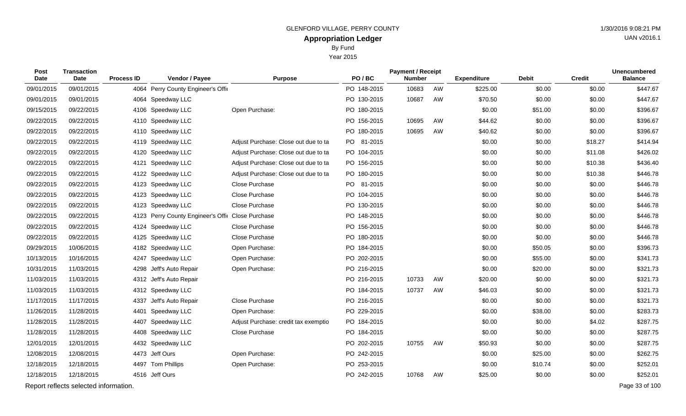Year 2015

| Post<br><b>Date</b> | <b>Transaction</b><br>Date            | <b>Process ID</b> | Vendor / Payee                               | <b>Purpose</b>                       | PO/BC       | <b>Payment / Receipt</b><br><b>Number</b> |    | <b>Expenditure</b> | <b>Debit</b> | <b>Credit</b> | <b>Unencumbered</b><br><b>Balance</b> |
|---------------------|---------------------------------------|-------------------|----------------------------------------------|--------------------------------------|-------------|-------------------------------------------|----|--------------------|--------------|---------------|---------------------------------------|
| 09/01/2015          | 09/01/2015                            | 4064              | Perry County Engineer's Offic                |                                      | PO 148-2015 | 10683                                     | AW | \$225.00           | \$0.00       | \$0.00        | \$447.67                              |
| 09/01/2015          | 09/01/2015                            |                   | 4064 Speedway LLC                            |                                      | PO 130-2015 | 10687                                     | AW | \$70.50            | \$0.00       | \$0.00        | \$447.67                              |
| 09/15/2015          | 09/22/2015                            | 4106              | Speedway LLC                                 | Open Purchase:                       | PO 180-2015 |                                           |    | \$0.00             | \$51.00      | \$0.00        | \$396.67                              |
| 09/22/2015          | 09/22/2015                            | 4110              | Speedway LLC                                 |                                      | PO 156-2015 | 10695                                     | AW | \$44.62            | \$0.00       | \$0.00        | \$396.67                              |
| 09/22/2015          | 09/22/2015                            | 4110              | Speedway LLC                                 |                                      | PO 180-2015 | 10695                                     | AW | \$40.62            | \$0.00       | \$0.00        | \$396.67                              |
| 09/22/2015          | 09/22/2015                            | 4119              | Speedway LLC                                 | Adjust Purchase: Close out due to ta | PO 81-2015  |                                           |    | \$0.00             | \$0.00       | \$18.27       | \$414.94                              |
| 09/22/2015          | 09/22/2015                            | 4120              | Speedway LLC                                 | Adjust Purchase: Close out due to ta | PO 104-2015 |                                           |    | \$0.00             | \$0.00       | \$11.08       | \$426.02                              |
| 09/22/2015          | 09/22/2015                            | 4121              | Speedway LLC                                 | Adjust Purchase: Close out due to ta | PO 156-2015 |                                           |    | \$0.00             | \$0.00       | \$10.38       | \$436.40                              |
| 09/22/2015          | 09/22/2015                            | 4122              | Speedway LLC                                 | Adjust Purchase: Close out due to ta | PO 180-2015 |                                           |    | \$0.00             | \$0.00       | \$10.38       | \$446.78                              |
| 09/22/2015          | 09/22/2015                            | 4123              | Speedway LLC                                 | Close Purchase                       | PO 81-2015  |                                           |    | \$0.00             | \$0.00       | \$0.00        | \$446.78                              |
| 09/22/2015          | 09/22/2015                            | 4123              | Speedway LLC                                 | Close Purchase                       | PO 104-2015 |                                           |    | \$0.00             | \$0.00       | \$0.00        | \$446.78                              |
| 09/22/2015          | 09/22/2015                            | 4123              | Speedway LLC                                 | Close Purchase                       | PO 130-2015 |                                           |    | \$0.00             | \$0.00       | \$0.00        | \$446.78                              |
| 09/22/2015          | 09/22/2015                            | 4123              | Perry County Engineer's Offic Close Purchase |                                      | PO 148-2015 |                                           |    | \$0.00             | \$0.00       | \$0.00        | \$446.78                              |
| 09/22/2015          | 09/22/2015                            | 4124              | Speedway LLC                                 | Close Purchase                       | PO 156-2015 |                                           |    | \$0.00             | \$0.00       | \$0.00        | \$446.78                              |
| 09/22/2015          | 09/22/2015                            | 4125              | Speedway LLC                                 | Close Purchase                       | PO 180-2015 |                                           |    | \$0.00             | \$0.00       | \$0.00        | \$446.78                              |
| 09/29/2015          | 10/06/2015                            | 4182              | Speedway LLC                                 | Open Purchase:                       | PO 184-2015 |                                           |    | \$0.00             | \$50.05      | \$0.00        | \$396.73                              |
| 10/13/2015          | 10/16/2015                            | 4247              | Speedway LLC                                 | Open Purchase:                       | PO 202-2015 |                                           |    | \$0.00             | \$55.00      | \$0.00        | \$341.73                              |
| 10/31/2015          | 11/03/2015                            | 4298              | Jeff's Auto Repair                           | Open Purchase:                       | PO 216-2015 |                                           |    | \$0.00             | \$20.00      | \$0.00        | \$321.73                              |
| 11/03/2015          | 11/03/2015                            |                   | 4312 Jeff's Auto Repair                      |                                      | PO 216-2015 | 10733                                     | AW | \$20.00            | \$0.00       | \$0.00        | \$321.73                              |
| 11/03/2015          | 11/03/2015                            |                   | 4312 Speedway LLC                            |                                      | PO 184-2015 | 10737                                     | AW | \$46.03            | \$0.00       | \$0.00        | \$321.73                              |
| 11/17/2015          | 11/17/2015                            |                   | 4337 Jeff's Auto Repair                      | Close Purchase                       | PO 216-2015 |                                           |    | \$0.00             | \$0.00       | \$0.00        | \$321.73                              |
| 11/26/2015          | 11/28/2015                            | 4401              | Speedway LLC                                 | Open Purchase:                       | PO 229-2015 |                                           |    | \$0.00             | \$38.00      | \$0.00        | \$283.73                              |
| 11/28/2015          | 11/28/2015                            |                   | 4407 Speedway LLC                            | Adjust Purchase: credit tax exemptio | PO 184-2015 |                                           |    | \$0.00             | \$0.00       | \$4.02        | \$287.75                              |
| 11/28/2015          | 11/28/2015                            | 4408              | Speedway LLC                                 | Close Purchase                       | PO 184-2015 |                                           |    | \$0.00             | \$0.00       | \$0.00        | \$287.75                              |
| 12/01/2015          | 12/01/2015                            |                   | 4432 Speedway LLC                            |                                      | PO 202-2015 | 10755                                     | AW | \$50.93            | \$0.00       | \$0.00        | \$287.75                              |
| 12/08/2015          | 12/08/2015                            |                   | 4473 Jeff Ours                               | Open Purchase:                       | PO 242-2015 |                                           |    | \$0.00             | \$25.00      | \$0.00        | \$262.75                              |
| 12/18/2015          | 12/18/2015                            |                   | 4497 Tom Phillips                            | Open Purchase:                       | PO 253-2015 |                                           |    | \$0.00             | \$10.74      | \$0.00        | \$252.01                              |
| 12/18/2015          | 12/18/2015                            |                   | 4516 Jeff Ours                               |                                      | PO 242-2015 | 10768                                     | AW | \$25.00            | \$0.00       | \$0.00        | \$252.01                              |
|                     | Report reflects selected information. |                   |                                              |                                      |             |                                           |    |                    |              |               | Page 33 of 100                        |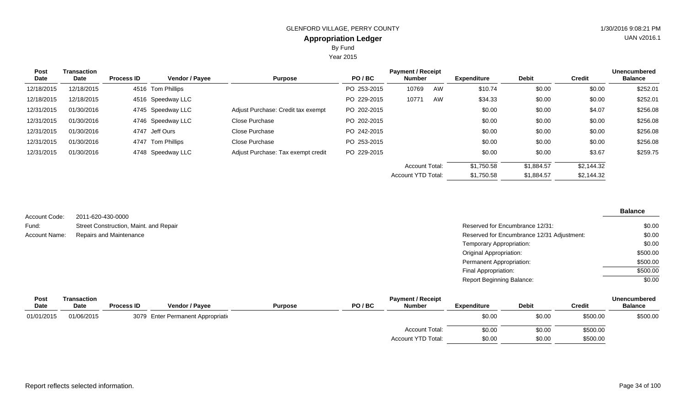Year 2015

| Post<br>Date | <b>Transaction</b><br>Date | <b>Process ID</b> | <b>Vendor / Payee</b> | <b>Purpose</b>                     | PO/BC       | <b>Payment / Receipt</b><br><b>Number</b> |    | <b>Expenditure</b> | <b>Debit</b> | <b>Credit</b> | <b>Unencumbered</b><br><b>Balance</b> |
|--------------|----------------------------|-------------------|-----------------------|------------------------------------|-------------|-------------------------------------------|----|--------------------|--------------|---------------|---------------------------------------|
| 12/18/2015   | 12/18/2015                 |                   | 4516 Tom Phillips     |                                    | PO 253-2015 | 10769                                     | AW | \$10.74            | \$0.00       | \$0.00        | \$252.01                              |
| 12/18/2015   | 12/18/2015                 |                   | 4516 Speedway LLC     |                                    | PO 229-2015 | 10771                                     | AW | \$34.33            | \$0.00       | \$0.00        | \$252.01                              |
| 12/31/2015   | 01/30/2016                 |                   | 4745 Speedway LLC     | Adjust Purchase: Credit tax exempt | PO 202-2015 |                                           |    | \$0.00             | \$0.00       | \$4.07        | \$256.08                              |
| 12/31/2015   | 01/30/2016                 |                   | 4746 Speedway LLC     | Close Purchase                     | PO 202-2015 |                                           |    | \$0.00             | \$0.00       | \$0.00        | \$256.08                              |
| 12/31/2015   | 01/30/2016                 |                   | 4747 Jeff Ours        | Close Purchase                     | PO 242-2015 |                                           |    | \$0.00             | \$0.00       | \$0.00        | \$256.08                              |
| 12/31/2015   | 01/30/2016                 |                   | 4747 Tom Phillips     | Close Purchase                     | PO 253-2015 |                                           |    | \$0.00             | \$0.00       | \$0.00        | \$256.08                              |
| 12/31/2015   | 01/30/2016                 |                   | 4748 Speedway LLC     | Adjust Purchase: Tax exempt credit | PO 229-2015 |                                           |    | \$0.00             | \$0.00       | \$3.67        | \$259.75                              |
|              |                            |                   |                       |                                    |             | <b>Account Total:</b>                     |    | \$1,750.58         | \$1,884.57   | \$2,144.32    |                                       |
|              |                            |                   |                       |                                    |             | Account YTD Total:                        |    | \$1,750.58         | \$1,884.57   | \$2,144.32    |                                       |

|               |                                        |                                            | <b>Balance</b> |
|---------------|----------------------------------------|--------------------------------------------|----------------|
| Account Code: | 2011-620-430-0000                      |                                            |                |
| Fund:         | Street Construction, Maint. and Repair | Reserved for Encumbrance 12/31:            | \$0.00         |
| Account Name: | Repairs and Maintenance                | Reserved for Encumbrance 12/31 Adjustment: | \$0.00         |
|               |                                        | Temporary Appropriation:                   | \$0.00         |
|               |                                        | Original Appropriation:                    | \$500.00       |
|               |                                        | Permanent Appropriation:                   | \$500.00       |
|               |                                        | Final Appropriation:                       | \$500.00       |
|               |                                        | <b>Report Beginning Balance:</b>           | \$0.00         |

| Post        | Transaction |                   |                                    |                |       | <b>Payment / Receipt</b> |                    |              |               | <b>Unencumbered</b> |
|-------------|-------------|-------------------|------------------------------------|----------------|-------|--------------------------|--------------------|--------------|---------------|---------------------|
| <b>Date</b> | <b>Date</b> | <b>Process ID</b> | <b>Vendor / Payee</b>              | <b>Purpose</b> | PO/BC | <b>Number</b>            | <b>Expenditure</b> | <b>Debit</b> | <b>Credit</b> | <b>Balance</b>      |
| 01/01/2015  | 01/06/2015  |                   | 3079 Enter Permanent Appropriation |                |       |                          | \$0.00             | \$0.00       | \$500.00      | \$500.00            |
|             |             |                   |                                    |                |       | Account Total:           | \$0.00             | \$0.00       | \$500.00      |                     |
|             |             |                   |                                    |                |       | Account YTD Total:       | \$0.00             | \$0.00       | \$500.00      |                     |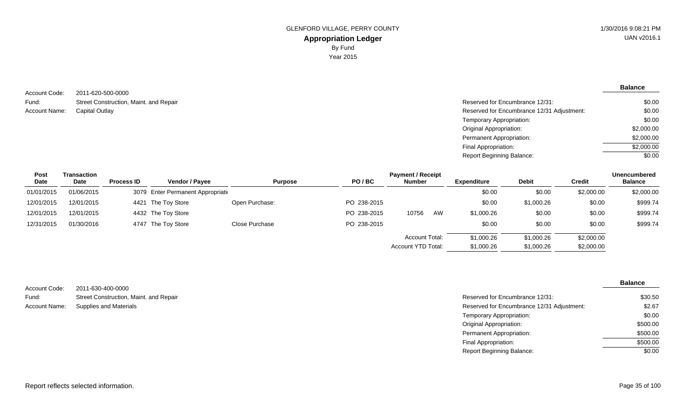**Balance**

| Account Code: | 2011-620-500-0000                      |
|---------------|----------------------------------------|
| Fund:         | Street Construction, Maint. and Repair |
| Account Name: | Capital Outlay                         |

| ZU I I-UZU-JUU-UUUU                    |                                            |            |
|----------------------------------------|--------------------------------------------|------------|
| Street Construction, Maint. and Repair | Reserved for Encumbrance 12/31:            | \$0.00     |
| Capital Outlay                         | Reserved for Encumbrance 12/31 Adjustment: | \$0.00     |
|                                        | Temporary Appropriation:                   | \$0.00     |
|                                        | Original Appropriation:                    | \$2,000.00 |
|                                        | Permanent Appropriation:                   | \$2,000.00 |
|                                        | Final Appropriation:                       | \$2,000.00 |
|                                        | Report Beginning Balance:                  | \$0.00     |
|                                        |                                            |            |

| <b>Post</b> | Transaction |                   |                                    |                |             | <b>Payment / Receipt</b>  |    |                    |              |            | <b>Unencumbered</b> |
|-------------|-------------|-------------------|------------------------------------|----------------|-------------|---------------------------|----|--------------------|--------------|------------|---------------------|
| Date        | Date        | <b>Process ID</b> | <b>Vendor / Payee</b>              | <b>Purpose</b> | PO/BC       | <b>Number</b>             |    | <b>Expenditure</b> | <b>Debit</b> | Credit     | <b>Balance</b>      |
| 01/01/2015  | 01/06/2015  |                   | 3079 Enter Permanent Appropriation |                |             |                           |    | \$0.00             | \$0.00       | \$2,000.00 | \$2,000.00          |
| 12/01/2015  | 12/01/2015  |                   | 4421 The Toy Store                 | Open Purchase: | PO 238-2015 |                           |    | \$0.00             | \$1,000.26   | \$0.00     | \$999.74            |
| 12/01/2015  | 12/01/2015  |                   | 4432 The Toy Store                 |                | PO 238-2015 | 10756                     | AW | \$1,000.26         | \$0.00       | \$0.00     | \$999.74            |
| 12/31/2015  | 01/30/2016  |                   | 4747 The Toy Store                 | Close Purchase | PO 238-2015 |                           |    | \$0.00             | \$0.00       | \$0.00     | \$999.74            |
|             |             |                   |                                    |                |             | <b>Account Total:</b>     |    | \$1,000.26         | \$1,000.26   | \$2,000.00 |                     |
|             |             |                   |                                    |                |             | <b>Account YTD Total:</b> |    | \$1,000.26         | \$1,000.26   | \$2,000.00 |                     |

| Account Code: | 2011-630-400-0000                      |                                            |
|---------------|----------------------------------------|--------------------------------------------|
| Fund:         | Street Construction, Maint. and Repair | Reserved for Encumbrance 12/31:            |
| Account Name: | Supplies and Materials                 | Reserved for Encumbrance 12/31 Adjustment: |
|               |                                        | Temporary Appropriation:                   |
|               |                                        | Original Appropriation:                    |

| Reserved for Encumbrance 12/31:            | \$30.50  |
|--------------------------------------------|----------|
| Reserved for Encumbrance 12/31 Adjustment: | \$2.67   |
| Temporary Appropriation:                   | \$0.00   |
| Original Appropriation:                    | \$500.00 |
| Permanent Appropriation:                   | \$500.00 |
| Final Appropriation:                       | \$500.00 |
| Report Beginning Balance:                  | \$0.00   |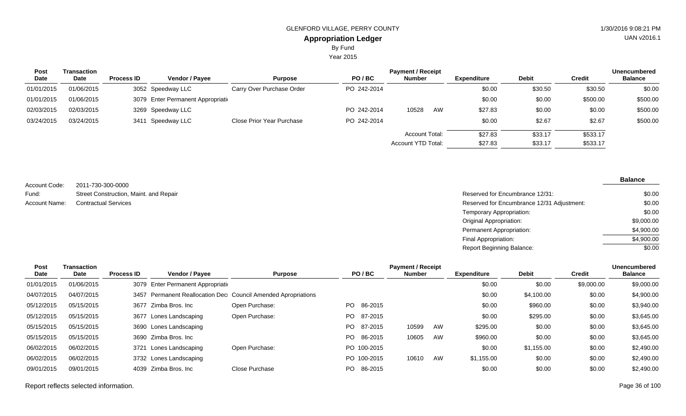Year 2015

| <b>Post</b> | Transaction |                   |                                    |                           |             | <b>Payment / Receipt</b> |                    |              |               | <b>Unencumbered</b> |
|-------------|-------------|-------------------|------------------------------------|---------------------------|-------------|--------------------------|--------------------|--------------|---------------|---------------------|
| <b>Date</b> | Date        | <b>Process ID</b> | Vendor / Payee                     | <b>Purpose</b>            | PO/BC       | <b>Number</b>            | <b>Expenditure</b> | <b>Debit</b> | <b>Credit</b> | <b>Balance</b>      |
| 01/01/2015  | 01/06/2015  |                   | 3052 Speedway LLC                  | Carry Over Purchase Order | PO 242-2014 |                          | \$0.00             | \$30.50      | \$30.50       | \$0.00              |
| 01/01/2015  | 01/06/2015  |                   | 3079 Enter Permanent Appropriation |                           |             |                          | \$0.00             | \$0.00       | \$500.00      | \$500.00            |
| 02/03/2015  | 02/03/2015  |                   | 3269 Speedway LLC                  |                           | PO 242-2014 | 10528<br>AW              | \$27.83            | \$0.00       | \$0.00        | \$500.00            |
| 03/24/2015  | 03/24/2015  | 3411              | Speedway LLC                       | Close Prior Year Purchase | PO 242-2014 |                          | \$0.00             | \$2.67       | \$2.67        | \$500.00            |
|             |             |                   |                                    |                           |             | <b>Account Total:</b>    | \$27.83            | \$33.17      | \$533.17      |                     |
|             |             |                   |                                    |                           |             | Account YTD Total:       | \$27.83            | \$33.17      | \$533.17      |                     |

2011-730-300-0000 Street Construction, Maint. and Repair Account Code: Fund:

| Fund:         | Street Construction, Maint. and Repair | Reserved for Encumbrance 12/31:            | \$0.00     |
|---------------|----------------------------------------|--------------------------------------------|------------|
| Account Name: | <b>Contractual Services</b>            | Reserved for Encumbrance 12/31 Adjustment: | \$0.00     |
|               |                                        | Temporary Appropriation:                   | \$0.00     |
|               |                                        | <b>Original Appropriation:</b>             | \$9,000.00 |
|               |                                        | Permanent Appropriation:                   | \$4,900.00 |
|               |                                        | Final Appropriation:                       | \$4,900.00 |
|               |                                        | Report Beginning Balance:                  | \$0.00     |

| Post       | <b>Transaction</b> | <b>Payment / Receipt</b> |                                    |                                                               |     |             |               |    |                    |              | Unencumbered  |                |
|------------|--------------------|--------------------------|------------------------------------|---------------------------------------------------------------|-----|-------------|---------------|----|--------------------|--------------|---------------|----------------|
| Date       | Date               | <b>Process ID</b>        | <b>Vendor / Payee</b>              | <b>Purpose</b>                                                |     | PO/BC       | <b>Number</b> |    | <b>Expenditure</b> | <b>Debit</b> | <b>Credit</b> | <b>Balance</b> |
| 01/01/2015 | 01/06/2015         |                          | 3079 Enter Permanent Appropriation |                                                               |     |             |               |    | \$0.00             | \$0.00       | \$9,000.00    | \$9,000.00     |
| 04/07/2015 | 04/07/2015         |                          |                                    | 3457 Permanent Reallocation Dec Council Amended Apropriations |     |             |               |    | \$0.00             | \$4,100.00   | \$0.00        | \$4,900.00     |
| 05/12/2015 | 05/15/2015         | 3677                     | Zimba Bros, Inc                    | Open Purchase:                                                | PO. | 86-2015     |               |    | \$0.00             | \$960.00     | \$0.00        | \$3,940.00     |
| 05/12/2015 | 05/15/2015         | 3677                     | Lones Landscaping                  | Open Purchase:                                                | PO. | 87-2015     |               |    | \$0.00             | \$295.00     | \$0.00        | \$3,645.00     |
| 05/15/2015 | 05/15/2015         |                          | 3690 Lones Landscaping             |                                                               | PO. | 87-2015     | 10599         | AW | \$295.00           | \$0.00       | \$0.00        | \$3,645.00     |
| 05/15/2015 | 05/15/2015         | 3690                     | Zimba Bros, Inc                    |                                                               | PO. | 86-2015     | 10605         | AW | \$960.00           | \$0.00       | \$0.00        | \$3,645.00     |
| 06/02/2015 | 06/02/2015         | 3721                     | Lones Landscaping                  | Open Purchase:                                                |     | PO 100-2015 |               |    | \$0.00             | \$1,155.00   | \$0.00        | \$2,490.00     |
| 06/02/2015 | 06/02/2015         |                          | 3732 Lones Landscaping             |                                                               |     | PO 100-2015 | 10610         | AW | \$1,155.00         | \$0.00       | \$0.00        | \$2,490.00     |
| 09/01/2015 | 09/01/2015         | 4039                     | Zimba Bros, Inc                    | Close Purchase                                                | PO. | 86-2015     |               |    | \$0.00             | \$0.00       | \$0.00        | \$2,490.00     |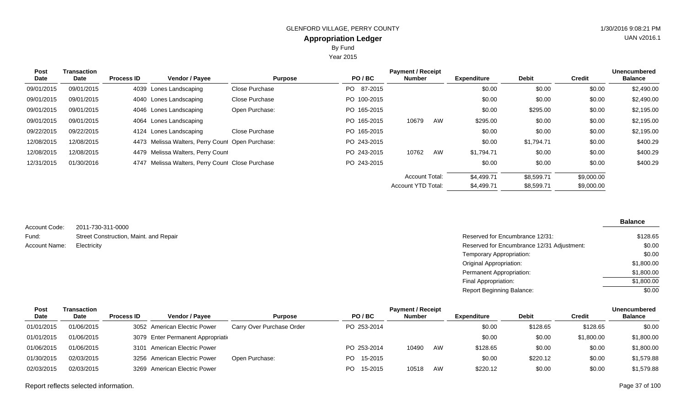Year 2015

| <b>Post</b> | Transaction |                   |                                                  |                |             | <b>Payment / Receipt</b>  |    |                    |              |               | <b>Unencumbered</b> |
|-------------|-------------|-------------------|--------------------------------------------------|----------------|-------------|---------------------------|----|--------------------|--------------|---------------|---------------------|
| Date        | Date        | <b>Process ID</b> | Vendor / Payee                                   | <b>Purpose</b> | PO/BC       | <b>Number</b>             |    | <b>Expenditure</b> | <b>Debit</b> | <b>Credit</b> | <b>Balance</b>      |
| 09/01/2015  | 09/01/2015  |                   | 4039 Lones Landscaping                           | Close Purchase | PO 87-2015  |                           |    | \$0.00             | \$0.00       | \$0.00        | \$2,490.00          |
| 09/01/2015  | 09/01/2015  |                   | 4040 Lones Landscaping                           | Close Purchase | PO 100-2015 |                           |    | \$0.00             | \$0.00       | \$0.00        | \$2,490.00          |
| 09/01/2015  | 09/01/2015  |                   | 4046 Lones Landscaping                           | Open Purchase: | PO 165-2015 |                           |    | \$0.00             | \$295.00     | \$0.00        | \$2,195.00          |
| 09/01/2015  | 09/01/2015  |                   | 4064 Lones Landscaping                           |                | PO 165-2015 | 10679                     | AW | \$295.00           | \$0.00       | \$0.00        | \$2,195.00          |
| 09/22/2015  | 09/22/2015  |                   | 4124 Lones Landscaping                           | Close Purchase | PO 165-2015 |                           |    | \$0.00             | \$0.00       | \$0.00        | \$2,195.00          |
| 12/08/2015  | 12/08/2015  |                   | 4473 Melissa Walters, Perry Count Open Purchase: |                | PO 243-2015 |                           |    | \$0.00             | \$1,794.71   | \$0.00        | \$400.29            |
| 12/08/2015  | 12/08/2015  |                   | 4479 Melissa Walters, Perry Count                |                | PO 243-2015 | 10762                     | AW | \$1,794.71         | \$0.00       | \$0.00        | \$400.29            |
| 12/31/2015  | 01/30/2016  |                   | 4747 Melissa Walters, Perry Count Close Purchase |                | PO 243-2015 |                           |    | \$0.00             | \$0.00       | \$0.00        | \$400.29            |
|             |             |                   |                                                  |                |             | <b>Account Total:</b>     |    | \$4,499.71         | \$8,599.71   | \$9,000.00    |                     |
|             |             |                   |                                                  |                |             | <b>Account YTD Total:</b> |    | \$4,499.71         | \$8,599.71   | \$9,000.00    |                     |

| Account Code: | 2011-730-311-0000                      |
|---------------|----------------------------------------|
| Fund:         | Street Construction, Maint. and Repair |
| Account Name: | Electricity                            |

| Street Construction, Maint. and Repair | Reserved for Encumbrance 12/31:            | \$128.65   |
|----------------------------------------|--------------------------------------------|------------|
| Electricity                            | Reserved for Encumbrance 12/31 Adjustment: | \$0.00     |
|                                        | Temporary Appropriation:                   | \$0.00     |
|                                        | Original Appropriation:                    | \$1,800.00 |
|                                        | Permanent Appropriation:                   | \$1,800.00 |
|                                        | Final Appropriation:                       | \$1,800.00 |
|                                        | <b>Report Beginning Balance:</b>           | \$0.00     |

| Post        | Transaction | <b>Payment / Receipt</b> |                                    |                           |                |               |    |                    |              |            |                |  |
|-------------|-------------|--------------------------|------------------------------------|---------------------------|----------------|---------------|----|--------------------|--------------|------------|----------------|--|
| <b>Date</b> | <b>Date</b> | <b>Process ID</b>        | <b>Vendor / Payee</b>              | <b>Purpose</b>            | PO/BC          | <b>Number</b> |    | <b>Expenditure</b> | <b>Debit</b> | Credit     | <b>Balance</b> |  |
| 01/01/2015  | 01/06/2015  |                          | 3052 American Electric Power       | Carry Over Purchase Order | PO 253-2014    |               |    | \$0.00             | \$128.65     | \$128.65   | \$0.00         |  |
| 01/01/2015  | 01/06/2015  |                          | 3079 Enter Permanent Appropriation |                           |                |               |    | \$0.00             | \$0.00       | \$1,800.00 | \$1,800.00     |  |
| 01/06/2015  | 01/06/2015  |                          | 3101 American Electric Power       |                           | PO 253-2014    | 10490         | AW | \$128.65           | \$0.00       | \$0.00     | \$1,800.00     |  |
| 01/30/2015  | 02/03/2015  |                          | 3256 American Electric Power       | Open Purchase:            | 15-2015<br>PO. |               |    | \$0.00             | \$220.12     | \$0.00     | \$1,579.88     |  |
| 02/03/2015  | 02/03/2015  |                          | 3269 American Electric Power       |                           | 15-2015<br>PO. | 10518         | AW | \$220.12           | \$0.00       | \$0.00     | \$1,579.88     |  |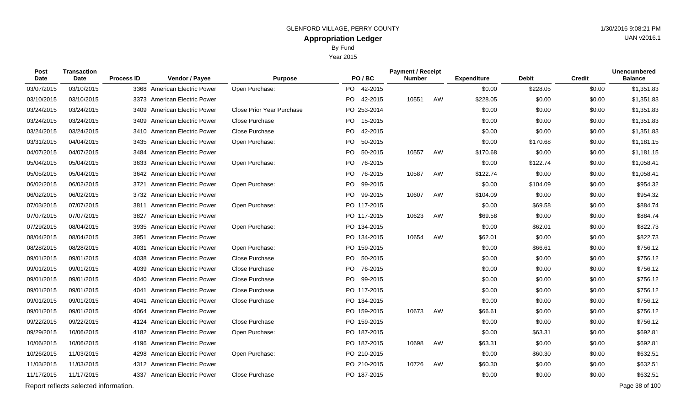Year 2015

| Post<br>Date | <b>Transaction</b><br>Date            | <b>Process ID</b> | Vendor / Payee                 | <b>Purpose</b>                   | PO/BC          | <b>Payment / Receipt</b><br><b>Number</b> |    | <b>Expenditure</b> | <b>Debit</b> | <b>Credit</b> | <b>Unencumbered</b><br><b>Balance</b> |
|--------------|---------------------------------------|-------------------|--------------------------------|----------------------------------|----------------|-------------------------------------------|----|--------------------|--------------|---------------|---------------------------------------|
| 03/07/2015   | 03/10/2015                            |                   | 3368 American Electric Power   | Open Purchase:                   | PO 42-2015     |                                           |    | \$0.00             | \$228.05     | \$0.00        | \$1,351.83                            |
| 03/10/2015   | 03/10/2015                            |                   | 3373 American Electric Power   |                                  | PO 42-2015     | 10551                                     | AW | \$228.05           | \$0.00       | \$0.00        | \$1,351.83                            |
| 03/24/2015   | 03/24/2015                            |                   | 3409 American Electric Power   | <b>Close Prior Year Purchase</b> | PO 253-2014    |                                           |    | \$0.00             | \$0.00       | \$0.00        | \$1,351.83                            |
| 03/24/2015   | 03/24/2015                            |                   | 3409 American Electric Power   | Close Purchase                   | PO 15-2015     |                                           |    | \$0.00             | \$0.00       | \$0.00        | \$1,351.83                            |
| 03/24/2015   | 03/24/2015                            |                   | 3410 American Electric Power   | <b>Close Purchase</b>            | PO 42-2015     |                                           |    | \$0.00             | \$0.00       | \$0.00        | \$1,351.83                            |
| 03/31/2015   | 04/04/2015                            |                   | 3435 American Electric Power   | Open Purchase:                   | PO.<br>50-2015 |                                           |    | \$0.00             | \$170.68     | \$0.00        | \$1,181.15                            |
| 04/07/2015   | 04/07/2015                            |                   | 3484 American Electric Power   |                                  | PO 50-2015     | 10557                                     | AW | \$170.68           | \$0.00       | \$0.00        | \$1,181.15                            |
| 05/04/2015   | 05/04/2015                            |                   | 3633 American Electric Power   | Open Purchase:                   | PO.<br>76-2015 |                                           |    | \$0.00             | \$122.74     | \$0.00        | \$1,058.41                            |
| 05/05/2015   | 05/04/2015                            |                   | 3642 American Electric Power   |                                  | PO 76-2015     | 10587                                     | AW | \$122.74           | \$0.00       | \$0.00        | \$1,058.41                            |
| 06/02/2015   | 06/02/2015                            | 3721              | <b>American Electric Power</b> | Open Purchase:                   | PO<br>99-2015  |                                           |    | \$0.00             | \$104.09     | \$0.00        | \$954.32                              |
| 06/02/2015   | 06/02/2015                            |                   | 3732 American Electric Power   |                                  | PO 99-2015     | 10607                                     | AW | \$104.09           | \$0.00       | \$0.00        | \$954.32                              |
| 07/03/2015   | 07/07/2015                            |                   | 3811 American Electric Power   | Open Purchase:                   | PO 117-2015    |                                           |    | \$0.00             | \$69.58      | \$0.00        | \$884.74                              |
| 07/07/2015   | 07/07/2015                            |                   | 3827 American Electric Power   |                                  | PO 117-2015    | 10623                                     | AW | \$69.58            | \$0.00       | \$0.00        | \$884.74                              |
| 07/29/2015   | 08/04/2015                            |                   | 3935 American Electric Power   | Open Purchase:                   | PO 134-2015    |                                           |    | \$0.00             | \$62.01      | \$0.00        | \$822.73                              |
| 08/04/2015   | 08/04/2015                            |                   | 3951 American Electric Power   |                                  | PO 134-2015    | 10654                                     | AW | \$62.01            | \$0.00       | \$0.00        | \$822.73                              |
| 08/28/2015   | 08/28/2015                            | 4031              | American Electric Power        | Open Purchase:                   | PO 159-2015    |                                           |    | \$0.00             | \$66.61      | \$0.00        | \$756.12                              |
| 09/01/2015   | 09/01/2015                            | 4038              | <b>American Electric Power</b> | Close Purchase                   | PO 50-2015     |                                           |    | \$0.00             | \$0.00       | \$0.00        | \$756.12                              |
| 09/01/2015   | 09/01/2015                            | 4039              | <b>American Electric Power</b> | Close Purchase                   | 76-2015<br>PO. |                                           |    | \$0.00             | \$0.00       | \$0.00        | \$756.12                              |
| 09/01/2015   | 09/01/2015                            |                   | 4040 American Electric Power   | Close Purchase                   | PO 99-2015     |                                           |    | \$0.00             | \$0.00       | \$0.00        | \$756.12                              |
| 09/01/2015   | 09/01/2015                            | 4041              | <b>American Electric Power</b> | Close Purchase                   | PO 117-2015    |                                           |    | \$0.00             | \$0.00       | \$0.00        | \$756.12                              |
| 09/01/2015   | 09/01/2015                            | 4041              | <b>American Electric Power</b> | Close Purchase                   | PO 134-2015    |                                           |    | \$0.00             | \$0.00       | \$0.00        | \$756.12                              |
| 09/01/2015   | 09/01/2015                            | 4064              | <b>American Electric Power</b> |                                  | PO 159-2015    | 10673                                     | AW | \$66.61            | \$0.00       | \$0.00        | \$756.12                              |
| 09/22/2015   | 09/22/2015                            |                   | 4124 American Electric Power   | Close Purchase                   | PO 159-2015    |                                           |    | \$0.00             | \$0.00       | \$0.00        | \$756.12                              |
| 09/29/2015   | 10/06/2015                            |                   | 4182 American Electric Power   | Open Purchase:                   | PO 187-2015    |                                           |    | \$0.00             | \$63.31      | \$0.00        | \$692.81                              |
| 10/06/2015   | 10/06/2015                            | 4196              | American Electric Power        |                                  | PO 187-2015    | 10698                                     | AW | \$63.31            | \$0.00       | \$0.00        | \$692.81                              |
| 10/26/2015   | 11/03/2015                            |                   | 4298 American Electric Power   | Open Purchase:                   | PO 210-2015    |                                           |    | \$0.00             | \$60.30      | \$0.00        | \$632.51                              |
| 11/03/2015   | 11/03/2015                            |                   | 4312 American Electric Power   |                                  | PO 210-2015    | 10726                                     | AW | \$60.30            | \$0.00       | \$0.00        | \$632.51                              |
| 11/17/2015   | 11/17/2015                            |                   | 4337 American Electric Power   | Close Purchase                   | PO 187-2015    |                                           |    | \$0.00             | \$0.00       | \$0.00        | \$632.51                              |
|              | Report reflects selected information. |                   |                                |                                  |                |                                           |    |                    |              |               | Page 38 of 100                        |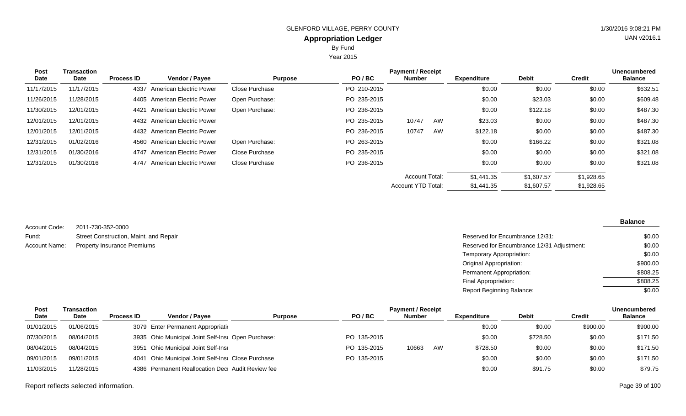Year 2015

| Post       | Transaction | <b>Payment / Receipt</b> |                                |                |             |                           |    |                    |              |               |                |
|------------|-------------|--------------------------|--------------------------------|----------------|-------------|---------------------------|----|--------------------|--------------|---------------|----------------|
| Date       | Date        | <b>Process ID</b>        | Vendor / Payee                 | <b>Purpose</b> | PO/BC       | <b>Number</b>             |    | <b>Expenditure</b> | <b>Debit</b> | <b>Credit</b> | <b>Balance</b> |
| 11/17/2015 | 11/17/2015  | 4337                     | <b>American Electric Power</b> | Close Purchase | PO 210-2015 |                           |    | \$0.00             | \$0.00       | \$0.00        | \$632.51       |
| 11/26/2015 | 11/28/2015  |                          | 4405 American Electric Power   | Open Purchase: | PO 235-2015 |                           |    | \$0.00             | \$23.03      | \$0.00        | \$609.48       |
| 11/30/2015 | 12/01/2015  | 4421                     | <b>American Electric Power</b> | Open Purchase: | PO 236-2015 |                           |    | \$0.00             | \$122.18     | \$0.00        | \$487.30       |
| 12/01/2015 | 12/01/2015  |                          | 4432 American Electric Power   |                | PO 235-2015 | 10747                     | AW | \$23.03            | \$0.00       | \$0.00        | \$487.30       |
| 12/01/2015 | 12/01/2015  |                          | 4432 American Electric Power   |                | PO 236-2015 | 10747                     | AW | \$122.18           | \$0.00       | \$0.00        | \$487.30       |
| 12/31/2015 | 01/02/2016  |                          | 4560 American Electric Power   | Open Purchase: | PO 263-2015 |                           |    | \$0.00             | \$166.22     | \$0.00        | \$321.08       |
| 12/31/2015 | 01/30/2016  | 4747                     | <b>American Electric Power</b> | Close Purchase | PO 235-2015 |                           |    | \$0.00             | \$0.00       | \$0.00        | \$321.08       |
| 12/31/2015 | 01/30/2016  | 4747                     | American Electric Power        | Close Purchase | PO 236-2015 |                           |    | \$0.00             | \$0.00       | \$0.00        | \$321.08       |
|            |             |                          |                                |                |             | <b>Account Total:</b>     |    | \$1,441.35         | \$1,607.57   | \$1,928.65    |                |
|            |             |                          |                                |                |             | <b>Account YTD Total:</b> |    | \$1,441.35         | \$1,607.57   | \$1,928.65    |                |

| Account Code: | 2011-730-352-0000                      |
|---------------|----------------------------------------|
| Fund:         | Street Construction, Maint. and Repair |
| Account Name: | <b>Property Insurance Premiums</b>     |

| Street Construction, Maint. and Repair | Reserved for Encumbrance 12/31:            | \$0.00   |
|----------------------------------------|--------------------------------------------|----------|
| Property Insurance Premiums            | Reserved for Encumbrance 12/31 Adjustment: | \$0.00   |
|                                        | Temporary Appropriation:                   | \$0.00   |
|                                        | Original Appropriation:                    | \$900.00 |
|                                        | Permanent Appropriation:                   | \$808.25 |
|                                        | Final Appropriation:                       | \$808.25 |
|                                        | <b>Report Beginning Balance:</b>           | \$0.00   |

| <b>Post</b> | Transaction |                   |                                                    |                |             | <b>Unencumbered</b> |    |             |              |          |                |
|-------------|-------------|-------------------|----------------------------------------------------|----------------|-------------|---------------------|----|-------------|--------------|----------|----------------|
| Date        | Date        | <b>Process ID</b> | <b>Vendor / Pavee</b>                              | <b>Purpose</b> | PO/BC       | <b>Number</b>       |    | Expenditure | <b>Debit</b> | Credit   | <b>Balance</b> |
| 01/01/2015  | 01/06/2015  |                   | 3079 Enter Permanent Appropriation                 |                |             |                     |    | \$0.00      | \$0.00       | \$900.00 | \$900.00       |
| 07/30/2015  | 08/04/2015  |                   | 3935 Ohio Municipal Joint Self-Insi Open Purchase: |                | PO 135-2015 |                     |    | \$0.00      | \$728.50     | \$0.00   | \$171.50       |
| 08/04/2015  | 08/04/2015  |                   | 3951 Ohio Municipal Joint Self-Insi                |                | PO 135-2015 | 10663               | AW | \$728.50    | \$0.00       | \$0.00   | \$171.50       |
| 09/01/2015  | 09/01/2015  |                   | 4041 Ohio Municipal Joint Self-Insi Close Purchase |                | PO 135-2015 |                     |    | \$0.00      | \$0.00       | \$0.00   | \$171.50       |
| 11/03/2015  | 11/28/2015  |                   | 4386 Permanent Reallocation Dec Audit Review fee   |                |             |                     |    | \$0.00      | \$91.75      | \$0.00   | \$79.75        |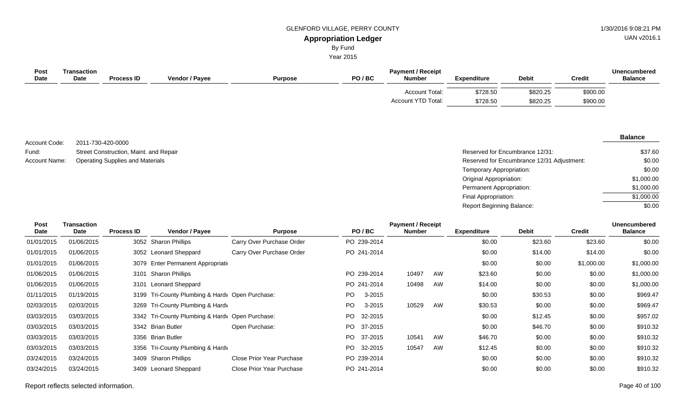By Fund

Year 2015

| <b>Post</b><br><b>Date</b> | Transaction<br><b>Date</b> | <b>Process ID</b> | <b>Vendor / Payee</b> | <b>Purpose</b> | PO/BC | <b>Payment / Receipt</b><br><b>Number</b>   | <b>Expenditure</b>   | <b>Debit</b>         | <b>Credit</b>        | <b>Unencumbered</b><br><b>Balance</b> |
|----------------------------|----------------------------|-------------------|-----------------------|----------------|-------|---------------------------------------------|----------------------|----------------------|----------------------|---------------------------------------|
|                            |                            |                   |                       |                |       | <b>Account Total:</b><br>Account YTD Total: | \$728.50<br>\$728.50 | \$820.25<br>\$820.25 | \$900.00<br>\$900.00 |                                       |

2011-730-420-0000 Street Construction, Maint. and Repair Account Name: Operating Supplies and Materials **Entitled Supplies and Materials** Reserved for Encumbrance 12/31 Adjustment: Account Code: Fund:

#### **Balance**

| Reserved for Encumbrance 12/31:            | \$37.60    |
|--------------------------------------------|------------|
| Reserved for Encumbrance 12/31 Adjustment: | \$0.00     |
| Temporary Appropriation:                   | \$0.00     |
| Original Appropriation:                    | \$1,000.00 |
| Permanent Appropriation:                   | \$1,000.00 |
| Final Appropriation:                       | \$1,000.00 |
| Report Beginning Balance:                  | \$0.00     |

| Post<br><b>Date</b> | <b>Transaction</b><br><b>Date</b> | <b>Process ID</b> | <b>Vendor / Payee</b>                           | <b>Purpose</b>            |     | PO/BC       | <b>Payment / Receipt</b><br>Number |    | <b>Expenditure</b> | <b>Debit</b> | <b>Credit</b> | <b>Unencumbered</b><br><b>Balance</b> |
|---------------------|-----------------------------------|-------------------|-------------------------------------------------|---------------------------|-----|-------------|------------------------------------|----|--------------------|--------------|---------------|---------------------------------------|
| 01/01/2015          | 01/06/2015                        |                   | 3052 Sharon Phillips                            | Carry Over Purchase Order |     | PO 239-2014 |                                    |    | \$0.00             | \$23.60      | \$23.60       | \$0.00                                |
| 01/01/2015          | 01/06/2015                        |                   | 3052 Leonard Sheppard                           | Carry Over Purchase Order |     | PO 241-2014 |                                    |    | \$0.00             | \$14.00      | \$14.00       | \$0.00                                |
| 01/01/2015          | 01/06/2015                        |                   | 3079 Enter Permanent Appropriation              |                           |     |             |                                    |    | \$0.00             | \$0.00       | \$1,000.00    | \$1,000.00                            |
| 01/06/2015          | 01/06/2015                        | 3101              | <b>Sharon Phillips</b>                          |                           |     | PO 239-2014 | 10497                              | AW | \$23.60            | \$0.00       | \$0.00        | \$1,000.00                            |
| 01/06/2015          | 01/06/2015                        | 3101              | Leonard Sheppard                                |                           |     | PO 241-2014 | 10498                              | AW | \$14.00            | \$0.00       | \$0.00        | \$1,000.00                            |
| 01/11/2015          | 01/19/2015                        |                   | 3199 Tri-County Plumbing & Hardy Open Purchase: |                           | PO. | 3-2015      |                                    |    | \$0.00             | \$30.53      | \$0.00        | \$969.47                              |
| 02/03/2015          | 02/03/2015                        |                   | 3269 Tri-County Plumbing & Hardv                |                           | PO. | 3-2015      | 10529                              | AW | \$30.53            | \$0.00       | \$0.00        | \$969.47                              |
| 03/03/2015          | 03/03/2015                        |                   | 3342 Tri-County Plumbing & Hardy Open Purchase: |                           | PO. | 32-2015     |                                    |    | \$0.00             | \$12.45      | \$0.00        | \$957.02                              |
| 03/03/2015          | 03/03/2015                        |                   | 3342 Brian Butler                               | Open Purchase:            | PO. | 37-2015     |                                    |    | \$0.00             | \$46.70      | \$0.00        | \$910.32                              |
| 03/03/2015          | 03/03/2015                        |                   | 3356 Brian Butler                               |                           | PO. | 37-2015     | 10541                              | AW | \$46.70            | \$0.00       | \$0.00        | \$910.32                              |
| 03/03/2015          | 03/03/2015                        |                   | 3356 Tri-County Plumbing & Hardv                |                           | PO. | 32-2015     | 10547                              | AW | \$12.45            | \$0.00       | \$0.00        | \$910.32                              |
| 03/24/2015          | 03/24/2015                        |                   | 3409 Sharon Phillips                            | Close Prior Year Purchase |     | PO 239-2014 |                                    |    | \$0.00             | \$0.00       | \$0.00        | \$910.32                              |
| 03/24/2015          | 03/24/2015                        |                   | 3409 Leonard Sheppard                           | Close Prior Year Purchase |     | PO 241-2014 |                                    |    | \$0.00             | \$0.00       | \$0.00        | \$910.32                              |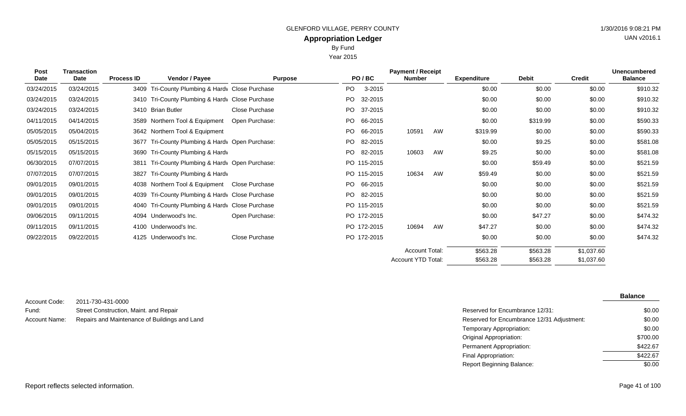Year 2015

| <b>Post</b> | <b>Transaction</b> |                   |                                                 |                |      |             | <b>Unencumbered</b>   |    |                    |              |               |                |
|-------------|--------------------|-------------------|-------------------------------------------------|----------------|------|-------------|-----------------------|----|--------------------|--------------|---------------|----------------|
| Date        | Date               | <b>Process ID</b> | Vendor / Payee                                  | <b>Purpose</b> |      | PO/BC       | Number                |    | <b>Expenditure</b> | <b>Debit</b> | <b>Credit</b> | <b>Balance</b> |
| 03/24/2015  | 03/24/2015         |                   | 3409 Tri-County Plumbing & Hardy Close Purchase |                | PO.  | 3-2015      |                       |    | \$0.00             | \$0.00       | \$0.00        | \$910.32       |
| 03/24/2015  | 03/24/2015         |                   | 3410 Tri-County Plumbing & Hardv Close Purchase |                | PO.  | 32-2015     |                       |    | \$0.00             | \$0.00       | \$0.00        | \$910.32       |
| 03/24/2015  | 03/24/2015         |                   | 3410 Brian Butler                               | Close Purchase | PO - | 37-2015     |                       |    | \$0.00             | \$0.00       | \$0.00        | \$910.32       |
| 04/11/2015  | 04/14/2015         |                   | 3589 Northern Tool & Equipment                  | Open Purchase: |      | PO 66-2015  |                       |    | \$0.00             | \$319.99     | \$0.00        | \$590.33       |
| 05/05/2015  | 05/04/2015         |                   | 3642 Northern Tool & Equipment                  |                | PO.  | 66-2015     | 10591                 | AW | \$319.99           | \$0.00       | \$0.00        | \$590.33       |
| 05/05/2015  | 05/15/2015         |                   | 3677 Tri-County Plumbing & Hardy Open Purchase: |                | PO.  | 82-2015     |                       |    | \$0.00             | \$9.25       | \$0.00        | \$581.08       |
| 05/15/2015  | 05/15/2015         |                   | 3690 Tri-County Plumbing & Hardv                |                |      | PO 82-2015  | 10603                 | AW | \$9.25             | \$0.00       | \$0.00        | \$581.08       |
| 06/30/2015  | 07/07/2015         |                   | 3811 Tri-County Plumbing & Hardy Open Purchase: |                |      | PO 115-2015 |                       |    | \$0.00             | \$59.49      | \$0.00        | \$521.59       |
| 07/07/2015  | 07/07/2015         |                   | 3827 Tri-County Plumbing & Hardv                |                |      | PO 115-2015 | 10634                 | AW | \$59.49            | \$0.00       | \$0.00        | \$521.59       |
| 09/01/2015  | 09/01/2015         |                   | 4038 Northern Tool & Equipment                  | Close Purchase |      | PO 66-2015  |                       |    | \$0.00             | \$0.00       | \$0.00        | \$521.59       |
| 09/01/2015  | 09/01/2015         |                   | 4039 Tri-County Plumbing & Hardy Close Purchase |                |      | PO 82-2015  |                       |    | \$0.00             | \$0.00       | \$0.00        | \$521.59       |
| 09/01/2015  | 09/01/2015         |                   | 4040 Tri-County Plumbing & Hardy Close Purchase |                |      | PO 115-2015 |                       |    | \$0.00             | \$0.00       | \$0.00        | \$521.59       |
| 09/06/2015  | 09/11/2015         |                   | 4094 Underwood's Inc.                           | Open Purchase: |      | PO 172-2015 |                       |    | \$0.00             | \$47.27      | \$0.00        | \$474.32       |
| 09/11/2015  | 09/11/2015         |                   | 4100 Underwood's Inc.                           |                |      | PO 172-2015 | 10694                 | AW | \$47.27            | \$0.00       | \$0.00        | \$474.32       |
| 09/22/2015  | 09/22/2015         |                   | 4125 Underwood's Inc.                           | Close Purchase |      | PO 172-2015 |                       |    | \$0.00             | \$0.00       | \$0.00        | \$474.32       |
|             |                    |                   |                                                 |                |      |             | <b>Account Total:</b> |    | \$563.28           | \$563.28     | \$1,037.60    |                |

| Account Code: | 2011-730-431-0000                             |                                            |
|---------------|-----------------------------------------------|--------------------------------------------|
| Fund:         | Street Construction, Maint. and Repair        | Reserved for Encumbrance 12/31:            |
| Account Name: | Repairs and Maintenance of Buildings and Land | Reserved for Encumbrance 12/31 Adiustment: |

| Reserved for Encumbrance 12/31:            | \$0.00   |
|--------------------------------------------|----------|
| Reserved for Encumbrance 12/31 Adjustment: | \$0.00   |
| Temporary Appropriation:                   | \$0.00   |
| Original Appropriation:                    | \$700.00 |
| Permanent Appropriation:                   | \$422.67 |
| Final Appropriation:                       | \$422.67 |
| Report Beginning Balance:                  | \$0.00   |
|                                            |          |

\$563.28

\$563.28

Account YTD Total:

\$1,037.60

# UAN v2016.1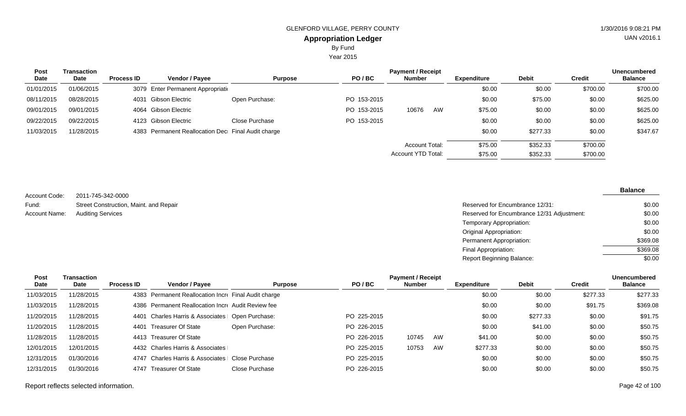Year 2015

| Post       | <b>Transaction</b> |                   |                                                    |                |             | <b>Payment / Receipt</b> |    |                    |              |               | <b>Unencumbered</b> |
|------------|--------------------|-------------------|----------------------------------------------------|----------------|-------------|--------------------------|----|--------------------|--------------|---------------|---------------------|
| Date       | Date               | <b>Process ID</b> | <b>Vendor / Payee</b>                              | <b>Purpose</b> | PO/BC       | <b>Number</b>            |    | <b>Expenditure</b> | <b>Debit</b> | <b>Credit</b> | <b>Balance</b>      |
| 01/01/2015 | 01/06/2015         |                   | 3079 Enter Permanent Appropriation                 |                |             |                          |    | \$0.00             | \$0.00       | \$700.00      | \$700.00            |
| 08/11/2015 | 08/28/2015         |                   | 4031 Gibson Electric                               | Open Purchase: | PO 153-2015 |                          |    | \$0.00             | \$75.00      | \$0.00        | \$625.00            |
| 09/01/2015 | 09/01/2015         |                   | 4064 Gibson Electric                               |                | PO 153-2015 | 10676                    | AW | \$75.00            | \$0.00       | \$0.00        | \$625.00            |
| 09/22/2015 | 09/22/2015         |                   | 4123 Gibson Electric                               | Close Purchase | PO 153-2015 |                          |    | \$0.00             | \$0.00       | \$0.00        | \$625.00            |
| 11/03/2015 | 11/28/2015         |                   | 4383 Permanent Reallocation Dec Final Audit charge |                |             |                          |    | \$0.00             | \$277.33     | \$0.00        | \$347.67            |
|            |                    |                   |                                                    |                |             | <b>Account Total:</b>    |    | \$75.00            | \$352.33     | \$700.00      |                     |
|            |                    |                   |                                                    |                |             | Account YTD Total:       |    | \$75.00            | \$352.33     | \$700.00      |                     |

2011-745-342-0000 Street Construction, Maint. and Repair Account Code: Fund: Account Name:

| Street Construction, Maint. and Repair | Reserved for Encumbrance 12/31:            | \$0.00   |
|----------------------------------------|--------------------------------------------|----------|
| <b>Auditing Services</b>               | Reserved for Encumbrance 12/31 Adjustment: | \$0.00   |
|                                        | Temporary Appropriation:                   | \$0.00   |
|                                        | Original Appropriation:                    | \$0.00   |
|                                        | Permanent Appropriation:                   | \$369.08 |
|                                        | Final Appropriation:                       | \$369.08 |
|                                        | Report Beginning Balance:                  | \$0.00   |
|                                        |                                            |          |

| Post       | Transaction |                   |                                                      |                |             | <b>Payment / Receipt</b> |    |                    |              |               | <b>Unencumbered</b> |
|------------|-------------|-------------------|------------------------------------------------------|----------------|-------------|--------------------------|----|--------------------|--------------|---------------|---------------------|
| Date       | <b>Date</b> | <b>Process ID</b> | Vendor / Payee                                       | <b>Purpose</b> | PO/BC       | <b>Number</b>            |    | <b>Expenditure</b> | <b>Debit</b> | <b>Credit</b> | <b>Balance</b>      |
| 11/03/2015 | 11/28/2015  |                   | 4383 Permanent Reallocation Incre Final Audit charge |                |             |                          |    | \$0.00             | \$0.00       | \$277.33      | \$277.33            |
| 11/03/2015 | 11/28/2015  |                   | 4386 Permanent Reallocation Incre Audit Review fee   |                |             |                          |    | \$0.00             | \$0.00       | \$91.75       | \$369.08            |
| 11/20/2015 | 11/28/2015  | 4401              | Charles Harris & Associates   Open Purchase:         |                | PO 225-2015 |                          |    | \$0.00             | \$277.33     | \$0.00        | \$91.75             |
| 11/20/2015 | 11/28/2015  | 4401              | Treasurer Of State                                   | Open Purchase: | PO 226-2015 |                          |    | \$0.00             | \$41.00      | \$0.00        | \$50.75             |
| 11/28/2015 | 11/28/2015  |                   | 4413 Treasurer Of State                              |                | PO 226-2015 | 10745                    | AW | \$41.00            | \$0.00       | \$0.00        | \$50.75             |
| 12/01/2015 | 12/01/2015  |                   | 4432 Charles Harris & Associates                     |                | PO 225-2015 | 10753                    | AW | \$277.33           | \$0.00       | \$0.00        | \$50.75             |
| 12/31/2015 | 01/30/2016  | 4747              | <b>Charles Harris &amp; Associates</b>               | Close Purchase | PO 225-2015 |                          |    | \$0.00             | \$0.00       | \$0.00        | \$50.75             |
| 12/31/2015 | 01/30/2016  | 4747              | Treasurer Of State                                   | Close Purchase | PO 226-2015 |                          |    | \$0.00             | \$0.00       | \$0.00        | \$50.75             |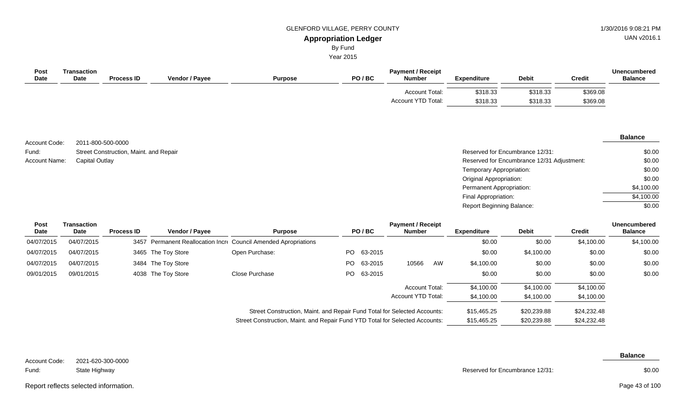By Fund

Year 2015

| <b>Post</b><br><b>Date</b> | Transaction<br>Date | <b>Process ID</b> | <b>Vendor / Payee</b> | <b>Purpose</b> | PO/BC | <b>Payment / Receipt</b><br><b>Number</b> | Expenditure | <b>Debit</b> | <b>Credit</b> | <b>Unencumbered</b><br><b>Balance</b> |
|----------------------------|---------------------|-------------------|-----------------------|----------------|-------|-------------------------------------------|-------------|--------------|---------------|---------------------------------------|
|                            |                     |                   |                       |                |       | Account Total:                            | \$318.33    | \$318.33     | \$369.08      |                                       |
|                            |                     |                   |                       |                |       | Account YTD Total:                        | \$318.33    | \$318.33     | \$369.08      |                                       |
|                            |                     |                   |                       |                |       |                                           |             |              |               |                                       |

|               |                                        |                                            | <b>Balance</b> |
|---------------|----------------------------------------|--------------------------------------------|----------------|
| Account Code: | 2011-800-500-0000                      |                                            |                |
| Fund:         | Street Construction, Maint. and Repair | Reserved for Encumbrance 12/31:            |                |
| Account Name: | <b>Capital Outlay</b>                  | Reserved for Encumbrance 12/31 Adjustment: |                |
|               |                                        | Temporary Appropriation:                   |                |
|               |                                        | <b>Original Appropriation:</b>             |                |
|               |                                        | Permanent Appropriation:                   | \$4,10         |
|               |                                        | Final Appropriation:                       | \$4,10         |
|               |                                        | Report Beginning Balance:                  |                |

| Post<br>Date | <b>Transaction</b><br><b>Date</b> | <b>Process ID</b> | Vendor / Payee     | <b>Purpose</b>                                                           |                                                                              | PO/BC      | <b>Payment / Receipt</b><br><b>Number</b> |    | <b>Expenditure</b> | <b>Debit</b> | Credit      | <b>Unencumbered</b><br><b>Balance</b> |
|--------------|-----------------------------------|-------------------|--------------------|--------------------------------------------------------------------------|------------------------------------------------------------------------------|------------|-------------------------------------------|----|--------------------|--------------|-------------|---------------------------------------|
| 04/07/2015   | 04/07/2015                        |                   |                    | 3457 Permanent Reallocation Incre Council Amended Apropriations          |                                                                              |            |                                           |    | \$0.00             | \$0.00       | \$4,100.00  | \$4,100.00                            |
| 04/07/2015   | 04/07/2015                        |                   | 3465 The Toy Store | Open Purchase:                                                           | PO.                                                                          | 63-2015    |                                           |    | \$0.00             | \$4,100.00   | \$0.00      | \$0.00                                |
| 04/07/2015   | 04/07/2015                        |                   | 3484 The Toy Store |                                                                          | PO.                                                                          | 63-2015    | 10566                                     | AW | \$4,100.00         | \$0.00       | \$0.00      | \$0.00                                |
| 09/01/2015   | 09/01/2015                        |                   | 4038 The Toy Store | Close Purchase                                                           |                                                                              | PO 63-2015 |                                           |    | \$0.00             | \$0.00       | \$0.00      | \$0.00                                |
|              |                                   |                   |                    |                                                                          |                                                                              |            | <b>Account Total:</b>                     |    | \$4,100.00         | \$4,100.00   | \$4,100.00  |                                       |
|              |                                   |                   |                    |                                                                          |                                                                              |            | Account YTD Total:                        |    | \$4,100.00         | \$4,100.00   | \$4,100.00  |                                       |
|              |                                   |                   |                    | Street Construction, Maint. and Repair Fund Total for Selected Accounts: |                                                                              |            |                                           |    | \$15,465.25        | \$20,239.88  | \$24,232.48 |                                       |
|              |                                   |                   |                    |                                                                          | Street Construction, Maint. and Repair Fund YTD Total for Selected Accounts: |            |                                           |    |                    |              | \$24,232.48 |                                       |

2021-620-300-0000 State Highway Account Code: Fund:

**Balance**

Reserved for Encumbrance 12/31:

\$0.00

Report reflects selected information. Page 43 of 100

Page 43 of 100

UAN v2016.1

\$0.00 \$0.00 \$0.00 \$0.00 \$4,100.00 \$4,100.00 \$0.00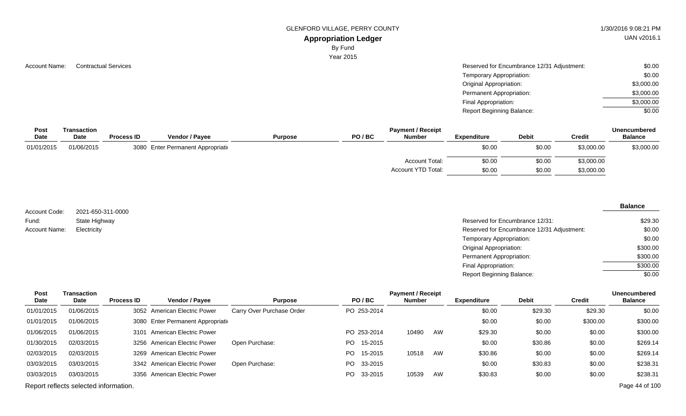GLENFORD VILLAGE, PERRY COUNTY 1/30/2016 9:08:21 PM

# **Appropriation Ledger**

By Fund

Year 2015

| <b>Account Name:</b> | <b>Contractual Service</b> |
|----------------------|----------------------------|
|                      |                            |

| Account Name: | <b>Contractual Services</b> | Reserved for Encumbrance 12/31 Adjustment: | \$0.00     |
|---------------|-----------------------------|--------------------------------------------|------------|
|               |                             | Temporary Appropriation:                   | \$0.00     |
|               |                             | <b>Original Appropriation:</b>             | \$3,000.00 |
|               |                             | Permanent Appropriation:                   | \$3,000.00 |
|               |                             | Final Appropriation:                       | \$3,000.00 |
|               |                             | <b>Report Beginning Balance:</b>           | \$0.00     |

| <b>Post</b> | Transaction |                   |                                    |                |       | <b>Payment / Receipt</b> |                    |              | Unencumbered  |                |  |
|-------------|-------------|-------------------|------------------------------------|----------------|-------|--------------------------|--------------------|--------------|---------------|----------------|--|
| <b>Date</b> | <b>Date</b> | <b>Process ID</b> | Vendor / Payee                     | <b>Purpose</b> | PO/BC | <b>Number</b>            | <b>Expenditure</b> | <b>Debit</b> | <b>Credit</b> | <b>Balance</b> |  |
| 01/01/2015  | 01/06/2015  |                   | 3080 Enter Permanent Appropriation |                |       |                          | \$0.00             | \$0.00       | \$3,000.00    | \$3,000.00     |  |
|             |             |                   |                                    |                |       | Account Total:           | \$0.00             | \$0.00       | \$3,000.00    |                |  |
|             |             |                   |                                    |                |       | Account YTD Total:       | \$0.00             | \$0.00       | \$3,000.00    |                |  |

2021-650-311-0000 State Highway Account Code: Fund: Account Name:

#### **Balance**

| State Highway | Reserved for Encumbrance 12/31:            | \$29.30  |
|---------------|--------------------------------------------|----------|
| Electricity   | Reserved for Encumbrance 12/31 Adjustment: | \$0.00   |
|               | Temporary Appropriation:                   | \$0.00   |
|               | <b>Original Appropriation:</b>             | \$300.00 |
|               | Permanent Appropriation:                   | \$300.00 |
|               | Final Appropriation:                       | \$300.00 |
|               | <b>Report Beginning Balance:</b>           | \$0.00   |

| Post       | Transaction                           |                   |                                    |                           |                 | <b>Payment / Receipt</b> |    |                    |              |          | <b>Unencumbered</b> |
|------------|---------------------------------------|-------------------|------------------------------------|---------------------------|-----------------|--------------------------|----|--------------------|--------------|----------|---------------------|
| Date       | <b>Date</b>                           | <b>Process ID</b> | <b>Vendor / Payee</b>              | <b>Purpose</b>            | PO/BC           | Number                   |    | <b>Expenditure</b> | <b>Debit</b> | Credit   | <b>Balance</b>      |
| 01/01/2015 | 01/06/2015                            |                   | 3052 American Electric Power       | Carry Over Purchase Order | PO 253-2014     |                          |    | \$0.00             | \$29.30      | \$29.30  | \$0.00              |
| 01/01/2015 | 01/06/2015                            |                   | 3080 Enter Permanent Appropriation |                           |                 |                          |    | \$0.00             | \$0.00       | \$300.00 | \$300.00            |
| 01/06/2015 | 01/06/2015                            |                   | 3101 American Electric Power       |                           | PO 253-2014     | 10490                    | AW | \$29.30            | \$0.00       | \$0.00   | \$300.00            |
| 01/30/2015 | 02/03/2015                            |                   | 3256 American Electric Power       | Open Purchase:            | 15-2015<br>PO   |                          |    | \$0.00             | \$30.86      | \$0.00   | \$269.14            |
| 02/03/2015 | 02/03/2015                            |                   | 3269 American Electric Power       |                           | 15-2015<br>PO - | 10518                    | AW | \$30.86            | \$0.00       | \$0.00   | \$269.14            |
| 03/03/2015 | 03/03/2015                            |                   | 3342 American Electric Power       | Open Purchase:            | PO 33-2015      |                          |    | \$0.00             | \$30.83      | \$0.00   | \$238.31            |
| 03/03/2015 | 03/03/2015                            |                   | 3356 American Electric Power       |                           | 33-2015<br>PO   | 10539                    | AW | \$30.83            | \$0.00       | \$0.00   | \$238.31            |
|            | Report reflects selected information. |                   |                                    |                           |                 |                          |    |                    |              |          | Page 44 of 100      |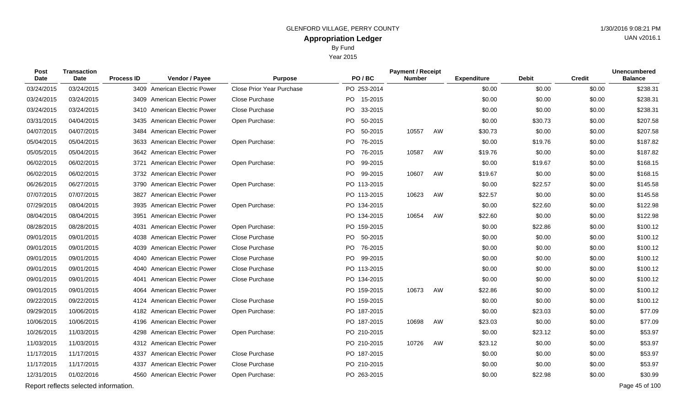Year 2015

| Post<br>Date | Transaction<br>Date                   | <b>Process ID</b> | Vendor / Payee                 | <b>Purpose</b>                   | PO/BC                | <b>Payment / Receipt</b><br><b>Number</b> |    | <b>Expenditure</b> | <b>Debit</b> | <b>Credit</b> | <b>Unencumbered</b><br><b>Balance</b> |
|--------------|---------------------------------------|-------------------|--------------------------------|----------------------------------|----------------------|-------------------------------------------|----|--------------------|--------------|---------------|---------------------------------------|
| 03/24/2015   | 03/24/2015                            |                   | 3409 American Electric Power   | <b>Close Prior Year Purchase</b> | PO 253-2014          |                                           |    | \$0.00             | \$0.00       | \$0.00        | \$238.31                              |
| 03/24/2015   | 03/24/2015                            |                   | 3409 American Electric Power   | Close Purchase                   | PO 15-2015           |                                           |    | \$0.00             | \$0.00       | \$0.00        | \$238.31                              |
| 03/24/2015   | 03/24/2015                            |                   | 3410 American Electric Power   | Close Purchase                   | PO<br>33-2015        |                                           |    | \$0.00             | \$0.00       | \$0.00        | \$238.31                              |
| 03/31/2015   | 04/04/2015                            |                   | 3435 American Electric Power   | Open Purchase:                   | PO.<br>50-2015       |                                           |    | \$0.00             | \$30.73      | \$0.00        | \$207.58                              |
| 04/07/2015   | 04/07/2015                            |                   | 3484 American Electric Power   |                                  | PO.<br>50-2015       | 10557                                     | AW | \$30.73            | \$0.00       | \$0.00        | \$207.58                              |
| 05/04/2015   | 05/04/2015                            |                   | 3633 American Electric Power   | Open Purchase:                   | PO<br>76-2015        |                                           |    | \$0.00             | \$19.76      | \$0.00        | \$187.82                              |
| 05/05/2015   | 05/04/2015                            |                   | 3642 American Electric Power   |                                  | 76-2015<br>PO -      | 10587                                     | AW | \$19.76            | \$0.00       | \$0.00        | \$187.82                              |
| 06/02/2015   | 06/02/2015                            |                   | 3721 American Electric Power   | Open Purchase:                   | <b>PO</b><br>99-2015 |                                           |    | \$0.00             | \$19.67      | \$0.00        | \$168.15                              |
| 06/02/2015   | 06/02/2015                            |                   | 3732 American Electric Power   |                                  | PO -<br>99-2015      | 10607                                     | AW | \$19.67            | \$0.00       | \$0.00        | \$168.15                              |
| 06/26/2015   | 06/27/2015                            |                   | 3790 American Electric Power   | Open Purchase:                   | PO 113-2015          |                                           |    | \$0.00             | \$22.57      | \$0.00        | \$145.58                              |
| 07/07/2015   | 07/07/2015                            |                   | 3827 American Electric Power   |                                  | PO 113-2015          | 10623                                     | AW | \$22.57            | \$0.00       | \$0.00        | \$145.58                              |
| 07/29/2015   | 08/04/2015                            |                   | 3935 American Electric Power   | Open Purchase:                   | PO 134-2015          |                                           |    | \$0.00             | \$22.60      | \$0.00        | \$122.98                              |
| 08/04/2015   | 08/04/2015                            |                   | 3951 American Electric Power   |                                  | PO 134-2015          | 10654                                     | AW | \$22.60            | \$0.00       | \$0.00        | \$122.98                              |
| 08/28/2015   | 08/28/2015                            | 4031              | <b>American Electric Power</b> | Open Purchase:                   | PO 159-2015          |                                           |    | \$0.00             | \$22.86      | \$0.00        | \$100.12                              |
| 09/01/2015   | 09/01/2015                            |                   | 4038 American Electric Power   | Close Purchase                   | PO 50-2015           |                                           |    | \$0.00             | \$0.00       | \$0.00        | \$100.12                              |
| 09/01/2015   | 09/01/2015                            |                   | 4039 American Electric Power   | Close Purchase                   | <b>PO</b><br>76-2015 |                                           |    | \$0.00             | \$0.00       | \$0.00        | \$100.12                              |
| 09/01/2015   | 09/01/2015                            |                   | 4040 American Electric Power   | Close Purchase                   | PO.<br>99-2015       |                                           |    | \$0.00             | \$0.00       | \$0.00        | \$100.12                              |
| 09/01/2015   | 09/01/2015                            |                   | 4040 American Electric Power   | Close Purchase                   | PO 113-2015          |                                           |    | \$0.00             | \$0.00       | \$0.00        | \$100.12                              |
| 09/01/2015   | 09/01/2015                            |                   | 4041 American Electric Power   | Close Purchase                   | PO 134-2015          |                                           |    | \$0.00             | \$0.00       | \$0.00        | \$100.12                              |
| 09/01/2015   | 09/01/2015                            |                   | 4064 American Electric Power   |                                  | PO 159-2015          | 10673                                     | AW | \$22.86            | \$0.00       | \$0.00        | \$100.12                              |
| 09/22/2015   | 09/22/2015                            |                   | 4124 American Electric Power   | Close Purchase                   | PO 159-2015          |                                           |    | \$0.00             | \$0.00       | \$0.00        | \$100.12                              |
| 09/29/2015   | 10/06/2015                            |                   | 4182 American Electric Power   | Open Purchase:                   | PO 187-2015          |                                           |    | \$0.00             | \$23.03      | \$0.00        | \$77.09                               |
| 10/06/2015   | 10/06/2015                            |                   | 4196 American Electric Power   |                                  | PO 187-2015          | 10698                                     | AW | \$23.03            | \$0.00       | \$0.00        | \$77.09                               |
| 10/26/2015   | 11/03/2015                            |                   | 4298 American Electric Power   | Open Purchase:                   | PO 210-2015          |                                           |    | \$0.00             | \$23.12      | \$0.00        | \$53.97                               |
| 11/03/2015   | 11/03/2015                            |                   | 4312 American Electric Power   |                                  | PO 210-2015          | 10726                                     | AW | \$23.12            | \$0.00       | \$0.00        | \$53.97                               |
| 11/17/2015   | 11/17/2015                            |                   | 4337 American Electric Power   | Close Purchase                   | PO 187-2015          |                                           |    | \$0.00             | \$0.00       | \$0.00        | \$53.97                               |
| 11/17/2015   | 11/17/2015                            |                   | 4337 American Electric Power   | Close Purchase                   | PO 210-2015          |                                           |    | \$0.00             | \$0.00       | \$0.00        | \$53.97                               |
| 12/31/2015   | 01/02/2016                            |                   | 4560 American Electric Power   | Open Purchase:                   | PO 263-2015          |                                           |    | \$0.00             | \$22.98      | \$0.00        | \$30.99                               |
|              | Report reflects selected information. |                   |                                |                                  |                      |                                           |    |                    |              |               | Page 45 of 100                        |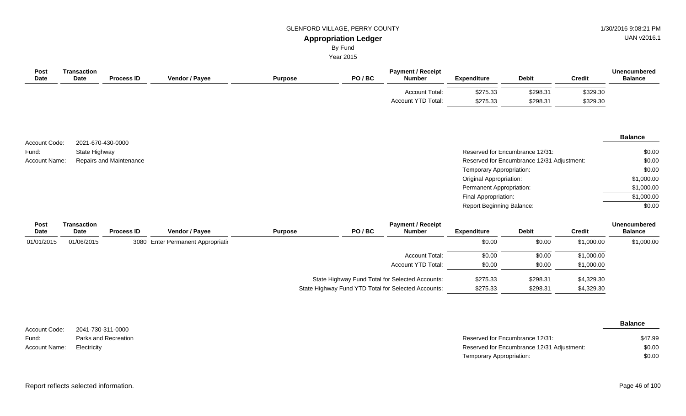UAN v2016.1

# By Fund

Year 2015

| Post<br>Date  | Transaction<br>Date | <b>Process ID</b>       | Vendor / Payee                    | <b>Purpose</b> | PO/BC                                           | <b>Payment / Receipt</b><br><b>Number</b> | <b>Expenditure</b>             | <b>Debit</b>                               | <b>Credit</b> | <b>Unencumbered</b><br><b>Balance</b> |
|---------------|---------------------|-------------------------|-----------------------------------|----------------|-------------------------------------------------|-------------------------------------------|--------------------------------|--------------------------------------------|---------------|---------------------------------------|
|               |                     |                         |                                   |                |                                                 | Account Total:                            | \$275.33                       | \$298.31                                   | \$329.30      |                                       |
|               |                     |                         |                                   |                |                                                 | Account YTD Total:                        | \$275.33                       | \$298.31                                   | \$329.30      |                                       |
| Account Code: |                     | 2021-670-430-0000       |                                   |                |                                                 |                                           |                                |                                            |               | <b>Balance</b>                        |
| Fund:         | State Highway       |                         |                                   |                |                                                 |                                           |                                | Reserved for Encumbrance 12/31:            |               | \$0.00                                |
| Account Name: |                     | Repairs and Maintenance |                                   |                |                                                 |                                           |                                | Reserved for Encumbrance 12/31 Adjustment: |               | \$0.00                                |
|               |                     |                         |                                   |                |                                                 |                                           | Temporary Appropriation:       |                                            |               | \$0.00                                |
|               |                     |                         |                                   |                |                                                 |                                           | <b>Original Appropriation:</b> |                                            |               | \$1,000.00                            |
|               |                     |                         |                                   |                |                                                 |                                           | Permanent Appropriation:       |                                            |               | \$1,000.00                            |
|               |                     |                         |                                   |                |                                                 |                                           | Final Appropriation:           |                                            |               | \$1,000.00                            |
|               |                     |                         |                                   |                |                                                 |                                           | Report Beginning Balance:      |                                            |               | \$0.00                                |
| Post<br>Date  | Transaction<br>Date | <b>Process ID</b>       | Vendor / Payee                    | <b>Purpose</b> | PO/BC                                           | <b>Payment / Receipt</b><br><b>Number</b> | <b>Expenditure</b>             | <b>Debit</b>                               | <b>Credit</b> | <b>Unencumbered</b><br><b>Balance</b> |
| 01/01/2015    | 01/06/2015          |                         | 3080 Enter Permanent Appropriatio |                |                                                 |                                           | \$0.00                         | \$0.00                                     | \$1,000.00    | \$1,000.00                            |
|               |                     |                         |                                   |                |                                                 | <b>Account Total:</b>                     | \$0.00                         | \$0.00                                     | \$1,000.00    |                                       |
|               |                     |                         |                                   |                |                                                 | Account YTD Total:                        | \$0.00                         | \$0.00                                     | \$1,000.00    |                                       |
|               |                     |                         |                                   |                | State Highway Fund Total for Selected Accounts: |                                           | \$275.33                       | \$298.31                                   | \$4,329.30    |                                       |

|               |                      |                                            | <b>Balance</b> |
|---------------|----------------------|--------------------------------------------|----------------|
| Account Code: | 2041-730-311-0000    |                                            |                |
| Fund:         | Parks and Recreation | Reserved for Encumbrance 12/31:            | \$47.99        |
| Account Name: | Electricity          | Reserved for Encumbrance 12/31 Adjustment: | \$0.00         |
|               |                      | Temporary Appropriation:                   | \$0.00         |

State Highway Fund YTD Total for Selected Accounts: \$275.33 \$298.31 \$4,329.30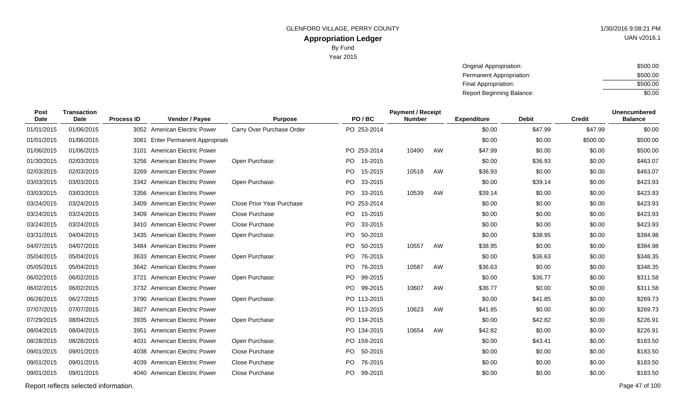Year 2015

| Original Appropriation:          | \$500.00 |
|----------------------------------|----------|
| Permanent Appropriation:         | \$500.00 |
| Final Appropriation:             | \$500.00 |
| <b>Report Beginning Balance:</b> | \$0.00   |

| Post<br><b>Date</b> | <b>Transaction</b><br><b>Date</b> | <b>Process ID</b> | Vendor / Payee                 | <b>Purpose</b>            | PO/BC       |         | <b>Payment / Receipt</b><br><b>Number</b> |    | <b>Expenditure</b> | <b>Debit</b> | <b>Credit</b> | <b>Unencumbered</b><br><b>Balance</b> |
|---------------------|-----------------------------------|-------------------|--------------------------------|---------------------------|-------------|---------|-------------------------------------------|----|--------------------|--------------|---------------|---------------------------------------|
| 01/01/2015          | 01/06/2015                        |                   | 3052 American Electric Power   | Carry Over Purchase Order | PO 253-2014 |         |                                           |    | \$0.00             | \$47.99      | \$47.99       | \$0.00                                |
| 01/01/2015          | 01/06/2015                        | 3081              | Enter Permanent Appropriation  |                           |             |         |                                           |    | \$0.00             | \$0.00       | \$500.00      | \$500.00                              |
| 01/06/2015          | 01/06/2015                        |                   | 3101 American Electric Power   |                           | PO 253-2014 |         | 10490                                     | AW | \$47.99            | \$0.00       | \$0.00        | \$500.00                              |
| 01/30/2015          | 02/03/2015                        |                   | 3256 American Electric Power   | Open Purchase:            | PO.         | 15-2015 |                                           |    | \$0.00             | \$36.93      | \$0.00        | \$463.07                              |
| 02/03/2015          | 02/03/2015                        |                   | 3269 American Electric Power   |                           | PO 15-2015  |         | 10518                                     | AW | \$36.93            | \$0.00       | \$0.00        | \$463.07                              |
| 03/03/2015          | 03/03/2015                        |                   | 3342 American Electric Power   | Open Purchase:            | PO.         | 33-2015 |                                           |    | \$0.00             | \$39.14      | \$0.00        | \$423.93                              |
| 03/03/2015          | 03/03/2015                        |                   | 3356 American Electric Power   |                           | PO 33-2015  |         | 10539                                     | AW | \$39.14            | \$0.00       | \$0.00        | \$423.93                              |
| 03/24/2015          | 03/24/2015                        |                   | 3409 American Electric Power   | Close Prior Year Purchase | PO 253-2014 |         |                                           |    | \$0.00             | \$0.00       | \$0.00        | \$423.93                              |
| 03/24/2015          | 03/24/2015                        |                   | 3409 American Electric Power   | <b>Close Purchase</b>     | PO 15-2015  |         |                                           |    | \$0.00             | \$0.00       | \$0.00        | \$423.93                              |
| 03/24/2015          | 03/24/2015                        |                   | 3410 American Electric Power   | Close Purchase            | PO.         | 33-2015 |                                           |    | \$0.00             | \$0.00       | \$0.00        | \$423.93                              |
| 03/31/2015          | 04/04/2015                        |                   | 3435 American Electric Power   | Open Purchase:            | PO.         | 50-2015 |                                           |    | \$0.00             | \$38.95      | \$0.00        | \$384.98                              |
| 04/07/2015          | 04/07/2015                        |                   | 3484 American Electric Power   |                           | PO.         | 50-2015 | 10557                                     | AW | \$38.95            | \$0.00       | \$0.00        | \$384.98                              |
| 05/04/2015          | 05/04/2015                        |                   | 3633 American Electric Power   | Open Purchase:            | PO.         | 76-2015 |                                           |    | \$0.00             | \$36.63      | \$0.00        | \$348.35                              |
| 05/05/2015          | 05/04/2015                        |                   | 3642 American Electric Power   |                           | PO.         | 76-2015 | 10587                                     | AW | \$36.63            | \$0.00       | \$0.00        | \$348.35                              |
| 06/02/2015          | 06/02/2015                        | 3721              | <b>American Electric Power</b> | Open Purchase:            | PO.         | 99-2015 |                                           |    | \$0.00             | \$36.77      | \$0.00        | \$311.58                              |
| 06/02/2015          | 06/02/2015                        |                   | 3732 American Electric Power   |                           | PO 99-2015  |         | 10607                                     | AW | \$36.77            | \$0.00       | \$0.00        | \$311.58                              |
| 06/26/2015          | 06/27/2015                        |                   | 3790 American Electric Power   | Open Purchase:            | PO 113-2015 |         |                                           |    | \$0.00             | \$41.85      | \$0.00        | \$269.73                              |
| 07/07/2015          | 07/07/2015                        |                   | 3827 American Electric Power   |                           | PO 113-2015 |         | 10623                                     | AW | \$41.85            | \$0.00       | \$0.00        | \$269.73                              |
| 07/29/2015          | 08/04/2015                        |                   | 3935 American Electric Power   | Open Purchase:            | PO 134-2015 |         |                                           |    | \$0.00             | \$42.82      | \$0.00        | \$226.91                              |
| 08/04/2015          | 08/04/2015                        |                   | 3951 American Electric Power   |                           | PO 134-2015 |         | 10654                                     | AW | \$42.82            | \$0.00       | \$0.00        | \$226.91                              |
| 08/28/2015          | 08/28/2015                        | 4031              | American Electric Power        | Open Purchase:            | PO 159-2015 |         |                                           |    | \$0.00             | \$43.41      | \$0.00        | \$183.50                              |
| 09/01/2015          | 09/01/2015                        |                   | 4038 American Electric Power   | Close Purchase            | PO 50-2015  |         |                                           |    | \$0.00             | \$0.00       | \$0.00        | \$183.50                              |
| 09/01/2015          | 09/01/2015                        | 4039              | <b>American Electric Power</b> | Close Purchase            | PO.         | 76-2015 |                                           |    | \$0.00             | \$0.00       | \$0.00        | \$183.50                              |
| 09/01/2015          | 09/01/2015                        |                   | 4040 American Electric Power   | Close Purchase            | PO.         | 99-2015 |                                           |    | \$0.00             | \$0.00       | \$0.00        | \$183.50                              |
|                     |                                   |                   |                                |                           |             |         |                                           |    |                    |              |               |                                       |

Report reflects selected information. Page 47 of 100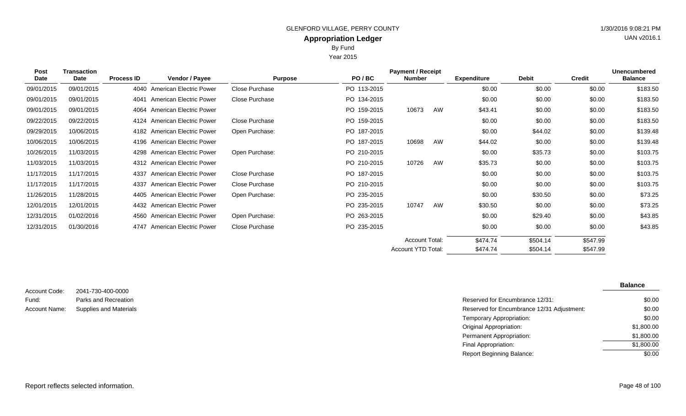Year 2015

| Post       | Transaction |                   |                                |                |             | <b>Payment / Receipt</b> |    |                    |              |               | <b>Unencumbered</b> |
|------------|-------------|-------------------|--------------------------------|----------------|-------------|--------------------------|----|--------------------|--------------|---------------|---------------------|
| Date       | Date        | <b>Process ID</b> | Vendor / Payee                 | <b>Purpose</b> | PO/BC       | Number                   |    | <b>Expenditure</b> | <b>Debit</b> | <b>Credit</b> | <b>Balance</b>      |
| 09/01/2015 | 09/01/2015  |                   | 4040 American Electric Power   | Close Purchase | PO 113-2015 |                          |    | \$0.00             | \$0.00       | \$0.00        | \$183.50            |
| 09/01/2015 | 09/01/2015  | 4041              | <b>American Electric Power</b> | Close Purchase | PO 134-2015 |                          |    | \$0.00             | \$0.00       | \$0.00        | \$183.50            |
| 09/01/2015 | 09/01/2015  | 4064              | American Electric Power        |                | PO 159-2015 | 10673                    | AW | \$43.41            | \$0.00       | \$0.00        | \$183.50            |
| 09/22/2015 | 09/22/2015  | 4124              | American Electric Power        | Close Purchase | PO 159-2015 |                          |    | \$0.00             | \$0.00       | \$0.00        | \$183.50            |
| 09/29/2015 | 10/06/2015  |                   | 4182 American Electric Power   | Open Purchase: | PO 187-2015 |                          |    | \$0.00             | \$44.02      | \$0.00        | \$139.48            |
| 10/06/2015 | 10/06/2015  |                   | 4196 American Electric Power   |                | PO 187-2015 | 10698                    | AW | \$44.02            | \$0.00       | \$0.00        | \$139.48            |
| 10/26/2015 | 11/03/2015  |                   | 4298 American Electric Power   | Open Purchase: | PO 210-2015 |                          |    | \$0.00             | \$35.73      | \$0.00        | \$103.75            |
| 11/03/2015 | 11/03/2015  |                   | 4312 American Electric Power   |                | PO 210-2015 | 10726                    | AW | \$35.73            | \$0.00       | \$0.00        | \$103.75            |
| 11/17/2015 | 11/17/2015  |                   | 4337 American Electric Power   | Close Purchase | PO 187-2015 |                          |    | \$0.00             | \$0.00       | \$0.00        | \$103.75            |
| 11/17/2015 | 11/17/2015  |                   | 4337 American Electric Power   | Close Purchase | PO 210-2015 |                          |    | \$0.00             | \$0.00       | \$0.00        | \$103.75            |
| 11/26/2015 | 11/28/2015  |                   | 4405 American Electric Power   | Open Purchase: | PO 235-2015 |                          |    | \$0.00             | \$30.50      | \$0.00        | \$73.25             |
| 12/01/2015 | 12/01/2015  |                   | 4432 American Electric Power   |                | PO 235-2015 | 10747                    | AW | \$30.50            | \$0.00       | \$0.00        | \$73.25             |
| 12/31/2015 | 01/02/2016  |                   | 4560 American Electric Power   | Open Purchase: | PO 263-2015 |                          |    | \$0.00             | \$29.40      | \$0.00        | \$43.85             |
| 12/31/2015 | 01/30/2016  | 4747              | American Electric Power        | Close Purchase | PO 235-2015 |                          |    | \$0.00             | \$0.00       | \$0.00        | \$43.85             |
|            |             |                   |                                |                |             | <b>Account Total:</b>    |    | \$474.74           | \$504.14     | \$547.99      |                     |

| Account Code:        | 2041-730-400-0000             |
|----------------------|-------------------------------|
| Fund:                | Parks and Recreation          |
| <b>Account Name:</b> | <b>Supplies and Materials</b> |

|                               |                                            | <b>Balance</b> |
|-------------------------------|--------------------------------------------|----------------|
| 2041-730-400-0000             |                                            |                |
| Parks and Recreation          | Reserved for Encumbrance 12/31:            | \$0.00         |
| <b>Supplies and Materials</b> | Reserved for Encumbrance 12/31 Adjustment: | \$0.00         |
|                               | Temporary Appropriation:                   | \$0.00         |
|                               | Original Appropriation:                    | \$1,800.00     |
|                               | Permanent Appropriation:                   | \$1,800.00     |
|                               | Final Appropriation:                       | \$1,800.00     |
|                               | <b>Report Beginning Balance:</b>           | \$0.00         |

\$504.14

\$474.74

Account YTD Total:

\$547.99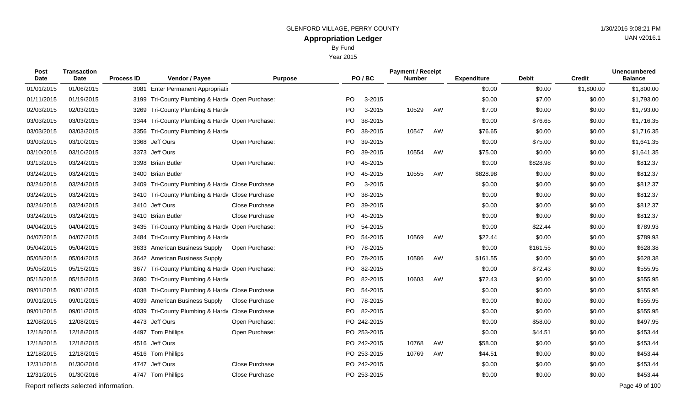By Fund

Year 2015

| Post<br>Date | <b>Transaction</b><br>Date            | <b>Process ID</b> | Vendor / Payee                                  | <b>Purpose</b> |           | PO/BC       | <b>Payment / Receipt</b><br><b>Number</b> |    | <b>Expenditure</b> | Debit    | <b>Credit</b> | <b>Unencumbered</b><br><b>Balance</b> |
|--------------|---------------------------------------|-------------------|-------------------------------------------------|----------------|-----------|-------------|-------------------------------------------|----|--------------------|----------|---------------|---------------------------------------|
| 01/01/2015   | 01/06/2015                            | 3081              | <b>Enter Permanent Appropriation</b>            |                |           |             |                                           |    | \$0.00             | \$0.00   | \$1,800.00    | \$1,800.00                            |
| 01/11/2015   | 01/19/2015                            |                   | 3199 Tri-County Plumbing & Hardv Open Purchase: |                | <b>PO</b> | 3-2015      |                                           |    | \$0.00             | \$7.00   | \$0.00        | \$1,793.00                            |
| 02/03/2015   | 02/03/2015                            | 3269              | Tri-County Plumbing & Hardy                     |                | PO.       | 3-2015      | 10529                                     | AW | \$7.00             | \$0.00   | \$0.00        | \$1,793.00                            |
| 03/03/2015   | 03/03/2015                            |                   | 3344 Tri-County Plumbing & Hardv Open Purchase: |                | PO        | 38-2015     |                                           |    | \$0.00             | \$76.65  | \$0.00        | \$1,716.35                            |
| 03/03/2015   | 03/03/2015                            |                   | 3356 Tri-County Plumbing & Hardv                |                | PO.       | 38-2015     | 10547                                     | AW | \$76.65            | \$0.00   | \$0.00        | \$1,716.35                            |
| 03/03/2015   | 03/10/2015                            |                   | 3368 Jeff Ours                                  | Open Purchase: | PO        | 39-2015     |                                           |    | \$0.00             | \$75.00  | \$0.00        | \$1,641.35                            |
| 03/10/2015   | 03/10/2015                            |                   | 3373 Jeff Ours                                  |                | PO        | 39-2015     | 10554                                     | AW | \$75.00            | \$0.00   | \$0.00        | \$1,641.35                            |
| 03/13/2015   | 03/24/2015                            |                   | 3398 Brian Butler                               | Open Purchase: | PO        | 45-2015     |                                           |    | \$0.00             | \$828.98 | \$0.00        | \$812.37                              |
| 03/24/2015   | 03/24/2015                            | 3400              | <b>Brian Butler</b>                             |                | PO.       | 45-2015     | 10555                                     | AW | \$828.98           | \$0.00   | \$0.00        | \$812.37                              |
| 03/24/2015   | 03/24/2015                            |                   | 3409 Tri-County Plumbing & Hardy Close Purchase |                | PO        | 3-2015      |                                           |    | \$0.00             | \$0.00   | \$0.00        | \$812.37                              |
| 03/24/2015   | 03/24/2015                            |                   | 3410 Tri-County Plumbing & Hardv Close Purchase |                | PO.       | 38-2015     |                                           |    | \$0.00             | \$0.00   | \$0.00        | \$812.37                              |
| 03/24/2015   | 03/24/2015                            |                   | 3410 Jeff Ours                                  | Close Purchase | PO        | 39-2015     |                                           |    | \$0.00             | \$0.00   | \$0.00        | \$812.37                              |
| 03/24/2015   | 03/24/2015                            |                   | 3410 Brian Butler                               | Close Purchase |           | PO 45-2015  |                                           |    | \$0.00             | \$0.00   | \$0.00        | \$812.37                              |
| 04/04/2015   | 04/04/2015                            |                   | 3435 Tri-County Plumbing & Hardv Open Purchase: |                | PO        | 54-2015     |                                           |    | \$0.00             | \$22.44  | \$0.00        | \$789.93                              |
| 04/07/2015   | 04/07/2015                            |                   | 3484 Tri-County Plumbing & Hardv                |                |           | PO 54-2015  | 10569                                     | AW | \$22.44            | \$0.00   | \$0.00        | \$789.93                              |
| 05/04/2015   | 05/04/2015                            | 3633              | <b>American Business Supply</b>                 | Open Purchase: | PO        | 78-2015     |                                           |    | \$0.00             | \$161.55 | \$0.00        | \$628.38                              |
| 05/05/2015   | 05/04/2015                            |                   | 3642 American Business Supply                   |                |           | PO 78-2015  | 10586                                     | AW | \$161.55           | \$0.00   | \$0.00        | \$628.38                              |
| 05/05/2015   | 05/15/2015                            |                   | 3677 Tri-County Plumbing & Hardy Open Purchase: |                | PO        | 82-2015     |                                           |    | \$0.00             | \$72.43  | \$0.00        | \$555.95                              |
| 05/15/2015   | 05/15/2015                            |                   | 3690 Tri-County Plumbing & Hardv                |                |           | PO 82-2015  | 10603                                     | AW | \$72.43            | \$0.00   | \$0.00        | \$555.95                              |
| 09/01/2015   | 09/01/2015                            | 4038              | Tri-County Plumbing & Hardy Close Purchase      |                | PO.       | 54-2015     |                                           |    | \$0.00             | \$0.00   | \$0.00        | \$555.95                              |
| 09/01/2015   | 09/01/2015                            | 4039              | <b>American Business Supply</b>                 | Close Purchase |           | PO 78-2015  |                                           |    | \$0.00             | \$0.00   | \$0.00        | \$555.95                              |
| 09/01/2015   | 09/01/2015                            | 4039              | Tri-County Plumbing & Hardv Close Purchase      |                | PO.       | 82-2015     |                                           |    | \$0.00             | \$0.00   | \$0.00        | \$555.95                              |
| 12/08/2015   | 12/08/2015                            |                   | 4473 Jeff Ours                                  | Open Purchase: |           | PO 242-2015 |                                           |    | \$0.00             | \$58.00  | \$0.00        | \$497.95                              |
| 12/18/2015   | 12/18/2015                            |                   | 4497 Tom Phillips                               | Open Purchase: |           | PO 253-2015 |                                           |    | \$0.00             | \$44.51  | \$0.00        | \$453.44                              |
| 12/18/2015   | 12/18/2015                            |                   | 4516 Jeff Ours                                  |                |           | PO 242-2015 | 10768                                     | AW | \$58.00            | \$0.00   | \$0.00        | \$453.44                              |
| 12/18/2015   | 12/18/2015                            |                   | 4516 Tom Phillips                               |                |           | PO 253-2015 | 10769                                     | AW | \$44.51            | \$0.00   | \$0.00        | \$453.44                              |
| 12/31/2015   | 01/30/2016                            |                   | 4747 Jeff Ours                                  | Close Purchase |           | PO 242-2015 |                                           |    | \$0.00             | \$0.00   | \$0.00        | \$453.44                              |
| 12/31/2015   | 01/30/2016                            |                   | 4747 Tom Phillips                               | Close Purchase |           | PO 253-2015 |                                           |    | \$0.00             | \$0.00   | \$0.00        | \$453.44                              |
|              | Report reflects selected information. |                   |                                                 |                |           |             |                                           |    |                    |          |               | Page 49 of 100                        |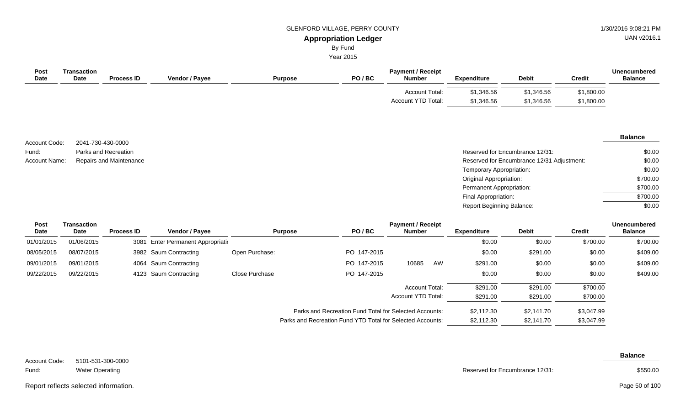By Fund

Year 2015

| <b>Post</b><br>Date  | <b>Transaction</b><br>Date | <b>Process ID</b>       | Vendor / Payee | <b>Purpose</b> | PO/BC | <b>Payment / Receipt</b><br><b>Number</b> | <b>Expenditure</b>       | <b>Debit</b>                               | <b>Credit</b> | <b>Unencumbered</b><br><b>Balance</b> |
|----------------------|----------------------------|-------------------------|----------------|----------------|-------|-------------------------------------------|--------------------------|--------------------------------------------|---------------|---------------------------------------|
|                      |                            |                         |                |                |       | Account Total:                            | \$1,346.56               | \$1,346.56                                 | \$1,800.00    |                                       |
|                      |                            |                         |                |                |       | Account YTD Total:                        | \$1,346.56               | \$1,346.56                                 | \$1,800.00    |                                       |
|                      |                            |                         |                |                |       |                                           |                          |                                            |               |                                       |
| Account Code:        |                            | 2041-730-430-0000       |                |                |       |                                           |                          |                                            |               | <b>Balance</b>                        |
| Fund:                |                            | Parks and Recreation    |                |                |       |                                           |                          | Reserved for Encumbrance 12/31:            |               | \$0.00                                |
| <b>Account Name:</b> |                            | Repairs and Maintenance |                |                |       |                                           |                          | Reserved for Encumbrance 12/31 Adjustment: |               | \$0.00                                |
|                      |                            |                         |                |                |       |                                           | Temporary Appropriation: |                                            |               | \$0.00                                |

#### **Vendor / Payee Expenditure Debit Payment / Receipt**  $P$ urpose **Post** Date **Date Process ID Transaction Date Unencumbered Credit Balance** 01/01/2015 01/06/2015 3081 Enter Permanent Appropriation 3000 \$0.00 \$700.00 \$700.00 \$700.00 08/05/2015 08/07/2015 3982 Saum Contracting Open Purchase: PO 147-2015 \$0.00 \$291.00 \$291.00 \$0.00 \$409.00 09/01/2015 09/01/2015 4064 Saum Contracting PO 147-2015 10685 AW \$291.00 \$0.00 \$0.00 \$409.00 09/22/2015 09/22/2015 4123 Saum Contracting Close Purchase PO 147-2015 \$0.00 \$0.00 \$409.00 \$409.00 \$700.00 \$700.00 \$291.00 \$291.00 \$291.00 \$291.00 Account Total: Account YTD Total:

Parks and Recreation Fund Total for Selected Accounts: \$2,112.30 \$2,141.70 \$3,047.99 Parks and Recreation Fund YTD Total for Selected Accounts: \$2,112.30 \$2,141.70 \$3,047.99

5101-531-300-0000 Water Operating Account Code: Fund:

**Balance**

Reserved for Encumbrance 12/31:

Original Appropriation: Permanent Appropriation: Final Appropriation: Report Beginning Balance:

\$550.00

\$700.00 \$700.00 \$700.00 \$0.00

Report reflects selected information. Page 50 of 100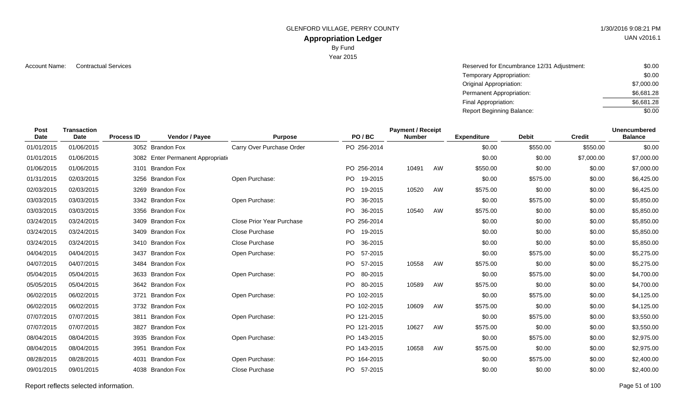GLENFORD VILLAGE, PERRY COUNTY 1/30/2016 9:08:21 PM

# **Appropriation Ledger**

By Fund

Year 2015

Account Name: Contractual Services **Account Name:** Contractual Services **Account Name:** Contractual Services **Account Name:**  $\sim$  \$0.00 Temporary Appropriation: Original Appropriation: Permanent Appropriation: Final Appropriation: Report Beginning Balance: \$0.00 \$7,000.00 \$6,681.28 \$6,681.28 \$0.00

| <b>Post</b><br><b>Date</b> | <b>Transaction</b><br>Date | <b>Process ID</b> | Vendor / Payee                     | <b>Purpose</b>            |      | PO/BC       | <b>Payment / Receipt</b><br><b>Number</b> |    | <b>Expenditure</b> | <b>Debit</b> | <b>Credit</b> | <b>Unencumbered</b><br><b>Balance</b> |
|----------------------------|----------------------------|-------------------|------------------------------------|---------------------------|------|-------------|-------------------------------------------|----|--------------------|--------------|---------------|---------------------------------------|
| 01/01/2015                 | 01/06/2015                 |                   | 3052 Brandon Fox                   | Carry Over Purchase Order |      | PO 256-2014 |                                           |    | \$0.00             | \$550.00     | \$550.00      | \$0.00                                |
| 01/01/2015                 | 01/06/2015                 |                   | 3082 Enter Permanent Appropriation |                           |      |             |                                           |    | \$0.00             | \$0.00       | \$7,000.00    | \$7,000.00                            |
| 01/06/2015                 | 01/06/2015                 |                   | 3101 Brandon Fox                   |                           |      | PO 256-2014 | 10491                                     | AW | \$550.00           | \$0.00       | \$0.00        | \$7,000.00                            |
| 01/31/2015                 | 02/03/2015                 |                   | 3256 Brandon Fox                   | Open Purchase:            |      | PO 19-2015  |                                           |    | \$0.00             | \$575.00     | \$0.00        | \$6,425.00                            |
| 02/03/2015                 | 02/03/2015                 |                   | 3269 Brandon Fox                   |                           |      | PO 19-2015  | 10520                                     | AW | \$575.00           | \$0.00       | \$0.00        | \$6,425.00                            |
| 03/03/2015                 | 03/03/2015                 |                   | 3342 Brandon Fox                   | Open Purchase:            | PO.  | 36-2015     |                                           |    | \$0.00             | \$575.00     | \$0.00        | \$5,850.00                            |
| 03/03/2015                 | 03/03/2015                 |                   | 3356 Brandon Fox                   |                           | PO.  | 36-2015     | 10540                                     | AW | \$575.00           | \$0.00       | \$0.00        | \$5,850.00                            |
| 03/24/2015                 | 03/24/2015                 |                   | 3409 Brandon Fox                   | Close Prior Year Purchase |      | PO 256-2014 |                                           |    | \$0.00             | \$0.00       | \$0.00        | \$5,850.00                            |
| 03/24/2015                 | 03/24/2015                 |                   | 3409 Brandon Fox                   | Close Purchase            | PO - | 19-2015     |                                           |    | \$0.00             | \$0.00       | \$0.00        | \$5,850.00                            |
| 03/24/2015                 | 03/24/2015                 |                   | 3410 Brandon Fox                   | Close Purchase            |      | PO 36-2015  |                                           |    | \$0.00             | \$0.00       | \$0.00        | \$5,850.00                            |
| 04/04/2015                 | 04/04/2015                 |                   | 3437 Brandon Fox                   | Open Purchase:            | PO.  | 57-2015     |                                           |    | \$0.00             | \$575.00     | \$0.00        | \$5,275.00                            |
| 04/07/2015                 | 04/07/2015                 |                   | 3484 Brandon Fox                   |                           | PO.  | 57-2015     | 10558                                     | AW | \$575.00           | \$0.00       | \$0.00        | \$5,275.00                            |
| 05/04/2015                 | 05/04/2015                 |                   | 3633 Brandon Fox                   | Open Purchase:            | PO.  | 80-2015     |                                           |    | \$0.00             | \$575.00     | \$0.00        | \$4,700.00                            |
| 05/05/2015                 | 05/04/2015                 |                   | 3642 Brandon Fox                   |                           |      | PO 80-2015  | 10589                                     | AW | \$575.00           | \$0.00       | \$0.00        | \$4,700.00                            |
| 06/02/2015                 | 06/02/2015                 |                   | 3721 Brandon Fox                   | Open Purchase:            |      | PO 102-2015 |                                           |    | \$0.00             | \$575.00     | \$0.00        | \$4,125.00                            |
| 06/02/2015                 | 06/02/2015                 |                   | 3732 Brandon Fox                   |                           |      | PO 102-2015 | 10609                                     | AW | \$575.00           | \$0.00       | \$0.00        | \$4,125.00                            |
| 07/07/2015                 | 07/07/2015                 |                   | 3811 Brandon Fox                   | Open Purchase:            |      | PO 121-2015 |                                           |    | \$0.00             | \$575.00     | \$0.00        | \$3,550.00                            |
| 07/07/2015                 | 07/07/2015                 |                   | 3827 Brandon Fox                   |                           |      | PO 121-2015 | 10627                                     | AW | \$575.00           | \$0.00       | \$0.00        | \$3,550.00                            |
| 08/04/2015                 | 08/04/2015                 |                   | 3935 Brandon Fox                   | Open Purchase:            |      | PO 143-2015 |                                           |    | \$0.00             | \$575.00     | \$0.00        | \$2,975.00                            |
| 08/04/2015                 | 08/04/2015                 |                   | 3951 Brandon Fox                   |                           |      | PO 143-2015 | 10658                                     | AW | \$575.00           | \$0.00       | \$0.00        | \$2,975.00                            |
| 08/28/2015                 | 08/28/2015                 |                   | 4031 Brandon Fox                   | Open Purchase:            |      | PO 164-2015 |                                           |    | \$0.00             | \$575.00     | \$0.00        | \$2,400.00                            |
| 09/01/2015                 | 09/01/2015                 |                   | 4038 Brandon Fox                   | Close Purchase            |      | PO 57-2015  |                                           |    | \$0.00             | \$0.00       | \$0.00        | \$2,400.00                            |

Report reflects selected information. Page 51 of 100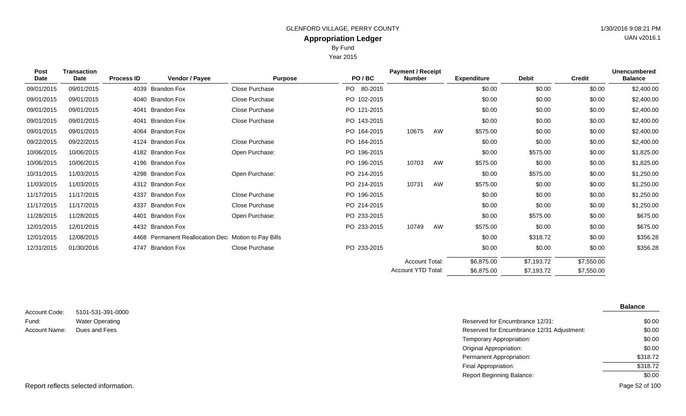By Fund

Year 2015

| <b>Post</b><br><b>Date</b> | <b>Transaction</b><br>Date | <b>Process ID</b> | Vendor / Payee                                      | <b>Purpose</b> | PO/BC       | <b>Payment / Receipt</b><br><b>Number</b> |    | <b>Expenditure</b> | <b>Debit</b> | <b>Credit</b> | <b>Unencumbered</b><br><b>Balance</b> |
|----------------------------|----------------------------|-------------------|-----------------------------------------------------|----------------|-------------|-------------------------------------------|----|--------------------|--------------|---------------|---------------------------------------|
| 09/01/2015                 | 09/01/2015                 |                   | 4039 Brandon Fox                                    | Close Purchase | PO 80-2015  |                                           |    | \$0.00             | \$0.00       | \$0.00        | \$2,400.00                            |
| 09/01/2015                 | 09/01/2015                 |                   | 4040 Brandon Fox                                    | Close Purchase | PO 102-2015 |                                           |    | \$0.00             | \$0.00       | \$0.00        | \$2,400.00                            |
| 09/01/2015                 | 09/01/2015                 | 4041              | <b>Brandon Fox</b>                                  | Close Purchase | PO 121-2015 |                                           |    | \$0.00             | \$0.00       | \$0.00        | \$2,400.00                            |
| 09/01/2015                 | 09/01/2015                 | 4041              | Brandon Fox                                         | Close Purchase | PO 143-2015 |                                           |    | \$0.00             | \$0.00       | \$0.00        | \$2,400.00                            |
| 09/01/2015                 | 09/01/2015                 | 4064              | Brandon Fox                                         |                | PO 164-2015 | 10675                                     | AW | \$575.00           | \$0.00       | \$0.00        | \$2,400.00                            |
| 09/22/2015                 | 09/22/2015                 | 4124              | Brandon Fox                                         | Close Purchase | PO 164-2015 |                                           |    | \$0.00             | \$0.00       | \$0.00        | \$2,400.00                            |
| 10/06/2015                 | 10/06/2015                 |                   | 4182 Brandon Fox                                    | Open Purchase: | PO 196-2015 |                                           |    | \$0.00             | \$575.00     | \$0.00        | \$1,825.00                            |
| 10/06/2015                 | 10/06/2015                 |                   | 4196 Brandon Fox                                    |                | PO 196-2015 | 10703                                     | AW | \$575.00           | \$0.00       | \$0.00        | \$1,825.00                            |
| 10/31/2015                 | 11/03/2015                 |                   | 4298 Brandon Fox                                    | Open Purchase: | PO 214-2015 |                                           |    | \$0.00             | \$575.00     | \$0.00        | \$1,250.00                            |
| 11/03/2015                 | 11/03/2015                 |                   | 4312 Brandon Fox                                    |                | PO 214-2015 | 10731                                     | AW | \$575.00           | \$0.00       | \$0.00        | \$1,250.00                            |
| 11/17/2015                 | 11/17/2015                 | 4337              | Brandon Fox                                         | Close Purchase | PO 196-2015 |                                           |    | \$0.00             | \$0.00       | \$0.00        | \$1,250.00                            |
| 11/17/2015                 | 11/17/2015                 | 4337              | Brandon Fox                                         | Close Purchase | PO 214-2015 |                                           |    | \$0.00             | \$0.00       | \$0.00        | \$1,250.00                            |
| 11/28/2015                 | 11/28/2015                 | 4401              | <b>Brandon Fox</b>                                  | Open Purchase: | PO 233-2015 |                                           |    | \$0.00             | \$575.00     | \$0.00        | \$675.00                              |
| 12/01/2015                 | 12/01/2015                 |                   | 4432 Brandon Fox                                    |                | PO 233-2015 | 10749                                     | AW | \$575.00           | \$0.00       | \$0.00        | \$675.00                              |
| 12/01/2015                 | 12/08/2015                 |                   | 4468 Permanent Reallocation Dec Motion to Pay Bills |                |             |                                           |    | \$0.00             | \$318.72     | \$0.00        | \$356.28                              |
| 12/31/2015                 | 01/30/2016                 | 4747              | Brandon Fox                                         | Close Purchase | PO 233-2015 |                                           |    | \$0.00             | \$0.00       | \$0.00        | \$356.28                              |
|                            |                            |                   |                                                     |                |             | <b>Account Total:</b>                     |    | \$6,875.00         | \$7,193.72   | \$7,550.00    |                                       |
|                            |                            |                   |                                                     |                |             | <b>Account YTD Total:</b>                 |    | \$6,875.00         | \$7,193.72   | \$7,550.00    |                                       |

| Account Code: | 5101-531-391-0000      |
|---------------|------------------------|
| Fund:         | <b>Water Operating</b> |
| Account Name: | Dues and Fees          |

|                   |                                            | <b>Balance</b> |
|-------------------|--------------------------------------------|----------------|
| 5101-531-391-0000 |                                            |                |
| Water Operating   | Reserved for Encumbrance 12/31:            | \$0.00         |
| Dues and Fees     | Reserved for Encumbrance 12/31 Adjustment: | \$0.00         |
|                   | Temporary Appropriation:                   | \$0.00         |
|                   | Original Appropriation:                    | \$0.00         |
|                   | Permanent Appropriation:                   | \$318.72       |
|                   | Final Appropriation:                       | \$318.72       |
|                   | Report Beginning Balance:                  | \$0.00         |
|                   |                                            |                |

UAN v2016.1

Report reflects selected information. Page 52 of 100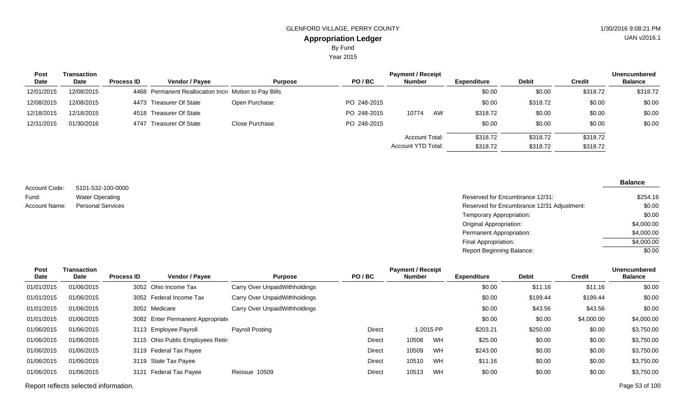Year 2015

| <b>Payment / Receipt</b><br>Post<br>Transaction |            |                   |                                                       |                |             |                       |                    |              |          |                |  |  |
|-------------------------------------------------|------------|-------------------|-------------------------------------------------------|----------------|-------------|-----------------------|--------------------|--------------|----------|----------------|--|--|
| Date                                            | Date       | <b>Process ID</b> | Vendor / Pavee                                        | <b>Purpose</b> | PO/BC       | <b>Number</b>         | <b>Expenditure</b> | <b>Debit</b> | Credit   | <b>Balance</b> |  |  |
| 12/01/2015                                      | 12/08/2015 |                   | 4468 Permanent Reallocation Incre Motion to Pay Bills |                |             |                       | \$0.00             | \$0.00       | \$318.72 | \$318.72       |  |  |
| 12/08/2015                                      | 12/08/2015 |                   | 4473 Treasurer Of State                               | Open Purchase: | PO 248-2015 |                       | \$0.00             | \$318.72     | \$0.00   | \$0.00         |  |  |
| 12/18/2015                                      | 12/18/2015 |                   | 4518 Treasurer Of State                               |                | PO 248-2015 | 10774<br>AW           | \$318.72           | \$0.00       | \$0.00   | \$0.00         |  |  |
| 12/31/2015                                      | 01/30/2016 |                   | 4747 Treasurer Of State                               | Close Purchase | PO 248-2015 |                       | \$0.00             | \$0.00       | \$0.00   | \$0.00         |  |  |
|                                                 |            |                   |                                                       |                |             | <b>Account Total:</b> | \$318.72           | \$318.72     | \$318.72 |                |  |  |
|                                                 |            |                   |                                                       |                |             | Account YTD Total:    | \$318.72           | \$318.72     | \$318.72 |                |  |  |

5101-532-100-0000 Water Operating Account Code: Fund: Account Name: Personal Services

### **Balance**

| Water Operating   | Reserved for Encumbrance 12/31:            | \$254.16   |
|-------------------|--------------------------------------------|------------|
| Personal Services | Reserved for Encumbrance 12/31 Adjustment: | \$0.00     |
|                   | Temporary Appropriation:                   | \$0.00     |
|                   | Original Appropriation:                    | \$4,000.00 |
|                   | Permanent Appropriation:                   | \$4,000.00 |
|                   | Final Appropriation:                       | \$4,000.00 |
|                   | <b>Report Beginning Balance:</b>           | \$0.00     |

| Post       | Transaction |                   | <b>Payment / Receipt</b><br><b>Unencumbered</b> |                               |        |        |           |                    |              |            |                |
|------------|-------------|-------------------|-------------------------------------------------|-------------------------------|--------|--------|-----------|--------------------|--------------|------------|----------------|
| Date       | Date        | <b>Process ID</b> | Vendor / Payee                                  | <b>Purpose</b>                | PO/BC  | Number |           | <b>Expenditure</b> | <b>Debit</b> | Credit     | <b>Balance</b> |
| 01/01/2015 | 01/06/2015  |                   | 3052 Ohio Income Tax                            | Carry Over UnpaidWithholdings |        |        |           | \$0.00             | \$11.16      | \$11.16    | \$0.00         |
| 01/01/2015 | 01/06/2015  |                   | 3052 Federal Income Tax                         | Carry Over UnpaidWithholdings |        |        |           | \$0.00             | \$199.44     | \$199.44   | \$0.00         |
| 01/01/2015 | 01/06/2015  |                   | 3052 Medicare                                   | Carry Over UnpaidWithholdings |        |        |           | \$0.00             | \$43.56      | \$43.56    | \$0.00         |
| 01/01/2015 | 01/06/2015  |                   | 3082 Enter Permanent Appropriation              |                               |        |        |           | \$0.00             | \$0.00       | \$4,000.00 | \$4,000.00     |
| 01/06/2015 | 01/06/2015  |                   | 3113 Employee Payroll                           | Payroll Posting               | Direct |        | 1-2015 PP | \$203.21           | \$250.00     | \$0.00     | \$3,750.00     |
| 01/06/2015 | 01/06/2015  |                   | 3115 Ohio Public Employees Retire               |                               | Direct | 10508  | WH        | \$25.00            | \$0.00       | \$0.00     | \$3,750.00     |
| 01/06/2015 | 01/06/2015  |                   | 3119 Federal Tax Payee                          |                               | Direct | 10509  | WH        | \$243.00           | \$0.00       | \$0.00     | \$3,750.00     |
| 01/06/2015 | 01/06/2015  |                   | 3119 State Tax Payee                            |                               | Direct | 10510  | WH        | \$11.16            | \$0.00       | \$0.00     | \$3,750.00     |
| 01/06/2015 | 01/06/2015  |                   | 3121 Federal Tax Payee                          | Reissue 10509                 | Direct | 10513  | WH        | \$0.00             | \$0.00       | \$0.00     | \$3,750.00     |
|            |             |                   |                                                 |                               |        |        |           |                    |              |            |                |

Report reflects selected information. Page 53 of 100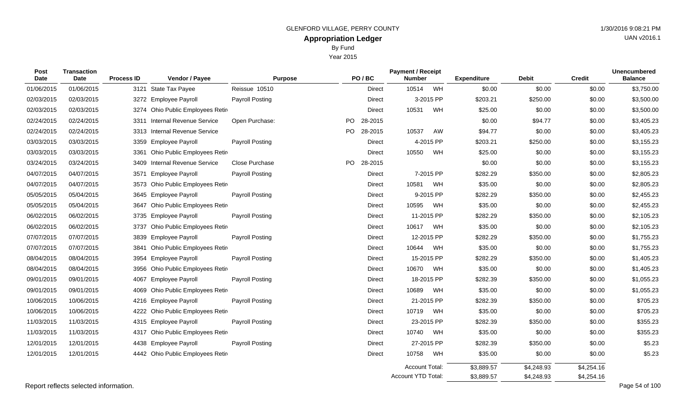Year 2015

|  |  | UAN v2016.1 |
|--|--|-------------|
|  |  |             |
|  |  |             |

| <b>Post</b><br><b>Date</b> | <b>Transaction</b><br>Date | <b>Process ID</b> | Vendor / Payee                   | <b>Purpose</b>         |           | PO/BC         | <b>Payment / Receipt</b><br><b>Number</b> |           | <b>Expenditure</b> | <b>Debit</b> | <b>Credit</b> | <b>Unencumbered</b><br><b>Balance</b> |
|----------------------------|----------------------------|-------------------|----------------------------------|------------------------|-----------|---------------|-------------------------------------------|-----------|--------------------|--------------|---------------|---------------------------------------|
| 01/06/2015                 | 01/06/2015                 |                   | 3121 State Tax Payee             | Reissue 10510          |           | Direct        | 10514                                     | WH        | \$0.00             | \$0.00       | \$0.00        | \$3,750.00                            |
| 02/03/2015                 | 02/03/2015                 |                   | 3272 Employee Payroll            | Payroll Posting        |           | Direct        |                                           | 3-2015 PP | \$203.21           | \$250.00     | \$0.00        | \$3,500.00                            |
| 02/03/2015                 | 02/03/2015                 | 3274              | Ohio Public Employees Retir      |                        |           | Direct        | 10531                                     | WH        | \$25.00            | \$0.00       | \$0.00        | \$3,500.00                            |
| 02/24/2015                 | 02/24/2015                 | 3311              | <b>Internal Revenue Service</b>  | Open Purchase:         | PO.       | 28-2015       |                                           |           | \$0.00             | \$94.77      | \$0.00        | \$3,405.23                            |
| 02/24/2015                 | 02/24/2015                 |                   | 3313 Internal Revenue Service    |                        | <b>PO</b> | 28-2015       | 10537                                     | AW        | \$94.77            | \$0.00       | \$0.00        | \$3,405.23                            |
| 03/03/2015                 | 03/03/2015                 |                   | 3359 Employee Payroll            | Payroll Posting        |           | <b>Direct</b> |                                           | 4-2015 PP | \$203.21           | \$250.00     | \$0.00        | \$3,155.23                            |
| 03/03/2015                 | 03/03/2015                 | 3361              | Ohio Public Employees Retir      |                        |           | <b>Direct</b> | 10550                                     | WH        | \$25.00            | \$0.00       | \$0.00        | \$3,155.23                            |
| 03/24/2015                 | 03/24/2015                 | 3409              | <b>Internal Revenue Service</b>  | Close Purchase         | <b>PO</b> | 28-2015       |                                           |           | \$0.00             | \$0.00       | \$0.00        | \$3,155.23                            |
| 04/07/2015                 | 04/07/2015                 | 3571              | <b>Employee Payroll</b>          | Payroll Posting        |           | Direct        |                                           | 7-2015 PP | \$282.29           | \$350.00     | \$0.00        | \$2,805.23                            |
| 04/07/2015                 | 04/07/2015                 | 3573              | Ohio Public Employees Retir      |                        |           | <b>Direct</b> | 10581                                     | WH        | \$35.00            | \$0.00       | \$0.00        | \$2,805.23                            |
| 05/05/2015                 | 05/04/2015                 |                   | 3645 Employee Payroll            | Payroll Posting        |           | Direct        |                                           | 9-2015 PP | \$282.29           | \$350.00     | \$0.00        | \$2,455.23                            |
| 05/05/2015                 | 05/04/2015                 | 3647              | Ohio Public Employees Retir      |                        |           | Direct        | 10595                                     | WH        | \$35.00            | \$0.00       | \$0.00        | \$2,455.23                            |
| 06/02/2015                 | 06/02/2015                 |                   | 3735 Employee Payroll            | <b>Payroll Posting</b> |           | Direct        | 11-2015 PP                                |           | \$282.29           | \$350.00     | \$0.00        | \$2,105.23                            |
| 06/02/2015                 | 06/02/2015                 | 3737              | Ohio Public Employees Retir      |                        |           | <b>Direct</b> | 10617                                     | WH        | \$35.00            | \$0.00       | \$0.00        | \$2,105.23                            |
| 07/07/2015                 | 07/07/2015                 |                   | 3839 Employee Payroll            | Payroll Posting        |           | Direct        | 12-2015 PP                                |           | \$282.29           | \$350.00     | \$0.00        | \$1,755.23                            |
| 07/07/2015                 | 07/07/2015                 | 3841              | Ohio Public Employees Retir      |                        |           | Direct        | 10644                                     | WH        | \$35.00            | \$0.00       | \$0.00        | \$1,755.23                            |
| 08/04/2015                 | 08/04/2015                 | 3954              | <b>Employee Payroll</b>          | Payroll Posting        |           | <b>Direct</b> | 15-2015 PP                                |           | \$282.29           | \$350.00     | \$0.00        | \$1,405.23                            |
| 08/04/2015                 | 08/04/2015                 |                   | 3956 Ohio Public Employees Retir |                        |           | Direct        | 10670                                     | WH        | \$35.00            | \$0.00       | \$0.00        | \$1,405.23                            |
| 09/01/2015                 | 09/01/2015                 | 4067              | <b>Employee Payroll</b>          | Payroll Posting        |           | Direct        | 18-2015 PP                                |           | \$282.39           | \$350.00     | \$0.00        | \$1,055.23                            |
| 09/01/2015                 | 09/01/2015                 |                   | 4069 Ohio Public Employees Retir |                        |           | Direct        | 10689                                     | WH        | \$35.00            | \$0.00       | \$0.00        | \$1,055.23                            |
| 10/06/2015                 | 10/06/2015                 |                   | 4216 Employee Payroll            | Payroll Posting        |           | Direct        | 21-2015 PP                                |           | \$282.39           | \$350.00     | \$0.00        | \$705.23                              |
| 10/06/2015                 | 10/06/2015                 | 4222              | Ohio Public Employees Retir      |                        |           | Direct        | 10719 WH                                  |           | \$35.00            | \$0.00       | \$0.00        | \$705.23                              |
| 11/03/2015                 | 11/03/2015                 |                   | 4315 Employee Payroll            | Payroll Posting        |           | <b>Direct</b> | 23-2015 PP                                |           | \$282.39           | \$350.00     | \$0.00        | \$355.23                              |
| 11/03/2015                 | 11/03/2015                 |                   | 4317 Ohio Public Employees Retir |                        |           | <b>Direct</b> | 10740 WH                                  |           | \$35.00            | \$0.00       | \$0.00        | \$355.23                              |
| 12/01/2015                 | 12/01/2015                 |                   | 4438 Employee Payroll            | <b>Payroll Posting</b> |           | <b>Direct</b> | 27-2015 PP                                |           | \$282.39           | \$350.00     | \$0.00        | \$5.23                                |
| 12/01/2015                 | 12/01/2015                 |                   | 4442 Ohio Public Employees Retir |                        |           | Direct        | 10758                                     | WH        | \$35.00            | \$0.00       | \$0.00        | \$5.23                                |
|                            |                            |                   |                                  |                        |           |               | <b>Account Total:</b>                     |           | \$3,889.57         | \$4,248.93   | \$4,254.16    |                                       |
|                            |                            |                   |                                  |                        |           |               | Account YTD Total:                        |           | \$3,889.57         | \$4,248.93   | \$4,254.16    |                                       |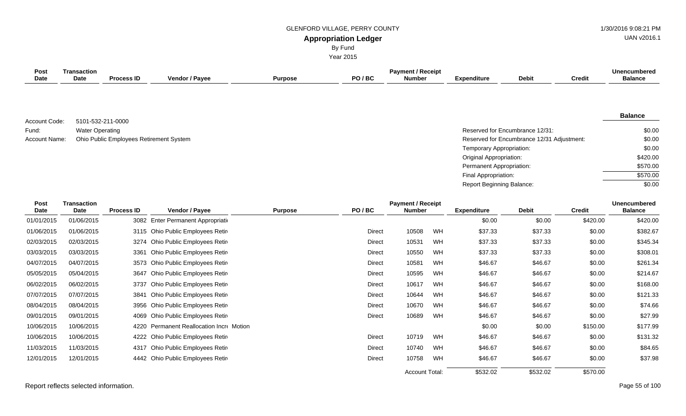**Appropriation Ledger** GLENFORD VILLAGE, PERRY COUNTY 61 ACCESS 1998 121 PM

By Fund Year 2015 UAN v2016.1

| Post<br><b>Date</b>  | <b>Transaction</b><br>Date        | <b>Process ID</b>                       | Vendor / Payee                      | <b>Purpose</b> | PO/BC         | <b>Payment / Receipt</b><br><b>Number</b> |    | <b>Expenditure</b>        | <b>Debit</b>                               | <b>Credit</b> | <b>Unencumbered</b><br><b>Balance</b> |
|----------------------|-----------------------------------|-----------------------------------------|-------------------------------------|----------------|---------------|-------------------------------------------|----|---------------------------|--------------------------------------------|---------------|---------------------------------------|
| Account Code:        | 5101-532-211-0000                 |                                         |                                     |                |               |                                           |    |                           |                                            |               | <b>Balance</b>                        |
| Fund:                | <b>Water Operating</b>            |                                         |                                     |                |               |                                           |    |                           | Reserved for Encumbrance 12/31:            |               | \$0.00                                |
| <b>Account Name:</b> |                                   | Ohio Public Employees Retirement System |                                     |                |               |                                           |    |                           | Reserved for Encumbrance 12/31 Adjustment: |               | \$0.00                                |
|                      |                                   |                                         |                                     |                |               |                                           |    | Temporary Appropriation:  |                                            |               | \$0.00                                |
|                      |                                   |                                         |                                     |                |               |                                           |    | Original Appropriation:   |                                            |               | \$420.00                              |
|                      |                                   |                                         |                                     |                |               |                                           |    | Permanent Appropriation:  |                                            |               | \$570.00                              |
|                      |                                   |                                         |                                     |                |               |                                           |    | Final Appropriation:      |                                            |               | \$570.00                              |
|                      |                                   |                                         |                                     |                |               |                                           |    | Report Beginning Balance: |                                            |               | \$0.00                                |
| Post<br><b>Date</b>  | <b>Transaction</b><br><b>Date</b> | <b>Process ID</b>                       | Vendor / Payee                      | <b>Purpose</b> | PO/BC         | <b>Payment / Receipt</b><br><b>Number</b> |    | <b>Expenditure</b>        | <b>Debit</b>                               | <b>Credit</b> | <b>Unencumbered</b><br><b>Balance</b> |
| 01/01/2015           | 01/06/2015                        |                                         | 3082 Enter Permanent Appropriation  |                |               |                                           |    | \$0.00                    | \$0.00                                     | \$420.00      | \$420.00                              |
| 01/06/2015           | 01/06/2015                        |                                         | 3115 Ohio Public Employees Retir    |                | <b>Direct</b> | 10508                                     | WH | \$37.33                   | \$37.33                                    | \$0.00        | \$382.67                              |
| 02/03/2015           | 02/03/2015                        | 3274                                    | Ohio Public Employees Retir         |                | <b>Direct</b> | 10531                                     | WH | \$37.33                   | \$37.33                                    | \$0.00        | \$345.34                              |
| 03/03/2015           | 03/03/2015                        | 3361                                    | Ohio Public Employees Retir         |                | <b>Direct</b> | 10550                                     | WH | \$37.33                   | \$37.33                                    | \$0.00        | \$308.01                              |
| 04/07/2015           | 04/07/2015                        |                                         | 3573 Ohio Public Employees Retir    |                | <b>Direct</b> | 10581                                     | WH | \$46.67                   | \$46.67                                    | \$0.00        | \$261.34                              |
| 05/05/2015           | 05/04/2015                        |                                         | 3647 Ohio Public Employees Retir    |                | <b>Direct</b> | 10595                                     | WH | \$46.67                   | \$46.67                                    | \$0.00        | \$214.67                              |
| 06/02/2015           | 06/02/2015                        | 3737                                    | Ohio Public Employees Retir         |                | <b>Direct</b> | 10617                                     | WH | \$46.67                   | \$46.67                                    | \$0.00        | \$168.00                              |
| 07/07/2015           | 07/07/2015                        | 3841                                    | Ohio Public Employees Retire        |                | <b>Direct</b> | 10644                                     | WH | \$46.67                   | \$46.67                                    | \$0.00        | \$121.33                              |
| 08/04/2015           | 08/04/2015                        | 3956                                    | Ohio Public Employees Retir         |                | <b>Direct</b> | 10670                                     | WH | \$46.67                   | \$46.67                                    | \$0.00        | \$74.66                               |
| 09/01/2015           | 09/01/2015                        | 4069                                    | Ohio Public Employees Retire        |                | <b>Direct</b> | 10689                                     | WH | \$46.67                   | \$46.67                                    | \$0.00        | \$27.99                               |
| 10/06/2015           | 10/06/2015                        | 4220                                    | Permanent Reallocation Incre Motion |                |               |                                           |    | \$0.00                    | \$0.00                                     | \$150.00      | \$177.99                              |
| 10/06/2015           | 10/06/2015                        | 4222                                    | Ohio Public Employees Retir         |                | <b>Direct</b> | 10719                                     | WH | \$46.67                   | \$46.67                                    | \$0.00        | \$131.32                              |
| 11/03/2015           | 11/03/2015                        |                                         | 4317 Ohio Public Employees Retire   |                | Direct        | 10740                                     | WH | \$46.67                   | \$46.67                                    | \$0.00        | \$84.65                               |
| 12/01/2015           | 12/01/2015                        |                                         | 4442 Ohio Public Employees Retir    |                | <b>Direct</b> | 10758                                     | WH | \$46.67                   | \$46.67                                    | \$0.00        | \$37.98                               |
|                      |                                   |                                         |                                     |                |               |                                           |    |                           |                                            |               |                                       |

Report reflects selected information. Page 55 of 100

\$570.00

\$532.02

\$532.02

Account Total: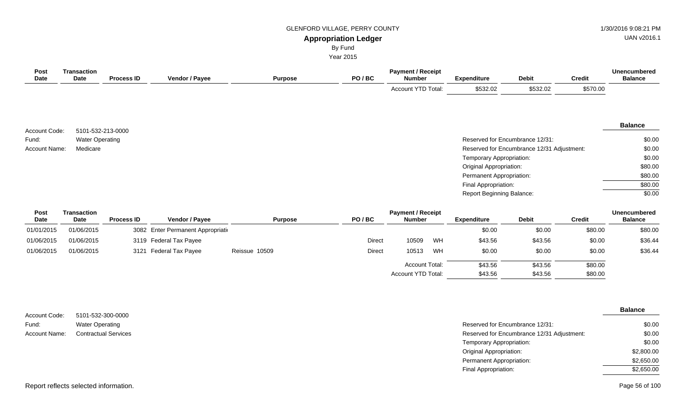# GLENFORD VILLAGE, PERRY COUNTY **1/30/2016** 9:08:21 PM

# UAN v2016.1

# **Appropriation Ledger**

By Fund

Year 2015

| Post<br>Date           | <b>Transaction</b><br>Date | <b>Process ID</b> | Vendor / Payee                                                                                                                                                    | <b>Purpose</b> | PO/BC | <b>Payment / Receipt</b><br><b>Number</b> | <b>Expenditure</b>               | <b>Debit</b>                               | <b>Credit</b> | <b>Unencumbered</b><br><b>Balance</b> |
|------------------------|----------------------------|-------------------|-------------------------------------------------------------------------------------------------------------------------------------------------------------------|----------------|-------|-------------------------------------------|----------------------------------|--------------------------------------------|---------------|---------------------------------------|
|                        |                            |                   |                                                                                                                                                                   |                |       | Account YTD Total:                        | \$532.02                         | \$532.02                                   | \$570.00      |                                       |
|                        |                            |                   |                                                                                                                                                                   |                |       |                                           |                                  |                                            |               |                                       |
| Account Code:          |                            | 5101-532-213-0000 |                                                                                                                                                                   |                |       |                                           |                                  |                                            |               | <b>Balance</b>                        |
| Fund:                  | <b>Water Operating</b>     |                   |                                                                                                                                                                   |                |       |                                           |                                  | Reserved for Encumbrance 12/31:            |               | \$0.00                                |
| Account Name:          | Medicare                   |                   |                                                                                                                                                                   |                |       |                                           |                                  | Reserved for Encumbrance 12/31 Adjustment: |               | \$0.00                                |
|                        |                            |                   |                                                                                                                                                                   |                |       |                                           | Temporary Appropriation:         |                                            |               | \$0.00                                |
|                        |                            |                   |                                                                                                                                                                   |                |       |                                           | <b>Original Appropriation:</b>   |                                            |               | \$80.00                               |
|                        |                            |                   |                                                                                                                                                                   |                |       |                                           | Permanent Appropriation:         |                                            |               | \$80.00                               |
|                        |                            |                   |                                                                                                                                                                   |                |       |                                           | Final Appropriation:             |                                            |               | \$80.00                               |
|                        |                            |                   |                                                                                                                                                                   |                |       |                                           | <b>Report Beginning Balance:</b> |                                            |               | \$0.00                                |
| Post<br>Date           | <b>Transaction</b><br>Date | <b>Process ID</b> | Vendor / Payee                                                                                                                                                    | <b>Purpose</b> | PO/BC | <b>Payment / Receipt</b><br><b>Number</b> | <b>Expenditure</b>               | <b>Debit</b>                               | <b>Credit</b> | <b>Unencumbered</b><br><b>Balance</b> |
| $0.4$ $0.4$ $0.04$ $F$ | $0.4$ in $0.001$ $F$       |                   | $0.000$ $\Gamma_{\text{eff}}$ $\Gamma_{\text{eff}}$ $\Gamma_{\text{eff}}$ $\Gamma_{\text{eff}}$ $\Gamma_{\text{eff}}$ $\Gamma_{\text{eff}}$ $\Gamma_{\text{eff}}$ |                |       |                                           | 0 <sub>0</sub>                   | 0 <sub>0</sub>                             | 0.0000        | 0.0000                                |

| 01/01/2015 | 01/06/2015 | 3082 Enter Permanent Appropriation |               |               |                       |    | \$0.00  | \$0.00  | \$80.00 | \$80.00 |
|------------|------------|------------------------------------|---------------|---------------|-----------------------|----|---------|---------|---------|---------|
| 01/06/2015 | 01/06/2015 | 3119 Federal Tax Payee             |               | Direct        | 10509                 | WH | \$43.56 | \$43.56 | \$0.00  | \$36.44 |
| 01/06/2015 | 01/06/2015 | 3121 Federal Tax Payee             | Reissue 10509 | <b>Direct</b> | 10513                 | WH | \$0.00  | \$0.00  | \$0.00  | \$36.44 |
|            |            |                                    |               |               | <b>Account Total:</b> |    | \$43.56 | \$43.56 | \$80.00 |         |
|            |            |                                    |               |               | Account YTD Total:    |    | \$43.56 | \$43.56 | \$80.00 |         |

|               |                             |                                            | <b>Balance</b> |
|---------------|-----------------------------|--------------------------------------------|----------------|
| Account Code: | 5101-532-300-0000           |                                            |                |
| Fund:         | <b>Water Operating</b>      | Reserved for Encumbrance 12/31:            | \$0.00         |
| Account Name: | <b>Contractual Services</b> | Reserved for Encumbrance 12/31 Adjustment: | \$0.00         |
|               |                             | Temporary Appropriation:                   | \$0.00         |
|               |                             | <b>Original Appropriation:</b>             | \$2,800.00     |
|               |                             | Permanent Appropriation:                   | \$2,650.00     |
|               |                             | Final Appropriation:                       | \$2,650.00     |
|               |                             |                                            |                |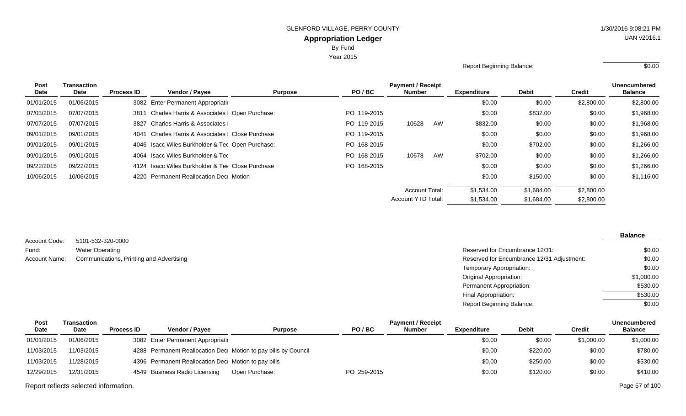Year 2015

Report Beginning Balance: \$0.00

| <b>Post</b> | Transaction |                   |                                                  |                |             | <b>Payment / Receipt</b> |    |                    |              |               | <b>Unencumbered</b> |
|-------------|-------------|-------------------|--------------------------------------------------|----------------|-------------|--------------------------|----|--------------------|--------------|---------------|---------------------|
| Date        | Date        | <b>Process ID</b> | <b>Vendor / Payee</b>                            | <b>Purpose</b> | PO/BC       | Number                   |    | <b>Expenditure</b> | <b>Debit</b> | <b>Credit</b> | <b>Balance</b>      |
| 01/01/2015  | 01/06/2015  |                   | 3082 Enter Permanent Appropriation               |                |             |                          |    | \$0.00             | \$0.00       | \$2,800.00    | \$2,800.00          |
| 07/03/2015  | 07/07/2015  | 3811              | Charles Harris & Associates   Open Purchase:     |                | PO 119-2015 |                          |    | \$0.00             | \$832.00     | \$0.00        | \$1,968.00          |
| 07/07/2015  | 07/07/2015  |                   | 3827 Charles Harris & Associates                 |                | PO 119-2015 | 10628                    | AW | \$832.00           | \$0.00       | \$0.00        | \$1,968.00          |
| 09/01/2015  | 09/01/2015  | 4041              | Charles Harris & Associates   Close Purchase     |                | PO 119-2015 |                          |    | \$0.00             | \$0.00       | \$0.00        | \$1,968.00          |
| 09/01/2015  | 09/01/2015  |                   | 4046 Isacc Wiles Burkholder & Ter Open Purchase: |                | PO 168-2015 |                          |    | \$0.00             | \$702.00     | \$0.00        | \$1,266.00          |
| 09/01/2015  | 09/01/2015  |                   | 4064 Isacc Wiles Burkholder & Tee                |                | PO 168-2015 | 10678                    | AW | \$702.00           | \$0.00       | \$0.00        | \$1,266.00          |
| 09/22/2015  | 09/22/2015  |                   | 4124 Isacc Wiles Burkholder & Tee Close Purchase |                | PO 168-2015 |                          |    | \$0.00             | \$0.00       | \$0.00        | \$1,266.00          |
| 10/06/2015  | 10/06/2015  |                   | 4220 Permanent Reallocation Dec Motion           |                |             |                          |    | \$0.00             | \$150.00     | \$0.00        | \$1,116.00          |
|             |             |                   |                                                  |                |             | <b>Account Total:</b>    |    | \$1,534.00         | \$1,684.00   | \$2,800.00    |                     |
|             |             |                   |                                                  |                |             | Account YTD Total:       |    | \$1,534.00         | \$1,684.00   | \$2,800.00    |                     |
|             |             |                   |                                                  |                |             |                          |    |                    |              |               |                     |

|               |                                          |                                            | <b>Balance</b> |
|---------------|------------------------------------------|--------------------------------------------|----------------|
| Account Code: | 5101-532-320-0000                        |                                            |                |
| Fund:         | <b>Water Operating</b>                   | Reserved for Encumbrance 12/31:            | \$0.00         |
| Account Name: | Communications, Printing and Advertising | Reserved for Encumbrance 12/31 Adjustment: | \$0.00         |
|               |                                          | Temporary Appropriation:                   | \$0.00         |
|               |                                          | Original Appropriation:                    | \$1,000.00     |
|               |                                          | Permanent Appropriation:                   | \$530.00       |
|               |                                          | Final Appropriation:                       | \$530.00       |
|               |                                          | Report Beginning Balance:                  | \$0.00         |

| Post        | Transaction |                   |                                                     |                                                                |             | <b>Payment / Receipt</b> |             |              |            | <b>Unencumbered</b> |
|-------------|-------------|-------------------|-----------------------------------------------------|----------------------------------------------------------------|-------------|--------------------------|-------------|--------------|------------|---------------------|
| <b>Date</b> | Date        | <b>Process ID</b> | <b>Vendor / Pavee</b>                               | <b>Purpose</b>                                                 | PO/BC       | <b>Number</b>            | Expenditure | <b>Debit</b> | Credit     | <b>Balance</b>      |
| 01/01/2015  | 01/06/2015  |                   | 3082 Enter Permanent Appropriation                  |                                                                |             |                          | \$0.00      | \$0.00       | \$1,000.00 | \$1,000.00          |
| 11/03/2015  | 11/03/2015  |                   |                                                     | 4288 Permanent Reallocation Dec Motion to pay bills by Council |             |                          | \$0.00      | \$220.00     | \$0.00     | \$780.00            |
| 11/03/2015  | 11/28/2015  |                   | 4396 Permanent Reallocation Dec Motion to pay bills |                                                                |             |                          | \$0.00      | \$250.00     | \$0.00     | \$530.00            |
| 12/29/2015  | 12/31/2015  |                   | 4549 Business Radio Licensing                       | Open Purchase:                                                 | PO 259-2015 |                          | \$0.00      | \$120.00     | \$0.00     | \$410.00            |

Report reflects selected information. Page 57 of 100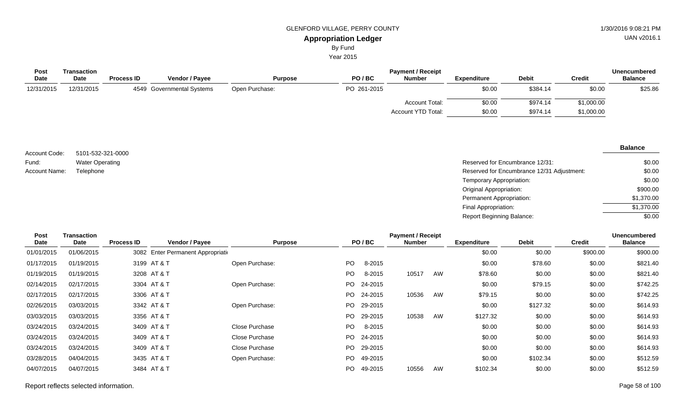By Fund

Year 2015

| Post        | Transaction |                   |                           |                |             | <b>Payment / Receipt</b> |             |              |               | <b>Unencumbered</b> |  |
|-------------|-------------|-------------------|---------------------------|----------------|-------------|--------------------------|-------------|--------------|---------------|---------------------|--|
| <b>Date</b> | <b>Date</b> | <b>Process ID</b> | Vendor / Payee            | <b>Purpose</b> | PO/BC       | <b>Number</b>            | Expenditure | <b>Debit</b> | <b>Credit</b> | <b>Balance</b>      |  |
| 12/31/2015  | 12/31/2015  |                   | 4549 Governmental Systems | Open Purchase: | PO 261-2015 |                          | \$0.00      | \$384.14     | \$0.00        | \$25.86             |  |
|             |             |                   |                           |                |             | Account Total:           | \$0.00      | \$974.14     | \$1,000.00    |                     |  |
|             |             |                   |                           |                |             | Account YTD Total:       | \$0.00      | \$974.14     | \$1,000.00    |                     |  |

| Account Code: | 5101-532-321-0000      |
|---------------|------------------------|
| Fund:         | <b>Water Operating</b> |
| Account Name: | Telephone              |

| Water Operating | Reserved for Encumbrance 12/31:            | \$0.00     |
|-----------------|--------------------------------------------|------------|
| Telephone       | Reserved for Encumbrance 12/31 Adjustment: | \$0.00     |
|                 | Temporary Appropriation:                   | \$0.00     |
|                 | Original Appropriation:                    | \$900.00   |
|                 | Permanent Appropriation:                   | \$1,370.00 |
|                 | Final Appropriation:                       | \$1,370.00 |
|                 | Report Beginning Balance:                  | \$0.00     |

| Post<br>Date | Transaction<br>Date | <b>Process ID</b> | Vendor / Payee                     | <b>Purpose</b> |     | PO/BC   | <b>Payment / Receipt</b><br><b>Number</b> |    | <b>Expenditure</b> | <b>Debit</b> | <b>Credit</b> | Unencumbered<br><b>Balance</b> |
|--------------|---------------------|-------------------|------------------------------------|----------------|-----|---------|-------------------------------------------|----|--------------------|--------------|---------------|--------------------------------|
| 01/01/2015   | 01/06/2015          |                   | 3082 Enter Permanent Appropriation |                |     |         |                                           |    | \$0.00             | \$0.00       | \$900.00      | \$900.00                       |
| 01/17/2015   | 01/19/2015          |                   | 3199 AT & T                        | Open Purchase: | PO  | 8-2015  |                                           |    | \$0.00             | \$78.60      | \$0.00        | \$821.40                       |
| 01/19/2015   | 01/19/2015          |                   | 3208 AT & T                        |                | PO. | 8-2015  | 10517                                     | AW | \$78.60            | \$0.00       | \$0.00        | \$821.40                       |
| 02/14/2015   | 02/17/2015          |                   | 3304 AT & T                        | Open Purchase: | PO. | 24-2015 |                                           |    | \$0.00             | \$79.15      | \$0.00        | \$742.25                       |
| 02/17/2015   | 02/17/2015          |                   | 3306 AT & T                        |                | PO. | 24-2015 | 10536                                     | AW | \$79.15            | \$0.00       | \$0.00        | \$742.25                       |
| 02/26/2015   | 03/03/2015          |                   | 3342 AT & T                        | Open Purchase: | PO. | 29-2015 |                                           |    | \$0.00             | \$127.32     | \$0.00        | \$614.93                       |
| 03/03/2015   | 03/03/2015          |                   | 3356 AT & T                        |                | PO. | 29-2015 | 10538                                     | AW | \$127.32           | \$0.00       | \$0.00        | \$614.93                       |
| 03/24/2015   | 03/24/2015          |                   | 3409 AT & T                        | Close Purchase | PO. | 8-2015  |                                           |    | \$0.00             | \$0.00       | \$0.00        | \$614.93                       |
| 03/24/2015   | 03/24/2015          |                   | 3409 AT & T                        | Close Purchase | PO. | 24-2015 |                                           |    | \$0.00             | \$0.00       | \$0.00        | \$614.93                       |
| 03/24/2015   | 03/24/2015          |                   | 3409 AT & T                        | Close Purchase | PO. | 29-2015 |                                           |    | \$0.00             | \$0.00       | \$0.00        | \$614.93                       |
| 03/28/2015   | 04/04/2015          |                   | 3435 AT & T                        | Open Purchase: | PO. | 49-2015 |                                           |    | \$0.00             | \$102.34     | \$0.00        | \$512.59                       |
| 04/07/2015   | 04/07/2015          |                   | 3484 AT & T                        |                | PO. | 49-2015 | 10556                                     | AW | \$102.34           | \$0.00       | \$0.00        | \$512.59                       |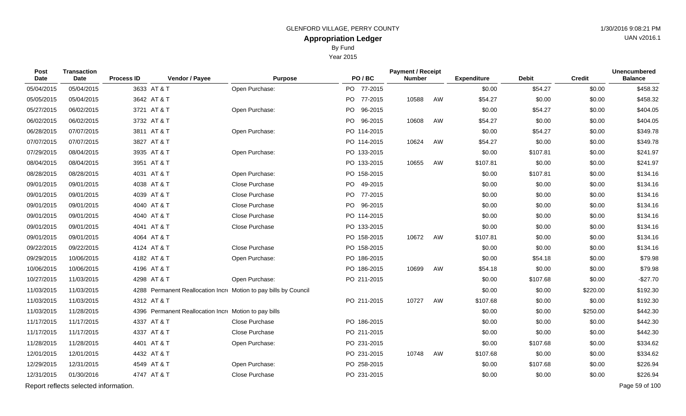By Fund

Year 2015

| Post<br>Date | <b>Transaction</b><br><b>Date</b>     | <b>Process ID</b> | Vendor / Payee                                        | <b>Purpose</b>                                                   | PO/BC       | <b>Payment / Receipt</b><br><b>Number</b> |    | <b>Expenditure</b> | <b>Debit</b> | <b>Credit</b> | <b>Unencumbered</b><br><b>Balance</b> |
|--------------|---------------------------------------|-------------------|-------------------------------------------------------|------------------------------------------------------------------|-------------|-------------------------------------------|----|--------------------|--------------|---------------|---------------------------------------|
| 05/04/2015   | 05/04/2015                            | 3633 AT & T       |                                                       | Open Purchase:                                                   | PO 77-2015  |                                           |    | \$0.00             | \$54.27      | \$0.00        | \$458.32                              |
| 05/05/2015   | 05/04/2015                            | 3642 AT & T       |                                                       |                                                                  | PO 77-2015  | 10588                                     | AW | \$54.27            | \$0.00       | \$0.00        | \$458.32                              |
| 05/27/2015   | 06/02/2015                            | 3721 AT & T       |                                                       | Open Purchase:                                                   | PO 96-2015  |                                           |    | \$0.00             | \$54.27      | \$0.00        | \$404.05                              |
| 06/02/2015   | 06/02/2015                            | 3732 AT & T       |                                                       |                                                                  | PO 96-2015  | 10608                                     | AW | \$54.27            | \$0.00       | \$0.00        | \$404.05                              |
| 06/28/2015   | 07/07/2015                            | 3811 AT & T       |                                                       | Open Purchase:                                                   | PO 114-2015 |                                           |    | \$0.00             | \$54.27      | \$0.00        | \$349.78                              |
| 07/07/2015   | 07/07/2015                            | 3827 AT & T       |                                                       |                                                                  | PO 114-2015 | 10624                                     | AW | \$54.27            | \$0.00       | \$0.00        | \$349.78                              |
| 07/29/2015   | 08/04/2015                            | 3935 AT & T       |                                                       | Open Purchase:                                                   | PO 133-2015 |                                           |    | \$0.00             | \$107.81     | \$0.00        | \$241.97                              |
| 08/04/2015   | 08/04/2015                            | 3951 AT & T       |                                                       |                                                                  | PO 133-2015 | 10655                                     | AW | \$107.81           | \$0.00       | \$0.00        | \$241.97                              |
| 08/28/2015   | 08/28/2015                            | 4031 AT & T       |                                                       | Open Purchase:                                                   | PO 158-2015 |                                           |    | \$0.00             | \$107.81     | \$0.00        | \$134.16                              |
| 09/01/2015   | 09/01/2015                            | 4038 AT & T       |                                                       | Close Purchase                                                   | PO 49-2015  |                                           |    | \$0.00             | \$0.00       | \$0.00        | \$134.16                              |
| 09/01/2015   | 09/01/2015                            | 4039 AT & T       |                                                       | Close Purchase                                                   | PO 77-2015  |                                           |    | \$0.00             | \$0.00       | \$0.00        | \$134.16                              |
| 09/01/2015   | 09/01/2015                            | 4040 AT & T       |                                                       | Close Purchase                                                   | PO 96-2015  |                                           |    | \$0.00             | \$0.00       | \$0.00        | \$134.16                              |
| 09/01/2015   | 09/01/2015                            | 4040 AT & T       |                                                       | Close Purchase                                                   | PO 114-2015 |                                           |    | \$0.00             | \$0.00       | \$0.00        | \$134.16                              |
| 09/01/2015   | 09/01/2015                            | 4041 AT & T       |                                                       | Close Purchase                                                   | PO 133-2015 |                                           |    | \$0.00             | \$0.00       | \$0.00        | \$134.16                              |
| 09/01/2015   | 09/01/2015                            | 4064 AT & T       |                                                       |                                                                  | PO 158-2015 | 10672                                     | AW | \$107.81           | \$0.00       | \$0.00        | \$134.16                              |
| 09/22/2015   | 09/22/2015                            | 4124 AT & T       |                                                       | Close Purchase                                                   | PO 158-2015 |                                           |    | \$0.00             | \$0.00       | \$0.00        | \$134.16                              |
| 09/29/2015   | 10/06/2015                            | 4182 AT & T       |                                                       | Open Purchase:                                                   | PO 186-2015 |                                           |    | \$0.00             | \$54.18      | \$0.00        | \$79.98                               |
| 10/06/2015   | 10/06/2015                            | 4196 AT & T       |                                                       |                                                                  | PO 186-2015 | 10699                                     | AW | \$54.18            | \$0.00       | \$0.00        | \$79.98                               |
| 10/27/2015   | 11/03/2015                            | 4298 AT & T       |                                                       | Open Purchase:                                                   | PO 211-2015 |                                           |    | \$0.00             | \$107.68     | \$0.00        | $-$27.70$                             |
| 11/03/2015   | 11/03/2015                            |                   |                                                       | 4288 Permanent Reallocation Incre Motion to pay bills by Council |             |                                           |    | \$0.00             | \$0.00       | \$220.00      | \$192.30                              |
| 11/03/2015   | 11/03/2015                            | 4312 AT & T       |                                                       |                                                                  | PO 211-2015 | 10727                                     | AW | \$107.68           | \$0.00       | \$0.00        | \$192.30                              |
| 11/03/2015   | 11/28/2015                            |                   | 4396 Permanent Reallocation Incre Motion to pay bills |                                                                  |             |                                           |    | \$0.00             | \$0.00       | \$250.00      | \$442.30                              |
| 11/17/2015   | 11/17/2015                            | 4337 AT & T       |                                                       | Close Purchase                                                   | PO 186-2015 |                                           |    | \$0.00             | \$0.00       | \$0.00        | \$442.30                              |
| 11/17/2015   | 11/17/2015                            | 4337 AT & T       |                                                       | Close Purchase                                                   | PO 211-2015 |                                           |    | \$0.00             | \$0.00       | \$0.00        | \$442.30                              |
| 11/28/2015   | 11/28/2015                            | 4401 AT & T       |                                                       | Open Purchase:                                                   | PO 231-2015 |                                           |    | \$0.00             | \$107.68     | \$0.00        | \$334.62                              |
| 12/01/2015   | 12/01/2015                            | 4432 AT & T       |                                                       |                                                                  | PO 231-2015 | 10748                                     | AW | \$107.68           | \$0.00       | \$0.00        | \$334.62                              |
| 12/29/2015   | 12/31/2015                            | 4549 AT & T       |                                                       | Open Purchase:                                                   | PO 258-2015 |                                           |    | \$0.00             | \$107.68     | \$0.00        | \$226.94                              |
| 12/31/2015   | 01/30/2016                            | 4747 AT & T       |                                                       | Close Purchase                                                   | PO 231-2015 |                                           |    | \$0.00             | \$0.00       | \$0.00        | \$226.94                              |
|              | Report reflects selected information. |                   |                                                       |                                                                  |             |                                           |    |                    |              |               | Page 59 of 100                        |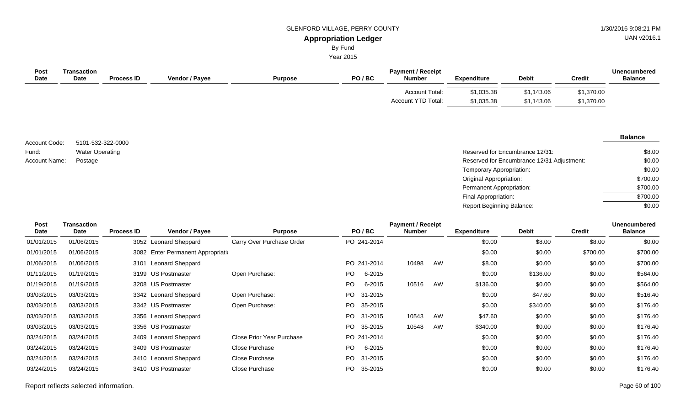UAN v2016.1

# By Fund

Year 2015

| <b>Post</b><br><b>Date</b> | Transaction<br><b>Date</b> | <b>Process ID</b> | <b>Vendor / Payee</b> | <b>Purpose</b> | PO/BC | <b>Payment / Receipt</b><br><b>Number</b> | <b>Expenditure</b>       | <b>Debit</b>             | <b>Credit</b>            | <b>Unencumbered</b><br><b>Balance</b> |
|----------------------------|----------------------------|-------------------|-----------------------|----------------|-------|-------------------------------------------|--------------------------|--------------------------|--------------------------|---------------------------------------|
|                            |                            |                   |                       |                |       | Account Total:<br>Account YTD Total:      | \$1,035.38<br>\$1,035.38 | \$1,143.06<br>\$1,143.06 | \$1,370.00<br>\$1,370.00 |                                       |

5101-532-322-0000 Water Operating Account Code: Fund: Account Name:

| Water Operating | Reserved for Encumbrance 12/31:            | \$8.00   |
|-----------------|--------------------------------------------|----------|
| Postage         | Reserved for Encumbrance 12/31 Adjustment: | \$0.00   |
|                 | Temporary Appropriation:                   | \$0.00   |
|                 | Original Appropriation:                    | \$700.00 |
|                 | Permanent Appropriation:                   | \$700.00 |
|                 | Final Appropriation:                       | \$700.00 |
|                 | <b>Report Beginning Balance:</b>           | \$0.00   |

| Post        | <b>Transaction</b> |                   |                                    |                           |     |             | <b>Payment / Receipt</b> |    |                    |              |               | <b>Unencumbered</b> |
|-------------|--------------------|-------------------|------------------------------------|---------------------------|-----|-------------|--------------------------|----|--------------------|--------------|---------------|---------------------|
| <b>Date</b> | Date               | <b>Process ID</b> | Vendor / Payee                     | <b>Purpose</b>            |     | PO/BC       | <b>Number</b>            |    | <b>Expenditure</b> | <b>Debit</b> | <b>Credit</b> | <b>Balance</b>      |
| 01/01/2015  | 01/06/2015         |                   | 3052 Leonard Sheppard              | Carry Over Purchase Order |     | PO 241-2014 |                          |    | \$0.00             | \$8.00       | \$8.00        | \$0.00              |
| 01/01/2015  | 01/06/2015         |                   | 3082 Enter Permanent Appropriation |                           |     |             |                          |    | \$0.00             | \$0.00       | \$700.00      | \$700.00            |
| 01/06/2015  | 01/06/2015         | 3101              | <b>Leonard Sheppard</b>            |                           |     | PO 241-2014 | 10498                    | AW | \$8.00             | \$0.00       | \$0.00        | \$700.00            |
| 01/11/2015  | 01/19/2015         |                   | 3199 US Postmaster                 | Open Purchase:            | PO. | 6-2015      |                          |    | \$0.00             | \$136.00     | \$0.00        | \$564.00            |
| 01/19/2015  | 01/19/2015         |                   | 3208 US Postmaster                 |                           | PO. | 6-2015      | 10516                    | AW | \$136.00           | \$0.00       | \$0.00        | \$564.00            |
| 03/03/2015  | 03/03/2015         |                   | 3342 Leonard Sheppard              | Open Purchase:            | PO. | 31-2015     |                          |    | \$0.00             | \$47.60      | \$0.00        | \$516.40            |
| 03/03/2015  | 03/03/2015         |                   | 3342 US Postmaster                 | Open Purchase:            | PO. | 35-2015     |                          |    | \$0.00             | \$340.00     | \$0.00        | \$176.40            |
| 03/03/2015  | 03/03/2015         |                   | 3356 Leonard Sheppard              |                           | PO. | 31-2015     | 10543                    | AW | \$47.60            | \$0.00       | \$0.00        | \$176.40            |
| 03/03/2015  | 03/03/2015         |                   | 3356 US Postmaster                 |                           | PO. | 35-2015     | 10548                    | AW | \$340.00           | \$0.00       | \$0.00        | \$176.40            |
| 03/24/2015  | 03/24/2015         |                   | 3409 Leonard Sheppard              | Close Prior Year Purchase |     | PO 241-2014 |                          |    | \$0.00             | \$0.00       | \$0.00        | \$176.40            |
| 03/24/2015  | 03/24/2015         |                   | 3409 US Postmaster                 | Close Purchase            | PO. | 6-2015      |                          |    | \$0.00             | \$0.00       | \$0.00        | \$176.40            |
| 03/24/2015  | 03/24/2015         |                   | 3410 Leonard Sheppard              | Close Purchase            | PO. | 31-2015     |                          |    | \$0.00             | \$0.00       | \$0.00        | \$176.40            |
| 03/24/2015  | 03/24/2015         |                   | 3410 US Postmaster                 | Close Purchase            | PO. | 35-2015     |                          |    | \$0.00             | \$0.00       | \$0.00        | \$176.40            |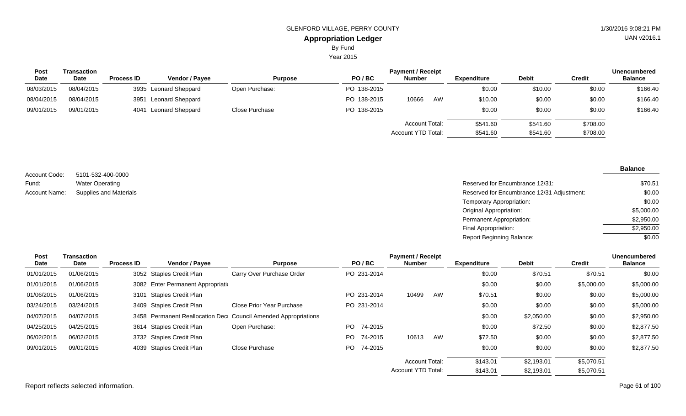Year 2015

| <b>Post</b> | Transaction |                   |                       | <b>Payment / Receipt</b> |             |                                      |                      |                      |                      |                |
|-------------|-------------|-------------------|-----------------------|--------------------------|-------------|--------------------------------------|----------------------|----------------------|----------------------|----------------|
| <b>Date</b> | Date        | <b>Process ID</b> | <b>Vendor / Payee</b> | <b>Purpose</b>           | PO/BC       | <b>Number</b>                        | Expenditure          | <b>Debit</b>         | Credit               | <b>Balance</b> |
| 08/03/2015  | 08/04/2015  |                   | 3935 Leonard Sheppard | Open Purchase:           | PO 138-2015 |                                      | \$0.00               | \$10.00              | \$0.00               | \$166.40       |
| 08/04/2015  | 08/04/2015  | 3951              | Leonard Sheppard      |                          | PO 138-2015 | 10666<br>AW                          | \$10.00              | \$0.00               | \$0.00               | \$166.40       |
| 09/01/2015  | 09/01/2015  |                   | 4041 Leonard Sheppard | Close Purchase           | PO 138-2015 |                                      | \$0.00               | \$0.00               | \$0.00               | \$166.40       |
|             |             |                   |                       |                          |             | Account Total:<br>Account YTD Total: | \$541.60<br>\$541.60 | \$541.60<br>\$541.60 | \$708.00<br>\$708.00 |                |

| Account Code: | 5101-532-400-0000             |
|---------------|-------------------------------|
| Fund:         | <b>Water Operating</b>        |
| Account Name: | <b>Supplies and Materials</b> |

| Water Operating               | Reserved for Encumbrance 12/31:            | \$70.51    |
|-------------------------------|--------------------------------------------|------------|
| <b>Supplies and Materials</b> | Reserved for Encumbrance 12/31 Adjustment: | \$0.00     |
|                               | <b>Temporary Appropriation:</b>            | \$0.00     |
|                               | Original Appropriation:                    | \$5,000.00 |
|                               | Permanent Appropriation:                   | \$2,950.00 |
|                               | Final Appropriation:                       | \$2,950.00 |
|                               | <b>Report Beginning Balance:</b>           | \$0.00     |

| <b>Post</b> | <b>Transaction</b> |                   |                                    |                                                                |                | <b>Payment / Receipt</b>  |    |                    |              |               | <b>Unencumbered</b> |
|-------------|--------------------|-------------------|------------------------------------|----------------------------------------------------------------|----------------|---------------------------|----|--------------------|--------------|---------------|---------------------|
| Date        | Date               | <b>Process ID</b> | Vendor / Payee                     | <b>Purpose</b>                                                 | PO/BC          | <b>Number</b>             |    | <b>Expenditure</b> | <b>Debit</b> | <b>Credit</b> | <b>Balance</b>      |
| 01/01/2015  | 01/06/2015         |                   | 3052 Staples Credit Plan           | Carry Over Purchase Order                                      | PO 231-2014    |                           |    | \$0.00             | \$70.51      | \$70.51       | \$0.00              |
| 01/01/2015  | 01/06/2015         |                   | 3082 Enter Permanent Appropriation |                                                                |                |                           |    | \$0.00             | \$0.00       | \$5,000.00    | \$5,000.00          |
| 01/06/2015  | 01/06/2015         | 3101              | <b>Staples Credit Plan</b>         |                                                                | PO 231-2014    | 10499                     | AW | \$70.51            | \$0.00       | \$0.00        | \$5,000.00          |
| 03/24/2015  | 03/24/2015         |                   | 3409 Staples Credit Plan           | Close Prior Year Purchase                                      | PO 231-2014    |                           |    | \$0.00             | \$0.00       | \$0.00        | \$5,000.00          |
| 04/07/2015  | 04/07/2015         |                   |                                    | 3458 Permanent Reallocation Dec Council Amended Appropriations |                |                           |    | \$0.00             | \$2,050.00   | \$0.00        | \$2,950.00          |
| 04/25/2015  | 04/25/2015         |                   | 3614 Staples Credit Plan           | Open Purchase:                                                 | 74-2015<br>PO. |                           |    | \$0.00             | \$72.50      | \$0.00        | \$2,877.50          |
| 06/02/2015  | 06/02/2015         |                   | 3732 Staples Credit Plan           |                                                                | PO.<br>74-2015 | 10613                     | AW | \$72.50            | \$0.00       | \$0.00        | \$2,877.50          |
| 09/01/2015  | 09/01/2015         |                   | 4039 Staples Credit Plan           | Close Purchase                                                 | PO 74-2015     |                           |    | \$0.00             | \$0.00       | \$0.00        | \$2,877.50          |
|             |                    |                   |                                    |                                                                |                | <b>Account Total:</b>     |    | \$143.01           | \$2,193.01   | \$5,070.51    |                     |
|             |                    |                   |                                    |                                                                |                | <b>Account YTD Total:</b> |    | \$143.01           | \$2,193.01   | \$5,070.51    |                     |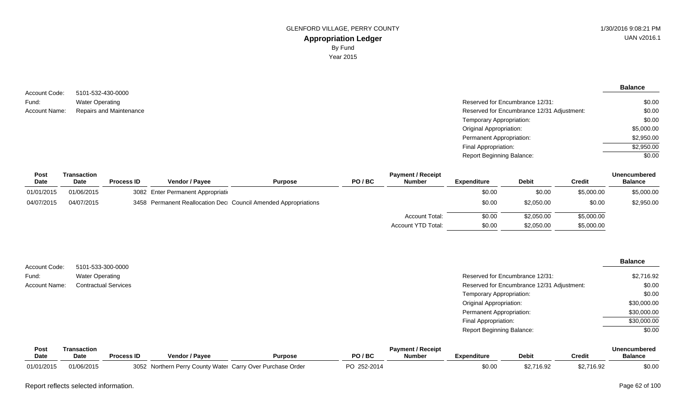| Account Code:        | 5101-532-430-0000       |
|----------------------|-------------------------|
| Fund:                | <b>Water Operating</b>  |
| <b>Account Name:</b> | Repairs and Maintenance |

| 5101-532-430-0000       |                                            |            |
|-------------------------|--------------------------------------------|------------|
| Water Operating         | Reserved for Encumbrance 12/31:            | \$0.00     |
| Repairs and Maintenance | Reserved for Encumbrance 12/31 Adjustment: | \$0.00     |
|                         | Temporary Appropriation:                   | \$0.00     |
|                         | Original Appropriation:                    | \$5,000.00 |
|                         | Permanent Appropriation:                   | \$2,950.00 |
|                         | Final Appropriation:                       | \$2,950.00 |
|                         | <b>Report Beginning Balance:</b>           | \$0.00     |
|                         |                                            |            |

| Post       | Transaction |                   |                                    |                                                                |       | <b>Payment / Receipt</b> |             |              |            | Unencumbered   |
|------------|-------------|-------------------|------------------------------------|----------------------------------------------------------------|-------|--------------------------|-------------|--------------|------------|----------------|
| Date       | Date        | <b>Process ID</b> | Vendor / Pavee                     | <b>Purpose</b>                                                 | PO/BC | <b>Number</b>            | Expenditure | <b>Debit</b> | Credit     | <b>Balance</b> |
| 01/01/2015 | 01/06/2015  |                   | 3082 Enter Permanent Appropriation |                                                                |       |                          | \$0.00      | \$0.00       | \$5,000.00 | \$5,000.00     |
| 04/07/2015 | 04/07/2015  |                   |                                    | 3458 Permanent Reallocation Dec Council Amended Appropriations |       |                          | \$0.00      | \$2,050.00   | \$0.00     | \$2,950.00     |
|            |             |                   |                                    |                                                                |       | <b>Account Total:</b>    | \$0.00      | \$2,050.00   | \$5,000.00 |                |
|            |             |                   |                                    |                                                                |       | Account YTD Total:       | \$0.00      | \$2,050.00   | \$5,000.00 |                |

|                        |                                             |                                            | <b>Balance</b> |
|------------------------|---------------------------------------------|--------------------------------------------|----------------|
| Account Code:<br>Fund: | 5101-533-300-0000<br><b>Water Operating</b> | Reserved for Encumbrance 12/31:            | \$2,716.92     |
| <b>Account Name:</b>   | <b>Contractual Services</b>                 | Reserved for Encumbrance 12/31 Adjustment: | \$0.00         |
|                        |                                             | Temporary Appropriation:                   | \$0.00         |
|                        |                                             | Original Appropriation:                    | \$30,000.00    |
|                        |                                             | <b>Permanent Appropriation:</b>            | \$30,000.00    |
|                        |                                             | Final Appropriation:                       | \$30,000.00    |
|                        |                                             | <b>Report Beginning Balance:</b>           | \$0.00         |

| Pos        | Transaction | <b>Payment / Receipt</b> |                                                         |                |                |               |                    |              | Unencumbered |                |  |
|------------|-------------|--------------------------|---------------------------------------------------------|----------------|----------------|---------------|--------------------|--------------|--------------|----------------|--|
| Date       | <b>Date</b> | <b>Process ID</b>        | <b>Vendor / Pavee</b>                                   | <b>Purpose</b> | PO / BC        | <b>Number</b> | <b>Expenditure</b> | <b>Debit</b> | Credit       | <b>Balance</b> |  |
| 01/01/2015 | 01/06/2015  | 3052                     | ? Northern Perry County Water Carry Over Purchase Order |                | ְמ<br>252-2014 |               | \$0.00             | \$2,716.92   | \$2,716.92   | \$0.00         |  |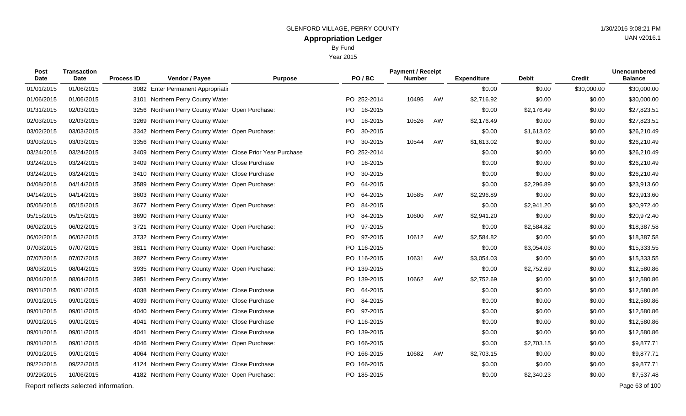Year 2015

| Post<br>Date | <b>Transaction</b><br>Date            | <b>Process ID</b> | Vendor / Payee                                             | <b>Purpose</b> | PO/BC       |         | <b>Payment / Receipt</b><br><b>Number</b> |    | <b>Expenditure</b> | <b>Debit</b> | <b>Credit</b> | <b>Unencumbered</b><br><b>Balance</b> |
|--------------|---------------------------------------|-------------------|------------------------------------------------------------|----------------|-------------|---------|-------------------------------------------|----|--------------------|--------------|---------------|---------------------------------------|
| 01/01/2015   | 01/06/2015                            |                   | 3082 Enter Permanent Appropriatio                          |                |             |         |                                           |    | \$0.00             | \$0.00       | \$30,000.00   | \$30,000.00                           |
| 01/06/2015   | 01/06/2015                            |                   | 3101 Northern Perry County Water                           |                | PO 252-2014 |         | 10495                                     | AW | \$2,716.92         | \$0.00       | \$0.00        | \$30,000.00                           |
| 01/31/2015   | 02/03/2015                            |                   | 3256 Northern Perry County Water Open Purchase:            |                | PO          | 16-2015 |                                           |    | \$0.00             | \$2,176.49   | \$0.00        | \$27,823.51                           |
| 02/03/2015   | 02/03/2015                            |                   | 3269 Northern Perry County Water                           |                | PO          | 16-2015 | 10526                                     | AW | \$2,176.49         | \$0.00       | \$0.00        | \$27,823.51                           |
| 03/02/2015   | 03/03/2015                            |                   | 3342 Northern Perry County Water Open Purchase:            |                | <b>PO</b>   | 30-2015 |                                           |    | \$0.00             | \$1,613.02   | \$0.00        | \$26,210.49                           |
| 03/03/2015   | 03/03/2015                            |                   | 3356 Northern Perry County Water                           |                | <b>PO</b>   | 30-2015 | 10544                                     | AW | \$1,613.02         | \$0.00       | \$0.00        | \$26,210.49                           |
| 03/24/2015   | 03/24/2015                            |                   | 3409 Northern Perry County Water Close Prior Year Purchase |                | PO 252-2014 |         |                                           |    | \$0.00             | \$0.00       | \$0.00        | \$26,210.49                           |
| 03/24/2015   | 03/24/2015                            | 3409              | Northern Perry County Water Close Purchase                 |                | <b>PO</b>   | 16-2015 |                                           |    | \$0.00             | \$0.00       | \$0.00        | \$26,210.49                           |
| 03/24/2015   | 03/24/2015                            |                   | 3410 Northern Perry County Water Close Purchase            |                | <b>PO</b>   | 30-2015 |                                           |    | \$0.00             | \$0.00       | \$0.00        | \$26,210.49                           |
| 04/08/2015   | 04/14/2015                            |                   | 3589 Northern Perry County Water Open Purchase:            |                | <b>PO</b>   | 64-2015 |                                           |    | \$0.00             | \$2,296.89   | \$0.00        | \$23,913.60                           |
| 04/14/2015   | 04/14/2015                            |                   | 3603 Northern Perry County Water                           |                | PO          | 64-2015 | 10585                                     | AW | \$2,296.89         | \$0.00       | \$0.00        | \$23,913.60                           |
| 05/05/2015   | 05/15/2015                            |                   | 3677 Northern Perry County Water Open Purchase:            |                | PO          | 84-2015 |                                           |    | \$0.00             | \$2,941.20   | \$0.00        | \$20,972.40                           |
| 05/15/2015   | 05/15/2015                            |                   | 3690 Northern Perry County Water                           |                | PO.         | 84-2015 | 10600                                     | AW | \$2,941.20         | \$0.00       | \$0.00        | \$20,972.40                           |
| 06/02/2015   | 06/02/2015                            | 3721              | Northern Perry County Water Open Purchase:                 |                | PO.         | 97-2015 |                                           |    | \$0.00             | \$2,584.82   | \$0.00        | \$18,387.58                           |
| 06/02/2015   | 06/02/2015                            |                   | 3732 Northern Perry County Water                           |                | <b>PO</b>   | 97-2015 | 10612                                     | AW | \$2,584.82         | \$0.00       | \$0.00        | \$18,387.58                           |
| 07/03/2015   | 07/07/2015                            | 3811              | Northern Perry County Water Open Purchase:                 |                | PO 116-2015 |         |                                           |    | \$0.00             | \$3,054.03   | \$0.00        | \$15,333.55                           |
| 07/07/2015   | 07/07/2015                            |                   | 3827 Northern Perry County Water                           |                | PO 116-2015 |         | 10631                                     | AW | \$3,054.03         | \$0.00       | \$0.00        | \$15,333.55                           |
| 08/03/2015   | 08/04/2015                            |                   | 3935 Northern Perry County Water Open Purchase:            |                | PO 139-2015 |         |                                           |    | \$0.00             | \$2,752.69   | \$0.00        | \$12,580.86                           |
| 08/04/2015   | 08/04/2015                            |                   | 3951 Northern Perry County Water                           |                | PO 139-2015 |         | 10662                                     | AW | \$2,752.69         | \$0.00       | \$0.00        | \$12,580.86                           |
| 09/01/2015   | 09/01/2015                            |                   | 4038 Northern Perry County Water Close Purchase            |                | PO          | 64-2015 |                                           |    | \$0.00             | \$0.00       | \$0.00        | \$12,580.86                           |
| 09/01/2015   | 09/01/2015                            |                   | 4039 Northern Perry County Water Close Purchase            |                | PO.         | 84-2015 |                                           |    | \$0.00             | \$0.00       | \$0.00        | \$12,580.86                           |
| 09/01/2015   | 09/01/2015                            |                   | 4040 Northern Perry County Water Close Purchase            |                | <b>PO</b>   | 97-2015 |                                           |    | \$0.00             | \$0.00       | \$0.00        | \$12,580.86                           |
| 09/01/2015   | 09/01/2015                            | 4041              | Northern Perry County Water Close Purchase                 |                | PO 116-2015 |         |                                           |    | \$0.00             | \$0.00       | \$0.00        | \$12,580.86                           |
| 09/01/2015   | 09/01/2015                            | 4041              | Northern Perry County Water Close Purchase                 |                | PO 139-2015 |         |                                           |    | \$0.00             | \$0.00       | \$0.00        | \$12,580.86                           |
| 09/01/2015   | 09/01/2015                            | 4046              | Northern Perry County Water Open Purchase:                 |                | PO 166-2015 |         |                                           |    | \$0.00             | \$2,703.15   | \$0.00        | \$9,877.71                            |
| 09/01/2015   | 09/01/2015                            |                   | 4064 Northern Perry County Water                           |                | PO 166-2015 |         | 10682                                     | AW | \$2,703.15         | \$0.00       | \$0.00        | \$9,877.71                            |
| 09/22/2015   | 09/22/2015                            |                   | 4124 Northern Perry County Water Close Purchase            |                | PO 166-2015 |         |                                           |    | \$0.00             | \$0.00       | \$0.00        | \$9,877.71                            |
| 09/29/2015   | 10/06/2015                            |                   | 4182 Northern Perry County Water Open Purchase:            |                | PO 185-2015 |         |                                           |    | \$0.00             | \$2,340.23   | \$0.00        | \$7,537.48                            |
|              | Report reflects selected information. |                   |                                                            |                |             |         |                                           |    |                    |              |               | Page 63 of 100                        |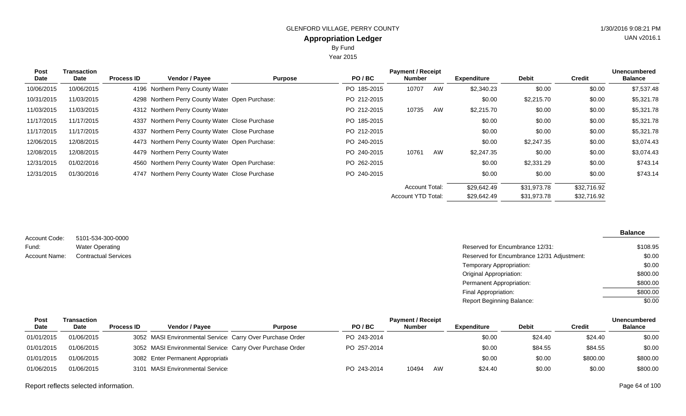Year 2015

| Post<br>Date | <b>Transaction</b><br><b>Date</b> | <b>Process ID</b> | Vendor / Payee                                  | <b>Purpose</b> | PO/BC       | <b>Payment / Receipt</b><br><b>Number</b> |    | <b>Expenditure</b> | <b>Debit</b> | <b>Credit</b> | <b>Unencumbered</b><br><b>Balance</b> |
|--------------|-----------------------------------|-------------------|-------------------------------------------------|----------------|-------------|-------------------------------------------|----|--------------------|--------------|---------------|---------------------------------------|
| 10/06/2015   | 10/06/2015                        |                   | 4196 Northern Perry County Water                |                | PO 185-2015 | 10707                                     | AW | \$2,340.23         | \$0.00       | \$0.00        | \$7,537.48                            |
| 10/31/2015   | 11/03/2015                        |                   | 4298 Northern Perry County Water Open Purchase: |                | PO 212-2015 |                                           |    | \$0.00             | \$2,215.70   | \$0.00        | \$5,321.78                            |
| 11/03/2015   | 11/03/2015                        |                   | 4312 Northern Perry County Water                |                | PO 212-2015 | 10735                                     | AW | \$2,215.70         | \$0.00       | \$0.00        | \$5,321.78                            |
| 11/17/2015   | 11/17/2015                        |                   | 4337 Northern Perry County Water Close Purchase |                | PO 185-2015 |                                           |    | \$0.00             | \$0.00       | \$0.00        | \$5,321.78                            |
| 11/17/2015   | 11/17/2015                        |                   | 4337 Northern Perry County Water Close Purchase |                | PO 212-2015 |                                           |    | \$0.00             | \$0.00       | \$0.00        | \$5,321.78                            |
| 12/06/2015   | 12/08/2015                        |                   | 4473 Northern Perry County Water Open Purchase: |                | PO 240-2015 |                                           |    | \$0.00             | \$2,247.35   | \$0.00        | \$3,074.43                            |
| 12/08/2015   | 12/08/2015                        |                   | 4479 Northern Perry County Water                |                | PO 240-2015 | 10761                                     | AW | \$2,247.35         | \$0.00       | \$0.00        | \$3,074.43                            |
| 12/31/2015   | 01/02/2016                        |                   | 4560 Northern Perry County Water Open Purchase: |                | PO 262-2015 |                                           |    | \$0.00             | \$2,331.29   | \$0.00        | \$743.14                              |
| 12/31/2015   | 01/30/2016                        |                   | 4747 Northern Perry County Water Close Purchase |                | PO 240-2015 |                                           |    | \$0.00             | \$0.00       | \$0.00        | \$743.14                              |
|              |                                   |                   |                                                 |                |             | Account Total:                            |    | \$29,642.49        | \$31,973.78  | \$32,716.92   |                                       |
|              |                                   |                   |                                                 |                |             | <b>Account YTD Total:</b>                 |    | \$29,642.49        | \$31,973.78  | \$32,716.92   |                                       |

| Account Code: | 5101-534-300-0000           |
|---------------|-----------------------------|
| Fund:         | <b>Water Operating</b>      |
| Account Name: | <b>Contractual Services</b> |

#### Reserved for Encumbrance 12/31: Reserved for Encumbrance 12/31 Adjustment: Temporary Appropriation: Original Appropriation: Permanent Appropriation: Final Appropriation: Report Beginning Balance: **Balance** \$108.95 \$0.00 \$0.00 \$800.00 \$800.00 \$800.00 \$0.00

| Post       | Transaction |                   |                                                            |                |             | <b>Payment / Receipt</b> |    |                    |              |          | <b>Unencumbered</b> |
|------------|-------------|-------------------|------------------------------------------------------------|----------------|-------------|--------------------------|----|--------------------|--------------|----------|---------------------|
| Date       | Date        | <b>Process ID</b> | <b>Vendor / Pavee</b>                                      | <b>Purpose</b> | PO/BC       | <b>Number</b>            |    | <b>Expenditure</b> | <b>Debit</b> | Credit   | <b>Balance</b>      |
| 01/01/2015 | 01/06/2015  |                   | 3052 MASI Environmental Service: Carry Over Purchase Order |                | PO 243-2014 |                          |    | \$0.00             | \$24.40      | \$24.40  | \$0.00              |
| 01/01/2015 | 01/06/2015  |                   | 3052 MASI Environmental Service: Carry Over Purchase Order |                | PO 257-2014 |                          |    | \$0.00             | \$84.55      | \$84.55  | \$0.00              |
| 01/01/2015 | 01/06/2015  |                   | 3082 Enter Permanent Appropriation                         |                |             |                          |    | \$0.00             | \$0.00       | \$800.00 | \$800.00            |
| 01/06/2015 | 01/06/2015  |                   | 3101 MASI Environmental Service                            |                | PO 243-2014 | 10494                    | AW | \$24.40            | \$0.00       | \$0.00   | \$800.00            |

Report reflects selected information. Page 64 of 100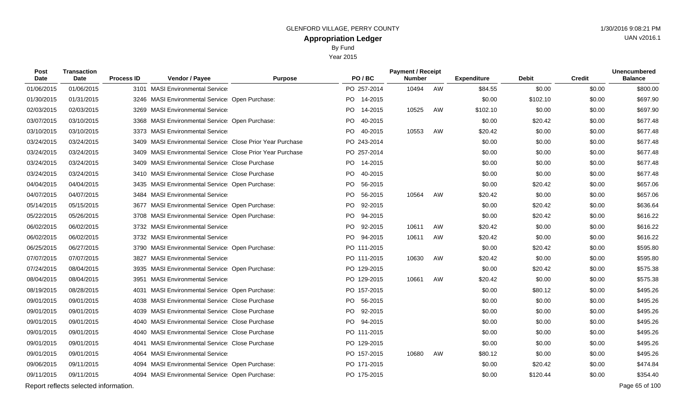Year 2015

| Post<br><b>Date</b> | <b>Transaction</b><br>Date            | <b>Process ID</b> | Vendor / Payee                                            | <b>Purpose</b> | PO/BC                | <b>Payment / Receipt</b><br><b>Number</b> |    | <b>Expenditure</b> | <b>Debit</b> | <b>Credit</b> | <b>Unencumbered</b><br><b>Balance</b> |
|---------------------|---------------------------------------|-------------------|-----------------------------------------------------------|----------------|----------------------|-------------------------------------------|----|--------------------|--------------|---------------|---------------------------------------|
| 01/06/2015          | 01/06/2015                            |                   | 3101 MASI Environmental Service                           |                | PO 257-2014          | 10494                                     | AW | \$84.55            | \$0.00       | \$0.00        | \$800.00                              |
| 01/30/2015          | 01/31/2015                            |                   | 3246 MASI Environmental Service: Open Purchase:           |                | PO 14-2015           |                                           |    | \$0.00             | \$102.10     | \$0.00        | \$697.90                              |
| 02/03/2015          | 02/03/2015                            |                   | 3269 MASI Environmental Service                           |                | <b>PO</b><br>14-2015 | 10525                                     | AW | \$102.10           | \$0.00       | \$0.00        | \$697.90                              |
| 03/07/2015          | 03/10/2015                            |                   | 3368 MASI Environmental Service: Open Purchase:           |                | PO.<br>40-2015       |                                           |    | \$0.00             | \$20.42      | \$0.00        | \$677.48                              |
| 03/10/2015          | 03/10/2015                            |                   | 3373 MASI Environmental Service                           |                | PO.<br>40-2015       | 10553                                     | AW | \$20.42            | \$0.00       | \$0.00        | \$677.48                              |
| 03/24/2015          | 03/24/2015                            |                   | 3409 MASI Environmental Service Close Prior Year Purchase |                | PO 243-2014          |                                           |    | \$0.00             | \$0.00       | \$0.00        | \$677.48                              |
| 03/24/2015          | 03/24/2015                            |                   | 3409 MASI Environmental Service Close Prior Year Purchase |                | PO 257-2014          |                                           |    | \$0.00             | \$0.00       | \$0.00        | \$677.48                              |
| 03/24/2015          | 03/24/2015                            |                   | 3409 MASI Environmental Service Close Purchase            |                | PO 14-2015           |                                           |    | \$0.00             | \$0.00       | \$0.00        | \$677.48                              |
| 03/24/2015          | 03/24/2015                            |                   | 3410 MASI Environmental Service: Close Purchase           |                | PO.<br>40-2015       |                                           |    | \$0.00             | \$0.00       | \$0.00        | \$677.48                              |
| 04/04/2015          | 04/04/2015                            |                   | 3435 MASI Environmental Service: Open Purchase:           |                | <b>PO</b><br>56-2015 |                                           |    | \$0.00             | \$20.42      | \$0.00        | \$657.06                              |
| 04/07/2015          | 04/07/2015                            |                   | 3484 MASI Environmental Service                           |                | PO.<br>56-2015       | 10564                                     | AW | \$20.42            | \$0.00       | \$0.00        | \$657.06                              |
| 05/14/2015          | 05/15/2015                            |                   | 3677 MASI Environmental Service: Open Purchase:           |                | PO<br>92-2015        |                                           |    | \$0.00             | \$20.42      | \$0.00        | \$636.64                              |
| 05/22/2015          | 05/26/2015                            |                   | 3708 MASI Environmental Service: Open Purchase:           |                | <b>PO</b><br>94-2015 |                                           |    | \$0.00             | \$20.42      | \$0.00        | \$616.22                              |
| 06/02/2015          | 06/02/2015                            |                   | 3732 MASI Environmental Service                           |                | <b>PO</b><br>92-2015 | 10611                                     | AW | \$20.42            | \$0.00       | \$0.00        | \$616.22                              |
| 06/02/2015          | 06/02/2015                            |                   | 3732 MASI Environmental Service                           |                | PO -<br>94-2015      | 10611                                     | AW | \$20.42            | \$0.00       | \$0.00        | \$616.22                              |
| 06/25/2015          | 06/27/2015                            |                   | 3790 MASI Environmental Service Open Purchase:            |                | PO 111-2015          |                                           |    | \$0.00             | \$20.42      | \$0.00        | \$595.80                              |
| 07/07/2015          | 07/07/2015                            |                   | 3827 MASI Environmental Service                           |                | PO 111-2015          | 10630                                     | AW | \$20.42            | \$0.00       | \$0.00        | \$595.80                              |
| 07/24/2015          | 08/04/2015                            |                   | 3935 MASI Environmental Service: Open Purchase:           |                | PO 129-2015          |                                           |    | \$0.00             | \$20.42      | \$0.00        | \$575.38                              |
| 08/04/2015          | 08/04/2015                            |                   | 3951 MASI Environmental Service                           |                | PO 129-2015          | 10661                                     | AW | \$20.42            | \$0.00       | \$0.00        | \$575.38                              |
| 08/19/2015          | 08/28/2015                            | 4031              | MASI Environmental Service Open Purchase:                 |                | PO 157-2015          |                                           |    | \$0.00             | \$80.12      | \$0.00        | \$495.26                              |
| 09/01/2015          | 09/01/2015                            |                   | 4038 MASI Environmental Service Close Purchase            |                | PO<br>56-2015        |                                           |    | \$0.00             | \$0.00       | \$0.00        | \$495.26                              |
| 09/01/2015          | 09/01/2015                            |                   | 4039 MASI Environmental Service Close Purchase            |                | <b>PO</b><br>92-2015 |                                           |    | \$0.00             | \$0.00       | \$0.00        | \$495.26                              |
| 09/01/2015          | 09/01/2015                            |                   | 4040 MASI Environmental Service Close Purchase            |                | PO.<br>94-2015       |                                           |    | \$0.00             | \$0.00       | \$0.00        | \$495.26                              |
| 09/01/2015          | 09/01/2015                            |                   | 4040 MASI Environmental Service Close Purchase            |                | PO 111-2015          |                                           |    | \$0.00             | \$0.00       | \$0.00        | \$495.26                              |
| 09/01/2015          | 09/01/2015                            | 4041              | <b>MASI Environmental Service Close Purchase</b>          |                | PO 129-2015          |                                           |    | \$0.00             | \$0.00       | \$0.00        | \$495.26                              |
| 09/01/2015          | 09/01/2015                            |                   | 4064 MASI Environmental Service                           |                | PO 157-2015          | 10680                                     | AW | \$80.12            | \$0.00       | \$0.00        | \$495.26                              |
| 09/06/2015          | 09/11/2015                            |                   | 4094 MASI Environmental Service: Open Purchase:           |                | PO 171-2015          |                                           |    | \$0.00             | \$20.42      | \$0.00        | \$474.84                              |
| 09/11/2015          | 09/11/2015                            |                   | 4094 MASI Environmental Service Open Purchase:            |                | PO 175-2015          |                                           |    | \$0.00             | \$120.44     | \$0.00        | \$354.40                              |
|                     | Report reflects selected information. |                   |                                                           |                |                      |                                           |    |                    |              |               | Page 65 of 100                        |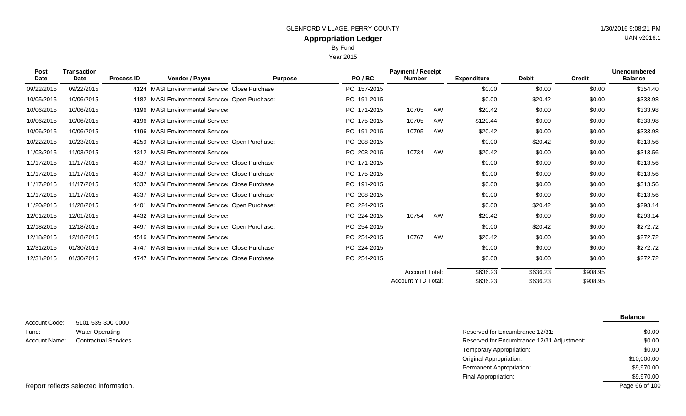Year 2015

| Post<br><b>Date</b> | <b>Transaction</b><br><b>Date</b> | <b>Process ID</b> | Vendor / Payee                                   | <b>Purpose</b> | PO/BC       | <b>Payment / Receipt</b><br><b>Number</b> |    | <b>Expenditure</b> | <b>Debit</b> | <b>Credit</b> | <b>Unencumbered</b><br><b>Balance</b> |
|---------------------|-----------------------------------|-------------------|--------------------------------------------------|----------------|-------------|-------------------------------------------|----|--------------------|--------------|---------------|---------------------------------------|
| 09/22/2015          | 09/22/2015                        |                   | 4124 MASI Environmental Service: Close Purchase  |                | PO 157-2015 |                                           |    | \$0.00             | \$0.00       | \$0.00        | \$354.40                              |
| 10/05/2015          | 10/06/2015                        |                   | 4182 MASI Environmental Service Open Purchase:   |                | PO 191-2015 |                                           |    | \$0.00             | \$20.42      | \$0.00        | \$333.98                              |
| 10/06/2015          | 10/06/2015                        |                   | 4196 MASI Environmental Service                  |                | PO 171-2015 | 10705                                     | AW | \$20.42            | \$0.00       | \$0.00        | \$333.98                              |
| 10/06/2015          | 10/06/2015                        |                   | 4196 MASI Environmental Service                  |                | PO 175-2015 | 10705                                     | AW | \$120.44           | \$0.00       | \$0.00        | \$333.98                              |
| 10/06/2015          | 10/06/2015                        |                   | 4196 MASI Environmental Service                  |                | PO 191-2015 | 10705                                     | AW | \$20.42            | \$0.00       | \$0.00        | \$333.98                              |
| 10/22/2015          | 10/23/2015                        | 4259              | MASI Environmental Service: Open Purchase:       |                | PO 208-2015 |                                           |    | \$0.00             | \$20.42      | \$0.00        | \$313.56                              |
| 11/03/2015          | 11/03/2015                        |                   | 4312 MASI Environmental Service                  |                | PO 208-2015 | 10734                                     | AW | \$20.42            | \$0.00       | \$0.00        | \$313.56                              |
| 11/17/2015          | 11/17/2015                        | 4337              | <b>MASI Environmental Service Close Purchase</b> |                | PO 171-2015 |                                           |    | \$0.00             | \$0.00       | \$0.00        | \$313.56                              |
| 11/17/2015          | 11/17/2015                        | 4337              | <b>MASI Environmental Service Close Purchase</b> |                | PO 175-2015 |                                           |    | \$0.00             | \$0.00       | \$0.00        | \$313.56                              |
| 11/17/2015          | 11/17/2015                        | 4337              | <b>MASI Environmental Service Close Purchase</b> |                | PO 191-2015 |                                           |    | \$0.00             | \$0.00       | \$0.00        | \$313.56                              |
| 11/17/2015          | 11/17/2015                        | 4337              | <b>MASI Environmental Service Close Purchase</b> |                | PO 208-2015 |                                           |    | \$0.00             | \$0.00       | \$0.00        | \$313.56                              |
| 11/20/2015          | 11/28/2015                        | 4401              | <b>MASI Environmental Service Open Purchase:</b> |                | PO 224-2015 |                                           |    | \$0.00             | \$20.42      | \$0.00        | \$293.14                              |
| 12/01/2015          | 12/01/2015                        |                   | 4432 MASI Environmental Service                  |                | PO 224-2015 | 10754                                     | AW | \$20.42            | \$0.00       | \$0.00        | \$293.14                              |
| 12/18/2015          | 12/18/2015                        |                   | 4497 MASI Environmental Service: Open Purchase:  |                | PO 254-2015 |                                           |    | \$0.00             | \$20.42      | \$0.00        | \$272.72                              |
| 12/18/2015          | 12/18/2015                        |                   | 4516 MASI Environmental Service                  |                | PO 254-2015 | 10767                                     | AW | \$20.42            | \$0.00       | \$0.00        | \$272.72                              |
| 12/31/2015          | 01/30/2016                        |                   | 4747 MASI Environmental Service Close Purchase   |                | PO 224-2015 |                                           |    | \$0.00             | \$0.00       | \$0.00        | \$272.72                              |
| 12/31/2015          | 01/30/2016                        |                   | 4747 MASI Environmental Service Close Purchase   |                | PO 254-2015 |                                           |    | \$0.00             | \$0.00       | \$0.00        | \$272.72                              |
|                     |                                   |                   |                                                  |                |             | <b>Account Total:</b>                     |    | \$636.23           | \$636.23     | \$908.95      |                                       |
|                     |                                   |                   |                                                  |                |             | <b>Account YTD Total:</b>                 |    | \$636.23           | \$636.23     | \$908.95      |                                       |

5101-535-300-0000 Water Operating Account Code: Fund: Account Name:

**Balance**

| Water Operating             | Reserved for Encumbrance 12/31:            | \$0.00         |
|-----------------------------|--------------------------------------------|----------------|
| <b>Contractual Services</b> | Reserved for Encumbrance 12/31 Adjustment: | \$0.00         |
|                             | Temporary Appropriation:                   | \$0.00         |
|                             | Original Appropriation:                    | \$10,000.00    |
|                             | Permanent Appropriation:                   | \$9,970.00     |
|                             | Final Appropriation:                       | \$9,970.00     |
| elected information.        |                                            | Page 66 of 100 |

UAN v2016.1

Report reflects selected information.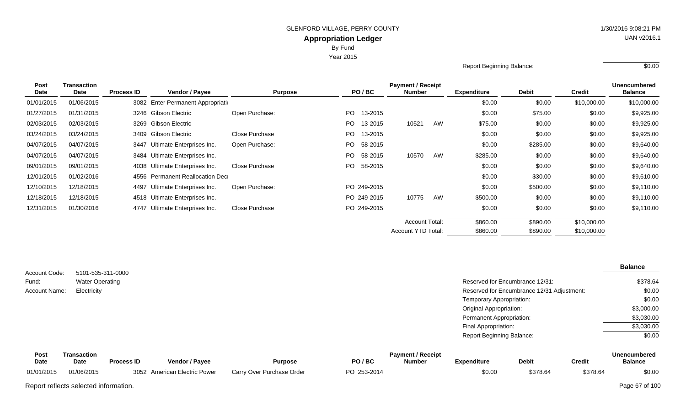Year 2015

Report Beginning Balance: \$0.00

| <b>Transaction</b>       |                   |                           |                                                                                                                                                                                                    |                                                                       |         |                                                                                                |    |                                                                                                 |              |               | <b>Unencumbered</b><br><b>Balance</b><br>\$10,000.00 |
|--------------------------|-------------------|---------------------------|----------------------------------------------------------------------------------------------------------------------------------------------------------------------------------------------------|-----------------------------------------------------------------------|---------|------------------------------------------------------------------------------------------------|----|-------------------------------------------------------------------------------------------------|--------------|---------------|------------------------------------------------------|
| <b>Date</b>              | <b>Process ID</b> | Vendor / Payee            | <b>Purpose</b>                                                                                                                                                                                     |                                                                       |         |                                                                                                |    | <b>Expenditure</b>                                                                              | <b>Debit</b> | <b>Credit</b> |                                                      |
| 01/06/2015               |                   |                           |                                                                                                                                                                                                    |                                                                       |         |                                                                                                |    | \$0.00                                                                                          | \$0.00       | \$10,000.00   |                                                      |
| 01/31/2015               |                   |                           | Open Purchase:                                                                                                                                                                                     |                                                                       | 13-2015 |                                                                                                |    | \$0.00                                                                                          | \$75.00      | \$0.00        | \$9,925.00                                           |
| 02/03/2015               |                   |                           |                                                                                                                                                                                                    |                                                                       | 13-2015 | 10521                                                                                          | AW | \$75.00                                                                                         | \$0.00       | \$0.00        | \$9,925.00                                           |
| 03/24/2015<br>03/24/2015 |                   |                           | Close Purchase                                                                                                                                                                                     |                                                                       | 13-2015 |                                                                                                |    | \$0.00                                                                                          | \$0.00       | \$0.00        | \$9,925.00                                           |
| 04/07/2015<br>04/07/2015 |                   | Ultimate Enterprises Inc. | Open Purchase:                                                                                                                                                                                     |                                                                       | 58-2015 |                                                                                                |    | \$0.00                                                                                          | \$285.00     | \$0.00        | \$9,640.00                                           |
| 04/07/2015<br>04/07/2015 |                   |                           |                                                                                                                                                                                                    |                                                                       | 58-2015 | 10570                                                                                          | AW | \$285.00                                                                                        | \$0.00       | \$0.00        | \$9,640.00                                           |
| 09/01/2015<br>09/01/2015 |                   |                           | Close Purchase                                                                                                                                                                                     |                                                                       | 58-2015 |                                                                                                |    | \$0.00                                                                                          | \$0.00       | \$0.00        | \$9,640.00                                           |
| 12/01/2015<br>01/02/2016 |                   |                           |                                                                                                                                                                                                    |                                                                       |         |                                                                                                |    | \$0.00                                                                                          | \$30.00      | \$0.00        | \$9,610.00                                           |
| 12/18/2015               |                   | Ultimate Enterprises Inc. | Open Purchase:                                                                                                                                                                                     |                                                                       |         |                                                                                                |    | \$0.00                                                                                          | \$500.00     | \$0.00        | \$9,110.00                                           |
| 12/18/2015               |                   |                           |                                                                                                                                                                                                    |                                                                       |         | 10775                                                                                          | AW | \$500.00                                                                                        | \$0.00       | \$0.00        | \$9,110.00                                           |
| 01/30/2016               |                   | Ultimate Enterprises Inc. | Close Purchase                                                                                                                                                                                     |                                                                       |         |                                                                                                |    | \$0.00                                                                                          | \$0.00       | \$0.00        | \$9,110.00                                           |
|                          |                   |                           |                                                                                                                                                                                                    |                                                                       |         |                                                                                                |    | \$860.00                                                                                        | \$890.00     | \$10,000.00   |                                                      |
|                          |                   |                           |                                                                                                                                                                                                    |                                                                       |         |                                                                                                |    | \$860.00                                                                                        | \$890.00     | \$10,000.00   |                                                      |
|                          |                   |                           | 3246 Gibson Electric<br>3269 Gibson Electric<br>3409 Gibson Electric<br>3447<br>3484 Ultimate Enterprises Inc.<br>4038 Ultimate Enterprises Inc.<br>4497<br>4518 Ultimate Enterprises Inc.<br>4747 | 3082 Enter Permanent Appropriation<br>4556 Permanent Reallocation Dec |         | PO/BC<br>PO.<br>PO.<br>PO.<br>PO  <br>PO.<br>PO -<br>PO 249-2015<br>PO 249-2015<br>PO 249-2015 |    | <b>Payment / Receipt</b><br><b>Number</b><br><b>Account Total:</b><br><b>Account YTD Total:</b> |              |               |                                                      |

| Account Code: | 5101-535-311-0000      |                                            | <b>Balance</b> |
|---------------|------------------------|--------------------------------------------|----------------|
|               |                        |                                            |                |
| Fund:         | <b>Water Operating</b> | Reserved for Encumbrance 12/31:            | \$378.64       |
| Account Name: | Electricity            | Reserved for Encumbrance 12/31 Adjustment: | \$0.00         |
|               |                        | Temporary Appropriation:                   | \$0.00         |
|               |                        | Original Appropriation:                    | \$3,000.00     |
|               |                        | Permanent Appropriation:                   | \$3,030.00     |
|               |                        | Final Appropriation:                       | \$3,030.00     |
|               |                        | <b>Report Beginning Balance:</b>           | \$0.00         |

| <b>Post</b> | ransaction |                   | <b>Payment / Receipt</b>     |                           |             |               |                    |              |          |                |  |  |  |  |  |
|-------------|------------|-------------------|------------------------------|---------------------------|-------------|---------------|--------------------|--------------|----------|----------------|--|--|--|--|--|
| <b>Date</b> | Date       | <b>Process ID</b> | Vendor / Payee               | Purpose                   | PO/BC       | <b>Number</b> | <b>Expenditure</b> | <b>Debit</b> | Credit   | <b>Balance</b> |  |  |  |  |  |
| 01/01/2015  | 01/06/2015 | 3052              | ∠  American Electric Power ∶ | Carry Over Purchase Order | PO 253-2014 |               | \$0.00             | \$378.64     | \$378.64 | \$0.00         |  |  |  |  |  |

Report reflects selected information. Page 67 of 100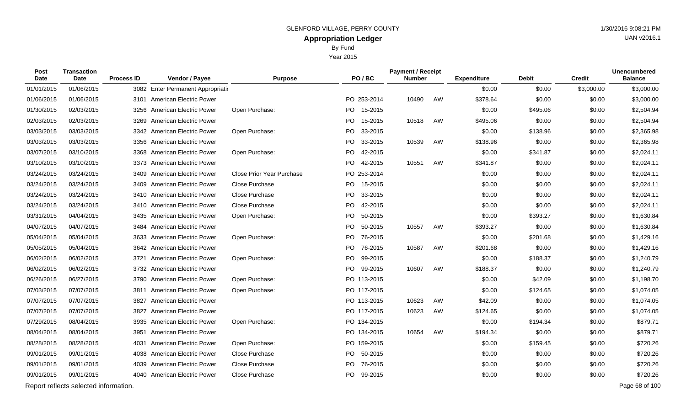By Fund

Year 2015

| Post<br><b>Date</b> | <b>Transaction</b><br>Date            | <b>Process ID</b> | Vendor / Payee                    | <b>Purpose</b>                   | PO/BC                | <b>Payment / Receipt</b><br><b>Number</b> |    | <b>Expenditure</b> | <b>Debit</b> | <b>Credit</b> | <b>Unencumbered</b><br><b>Balance</b> |
|---------------------|---------------------------------------|-------------------|-----------------------------------|----------------------------------|----------------------|-------------------------------------------|----|--------------------|--------------|---------------|---------------------------------------|
| 01/01/2015          | 01/06/2015                            |                   | 3082 Enter Permanent Appropriatio |                                  |                      |                                           |    | \$0.00             | \$0.00       | \$3,000.00    | \$3,000.00                            |
| 01/06/2015          | 01/06/2015                            |                   | 3101 American Electric Power      |                                  | PO 253-2014          | 10490                                     | AW | \$378.64           | \$0.00       | \$0.00        | \$3,000.00                            |
| 01/30/2015          | 02/03/2015                            | 3256              | American Electric Power           | Open Purchase:                   | PO 15-2015           |                                           |    | \$0.00             | \$495.06     | \$0.00        | \$2,504.94                            |
| 02/03/2015          | 02/03/2015                            | 3269              | American Electric Power           |                                  | PO 15-2015           | 10518                                     | AW | \$495.06           | \$0.00       | \$0.00        | \$2,504.94                            |
| 03/03/2015          | 03/03/2015                            |                   | 3342 American Electric Power      | Open Purchase:                   | PO<br>33-2015        |                                           |    | \$0.00             | \$138.96     | \$0.00        | \$2,365.98                            |
| 03/03/2015          | 03/03/2015                            |                   | 3356 American Electric Power      |                                  | <b>PO</b><br>33-2015 | 10539                                     | AW | \$138.96           | \$0.00       | \$0.00        | \$2,365.98                            |
| 03/07/2015          | 03/10/2015                            |                   | 3368 American Electric Power      | Open Purchase:                   | PO 42-2015           |                                           |    | \$0.00             | \$341.87     | \$0.00        | \$2,024.11                            |
| 03/10/2015          | 03/10/2015                            | 3373              | <b>American Electric Power</b>    |                                  | PO 42-2015           | 10551                                     | AW | \$341.87           | \$0.00       | \$0.00        | \$2,024.11                            |
| 03/24/2015          | 03/24/2015                            |                   | 3409 American Electric Power      | <b>Close Prior Year Purchase</b> | PO 253-2014          |                                           |    | \$0.00             | \$0.00       | \$0.00        | \$2,024.11                            |
| 03/24/2015          | 03/24/2015                            |                   | 3409 American Electric Power      | Close Purchase                   | PO 15-2015           |                                           |    | \$0.00             | \$0.00       | \$0.00        | \$2,024.11                            |
| 03/24/2015          | 03/24/2015                            |                   | 3410 American Electric Power      | Close Purchase                   | PO 33-2015           |                                           |    | \$0.00             | \$0.00       | \$0.00        | \$2,024.11                            |
| 03/24/2015          | 03/24/2015                            |                   | 3410 American Electric Power      | Close Purchase                   | 42-2015<br>PO.       |                                           |    | \$0.00             | \$0.00       | \$0.00        | \$2,024.11                            |
| 03/31/2015          | 04/04/2015                            |                   | 3435 American Electric Power      | Open Purchase:                   | PO 50-2015           |                                           |    | \$0.00             | \$393.27     | \$0.00        | \$1,630.84                            |
| 04/07/2015          | 04/07/2015                            |                   | 3484 American Electric Power      |                                  | PO.<br>50-2015       | 10557                                     | AW | \$393.27           | \$0.00       | \$0.00        | \$1,630.84                            |
| 05/04/2015          | 05/04/2015                            |                   | 3633 American Electric Power      | Open Purchase:                   | PO 76-2015           |                                           |    | \$0.00             | \$201.68     | \$0.00        | \$1,429.16                            |
| 05/05/2015          | 05/04/2015                            |                   | 3642 American Electric Power      |                                  | 76-2015<br>PO.       | 10587                                     | AW | \$201.68           | \$0.00       | \$0.00        | \$1,429.16                            |
| 06/02/2015          | 06/02/2015                            | 3721              | <b>American Electric Power</b>    | Open Purchase:                   | PO.<br>99-2015       |                                           |    | \$0.00             | \$188.37     | \$0.00        | \$1,240.79                            |
| 06/02/2015          | 06/02/2015                            |                   | 3732 American Electric Power      |                                  | PO.<br>99-2015       | 10607                                     | AW | \$188.37           | \$0.00       | \$0.00        | \$1,240.79                            |
| 06/26/2015          | 06/27/2015                            |                   | 3790 American Electric Power      | Open Purchase:                   | PO 113-2015          |                                           |    | \$0.00             | \$42.09      | \$0.00        | \$1,198.70                            |
| 07/03/2015          | 07/07/2015                            |                   | 3811 American Electric Power      | Open Purchase:                   | PO 117-2015          |                                           |    | \$0.00             | \$124.65     | \$0.00        | \$1,074.05                            |
| 07/07/2015          | 07/07/2015                            | 3827              | <b>American Electric Power</b>    |                                  | PO 113-2015          | 10623                                     | AW | \$42.09            | \$0.00       | \$0.00        | \$1,074.05                            |
| 07/07/2015          | 07/07/2015                            | 3827              | American Electric Power           |                                  | PO 117-2015          | 10623                                     | AW | \$124.65           | \$0.00       | \$0.00        | \$1,074.05                            |
| 07/29/2015          | 08/04/2015                            |                   | 3935 American Electric Power      | Open Purchase:                   | PO 134-2015          |                                           |    | \$0.00             | \$194.34     | \$0.00        | \$879.71                              |
| 08/04/2015          | 08/04/2015                            | 3951              | <b>American Electric Power</b>    |                                  | PO 134-2015          | 10654                                     | AW | \$194.34           | \$0.00       | \$0.00        | \$879.71                              |
| 08/28/2015          | 08/28/2015                            | 4031              | American Electric Power           | Open Purchase:                   | PO 159-2015          |                                           |    | \$0.00             | \$159.45     | \$0.00        | \$720.26                              |
| 09/01/2015          | 09/01/2015                            |                   | 4038 American Electric Power      | Close Purchase                   | PO 50-2015           |                                           |    | \$0.00             | \$0.00       | \$0.00        | \$720.26                              |
| 09/01/2015          | 09/01/2015                            |                   | 4039 American Electric Power      | Close Purchase                   | PO 76-2015           |                                           |    | \$0.00             | \$0.00       | \$0.00        | \$720.26                              |
| 09/01/2015          | 09/01/2015                            |                   | 4040 American Electric Power      | Close Purchase                   | PO 99-2015           |                                           |    | \$0.00             | \$0.00       | \$0.00        | \$720.26                              |
|                     | Report reflects selected information. |                   |                                   |                                  |                      |                                           |    |                    |              |               | Page 68 of 100                        |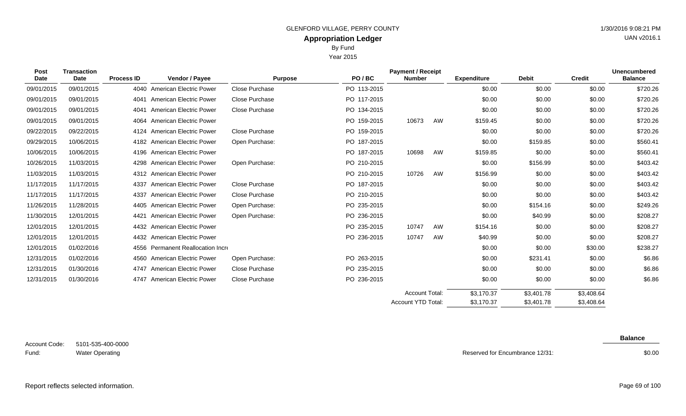Year 2015

| <b>Post</b> | <b>Transaction</b> |                   |                                   |                       |             | <b>Payment / Receipt</b>  |    |                    |              |               | <b>Unencumbered</b> |
|-------------|--------------------|-------------------|-----------------------------------|-----------------------|-------------|---------------------------|----|--------------------|--------------|---------------|---------------------|
| <b>Date</b> | Date               | <b>Process ID</b> | Vendor / Payee                    | <b>Purpose</b>        | PO/BC       | <b>Number</b>             |    | <b>Expenditure</b> | <b>Debit</b> | <b>Credit</b> | <b>Balance</b>      |
| 09/01/2015  | 09/01/2015         |                   | 4040 American Electric Power      | <b>Close Purchase</b> | PO 113-2015 |                           |    | \$0.00             | \$0.00       | \$0.00        | \$720.26            |
| 09/01/2015  | 09/01/2015         | 4041              | <b>American Electric Power</b>    | Close Purchase        | PO 117-2015 |                           |    | \$0.00             | \$0.00       | \$0.00        | \$720.26            |
| 09/01/2015  | 09/01/2015         | 4041              | <b>American Electric Power</b>    | Close Purchase        | PO 134-2015 |                           |    | \$0.00             | \$0.00       | \$0.00        | \$720.26            |
| 09/01/2015  | 09/01/2015         | 4064              | <b>American Electric Power</b>    |                       | PO 159-2015 | 10673                     | AW | \$159.45           | \$0.00       | \$0.00        | \$720.26            |
| 09/22/2015  | 09/22/2015         | 4124              | <b>American Electric Power</b>    | Close Purchase        | PO 159-2015 |                           |    | \$0.00             | \$0.00       | \$0.00        | \$720.26            |
| 09/29/2015  | 10/06/2015         |                   | 4182 American Electric Power      | Open Purchase:        | PO 187-2015 |                           |    | \$0.00             | \$159.85     | \$0.00        | \$560.41            |
| 10/06/2015  | 10/06/2015         |                   | 4196 American Electric Power      |                       | PO 187-2015 | 10698                     | AW | \$159.85           | \$0.00       | \$0.00        | \$560.41            |
| 10/26/2015  | 11/03/2015         |                   | 4298 American Electric Power      | Open Purchase:        | PO 210-2015 |                           |    | \$0.00             | \$156.99     | \$0.00        | \$403.42            |
| 11/03/2015  | 11/03/2015         |                   | 4312 American Electric Power      |                       | PO 210-2015 | 10726                     | AW | \$156.99           | \$0.00       | \$0.00        | \$403.42            |
| 11/17/2015  | 11/17/2015         | 4337              | <b>American Electric Power</b>    | Close Purchase        | PO 187-2015 |                           |    | \$0.00             | \$0.00       | \$0.00        | \$403.42            |
| 11/17/2015  | 11/17/2015         | 4337              | American Electric Power           | Close Purchase        | PO 210-2015 |                           |    | \$0.00             | \$0.00       | \$0.00        | \$403.42            |
| 11/26/2015  | 11/28/2015         |                   | 4405 American Electric Power      | Open Purchase:        | PO 235-2015 |                           |    | \$0.00             | \$154.16     | \$0.00        | \$249.26            |
| 11/30/2015  | 12/01/2015         | 4421              | <b>American Electric Power</b>    | Open Purchase:        | PO 236-2015 |                           |    | \$0.00             | \$40.99      | \$0.00        | \$208.27            |
| 12/01/2015  | 12/01/2015         |                   | 4432 American Electric Power      |                       | PO 235-2015 | 10747                     | AW | \$154.16           | \$0.00       | \$0.00        | \$208.27            |
| 12/01/2015  | 12/01/2015         |                   | 4432 American Electric Power      |                       | PO 236-2015 | 10747                     | AW | \$40.99            | \$0.00       | \$0.00        | \$208.27            |
| 12/01/2015  | 01/02/2016         |                   | 4556 Permanent Reallocation Incre |                       |             |                           |    | \$0.00             | \$0.00       | \$30.00       | \$238.27            |
| 12/31/2015  | 01/02/2016         |                   | 4560 American Electric Power      | Open Purchase:        | PO 263-2015 |                           |    | \$0.00             | \$231.41     | \$0.00        | \$6.86              |
| 12/31/2015  | 01/30/2016         |                   | 4747 American Electric Power      | Close Purchase        | PO 235-2015 |                           |    | \$0.00             | \$0.00       | \$0.00        | \$6.86              |
| 12/31/2015  | 01/30/2016         |                   | 4747 American Electric Power      | Close Purchase        | PO 236-2015 |                           |    | \$0.00             | \$0.00       | \$0.00        | \$6.86              |
|             |                    |                   |                                   |                       |             | <b>Account Total:</b>     |    | \$3,170.37         | \$3,401.78   | \$3,408.64    |                     |
|             |                    |                   |                                   |                       |             | <b>Account YTD Total:</b> |    | \$3,170.37         | \$3,401.78   | \$3,408.64    |                     |

Reserved for Encumbrance 12/31:

**Balance**

\$0.00

Report reflects selected information. Page 69 of 100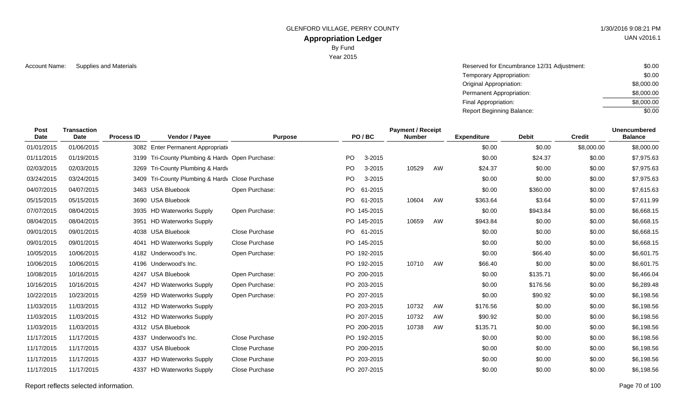GLENFORD VILLAGE, PERRY COUNTY 1/30/2016 9:08:21 PM

# **Appropriation Ledger**

By Fund

Year 2015

Account Name: Supplies and Materials **Account Name:** Supplies and Materials **Account Name:** Supplies and Materials **Account Name:** Supplies and Materials \$0.00 Temporary Appropriation: Original Appropriation: Permanent Appropriation: Final Appropriation: Report Beginning Balance: \$0.00 \$8,000.00 \$8,000.00 \$8,000.00 \$0.00

| Post<br><b>Date</b> | <b>Transaction</b><br>Date | <b>Process ID</b> | Vendor / Payee                             | <b>Purpose</b> | PO/BC     |             | <b>Payment / Receipt</b><br><b>Number</b> |    | <b>Expenditure</b> | <b>Debit</b> | <b>Credit</b> | <b>Unencumbered</b><br><b>Balance</b> |
|---------------------|----------------------------|-------------------|--------------------------------------------|----------------|-----------|-------------|-------------------------------------------|----|--------------------|--------------|---------------|---------------------------------------|
| 01/01/2015          | 01/06/2015                 |                   | 3082 Enter Permanent Appropriation         |                |           |             |                                           |    | \$0.00             | \$0.00       | \$8,000.00    | \$8,000.00                            |
| 01/11/2015          | 01/19/2015                 | 3199              | Tri-County Plumbing & Hardv Open Purchase: |                | <b>PO</b> | 3-2015      |                                           |    | \$0.00             | \$24.37      | \$0.00        | \$7,975.63                            |
| 02/03/2015          | 02/03/2015                 |                   | 3269 Tri-County Plumbing & Hardv           |                | PO.       | 3-2015      | 10529                                     | AW | \$24.37            | \$0.00       | \$0.00        | \$7,975.63                            |
| 03/24/2015          | 03/24/2015                 | 3409              | Tri-County Plumbing & Hardy Close Purchase |                | PO        | 3-2015      |                                           |    | \$0.00             | \$0.00       | \$0.00        | \$7,975.63                            |
| 04/07/2015          | 04/07/2015                 |                   | 3463 USA Bluebook                          | Open Purchase: | PO        | 61-2015     |                                           |    | \$0.00             | \$360.00     | \$0.00        | \$7,615.63                            |
| 05/15/2015          | 05/15/2015                 | 3690              | <b>USA Bluebook</b>                        |                | PO.       | 61-2015     | 10604                                     | AW | \$363.64           | \$3.64       | \$0.00        | \$7,611.99                            |
| 07/07/2015          | 08/04/2015                 | 3935              | <b>HD Waterworks Supply</b>                | Open Purchase: |           | PO 145-2015 |                                           |    | \$0.00             | \$943.84     | \$0.00        | \$6,668.15                            |
| 08/04/2015          | 08/04/2015                 | 3951              | <b>HD Waterworks Supply</b>                |                |           | PO 145-2015 | 10659                                     | AW | \$943.84           | \$0.00       | \$0.00        | \$6,668.15                            |
| 09/01/2015          | 09/01/2015                 |                   | 4038 USA Bluebook                          | Close Purchase |           | PO 61-2015  |                                           |    | \$0.00             | \$0.00       | \$0.00        | \$6,668.15                            |
| 09/01/2015          | 09/01/2015                 | 4041              | <b>HD Waterworks Supply</b>                | Close Purchase |           | PO 145-2015 |                                           |    | \$0.00             | \$0.00       | \$0.00        | \$6,668.15                            |
| 10/05/2015          | 10/06/2015                 |                   | 4182 Underwood's Inc.                      | Open Purchase: |           | PO 192-2015 |                                           |    | \$0.00             | \$66.40      | \$0.00        | \$6,601.75                            |
| 10/06/2015          | 10/06/2015                 |                   | 4196 Underwood's Inc.                      |                |           | PO 192-2015 | 10710                                     | AW | \$66.40            | \$0.00       | \$0.00        | \$6,601.75                            |
| 10/08/2015          | 10/16/2015                 | 4247              | <b>USA Bluebook</b>                        | Open Purchase: |           | PO 200-2015 |                                           |    | \$0.00             | \$135.71     | \$0.00        | \$6,466.04                            |
| 10/16/2015          | 10/16/2015                 |                   | 4247 HD Waterworks Supply                  | Open Purchase: |           | PO 203-2015 |                                           |    | \$0.00             | \$176.56     | \$0.00        | \$6,289.48                            |
| 10/22/2015          | 10/23/2015                 |                   | 4259 HD Waterworks Supply                  | Open Purchase: |           | PO 207-2015 |                                           |    | \$0.00             | \$90.92      | \$0.00        | \$6,198.56                            |
| 11/03/2015          | 11/03/2015                 |                   | 4312 HD Waterworks Supply                  |                |           | PO 203-2015 | 10732                                     | AW | \$176.56           | \$0.00       | \$0.00        | \$6,198.56                            |
| 11/03/2015          | 11/03/2015                 |                   | 4312 HD Waterworks Supply                  |                |           | PO 207-2015 | 10732                                     | AW | \$90.92            | \$0.00       | \$0.00        | \$6,198.56                            |
| 11/03/2015          | 11/03/2015                 |                   | 4312 USA Bluebook                          |                |           | PO 200-2015 | 10738                                     | AW | \$135.71           | \$0.00       | \$0.00        | \$6,198.56                            |
| 11/17/2015          | 11/17/2015                 | 4337              | Underwood's Inc.                           | Close Purchase |           | PO 192-2015 |                                           |    | \$0.00             | \$0.00       | \$0.00        | \$6,198.56                            |
| 11/17/2015          | 11/17/2015                 |                   | 4337 USA Bluebook                          | Close Purchase |           | PO 200-2015 |                                           |    | \$0.00             | \$0.00       | \$0.00        | \$6,198.56                            |
| 11/17/2015          | 11/17/2015                 | 4337              | <b>HD Waterworks Supply</b>                | Close Purchase |           | PO 203-2015 |                                           |    | \$0.00             | \$0.00       | \$0.00        | \$6,198.56                            |
| 11/17/2015          | 11/17/2015                 |                   | 4337 HD Waterworks Supply                  | Close Purchase |           | PO 207-2015 |                                           |    | \$0.00             | \$0.00       | \$0.00        | \$6,198.56                            |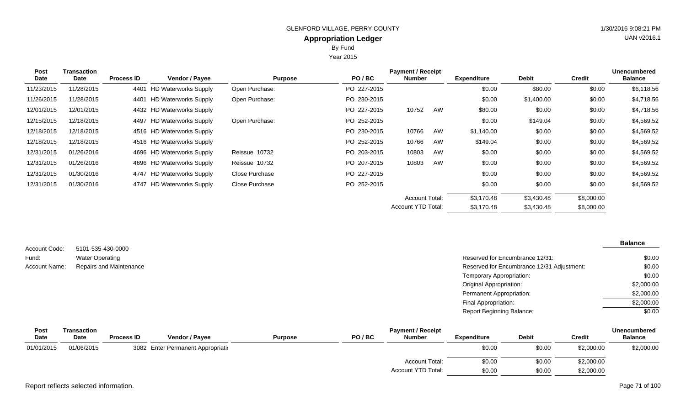Year 2015

| <b>Post</b> | <b>Transaction</b> |                   |                           |                |             | <b>Payment / Receipt</b>  |    |                    |              |               | <b>Unencumbered</b> |
|-------------|--------------------|-------------------|---------------------------|----------------|-------------|---------------------------|----|--------------------|--------------|---------------|---------------------|
| Date        | Date               | <b>Process ID</b> | <b>Vendor / Payee</b>     | <b>Purpose</b> | PO/BC       | <b>Number</b>             |    | <b>Expenditure</b> | <b>Debit</b> | <b>Credit</b> | <b>Balance</b>      |
| 11/23/2015  | 11/28/2015         |                   | 4401 HD Waterworks Supply | Open Purchase: | PO 227-2015 |                           |    | \$0.00             | \$80.00      | \$0.00        | \$6,118.56          |
| 11/26/2015  | 11/28/2015         |                   | 4401 HD Waterworks Supply | Open Purchase: | PO 230-2015 |                           |    | \$0.00             | \$1,400.00   | \$0.00        | \$4,718.56          |
| 12/01/2015  | 12/01/2015         |                   | 4432 HD Waterworks Supply |                | PO 227-2015 | 10752                     | AW | \$80.00            | \$0.00       | \$0.00        | \$4,718.56          |
| 12/15/2015  | 12/18/2015         |                   | 4497 HD Waterworks Supply | Open Purchase: | PO 252-2015 |                           |    | \$0.00             | \$149.04     | \$0.00        | \$4,569.52          |
| 12/18/2015  | 12/18/2015         |                   | 4516 HD Waterworks Supply |                | PO 230-2015 | 10766                     | AW | \$1,140.00         | \$0.00       | \$0.00        | \$4,569.52          |
| 12/18/2015  | 12/18/2015         |                   | 4516 HD Waterworks Supply |                | PO 252-2015 | 10766                     | AW | \$149.04           | \$0.00       | \$0.00        | \$4,569.52          |
| 12/31/2015  | 01/26/2016         |                   | 4696 HD Waterworks Supply | Reissue 10732  | PO 203-2015 | 10803                     | AW | \$0.00             | \$0.00       | \$0.00        | \$4,569.52          |
| 12/31/2015  | 01/26/2016         |                   | 4696 HD Waterworks Supply | Reissue 10732  | PO 207-2015 | 10803                     | AW | \$0.00             | \$0.00       | \$0.00        | \$4,569.52          |
| 12/31/2015  | 01/30/2016         |                   | 4747 HD Waterworks Supply | Close Purchase | PO 227-2015 |                           |    | \$0.00             | \$0.00       | \$0.00        | \$4,569.52          |
| 12/31/2015  | 01/30/2016         |                   | 4747 HD Waterworks Supply | Close Purchase | PO 252-2015 |                           |    | \$0.00             | \$0.00       | \$0.00        | \$4,569.52          |
|             |                    |                   |                           |                |             | <b>Account Total:</b>     |    | \$3,170.48         | \$3,430.48   | \$8,000.00    |                     |
|             |                    |                   |                           |                |             | <b>Account YTD Total:</b> |    | \$3,170.48         | \$3,430.48   | \$8,000.00    |                     |

|               |                         |                                            | <b>Balance</b> |
|---------------|-------------------------|--------------------------------------------|----------------|
| Account Code: | 5101-535-430-0000       |                                            |                |
| Fund:         | <b>Water Operating</b>  | Reserved for Encumbrance 12/31:            | \$0.00         |
| Account Name: | Repairs and Maintenance | Reserved for Encumbrance 12/31 Adjustment: | \$0.00         |
|               |                         | Temporary Appropriation:                   | \$0.00         |
|               |                         | <b>Original Appropriation:</b>             | \$2,000.00     |
|               |                         | Permanent Appropriation:                   | \$2,000.00     |
|               |                         | Final Appropriation:                       | \$2,000.00     |
|               |                         | <b>Report Beginning Balance:</b>           | \$0.00         |
|               |                         |                                            |                |

| Post        | Transaction |                   |                                    |                |       | <b>Payment / Receipt</b> |                    |              |               | <b>Unencumbered</b> |
|-------------|-------------|-------------------|------------------------------------|----------------|-------|--------------------------|--------------------|--------------|---------------|---------------------|
| <b>Date</b> | Date        | <b>Process ID</b> | <b>Vendor / Pavee</b>              | <b>Purpose</b> | PO/BC | <b>Number</b>            | <b>Expenditure</b> | <b>Debit</b> | <b>Credit</b> | <b>Balance</b>      |
| 01/01/2015  | 01/06/2015  |                   | 3082 Enter Permanent Appropriation |                |       |                          | \$0.00             | \$0.00       | \$2,000.00    | \$2,000.00          |
|             |             |                   |                                    |                |       | <b>Account Total:</b>    | \$0.00             | \$0.00       | \$2,000.00    |                     |
|             |             |                   |                                    |                |       | Account YTD Total:       | \$0.00             | \$0.00       | \$2,000.00    |                     |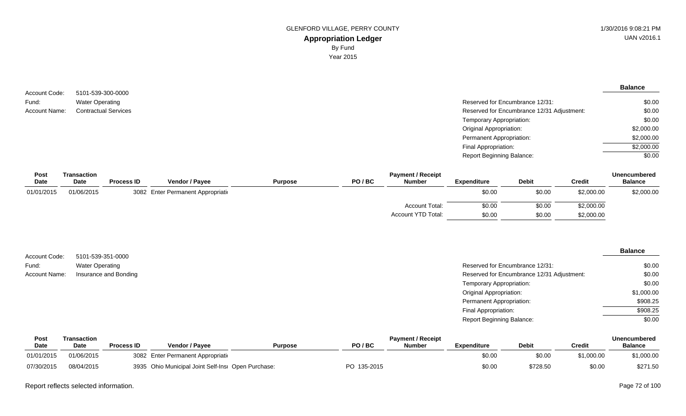**Balance**

\$0.00 \$0.00 \$0.00 \$2,000.00 \$2,000.00 \$2,000.00 \$0.00

| Account Code: | 5101-539-300-0000           |                                            |
|---------------|-----------------------------|--------------------------------------------|
| Fund:         | <b>Water Operating</b>      | Reserved for Encumbrance 12/31:            |
| Account Name: | <b>Contractual Services</b> | Reserved for Encumbrance 12/31 Adjustment: |
|               |                             | Temporary Appropriation:                   |
|               |                             | <b>Original Appropriation:</b>             |
|               |                             | Permanent Appropriation:                   |
|               |                             | Final Appropriation:                       |
|               |                             | <b>Report Beginning Balance:</b>           |

| Post        | Transaction |                   |                                    |                |       | <b>Payment / Receipt</b> |             |              |               | <b>Unencumbered</b> |
|-------------|-------------|-------------------|------------------------------------|----------------|-------|--------------------------|-------------|--------------|---------------|---------------------|
| <b>Date</b> | Date        | <b>Process ID</b> | <b>Vendor / Payee</b>              | <b>Purpose</b> | PO/BC | <b>Number</b>            | Expenditure | <b>Debit</b> | <b>Credit</b> | <b>Balance</b>      |
| 01/01/2015  | 01/06/2015  |                   | 3082 Enter Permanent Appropriation |                |       |                          | \$0.00      | \$0.00       | \$2,000.00    | \$2,000.00          |
|             |             |                   |                                    |                |       | <b>Account Total:</b>    | \$0.00      | \$0.00       | \$2,000.00    |                     |
|             |             |                   |                                    |                |       | Account YTD Total:       | \$0.00      | \$0.00       | \$2,000.00    |                     |

| Account Code: | 5101-539-351-0000      |                                            | <b>Balance</b> |
|---------------|------------------------|--------------------------------------------|----------------|
| Fund:         | <b>Water Operating</b> | Reserved for Encumbrance 12/31:            | \$0.00         |
| Account Name: | Insurance and Bonding  | Reserved for Encumbrance 12/31 Adjustment: | \$0.00         |
|               |                        | Temporary Appropriation:                   | \$0.00         |
|               |                        | <b>Original Appropriation:</b>             | \$1,000.00     |
|               |                        | Permanent Appropriation:                   | \$908.25       |
|               |                        | Final Appropriation:                       | \$908.25       |
|               |                        | <b>Report Beginning Balance:</b>           | \$0.00         |

| Post        | ransaction  | <b>Payment / Receipt</b> |                                                    |                |             |               |                    |              |            | <b>Unencumbered</b> |
|-------------|-------------|--------------------------|----------------------------------------------------|----------------|-------------|---------------|--------------------|--------------|------------|---------------------|
| <b>Date</b> | <b>Date</b> | <b>Process ID</b>        | Vendor / Pavee                                     | <b>Purpose</b> | PO/BC       | <b>Number</b> | <b>Expenditure</b> | <b>Debit</b> | Credit     | <b>Balance</b>      |
| 01/01/2015  | 01/06/2015  |                          | 3082 Enter Permanent Appropriation                 |                |             |               | \$0.00             | \$0.00       | \$1,000.00 | \$1,000.00          |
| 07/30/2015  | 08/04/2015  |                          | 3935 Ohio Municipal Joint Self-Insi Open Purchase: |                | PO 135-2015 |               | \$0.00             | \$728.50     | \$0.00     | \$271.50            |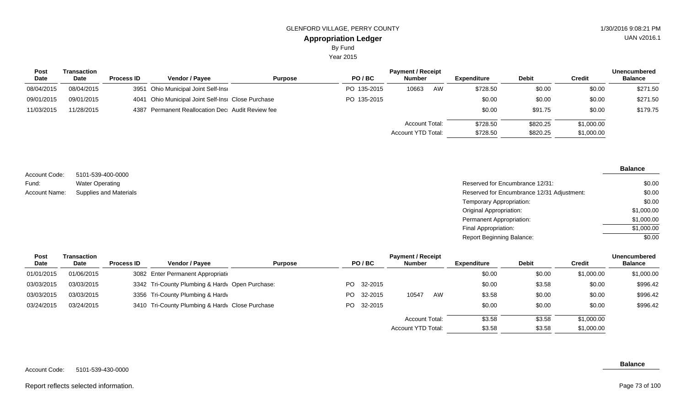Year 2015

| Post       | Transaction |                   |                                                    |                |             | <b>Unencumbered</b>   |    |             |              |            |                |
|------------|-------------|-------------------|----------------------------------------------------|----------------|-------------|-----------------------|----|-------------|--------------|------------|----------------|
| Date       | Date        | <b>Process ID</b> | <b>Vendor / Pavee</b>                              | <b>Purpose</b> | PO/BC       | <b>Number</b>         |    | Expenditure | <b>Debit</b> | Credit     | <b>Balance</b> |
| 08/04/2015 | 08/04/2015  |                   | 3951 Ohio Municipal Joint Self-Insi                |                | PO 135-2015 | 10663                 | AW | \$728.50    | \$0.00       | \$0.00     | \$271.50       |
| 09/01/2015 | 09/01/2015  |                   | 4041 Ohio Municipal Joint Self-Insi Close Purchase |                | PO 135-2015 |                       |    | \$0.00      | \$0.00       | \$0.00     | \$271.50       |
| 11/03/2015 | 11/28/2015  |                   | 4387 Permanent Reallocation Dec Audit Review fee   |                |             |                       |    | \$0.00      | \$91.75      | \$0.00     | \$179.75       |
|            |             |                   |                                                    |                |             | <b>Account Total:</b> |    | \$728.50    | \$820.25     | \$1,000.00 |                |
|            |             |                   |                                                    |                |             | Account YTD Total:    |    | \$728.50    | \$820.25     | \$1,000.00 |                |

| Account Code: | 5101-539-400-0000             |
|---------------|-------------------------------|
| Fund:         | <b>Water Operating</b>        |
| Account Name: | <b>Supplies and Materials</b> |

| 5101-539-400-0000             |                                            |            |
|-------------------------------|--------------------------------------------|------------|
| Water Operating               | Reserved for Encumbrance 12/31:            | \$0.00     |
| <b>Supplies and Materials</b> | Reserved for Encumbrance 12/31 Adjustment: | \$0.00     |
|                               | Temporary Appropriation:                   | \$0.00     |
|                               | Original Appropriation:                    | \$1,000.00 |
|                               | Permanent Appropriation:                   | \$1,000.00 |
|                               | Final Appropriation:                       | \$1,000.00 |
|                               | Report Beginning Balance:                  | \$0.00     |
|                               |                                            |            |

| Post       | Transaction |                   |                                                 |                |     |            | <b>Payment / Receipt</b> |    |                    |              |               | <b>Unencumbered</b> |
|------------|-------------|-------------------|-------------------------------------------------|----------------|-----|------------|--------------------------|----|--------------------|--------------|---------------|---------------------|
| Date       | Date        | <b>Process ID</b> | <b>Vendor / Pavee</b>                           | <b>Purpose</b> |     | PO/BC      | Number                   |    | <b>Expenditure</b> | <b>Debit</b> | <b>Credit</b> | <b>Balance</b>      |
| 01/01/2015 | 01/06/2015  |                   | 3082 Enter Permanent Appropriation              |                |     |            |                          |    | \$0.00             | \$0.00       | \$1,000.00    | \$1,000.00          |
| 03/03/2015 | 03/03/2015  |                   | 3342 Tri-County Plumbing & Hardv Open Purchase: |                | PO. | 32-2015    |                          |    | \$0.00             | \$3.58       | \$0.00        | \$996.42            |
| 03/03/2015 | 03/03/2015  |                   | 3356 Tri-County Plumbing & Hardy                |                | PO. | 32-2015    | 10547                    | AW | \$3.58             | \$0.00       | \$0.00        | \$996.42            |
| 03/24/2015 | 03/24/2015  |                   | 3410 Tri-County Plumbing & Hardy Close Purchase |                |     | PO 32-2015 |                          |    | \$0.00             | \$0.00       | \$0.00        | \$996.42            |
|            |             |                   |                                                 |                |     |            | Account Total:           |    | \$3.58             | \$3.58       | \$1,000.00    |                     |
|            |             |                   |                                                 |                |     |            | Account YTD Total:       |    | \$3.58             | \$3.58       | \$1,000.00    |                     |

Report reflects selected information.

#### **Balance**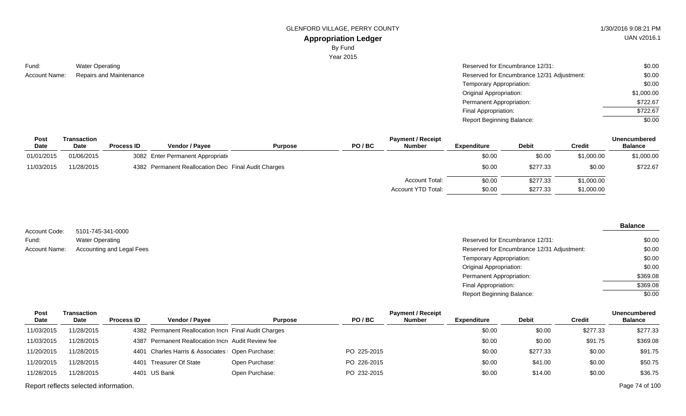GLENFORD VILLAGE, PERRY COUNTY **1/30/2016** 9:08:21 PM

# UAN v2016.1

**Appropriation Ledger** By Fund

Year 2015

| Fund:         | <b>Water Operating</b>        |
|---------------|-------------------------------|
| Account Name: | <b>Repairs and Maintenanc</b> |

| Water Operating         | Reserved for Encumbrance 12/31:            | \$0.00     |
|-------------------------|--------------------------------------------|------------|
| Repairs and Maintenance | Reserved for Encumbrance 12/31 Adjustment: | \$0.00     |
|                         | Temporary Appropriation:                   | \$0.00     |
|                         | Original Appropriation:                    | \$1,000.00 |
|                         | Permanent Appropriation:                   | \$722.67   |
|                         | Final Appropriation:                       | \$722.67   |
|                         | <b>Report Beginning Balance:</b>           | \$0.00     |

| <b>Post</b> | Transaction |                   |                                                     |                |       | <b>Payment / Receipt</b> |                    |              |               | <b>Unencumbered</b> |
|-------------|-------------|-------------------|-----------------------------------------------------|----------------|-------|--------------------------|--------------------|--------------|---------------|---------------------|
| Date        | <b>Date</b> | <b>Process ID</b> | <b>Vendor / Payee</b>                               | <b>Purpose</b> | PO/BC | <b>Number</b>            | <b>Expenditure</b> | <b>Debit</b> | <b>Credit</b> | <b>Balance</b>      |
| 01/01/2015  | 01/06/2015  |                   | 3082 Enter Permanent Appropriation                  |                |       |                          | \$0.00             | \$0.00       | \$1,000.00    | \$1,000.00          |
| 11/03/2015  | 11/28/2015  |                   | 4382 Permanent Reallocation Dec Final Audit Charges |                |       |                          | \$0.00             | \$277.33     | \$0.00        | \$722.67            |
|             |             |                   |                                                     |                |       | <b>Account Total:</b>    | \$0.00             | \$277.33     | \$1,000.00    |                     |
|             |             |                   |                                                     |                |       | Account YTD Total:       | \$0.00             | \$277.33     | \$1,000.00    |                     |

| Account Code: | 5101-745-341-0000         |
|---------------|---------------------------|
| Fund:         | <b>Water Operating</b>    |
| Account Name: | Accounting and Legal Fees |

#### **Balance**

| Water Operating           | Reserved for Encumbrance 12/31:            | \$0.00   |
|---------------------------|--------------------------------------------|----------|
| Accounting and Legal Fees | Reserved for Encumbrance 12/31 Adjustment: | \$0.00   |
|                           | Temporary Appropriation:                   | \$0.00   |
|                           | Original Appropriation:                    | \$0.00   |
|                           | Permanent Appropriation:                   | \$369.08 |
|                           | Final Appropriation:                       | \$369.08 |
|                           | <b>Report Beginning Balance:</b>           | \$0.00   |
|                           |                                            |          |

| Transaction |                   |                       |                                         |                                                                                                                                                                  | <b>Payment / Receipt</b> |             |              |          | <b>Unencumbered</b> |
|-------------|-------------------|-----------------------|-----------------------------------------|------------------------------------------------------------------------------------------------------------------------------------------------------------------|--------------------------|-------------|--------------|----------|---------------------|
| Date        | <b>Process ID</b> | <b>Vendor / Pavee</b> | <b>Purpose</b>                          | PO/BC                                                                                                                                                            | <b>Number</b>            | Expenditure | <b>Debit</b> | Credit   | <b>Balance</b>      |
| 11/28/2015  |                   |                       |                                         |                                                                                                                                                                  |                          | \$0.00      | \$0.00       | \$277.33 | \$277.33            |
| 11/28/2015  |                   |                       |                                         |                                                                                                                                                                  |                          | \$0.00      | \$0.00       | \$91.75  | \$369.08            |
| 11/28/2015  |                   |                       |                                         | PO 225-2015                                                                                                                                                      |                          | \$0.00      | \$277.33     | \$0.00   | \$91.75             |
| 11/28/2015  |                   |                       | Open Purchase:                          | PO 226-2015                                                                                                                                                      |                          | \$0.00      | \$41.00      | \$0.00   | \$50.75             |
| 11/28/2015  |                   |                       | Open Purchase:                          | PO 232-2015                                                                                                                                                      |                          | \$0.00      | \$14.00      | \$0.00   | \$36.75             |
|             |                   |                       | 4401 Treasurer Of State<br>4401 US Bank | 4382 Permanent Reallocation Incre Final Audit Charges<br>4387 Permanent Reallocation Incre Audit Review fee<br>4401 Charles Harris & Associates   Open Purchase: |                          |             |              |          |                     |

Report reflects selected information. Page 74 of 100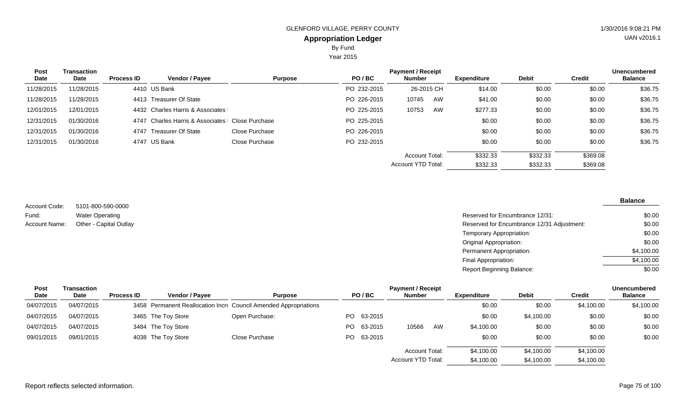Year 2015

| <b>Post</b><br>Date | Transaction<br>Date | <b>Process ID</b> | Vendor / Payee                   | <b>Purpose</b> | PO/BC       | <b>Payment / Receipt</b><br><b>Number</b> |    | <b>Expenditure</b> | <b>Debit</b> | <b>Credit</b> | <b>Unencumbered</b><br><b>Balance</b> |
|---------------------|---------------------|-------------------|----------------------------------|----------------|-------------|-------------------------------------------|----|--------------------|--------------|---------------|---------------------------------------|
| 11/28/2015          | 11/28/2015          |                   | 4410 US Bank                     |                | PO 232-2015 | 26-2015 CH                                |    | \$14.00            | \$0.00       | \$0.00        | \$36.75                               |
| 11/28/2015          | 11/28/2015          |                   | 4413 Treasurer Of State          |                | PO 226-2015 | 10745                                     | AW | \$41.00            | \$0.00       | \$0.00        | \$36.75                               |
| 12/01/2015          | 12/01/2015          |                   | 4432 Charles Harris & Associates |                | PO 225-2015 | 10753                                     | AW | \$277.33           | \$0.00       | \$0.00        | \$36.75                               |
| 12/31/2015          | 01/30/2016          |                   | 4747 Charles Harris & Associates | Close Purchase | PO 225-2015 |                                           |    | \$0.00             | \$0.00       | \$0.00        | \$36.75                               |
| 12/31/2015          | 01/30/2016          | 4747              | Treasurer Of State               | Close Purchase | PO 226-2015 |                                           |    | \$0.00             | \$0.00       | \$0.00        | \$36.75                               |
| 12/31/2015          | 01/30/2016          |                   | 4747 US Bank                     | Close Purchase | PO 232-2015 |                                           |    | \$0.00             | \$0.00       | \$0.00        | \$36.75                               |
|                     |                     |                   |                                  |                |             | Account Total:                            |    | \$332.33           | \$332.33     | \$369.08      |                                       |
|                     |                     |                   |                                  |                |             | Account YTD Total:                        |    | \$332.33           | \$332.33     | \$369.08      |                                       |

5101-800-590-0000 Water Operating Other - Capital Outlay Account Code: Fund: Account Name:

| Reserved for Encumbrance 12/31:            | \$0.00     |
|--------------------------------------------|------------|
| Reserved for Encumbrance 12/31 Adjustment: | \$0.00     |
| Temporary Appropriation:                   | \$0.00     |
| Original Appropriation:                    | \$0.00     |
| Permanent Appropriation:                   | \$4,100.00 |
| Final Appropriation:                       | \$4,100.00 |
| <b>Report Beginning Balance:</b>           | \$0.00     |

| <b>Post</b> | Transaction |                   | <b>Payment / Receipt</b> |                                                                  |     |            |                       |    |                    |              |               | <b>Unencumbered</b> |  |
|-------------|-------------|-------------------|--------------------------|------------------------------------------------------------------|-----|------------|-----------------------|----|--------------------|--------------|---------------|---------------------|--|
| Date        | Date        | <b>Process ID</b> | <b>Vendor / Payee</b>    | <b>Purpose</b>                                                   |     | PO/BC      | <b>Number</b>         |    | <b>Expenditure</b> | <b>Debit</b> | <b>Credit</b> | <b>Balance</b>      |  |
| 04/07/2015  | 04/07/2015  |                   |                          | 3458 Permanent Reallocation Incre Council Amended Appropriations |     |            |                       |    | \$0.00             | \$0.00       | \$4,100.00    | \$4,100.00          |  |
| 04/07/2015  | 04/07/2015  |                   | 3465 The Toy Store       | Open Purchase:                                                   |     | PO 63-2015 |                       |    | \$0.00             | \$4,100.00   | \$0.00        | \$0.00              |  |
| 04/07/2015  | 04/07/2015  |                   | 3484 The Toy Store       |                                                                  | PO. | 63-2015    | 10566                 | AW | \$4,100.00         | \$0.00       | \$0.00        | \$0.00              |  |
| 09/01/2015  | 09/01/2015  |                   | 4038 The Toy Store       | Close Purchase                                                   |     | PO 63-2015 |                       |    | \$0.00             | \$0.00       | \$0.00        | \$0.00              |  |
|             |             |                   |                          |                                                                  |     |            | <b>Account Total:</b> |    | \$4,100.00         | \$4,100.00   | \$4,100.00    |                     |  |
|             |             |                   |                          |                                                                  |     |            | Account YTD Total:    |    | \$4,100.00         | \$4,100.00   | \$4,100.00    |                     |  |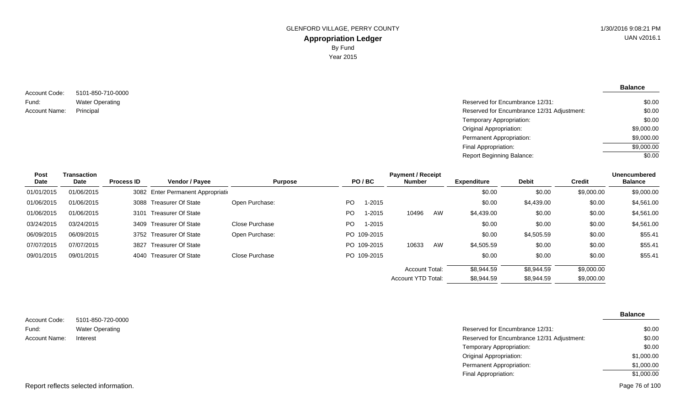5101-850-710-0000 Water Operating Account Code: Fund: Account Name:

| Water Operating | Reserved for Encumbrance 12/31:            | \$0.00     |
|-----------------|--------------------------------------------|------------|
| Principal       | Reserved for Encumbrance 12/31 Adjustment: | \$0.00     |
|                 | Temporary Appropriation:                   | \$0.00     |
|                 | Original Appropriation:                    | \$9,000.00 |
|                 | Permanent Appropriation:                   | \$9,000.00 |
|                 | Final Appropriation:                       | \$9,000.00 |
|                 | <b>Report Beginning Balance:</b>           | \$0.00     |

| Post       | Transaction | <b>Payment / Receipt</b> |                                    |                |     |             |                           |    |                    |              |               | <b>Unencumbered</b> |
|------------|-------------|--------------------------|------------------------------------|----------------|-----|-------------|---------------------------|----|--------------------|--------------|---------------|---------------------|
| Date       | Date        | <b>Process ID</b>        | Vendor / Payee                     | <b>Purpose</b> |     | PO/BC       | <b>Number</b>             |    | <b>Expenditure</b> | <b>Debit</b> | <b>Credit</b> | <b>Balance</b>      |
| 01/01/2015 | 01/06/2015  |                          | 3082 Enter Permanent Appropriation |                |     |             |                           |    | \$0.00             | \$0.00       | \$9,000.00    | \$9,000.00          |
| 01/06/2015 | 01/06/2015  |                          | 3088 Treasurer Of State            | Open Purchase: | PO. | $1 - 2015$  |                           |    | \$0.00             | \$4,439.00   | \$0.00        | \$4,561.00          |
| 01/06/2015 | 01/06/2015  |                          | 3101 Treasurer Of State            |                | PO. | 1-2015      | 10496                     | AW | \$4,439.00         | \$0.00       | \$0.00        | \$4,561.00          |
| 03/24/2015 | 03/24/2015  |                          | 3409 Treasurer Of State            | Close Purchase | PO. | 1-2015      |                           |    | \$0.00             | \$0.00       | \$0.00        | \$4,561.00          |
| 06/09/2015 | 06/09/2015  |                          | 3752 Treasurer Of State            | Open Purchase: |     | PO 109-2015 |                           |    | \$0.00             | \$4,505.59   | \$0.00        | \$55.41             |
| 07/07/2015 | 07/07/2015  |                          | 3827 Treasurer Of State            |                |     | PO 109-2015 | 10633                     | AW | \$4,505.59         | \$0.00       | \$0.00        | \$55.41             |
| 09/01/2015 | 09/01/2015  |                          | 4040 Treasurer Of State            | Close Purchase |     | PO 109-2015 |                           |    | \$0.00             | \$0.00       | \$0.00        | \$55.41             |
|            |             |                          |                                    |                |     |             | Account Total:            |    | \$8.944.59         | \$8.944.59   | \$9,000.00    |                     |
|            |             |                          |                                    |                |     |             | <b>Account YTD Total:</b> |    | \$8,944.59         | \$8,944.59   | \$9,000.00    |                     |

| Account Code: | 5101-850-720-0000      |                                            | <b>Balance</b> |
|---------------|------------------------|--------------------------------------------|----------------|
| Fund:         | <b>Water Operating</b> | Reserved for Encumbrance 12/31:            | \$0.00         |
| Account Name: | Interest               | Reserved for Encumbrance 12/31 Adjustment: | \$0.00         |
|               |                        | Temporary Appropriation:                   | \$0.00         |
|               |                        | Original Appropriation:                    | \$1,000.00     |
|               |                        | Permanent Appropriation:                   | \$1,000.00     |
|               |                        | Final Appropriation:                       | \$1,000.00     |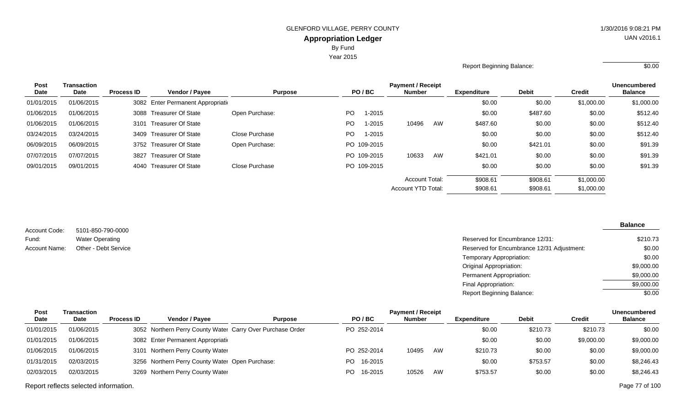Year 2015

#### Report Beginning Balance: \$0.00

| <b>Post</b> | <b>Transaction</b> |                   |                                    |                |           | <b>Payment / Receipt</b> |                       |    |                                    |          |               |                |
|-------------|--------------------|-------------------|------------------------------------|----------------|-----------|--------------------------|-----------------------|----|------------------------------------|----------|---------------|----------------|
| Date        | Date               | <b>Process ID</b> | <b>Vendor / Payee</b>              | <b>Purpose</b> |           | PO/BC                    | <b>Number</b>         |    | <b>Debit</b><br><b>Expenditure</b> |          | <b>Credit</b> | <b>Balance</b> |
| 01/01/2015  | 01/06/2015         |                   | 3082 Enter Permanent Appropriation |                |           |                          |                       |    | \$0.00                             | \$0.00   | \$1,000.00    | \$1,000.00     |
| 01/06/2015  | 01/06/2015         |                   | 3088 Treasurer Of State            | Open Purchase: | <b>PO</b> | $1 - 2015$               |                       |    | \$0.00                             | \$487.60 | \$0.00        | \$512.40       |
| 01/06/2015  | 01/06/2015         |                   | 3101 Treasurer Of State            |                | <b>PO</b> | $1 - 2015$               | 10496                 | AW | \$487.60                           | \$0.00   | \$0.00        | \$512.40       |
| 03/24/2015  | 03/24/2015         |                   | 3409 Treasurer Of State            | Close Purchase | PO.       | 1-2015                   |                       |    | \$0.00                             | \$0.00   | \$0.00        | \$512.40       |
| 06/09/2015  | 06/09/2015         |                   | 3752 Treasurer Of State            | Open Purchase: |           | PO 109-2015              |                       |    | \$0.00                             | \$421.01 | \$0.00        | \$91.39        |
| 07/07/2015  | 07/07/2015         | 3827              | Treasurer Of State                 |                |           | PO 109-2015              | 10633                 | AW | \$421.01                           | \$0.00   | \$0.00        | \$91.39        |
| 09/01/2015  | 09/01/2015         |                   | 4040 Treasurer Of State            | Close Purchase |           | PO 109-2015              |                       |    | \$0.00                             | \$0.00   | \$0.00        | \$91.39        |
|             |                    |                   |                                    |                |           |                          | <b>Account Total:</b> |    | \$908.61                           | \$908.61 | \$1,000.00    |                |
|             |                    |                   |                                    |                |           |                          | Account YTD Total:    |    | \$908.61                           | \$908.61 | \$1,000.00    |                |

5101-850-790-0000 Water Operating Account Code: Fund:

#### **Balance**

| , www.it ovuv. | <b>PIPE POPE LOCO TO</b> |                                            |            |
|----------------|--------------------------|--------------------------------------------|------------|
| Fund:          | <b>Water Operating</b>   | Reserved for Encumbrance 12/31:            | \$210.73   |
| Account Name:  | Other - Debt Service     | Reserved for Encumbrance 12/31 Adjustment: | \$0.00     |
|                |                          | Temporary Appropriation:                   | \$0.00     |
|                |                          | <b>Original Appropriation:</b>             | \$9,000.00 |
|                |                          | Permanent Appropriation:                   | \$9,000.00 |
|                |                          | Final Appropriation:                       | \$9,000.00 |
|                |                          | Report Beginning Balance:                  | \$0.00     |
|                |                          |                                            |            |

| Post       | Transaction | <b>Payment / Receipt</b> |                                                            |                |                |               |    |                    |              |            | <b>Unencumbered</b> |  |
|------------|-------------|--------------------------|------------------------------------------------------------|----------------|----------------|---------------|----|--------------------|--------------|------------|---------------------|--|
| Date       | Date        | <b>Process ID</b>        | <b>Vendor / Pavee</b>                                      | <b>Purpose</b> | PO/BC          | <b>Number</b> |    | <b>Expenditure</b> | <b>Debit</b> | Credit     | <b>Balance</b>      |  |
| 01/01/2015 | 01/06/2015  |                          | 3052 Northern Perry County Water Carry Over Purchase Order |                | PO 252-2014    |               |    | \$0.00             | \$210.73     | \$210.73   | \$0.00              |  |
| 01/01/2015 | 01/06/2015  |                          | 3082 Enter Permanent Appropriatio                          |                |                |               |    | \$0.00             | \$0.00       | \$9,000.00 | \$9,000.00          |  |
| 01/06/2015 | 01/06/2015  |                          | 3101 Northern Perry County Water                           |                | PO 252-2014    | 10495         | AW | \$210.73           | \$0.00       | \$0.00     | \$9,000.00          |  |
| 01/31/2015 | 02/03/2015  |                          | 3256 Northern Perry County Water Open Purchase:            |                | PO 16-2015     |               |    | \$0.00             | \$753.57     | \$0.00     | \$8,246.43          |  |
| 02/03/2015 | 02/03/2015  |                          | 3269 Northern Perry County Water                           |                | 16-2015<br>PO. | 10526         | AW | \$753.57           | \$0.00       | \$0.00     | \$8,246.43          |  |
|            |             |                          |                                                            |                |                |               |    |                    |              |            |                     |  |

Report reflects selected information. Page 77 of 100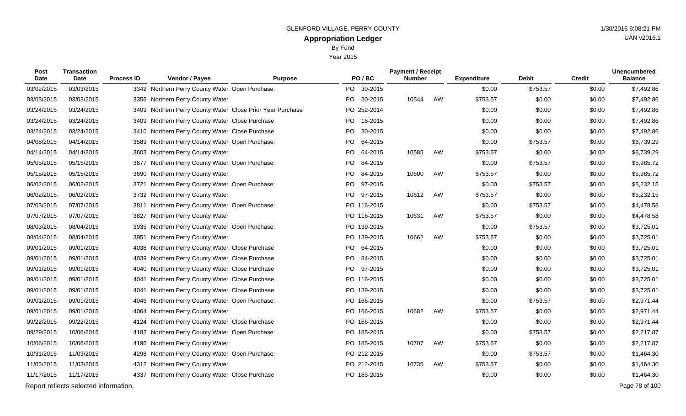Year 2015

| Post<br><b>Transaction</b><br>Date<br>Date |                                       | <b>Process ID</b> | Vendor / Payee                                             | <b>Purpose</b> | PO/BC           | <b>Payment / Receipt</b><br><b>Number</b> |    | <b>Expenditure</b> | <b>Debit</b> | <b>Credit</b> | <b>Unencumbered</b><br><b>Balance</b> |
|--------------------------------------------|---------------------------------------|-------------------|------------------------------------------------------------|----------------|-----------------|-------------------------------------------|----|--------------------|--------------|---------------|---------------------------------------|
| 03/02/2015                                 | 03/03/2015                            |                   | 3342 Northern Perry County Water Open Purchase:            |                | PO.<br>30-2015  |                                           |    | \$0.00             | \$753.57     | \$0.00        | \$7,492.86                            |
| 03/03/2015                                 | 03/03/2015                            |                   | 3356 Northern Perry County Water                           |                | PO 30-2015      | 10544                                     | AW | \$753.57           | \$0.00       | \$0.00        | \$7,492.86                            |
| 03/24/2015                                 | 03/24/2015                            |                   | 3409 Northern Perry County Water Close Prior Year Purchase |                | PO 252-2014     |                                           |    | \$0.00             | \$0.00       | \$0.00        | \$7,492.86                            |
| 03/24/2015                                 | 03/24/2015                            |                   | 3409 Northern Perry County Water Close Purchase            |                | PO 16-2015      |                                           |    | \$0.00             | \$0.00       | \$0.00        | \$7,492.86                            |
| 03/24/2015                                 | 03/24/2015                            |                   | 3410 Northern Perry County Water Close Purchase            |                | PO<br>30-2015   |                                           |    | \$0.00             | \$0.00       | \$0.00        | \$7,492.86                            |
| 04/08/2015                                 | 04/14/2015                            |                   | 3589 Northern Perry County Water Open Purchase:            |                | PO 64-2015      |                                           |    | \$0.00             | \$753.57     | \$0.00        | \$6,739.29                            |
| 04/14/2015                                 | 04/14/2015                            |                   | 3603 Northern Perry County Water                           |                | PO<br>64-2015   | 10585                                     | AW | \$753.57           | \$0.00       | \$0.00        | \$6,739.29                            |
| 05/05/2015                                 | 05/15/2015                            |                   | 3677 Northern Perry County Water Open Purchase:            |                | PO<br>84-2015   |                                           |    | \$0.00             | \$753.57     | \$0.00        | \$5,985.72                            |
| 05/15/2015                                 | 05/15/2015                            |                   | 3690 Northern Perry County Water                           |                | PO<br>84-2015   | 10600                                     | AW | \$753.57           | \$0.00       | \$0.00        | \$5,985.72                            |
| 06/02/2015                                 | 06/02/2015                            |                   | 3721 Northern Perry County Water Open Purchase:            |                | PO<br>97-2015   |                                           |    | \$0.00             | \$753.57     | \$0.00        | \$5,232.15                            |
| 06/02/2015                                 | 06/02/2015                            |                   | 3732 Northern Perry County Water                           |                | PO 97-2015      | 10612                                     | AW | \$753.57           | \$0.00       | \$0.00        | \$5,232.15                            |
| 07/03/2015                                 | 07/07/2015                            |                   | 3811 Northern Perry County Water Open Purchase:            |                | PO 116-2015     |                                           |    | \$0.00             | \$753.57     | \$0.00        | \$4,478.58                            |
| 07/07/2015                                 | 07/07/2015                            | 3827              | Northern Perry County Water                                |                | PO 116-2015     | 10631                                     | AW | \$753.57           | \$0.00       | \$0.00        | \$4,478.58                            |
| 08/03/2015                                 | 08/04/2015                            |                   | 3935 Northern Perry County Water Open Purchase:            |                | PO 139-2015     |                                           |    | \$0.00             | \$753.57     | \$0.00        | \$3,725.01                            |
| 08/04/2015                                 | 08/04/2015                            |                   | 3951 Northern Perry County Water                           |                | PO 139-2015     | 10662                                     | AW | \$753.57           | \$0.00       | \$0.00        | \$3,725.01                            |
| 09/01/2015                                 | 09/01/2015                            |                   | 4038 Northern Perry County Water Close Purchase            |                | PO 64-2015      |                                           |    | \$0.00             | \$0.00       | \$0.00        | \$3,725.01                            |
| 09/01/2015                                 | 09/01/2015                            |                   | 4039 Northern Perry County Water Close Purchase            |                | PO 84-2015      |                                           |    | \$0.00             | \$0.00       | \$0.00        | \$3,725.01                            |
| 09/01/2015                                 | 09/01/2015                            |                   | 4040 Northern Perry County Water Close Purchase            |                | PO -<br>97-2015 |                                           |    | \$0.00             | \$0.00       | \$0.00        | \$3,725.01                            |
| 09/01/2015                                 | 09/01/2015                            |                   | 4041 Northern Perry County Water Close Purchase            |                | PO 116-2015     |                                           |    | \$0.00             | \$0.00       | \$0.00        | \$3,725.01                            |
| 09/01/2015                                 | 09/01/2015                            |                   | 4041 Northern Perry County Water Close Purchase            |                | PO 139-2015     |                                           |    | \$0.00             | \$0.00       | \$0.00        | \$3,725.01                            |
| 09/01/2015                                 | 09/01/2015                            |                   | 4046 Northern Perry County Water Open Purchase:            |                | PO 166-2015     |                                           |    | \$0.00             | \$753.57     | \$0.00        | \$2,971.44                            |
| 09/01/2015                                 | 09/01/2015                            |                   | 4064 Northern Perry County Water                           |                | PO 166-2015     | 10682                                     | AW | \$753.57           | \$0.00       | \$0.00        | \$2,971.44                            |
| 09/22/2015                                 | 09/22/2015                            |                   | 4124 Northern Perry County Water Close Purchase            |                | PO 166-2015     |                                           |    | \$0.00             | \$0.00       | \$0.00        | \$2,971.44                            |
| 09/29/2015                                 | 10/06/2015                            |                   | 4182 Northern Perry County Water Open Purchase:            |                | PO 185-2015     |                                           |    | \$0.00             | \$753.57     | \$0.00        | \$2,217.87                            |
| 10/06/2015                                 | 10/06/2015                            |                   | 4196 Northern Perry County Water                           |                | PO 185-2015     | 10707                                     | AW | \$753.57           | \$0.00       | \$0.00        | \$2,217.87                            |
| 10/31/2015                                 | 11/03/2015                            |                   | 4298 Northern Perry County Water Open Purchase:            |                | PO 212-2015     |                                           |    | \$0.00             | \$753.57     | \$0.00        | \$1,464.30                            |
| 11/03/2015                                 | 11/03/2015                            |                   | 4312 Northern Perry County Water                           |                | PO 212-2015     | 10735                                     | AW | \$753.57           | \$0.00       | \$0.00        | \$1,464.30                            |
| 11/17/2015                                 | 11/17/2015                            |                   | 4337 Northern Perry County Water Close Purchase            |                | PO 185-2015     |                                           |    | \$0.00             | \$0.00       | \$0.00        | \$1,464.30                            |
|                                            | Report reflects selected information. |                   |                                                            |                |                 |                                           |    |                    |              |               | Page 78 of 100                        |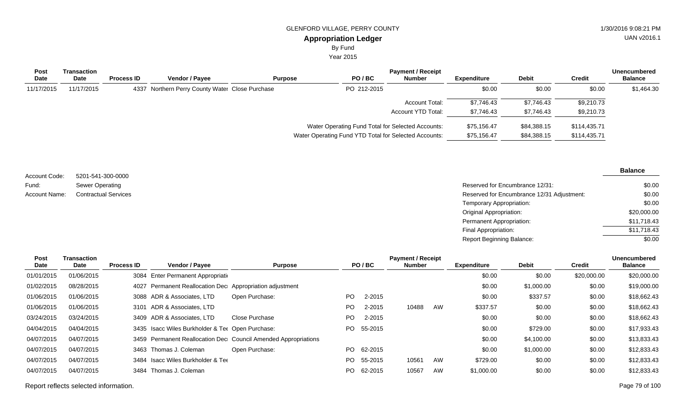By Fund

Year 2015

| <b>Post</b><br><b>Date</b> | Transaction<br>Date | <b>Process ID</b> | <b>Vendor / Payee</b>                           | <b>Purpose</b> | PO/BC                                                 | <b>Payment / Receipt</b><br><b>Number</b> | <b>Expenditure</b> | <b>Debit</b> | <b>Credit</b> | <b>Unencumbered</b><br><b>Balance</b> |
|----------------------------|---------------------|-------------------|-------------------------------------------------|----------------|-------------------------------------------------------|-------------------------------------------|--------------------|--------------|---------------|---------------------------------------|
| 11/17/2015                 | 11/17/2015          |                   | 4337 Northern Perry County Water Close Purchase |                | PO 212-2015                                           |                                           | \$0.00             | \$0.00       | \$0.00        | \$1,464.30                            |
|                            |                     |                   |                                                 |                |                                                       | Account Total:                            | \$7,746.43         | \$7,746.43   | \$9,210.73    |                                       |
|                            |                     |                   |                                                 |                |                                                       | Account YTD Total:                        | \$7,746.43         | \$7,746.43   | \$9,210.73    |                                       |
|                            |                     |                   |                                                 |                | Water Operating Fund Total for Selected Accounts:     |                                           | \$75,156.47        | \$84,388.15  | \$114,435.71  |                                       |
|                            |                     |                   |                                                 |                | Water Operating Fund YTD Total for Selected Accounts: |                                           | \$75,156.47        | \$84,388.15  | \$114,435.71  |                                       |

| Account Code: | 5201-541-300-0000           |                                            | --------    |
|---------------|-----------------------------|--------------------------------------------|-------------|
|               |                             |                                            |             |
| Fund:         | Sewer Operating             | Reserved for Encumbrance 12/31:            | \$0.00      |
| Account Name: | <b>Contractual Services</b> | Reserved for Encumbrance 12/31 Adjustment: | \$0.00      |
|               |                             | Temporary Appropriation:                   | \$0.00      |
|               |                             | Original Appropriation:                    | \$20,000.00 |

| Post       | Transaction | <b>Payment / Receipt</b> |                                                          |                                                                |     |         |               |    |                    | <b>Unencumbered</b> |               |                |
|------------|-------------|--------------------------|----------------------------------------------------------|----------------------------------------------------------------|-----|---------|---------------|----|--------------------|---------------------|---------------|----------------|
| Date       | Date        | <b>Process ID</b>        | <b>Vendor / Payee</b>                                    | <b>Purpose</b>                                                 |     | PO/BC   | <b>Number</b> |    | <b>Expenditure</b> | <b>Debit</b>        | <b>Credit</b> | <b>Balance</b> |
| 01/01/2015 | 01/06/2015  |                          | 3084 Enter Permanent Appropriation                       |                                                                |     |         |               |    | \$0.00             | \$0.00              | \$20,000.00   | \$20,000.00    |
| 01/02/2015 | 08/28/2015  |                          | 4027 Permanent Reallocation Dec Appropriation adjustment |                                                                |     |         |               |    | \$0.00             | \$1,000.00          | \$0.00        | \$19,000.00    |
| 01/06/2015 | 01/06/2015  |                          | 3088 ADR & Associates, LTD                               | Open Purchase:                                                 | PO. | 2-2015  |               |    | \$0.00             | \$337.57            | \$0.00        | \$18,662.43    |
| 01/06/2015 | 01/06/2015  |                          | 3101 ADR & Associates, LTD                               |                                                                | PO  | 2-2015  | 10488         | AW | \$337.57           | \$0.00              | \$0.00        | \$18,662.43    |
| 03/24/2015 | 03/24/2015  |                          | 3409 ADR & Associates, LTD                               | Close Purchase                                                 | PO. | 2-2015  |               |    | \$0.00             | \$0.00              | \$0.00        | \$18,662.43    |
| 04/04/2015 | 04/04/2015  |                          | 3435 Isacc Wiles Burkholder & Ter Open Purchase:         |                                                                | PO. | 55-2015 |               |    | \$0.00             | \$729.00            | \$0.00        | \$17,933.43    |
| 04/07/2015 | 04/07/2015  |                          |                                                          | 3459 Permanent Reallocation Dec Council Amended Appropriations |     |         |               |    | \$0.00             | \$4,100.00          | \$0.00        | \$13,833.43    |
| 04/07/2015 | 04/07/2015  |                          | 3463 Thomas J. Coleman                                   | Open Purchase:                                                 | PO. | 62-2015 |               |    | \$0.00             | \$1,000.00          | \$0.00        | \$12,833.43    |
| 04/07/2015 | 04/07/2015  |                          | 3484 Isacc Wiles Burkholder & Tee                        |                                                                | PO. | 55-2015 | 10561         | AW | \$729.00           | \$0.00              | \$0.00        | \$12,833.43    |
| 04/07/2015 | 04/07/2015  | 3484                     | Thomas J. Coleman                                        |                                                                | PO. | 62-2015 | 10567         | AW | \$1,000.00         | \$0.00              | \$0.00        | \$12,833.43    |
|            |             |                          |                                                          |                                                                |     |         |               |    |                    |                     |               |                |

Report reflects selected information. Page 79 of 100

UAN v2016.1

**Balance**

\$11,718.43 \$11,718.43 \$0.00

Permanent Appropriation: Final Appropriation: Report Beginning Balance: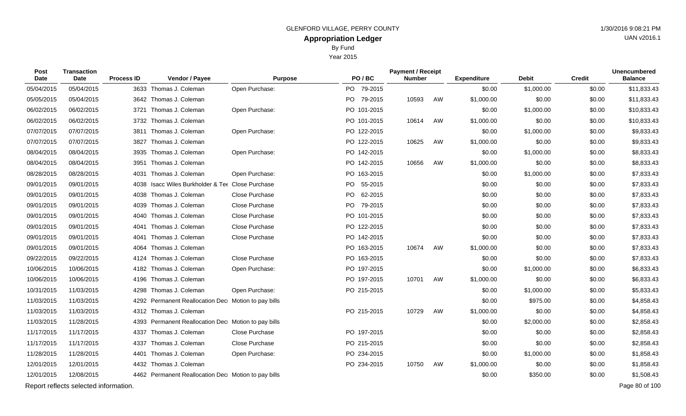Year 2015

| <b>Post</b><br>Date | <b>Transaction</b><br>Date            | <b>Process ID</b> | Vendor / Payee                                      | <b>Purpose</b>        | PO/BC           | <b>Payment / Receipt</b><br><b>Number</b> |    | <b>Expenditure</b> | Debit      | <b>Credit</b> | <b>Unencumbered</b><br><b>Balance</b> |
|---------------------|---------------------------------------|-------------------|-----------------------------------------------------|-----------------------|-----------------|-------------------------------------------|----|--------------------|------------|---------------|---------------------------------------|
| 05/04/2015          | 05/04/2015                            | 3633              | Thomas J. Coleman                                   | Open Purchase:        | PO 79-2015      |                                           |    | \$0.00             | \$1,000.00 | \$0.00        | \$11,833.43                           |
| 05/05/2015          | 05/04/2015                            |                   | 3642 Thomas J. Coleman                              |                       | PO 79-2015      | 10593                                     | AW | \$1,000.00         | \$0.00     | \$0.00        | \$11,833.43                           |
| 06/02/2015          | 06/02/2015                            | 3721              | Thomas J. Coleman                                   | Open Purchase:        | PO 101-2015     |                                           |    | \$0.00             | \$1,000.00 | \$0.00        | \$10,833.43                           |
| 06/02/2015          | 06/02/2015                            |                   | 3732 Thomas J. Coleman                              |                       | PO 101-2015     | 10614                                     | AW | \$1,000.00         | \$0.00     | \$0.00        | \$10,833.43                           |
| 07/07/2015          | 07/07/2015                            |                   | 3811 Thomas J. Coleman                              | Open Purchase:        | PO 122-2015     |                                           |    | \$0.00             | \$1,000.00 | \$0.00        | \$9,833.43                            |
| 07/07/2015          | 07/07/2015                            | 3827              | Thomas J. Coleman                                   |                       | PO 122-2015     | 10625                                     | AW | \$1,000.00         | \$0.00     | \$0.00        | \$9,833.43                            |
| 08/04/2015          | 08/04/2015                            | 3935              | Thomas J. Coleman                                   | Open Purchase:        | PO 142-2015     |                                           |    | \$0.00             | \$1,000.00 | \$0.00        | \$8,833.43                            |
| 08/04/2015          | 08/04/2015                            | 3951              | Thomas J. Coleman                                   |                       | PO 142-2015     | 10656                                     | AW | \$1,000.00         | \$0.00     | \$0.00        | \$8,833.43                            |
| 08/28/2015          | 08/28/2015                            | 4031              | Thomas J. Coleman                                   | Open Purchase:        | PO 163-2015     |                                           |    | \$0.00             | \$1,000.00 | \$0.00        | \$7,833.43                            |
| 09/01/2015          | 09/01/2015                            | 4038              | Isacc Wiles Burkholder & Tet Close Purchase         |                       | PO 55-2015      |                                           |    | \$0.00             | \$0.00     | \$0.00        | \$7,833.43                            |
| 09/01/2015          | 09/01/2015                            |                   | 4038 Thomas J. Coleman                              | Close Purchase        | PO 62-2015      |                                           |    | \$0.00             | \$0.00     | \$0.00        | \$7,833.43                            |
| 09/01/2015          | 09/01/2015                            | 4039              | Thomas J. Coleman                                   | Close Purchase        | 79-2015<br>PO l |                                           |    | \$0.00             | \$0.00     | \$0.00        | \$7,833.43                            |
| 09/01/2015          | 09/01/2015                            |                   | 4040 Thomas J. Coleman                              | Close Purchase        | PO 101-2015     |                                           |    | \$0.00             | \$0.00     | \$0.00        | \$7,833.43                            |
| 09/01/2015          | 09/01/2015                            | 4041              | Thomas J. Coleman                                   | <b>Close Purchase</b> | PO 122-2015     |                                           |    | \$0.00             | \$0.00     | \$0.00        | \$7,833.43                            |
| 09/01/2015          | 09/01/2015                            | 4041              | Thomas J. Coleman                                   | Close Purchase        | PO 142-2015     |                                           |    | \$0.00             | \$0.00     | \$0.00        | \$7,833.43                            |
| 09/01/2015          | 09/01/2015                            | 4064              | Thomas J. Coleman                                   |                       | PO 163-2015     | 10674                                     | AW | \$1,000.00         | \$0.00     | \$0.00        | \$7,833.43                            |
| 09/22/2015          | 09/22/2015                            | 4124              | Thomas J. Coleman                                   | Close Purchase        | PO 163-2015     |                                           |    | \$0.00             | \$0.00     | \$0.00        | \$7,833.43                            |
| 10/06/2015          | 10/06/2015                            |                   | 4182 Thomas J. Coleman                              | Open Purchase:        | PO 197-2015     |                                           |    | \$0.00             | \$1,000.00 | \$0.00        | \$6,833.43                            |
| 10/06/2015          | 10/06/2015                            |                   | 4196 Thomas J. Coleman                              |                       | PO 197-2015     | 10701                                     | AW | \$1,000.00         | \$0.00     | \$0.00        | \$6,833.43                            |
| 10/31/2015          | 11/03/2015                            | 4298              | Thomas J. Coleman                                   | Open Purchase:        | PO 215-2015     |                                           |    | \$0.00             | \$1,000.00 | \$0.00        | \$5,833.43                            |
| 11/03/2015          | 11/03/2015                            |                   | 4292 Permanent Reallocation Dec Motion to pay bills |                       |                 |                                           |    | \$0.00             | \$975.00   | \$0.00        | \$4,858.43                            |
| 11/03/2015          | 11/03/2015                            |                   | 4312 Thomas J. Coleman                              |                       | PO 215-2015     | 10729                                     | AW | \$1,000.00         | \$0.00     | \$0.00        | \$4,858.43                            |
| 11/03/2015          | 11/28/2015                            | 4393              | Permanent Reallocation Dec Motion to pay bills      |                       |                 |                                           |    | \$0.00             | \$2,000.00 | \$0.00        | \$2,858.43                            |
| 11/17/2015          | 11/17/2015                            | 4337              | Thomas J. Coleman                                   | Close Purchase        | PO 197-2015     |                                           |    | \$0.00             | \$0.00     | \$0.00        | \$2,858.43                            |
| 11/17/2015          | 11/17/2015                            | 4337              | Thomas J. Coleman                                   | Close Purchase        | PO 215-2015     |                                           |    | \$0.00             | \$0.00     | \$0.00        | \$2,858.43                            |
| 11/28/2015          | 11/28/2015                            | 4401              | Thomas J. Coleman                                   | Open Purchase:        | PO 234-2015     |                                           |    | \$0.00             | \$1,000.00 | \$0.00        | \$1,858.43                            |
| 12/01/2015          | 12/01/2015                            |                   | 4432 Thomas J. Coleman                              |                       | PO 234-2015     | 10750                                     | AW | \$1,000.00         | \$0.00     | \$0.00        | \$1,858.43                            |
| 12/01/2015          | 12/08/2015                            |                   | 4462 Permanent Reallocation Dec Motion to pay bills |                       |                 |                                           |    | \$0.00             | \$350.00   | \$0.00        | \$1,508.43                            |
|                     | Report reflects selected information. |                   |                                                     |                       |                 |                                           |    |                    |            |               | Page 80 of 100                        |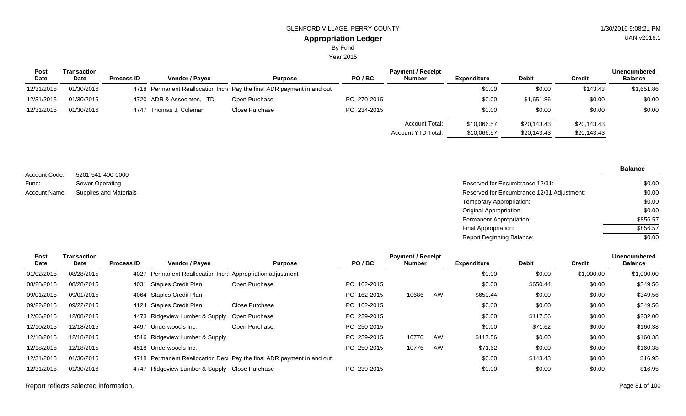Year 2015

| <b>Post</b> | Transaction |                   |                            |                                                                         | <b>Unencumbered</b> |                       |             |              |             |                |
|-------------|-------------|-------------------|----------------------------|-------------------------------------------------------------------------|---------------------|-----------------------|-------------|--------------|-------------|----------------|
| <b>Date</b> | Date        | <b>Process ID</b> | <b>Vendor / Payee</b>      | <b>Purpose</b>                                                          | PO/BC               | <b>Number</b>         | Expenditure | <b>Debit</b> | Credit      | <b>Balance</b> |
| 12/31/2015  | 01/30/2016  |                   |                            | 4718 Permanent Reallocation Incree Pay the final ADR payment in and out |                     |                       | \$0.00      | \$0.00       | \$143.43    | \$1,651.86     |
| 12/31/2015  | 01/30/2016  |                   | 4720 ADR & Associates, LTD | Open Purchase:                                                          | PO 270-2015         |                       | \$0.00      | \$1,651.86   | \$0.00      | \$0.00         |
| 12/31/2015  | 01/30/2016  |                   | 4747 Thomas J. Coleman     | Close Purchase                                                          | PO 234-2015         |                       | \$0.00      | \$0.00       | \$0.00      | \$0.00         |
|             |             |                   |                            |                                                                         |                     | <b>Account Total:</b> | \$10,066.57 | \$20,143.43  | \$20,143.43 |                |
|             |             |                   |                            |                                                                         |                     | Account YTD Total:    | \$10,066.57 | \$20,143.43  | \$20,143.43 |                |

| Account Code:        | 5201-541-400-0000      |
|----------------------|------------------------|
| Fund:                | Sewer Operating        |
| <b>Account Name:</b> | Supplies and Materials |

Reserved for Encumbrance 12/31: upplies and Materials **Supplies and Materials** Reserved for Encumbrance 12/31 Adjustment: Temporary Appropriation: Original Appropriation: Permanent Appropriation: Final Appropriation: \$0.00 \$0.00 \$0.00 \$0.00 \$856.57 \$856.57

Report Beginning Balance:

| Transaction |                   |                       | <b>Payment / Receipt</b>                                                                                                                                                                               |                                                                                                                                                                                                       |               |    |                    |              |               | <b>Unencumbered</b> |
|-------------|-------------------|-----------------------|--------------------------------------------------------------------------------------------------------------------------------------------------------------------------------------------------------|-------------------------------------------------------------------------------------------------------------------------------------------------------------------------------------------------------|---------------|----|--------------------|--------------|---------------|---------------------|
| Date        | <b>Process ID</b> | <b>Vendor / Payee</b> | <b>Purpose</b>                                                                                                                                                                                         | PO/BC                                                                                                                                                                                                 | <b>Number</b> |    | <b>Expenditure</b> | <b>Debit</b> | <b>Credit</b> | <b>Balance</b>      |
| 08/28/2015  |                   |                       |                                                                                                                                                                                                        |                                                                                                                                                                                                       |               |    | \$0.00             | \$0.00       | \$1,000.00    | \$1,000.00          |
| 08/28/2015  |                   |                       | Open Purchase:                                                                                                                                                                                         | PO 162-2015                                                                                                                                                                                           |               |    | \$0.00             | \$650.44     | \$0.00        | \$349.56            |
| 09/01/2015  |                   |                       |                                                                                                                                                                                                        | PO 162-2015                                                                                                                                                                                           | 10686         | AW | \$650.44           | \$0.00       | \$0.00        | \$349.56            |
| 09/22/2015  |                   |                       | Close Purchase                                                                                                                                                                                         | PO 162-2015                                                                                                                                                                                           |               |    | \$0.00             | \$0.00       | \$0.00        | \$349.56            |
| 12/08/2015  |                   |                       |                                                                                                                                                                                                        | PO 239-2015                                                                                                                                                                                           |               |    | \$0.00             | \$117.56     | \$0.00        | \$232.00            |
| 12/18/2015  |                   |                       | Open Purchase:                                                                                                                                                                                         | PO 250-2015                                                                                                                                                                                           |               |    | \$0.00             | \$71.62      | \$0.00        | \$160.38            |
| 12/18/2015  |                   |                       |                                                                                                                                                                                                        | PO 239-2015                                                                                                                                                                                           | 10770         | AW | \$117.56           | \$0.00       | \$0.00        | \$160.38            |
| 12/18/2015  |                   |                       |                                                                                                                                                                                                        | PO 250-2015                                                                                                                                                                                           | 10776         | AW | \$71.62            | \$0.00       | \$0.00        | \$160.38            |
| 01/30/2016  |                   |                       |                                                                                                                                                                                                        |                                                                                                                                                                                                       |               |    | \$0.00             | \$143.43     | \$0.00        | \$16.95             |
| 01/30/2016  |                   |                       |                                                                                                                                                                                                        | PO 239-2015                                                                                                                                                                                           |               |    | \$0.00             | \$0.00       | \$0.00        | \$16.95             |
|             |                   |                       | 4031 Staples Credit Plan<br>4064 Staples Credit Plan<br>4124 Staples Credit Plan<br>4473 Ridgeview Lumber & Supply<br>4497 Underwood's Inc.<br>4516 Ridgeview Lumber & Supply<br>4518 Underwood's Inc. | 4027 Permanent Reallocation Incre Appropriation adjustment<br>Open Purchase:<br>4718 Permanent Reallocation Dec Pay the final ADR payment in and out<br>4747 Ridgeview Lumber & Supply Close Purchase |               |    |                    |              |               |                     |

**Balance**

 $\frac{1}{0.00}$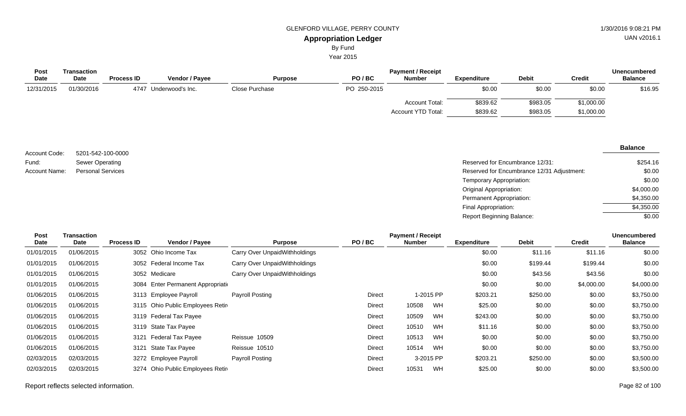By Fund

Year 2015

| <b>Post</b> | Transaction |                   |                       |                |             | <b>Payment / Receipt</b> |                    |              |               | <b>Unencumbered</b> |
|-------------|-------------|-------------------|-----------------------|----------------|-------------|--------------------------|--------------------|--------------|---------------|---------------------|
| <b>Date</b> | <b>Date</b> | <b>Process ID</b> | <b>Vendor / Payee</b> | <b>Purpose</b> | PO/BC       | <b>Number</b>            | <b>Expenditure</b> | <b>Debit</b> | <b>Credit</b> | <b>Balance</b>      |
| 12/31/2015  | 01/30/2016  | 4747              | 7 Underwood's Inc.    | Close Purchase | PO 250-2015 |                          | \$0.00             | \$0.00       | \$0.00        | \$16.95             |
|             |             |                   |                       |                |             | <b>Account Total:</b>    | \$839.62           | \$983.05     | \$1,000.00    |                     |
|             |             |                   |                       |                |             | Account YTD Total:       | \$839.62           | \$983.05     | \$1,000.00    |                     |

#### Reserved for Encumbrance 12/31: 5201-542-100-0000 Sewer Operating Personal Services **Reserved for Encumbrance 12/31 Adjustment:** Networking the Served for Encumbrance 12/31 Adjustment: Temporary Appropriation: Original Appropriation: Permanent Appropriation: Final Appropriation: Report Beginning Balance: Account Code: Fund: Account Name: \$254.16 \$0.00 \$0.00 \$4,000.00 \$4,350.00 \$4,350.00  $\overline{$0.00}$

| Post<br>Date | Transaction<br>Date | <b>Process ID</b> | <b>Vendor / Payee</b>              | <b>Purpose</b>                | PO/BC         | <b>Payment / Receipt</b><br>Number |           | <b>Expenditure</b> | <b>Debit</b> | <b>Credit</b> | <b>Unencumbered</b><br><b>Balance</b> |
|--------------|---------------------|-------------------|------------------------------------|-------------------------------|---------------|------------------------------------|-----------|--------------------|--------------|---------------|---------------------------------------|
| 01/01/2015   | 01/06/2015          |                   | 3052 Ohio Income Tax               | Carry Over UnpaidWithholdings |               |                                    |           | \$0.00             | \$11.16      | \$11.16       | \$0.00                                |
| 01/01/2015   | 01/06/2015          |                   | 3052 Federal Income Tax            | Carry Over UnpaidWithholdings |               |                                    |           | \$0.00             | \$199.44     | \$199.44      | \$0.00                                |
| 01/01/2015   | 01/06/2015          |                   | 3052 Medicare                      | Carry Over UnpaidWithholdings |               |                                    |           | \$0.00             | \$43.56      | \$43.56       | \$0.00                                |
| 01/01/2015   | 01/06/2015          |                   | 3084 Enter Permanent Appropriation |                               |               |                                    |           | \$0.00             | \$0.00       | \$4,000.00    | \$4,000.00                            |
| 01/06/2015   | 01/06/2015          |                   | 3113 Employee Payroll              | <b>Payroll Posting</b>        | <b>Direct</b> |                                    | 1-2015 PP | \$203.21           | \$250.00     | \$0.00        | \$3,750.00                            |
| 01/06/2015   | 01/06/2015          |                   | 3115 Ohio Public Employees Retir   |                               | <b>Direct</b> | 10508                              | WH        | \$25.00            | \$0.00       | \$0.00        | \$3,750.00                            |
| 01/06/2015   | 01/06/2015          |                   | 3119 Federal Tax Payee             |                               | <b>Direct</b> | 10509                              | WH        | \$243.00           | \$0.00       | \$0.00        | \$3,750.00                            |
| 01/06/2015   | 01/06/2015          |                   | 3119 State Tax Payee               |                               | Direct        | 10510                              | WH        | \$11.16            | \$0.00       | \$0.00        | \$3,750.00                            |
| 01/06/2015   | 01/06/2015          | 3121              | Federal Tax Payee                  | Reissue 10509                 | <b>Direct</b> | 10513                              | WH        | \$0.00             | \$0.00       | \$0.00        | \$3,750.00                            |
| 01/06/2015   | 01/06/2015          | 3121              | State Tax Payee                    | Reissue 10510                 | <b>Direct</b> | 10514                              | WH        | \$0.00             | \$0.00       | \$0.00        | \$3,750.00                            |
| 02/03/2015   | 02/03/2015          |                   | 3272 Employee Payroll              | Payroll Posting               | <b>Direct</b> |                                    | 3-2015 PP | \$203.21           | \$250.00     | \$0.00        | \$3,500.00                            |
| 02/03/2015   | 02/03/2015          |                   | 3274 Ohio Public Employees Retir   |                               | Direct        | 10531                              | WH        | \$25.00            | \$0.00       | \$0.00        | \$3,500.00                            |

UAN v2016.1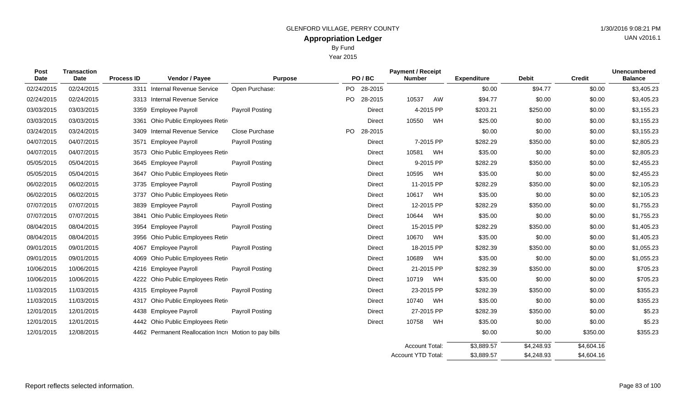Year 2015

| Post<br>Date | <b>Transaction</b><br>Date | <b>Process ID</b> | Vendor / Payee                                        | <b>Purpose</b>         |     | PO/BC         | <b>Payment / Receipt</b><br><b>Number</b> |           | <b>Expenditure</b> | <b>Debit</b> | <b>Credit</b> | <b>Unencumbered</b><br><b>Balance</b> |
|--------------|----------------------------|-------------------|-------------------------------------------------------|------------------------|-----|---------------|-------------------------------------------|-----------|--------------------|--------------|---------------|---------------------------------------|
| 02/24/2015   | 02/24/2015                 | 3311              | <b>Internal Revenue Service</b>                       | Open Purchase:         |     | PO 28-2015    |                                           |           | \$0.00             | \$94.77      | \$0.00        | \$3,405.23                            |
| 02/24/2015   | 02/24/2015                 |                   | 3313 Internal Revenue Service                         |                        | PO  | 28-2015       | 10537                                     | AW        | \$94.77            | \$0.00       | \$0.00        | \$3,405.23                            |
| 03/03/2015   | 03/03/2015                 |                   | 3359 Employee Payroll                                 | <b>Payroll Posting</b> |     | <b>Direct</b> |                                           | 4-2015 PP | \$203.21           | \$250.00     | \$0.00        | \$3,155.23                            |
| 03/03/2015   | 03/03/2015                 | 3361              | Ohio Public Employees Retir                           |                        |     | Direct        | 10550                                     | WH        | \$25.00            | \$0.00       | \$0.00        | \$3,155.23                            |
| 03/24/2015   | 03/24/2015                 | 3409              | <b>Internal Revenue Service</b>                       | Close Purchase         | PO. | 28-2015       |                                           |           | \$0.00             | \$0.00       | \$0.00        | \$3,155.23                            |
| 04/07/2015   | 04/07/2015                 | 3571              | <b>Employee Payroll</b>                               | <b>Payroll Posting</b> |     | <b>Direct</b> |                                           | 7-2015 PP | \$282.29           | \$350.00     | \$0.00        | \$2,805.23                            |
| 04/07/2015   | 04/07/2015                 | 3573              | Ohio Public Employees Retir                           |                        |     | <b>Direct</b> | 10581                                     | WH        | \$35.00            | \$0.00       | \$0.00        | \$2,805.23                            |
| 05/05/2015   | 05/04/2015                 |                   | 3645 Employee Payroll                                 | <b>Payroll Posting</b> |     | <b>Direct</b> |                                           | 9-2015 PP | \$282.29           | \$350.00     | \$0.00        | \$2,455.23                            |
| 05/05/2015   | 05/04/2015                 |                   | 3647 Ohio Public Employees Retir                      |                        |     | <b>Direct</b> | 10595 WH                                  |           | \$35.00            | \$0.00       | \$0.00        | \$2,455.23                            |
| 06/02/2015   | 06/02/2015                 |                   | 3735 Employee Payroll                                 | <b>Payroll Posting</b> |     | <b>Direct</b> | 11-2015 PP                                |           | \$282.29           | \$350.00     | \$0.00        | \$2,105.23                            |
| 06/02/2015   | 06/02/2015                 |                   | 3737 Ohio Public Employees Retin                      |                        |     | <b>Direct</b> | 10617                                     | WH        | \$35.00            | \$0.00       | \$0.00        | \$2,105.23                            |
| 07/07/2015   | 07/07/2015                 | 3839              | <b>Employee Payroll</b>                               | <b>Payroll Posting</b> |     | <b>Direct</b> | 12-2015 PP                                |           | \$282.29           | \$350.00     | \$0.00        | \$1,755.23                            |
| 07/07/2015   | 07/07/2015                 | 3841              | Ohio Public Employees Retire                          |                        |     | <b>Direct</b> | 10644 WH                                  |           | \$35.00            | \$0.00       | \$0.00        | \$1,755.23                            |
| 08/04/2015   | 08/04/2015                 | 3954              | <b>Employee Payroll</b>                               | <b>Payroll Posting</b> |     | <b>Direct</b> | 15-2015 PP                                |           | \$282.29           | \$350.00     | \$0.00        | \$1,405.23                            |
| 08/04/2015   | 08/04/2015                 |                   | 3956 Ohio Public Employees Retir                      |                        |     | <b>Direct</b> | 10670                                     | WH        | \$35.00            | \$0.00       | \$0.00        | \$1,405.23                            |
| 09/01/2015   | 09/01/2015                 | 4067              | <b>Employee Payroll</b>                               | <b>Payroll Posting</b> |     | <b>Direct</b> | 18-2015 PP                                |           | \$282.39           | \$350.00     | \$0.00        | \$1,055.23                            |
| 09/01/2015   | 09/01/2015                 |                   | 4069 Ohio Public Employees Retire                     |                        |     | <b>Direct</b> | 10689                                     | WH        | \$35.00            | \$0.00       | \$0.00        | \$1,055.23                            |
| 10/06/2015   | 10/06/2015                 |                   | 4216 Employee Payroll                                 | <b>Payroll Posting</b> |     | <b>Direct</b> | 21-2015 PP                                |           | \$282.39           | \$350.00     | \$0.00        | \$705.23                              |
| 10/06/2015   | 10/06/2015                 |                   | 4222 Ohio Public Employees Retir                      |                        |     | <b>Direct</b> | 10719                                     | WH        | \$35.00            | \$0.00       | \$0.00        | \$705.23                              |
| 11/03/2015   | 11/03/2015                 |                   | 4315 Employee Payroll                                 | <b>Payroll Posting</b> |     | <b>Direct</b> | 23-2015 PP                                |           | \$282.39           | \$350.00     | \$0.00        | \$355.23                              |
| 11/03/2015   | 11/03/2015                 |                   | 4317 Ohio Public Employees Retir                      |                        |     | <b>Direct</b> | 10740                                     | WH        | \$35.00            | \$0.00       | \$0.00        | \$355.23                              |
| 12/01/2015   | 12/01/2015                 |                   | 4438 Employee Payroll                                 | <b>Payroll Posting</b> |     | <b>Direct</b> | 27-2015 PP                                |           | \$282.39           | \$350.00     | \$0.00        | \$5.23                                |
| 12/01/2015   | 12/01/2015                 |                   | 4442 Ohio Public Employees Retire                     |                        |     | <b>Direct</b> | 10758 WH                                  |           | \$35.00            | \$0.00       | \$0.00        | \$5.23                                |
| 12/01/2015   | 12/08/2015                 |                   | 4462 Permanent Reallocation Incre Motion to pay bills |                        |     |               |                                           |           | \$0.00             | \$0.00       | \$350.00      | \$355.23                              |
|              |                            |                   |                                                       |                        |     |               | Account Total:                            |           | \$3,889.57         | \$4,248.93   | \$4,604.16    |                                       |
|              |                            |                   |                                                       |                        |     |               | Account YTD Total:                        |           | \$3,889.57         | \$4,248.93   | \$4,604.16    |                                       |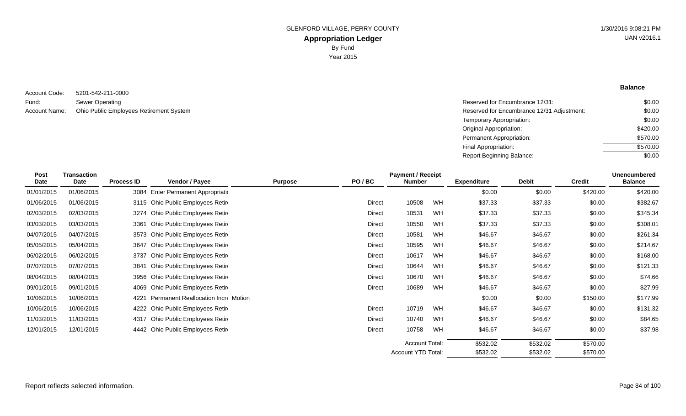**Balance**

5201-542-211-0000 Sewer Operating Account Code: Fund: Account Name:

Reserved for Encumbrance 12/31: Ohio Public Employees Retirement System **Reserved for Encumbrance 12/31 Adjustment:** Temporary Appropriation: Original Appropriation: Permanent Appropriation: Final Appropriation: Report Beginning Balance: \$0.00 \$0.00 \$0.00 \$420.00 \$570.00 \$570.00  $\sqrt{$0.00}$ 

| Post       | <b>Transaction</b> |                   |                                     |                |        | <b>Payment / Receipt</b> |    |                    |              |               | <b>Unencumbered</b> |
|------------|--------------------|-------------------|-------------------------------------|----------------|--------|--------------------------|----|--------------------|--------------|---------------|---------------------|
| Date       | <b>Date</b>        | <b>Process ID</b> | <b>Vendor / Payee</b>               | <b>Purpose</b> | PO/BC  | <b>Number</b>            |    | <b>Expenditure</b> | <b>Debit</b> | <b>Credit</b> | <b>Balance</b>      |
| 01/01/2015 | 01/06/2015         |                   | 3084 Enter Permanent Appropriation  |                |        |                          |    | \$0.00             | \$0.00       | \$420.00      | \$420.00            |
| 01/06/2015 | 01/06/2015         | 3115              | Ohio Public Employees Retir         |                | Direct | 10508                    | WH | \$37.33            | \$37.33      | \$0.00        | \$382.67            |
| 02/03/2015 | 02/03/2015         |                   | 3274 Ohio Public Employees Retire   |                | Direct | 10531                    | WH | \$37.33            | \$37.33      | \$0.00        | \$345.34            |
| 03/03/2015 | 03/03/2015         | 3361              | Ohio Public Employees Retir         |                | Direct | 10550                    | WH | \$37.33            | \$37.33      | \$0.00        | \$308.01            |
| 04/07/2015 | 04/07/2015         |                   | 3573 Ohio Public Employees Retire   |                | Direct | 10581                    | WH | \$46.67            | \$46.67      | \$0.00        | \$261.34            |
| 05/05/2015 | 05/04/2015         | 3647              | Ohio Public Employees Retir         |                | Direct | 10595                    | WH | \$46.67            | \$46.67      | \$0.00        | \$214.67            |
| 06/02/2015 | 06/02/2015         | 3737              | Ohio Public Employees Retir         |                | Direct | 10617                    | WH | \$46.67            | \$46.67      | \$0.00        | \$168.00            |
| 07/07/2015 | 07/07/2015         | 3841              | Ohio Public Employees Retir         |                | Direct | 10644                    | WH | \$46.67            | \$46.67      | \$0.00        | \$121.33            |
| 08/04/2015 | 08/04/2015         | 3956              | Ohio Public Employees Retir         |                | Direct | 10670                    | WH | \$46.67            | \$46.67      | \$0.00        | \$74.66             |
| 09/01/2015 | 09/01/2015         | 4069              | Ohio Public Employees Retir         |                | Direct | 10689                    | WH | \$46.67            | \$46.67      | \$0.00        | \$27.99             |
| 10/06/2015 | 10/06/2015         | 4221              | Permanent Reallocation Incre Motion |                |        |                          |    | \$0.00             | \$0.00       | \$150.00      | \$177.99            |
| 10/06/2015 | 10/06/2015         |                   | 4222 Ohio Public Employees Retire   |                | Direct | 10719                    | WH | \$46.67            | \$46.67      | \$0.00        | \$131.32            |
| 11/03/2015 | 11/03/2015         | 4317              | Ohio Public Employees Retir         |                | Direct | 10740                    | WH | \$46.67            | \$46.67      | \$0.00        | \$84.65             |
| 12/01/2015 | 12/01/2015         |                   | 4442 Ohio Public Employees Retire   |                | Direct | 10758                    | WH | \$46.67            | \$46.67      | \$0.00        | \$37.98             |
|            |                    |                   |                                     |                |        | <b>Account Total:</b>    |    | \$532.02           | \$532.02     | \$570.00      |                     |
|            |                    |                   |                                     |                |        | Account YTD Total:       |    | \$532.02           | \$532.02     | \$570.00      |                     |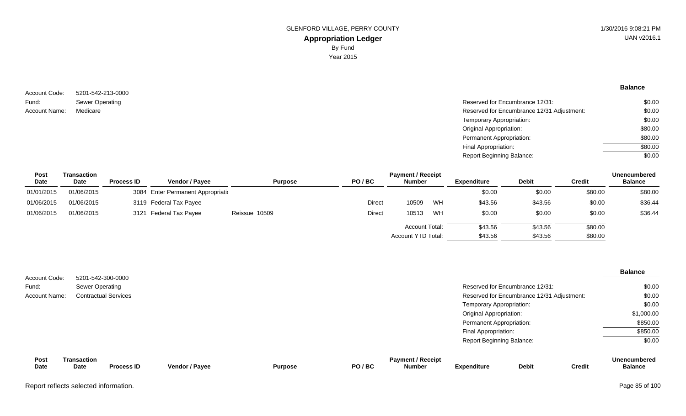**Balance**

5201-542-213-0000 Sewer Operating Account Code: Fund: Account Name:

| Sewer Operating | Reserved for Encumbrance 12/31:            | \$0.00  |
|-----------------|--------------------------------------------|---------|
| Medicare        | Reserved for Encumbrance 12/31 Adjustment: | \$0.00  |
|                 | Temporary Appropriation:                   | \$0.00  |
|                 | Original Appropriation:                    | \$80.00 |
|                 | Permanent Appropriation:                   | \$80.00 |
|                 | Final Appropriation:                       | \$80.00 |
|                 | <b>Report Beginning Balance:</b>           | \$0.00  |

| <b>Post</b> | Transaction |                   |                                    | <b>Unencumbered</b><br><b>Payment / Receipt</b> |               |                       |    |                    |              |               |                |  |
|-------------|-------------|-------------------|------------------------------------|-------------------------------------------------|---------------|-----------------------|----|--------------------|--------------|---------------|----------------|--|
| <b>Date</b> | Date        | <b>Process ID</b> | <b>Vendor / Pavee</b>              | <b>Purpose</b>                                  | PO/BC         | <b>Number</b>         |    | <b>Expenditure</b> | <b>Debit</b> | <b>Credit</b> | <b>Balance</b> |  |
| 01/01/2015  | 01/06/2015  |                   | 3084 Enter Permanent Appropriation |                                                 |               |                       |    | \$0.00             | \$0.00       | \$80.00       | \$80.00        |  |
| 01/06/2015  | 01/06/2015  |                   | 3119 Federal Tax Payee             |                                                 | <b>Direct</b> | 10509                 | WH | \$43.56            | \$43.56      | \$0.00        | \$36.44        |  |
| 01/06/2015  | 01/06/2015  |                   | 3121 Federal Tax Payee             | Reissue 10509                                   | <b>Direct</b> | 10513                 | WH | \$0.00             | \$0.00       | \$0.00        | \$36.44        |  |
|             |             |                   |                                    |                                                 |               | <b>Account Total:</b> |    | \$43.56            | \$43.56      | \$80.00       |                |  |
|             |             |                   |                                    |                                                 |               | Account YTD Total:    |    | \$43.56            | \$43.56      | \$80.00       |                |  |

| Account Code:        |                                   | 5201-542-300-0000           |                |                |       |                                           |                                  |                                            |               | <b>Balance</b>                        |
|----------------------|-----------------------------------|-----------------------------|----------------|----------------|-------|-------------------------------------------|----------------------------------|--------------------------------------------|---------------|---------------------------------------|
| Fund:                | Sewer Operating                   |                             |                |                |       |                                           |                                  | Reserved for Encumbrance 12/31:            |               | \$0.00                                |
| <b>Account Name:</b> |                                   | <b>Contractual Services</b> |                |                |       |                                           |                                  | Reserved for Encumbrance 12/31 Adjustment: |               | \$0.00                                |
|                      |                                   |                             |                |                |       |                                           | Temporary Appropriation:         |                                            |               | \$0.00                                |
|                      |                                   |                             |                |                |       |                                           | Original Appropriation:          |                                            |               | \$1,000.00                            |
|                      |                                   |                             |                |                |       |                                           | Permanent Appropriation:         |                                            |               | \$850.00                              |
|                      |                                   |                             |                |                |       |                                           | Final Appropriation:             |                                            |               | \$850.00                              |
|                      |                                   |                             |                |                |       |                                           | <b>Report Beginning Balance:</b> |                                            |               | \$0.00                                |
| Post<br>Date         | <b>Transaction</b><br><b>Date</b> | <b>Process ID</b>           | Vendor / Payee | <b>Purpose</b> | PO/BC | <b>Payment / Receipt</b><br><b>Number</b> | <b>Expenditure</b>               | <b>Debit</b>                               | <b>Credit</b> | <b>Unencumbered</b><br><b>Balance</b> |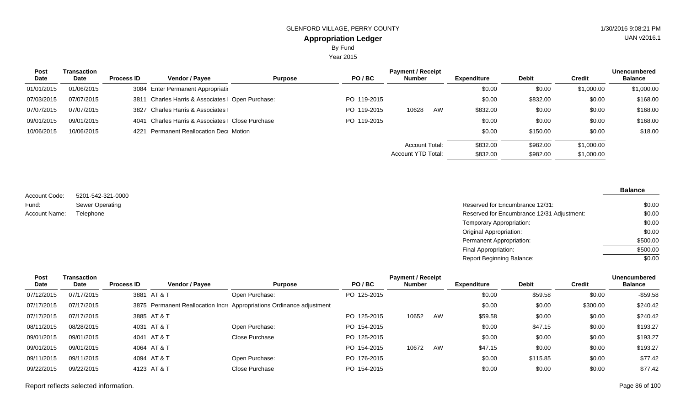Year 2015

| <b>Post</b> | Transaction |                   |                                                   |                |             | <b>Payment / Receipt</b> |    |                    |              |               | <b>Unencumbered</b> |
|-------------|-------------|-------------------|---------------------------------------------------|----------------|-------------|--------------------------|----|--------------------|--------------|---------------|---------------------|
| Date        | Date        | <b>Process ID</b> | Vendor / Payee                                    | <b>Purpose</b> | PO/BC       | <b>Number</b>            |    | <b>Expenditure</b> | <b>Debit</b> | <b>Credit</b> | <b>Balance</b>      |
| 01/01/2015  | 01/06/2015  |                   | 3084 Enter Permanent Appropriation                |                |             |                          |    | \$0.00             | \$0.00       | \$1,000.00    | \$1,000.00          |
| 07/03/2015  | 07/07/2015  |                   | 3811 Charles Harris & Associates   Open Purchase: |                | PO 119-2015 |                          |    | \$0.00             | \$832.00     | \$0.00        | \$168.00            |
| 07/07/2015  | 07/07/2015  |                   | 3827 Charles Harris & Associates                  |                | PO 119-2015 | 10628                    | AW | \$832.00           | \$0.00       | \$0.00        | \$168.00            |
| 09/01/2015  | 09/01/2015  | 4041              | Charles Harris & Associates   Close Purchase      |                | PO 119-2015 |                          |    | \$0.00             | \$0.00       | \$0.00        | \$168.00            |
| 10/06/2015  | 10/06/2015  | 4221              | <b>Permanent Reallocation Dec</b> Motion          |                |             |                          |    | \$0.00             | \$150.00     | \$0.00        | \$18.00             |
|             |             |                   |                                                   |                |             | <b>Account Total:</b>    |    | \$832.00           | \$982.00     | \$1,000.00    |                     |
|             |             |                   |                                                   |                |             | Account YTD Total:       |    | \$832.00           | \$982.00     | \$1,000.00    |                     |

5201-542-321-0000 Sewer Operating Account Code: Fund: Account Name:

Reserved for Encumbrance 12/31: Telephone **Reserved for Encumbrance 12/31 Adjustment:** Temporary Appropriation: Original Appropriation: Permanent Appropriation: Final Appropriation: Report Beginning Balance: \$0.00 \$0.00 \$0.00 \$0.00 \$500.00 \$500.00  $\sqrt{$0.00}$ 

| <b>Transaction</b>                                                                                           | <b>Payment / Receipt</b><br><b>Unencumbered</b> |                       |                                                                                                       |                                                                       |               |    |                    |              |          |                |
|--------------------------------------------------------------------------------------------------------------|-------------------------------------------------|-----------------------|-------------------------------------------------------------------------------------------------------|-----------------------------------------------------------------------|---------------|----|--------------------|--------------|----------|----------------|
| Date                                                                                                         | <b>Process ID</b>                               | <b>Vendor / Payee</b> | <b>Purpose</b>                                                                                        | PO/BC                                                                 | <b>Number</b> |    | <b>Expenditure</b> | <b>Debit</b> | Credit   | <b>Balance</b> |
| 07/17/2015                                                                                                   |                                                 |                       | Open Purchase:                                                                                        | PO 125-2015                                                           |               |    | \$0.00             | \$59.58      | \$0.00   | $-$59.58$      |
| 07/17/2015                                                                                                   |                                                 |                       |                                                                                                       |                                                                       |               |    | \$0.00             | \$0.00       | \$300.00 | \$240.42       |
| 07/17/2015                                                                                                   |                                                 |                       |                                                                                                       | PO 125-2015                                                           | 10652         | AW | \$59.58            | \$0.00       | \$0.00   | \$240.42       |
| 08/28/2015                                                                                                   |                                                 |                       | Open Purchase:                                                                                        | PO 154-2015                                                           |               |    | \$0.00             | \$47.15      | \$0.00   | \$193.27       |
| 09/01/2015                                                                                                   |                                                 |                       | Close Purchase                                                                                        | PO 125-2015                                                           |               |    | \$0.00             | \$0.00       | \$0.00   | \$193.27       |
| 09/01/2015                                                                                                   |                                                 |                       |                                                                                                       | PO 154-2015                                                           | 10672         | AW | \$47.15            | \$0.00       | \$0.00   | \$193.27       |
| 09/11/2015                                                                                                   |                                                 |                       | Open Purchase:                                                                                        | PO 176-2015                                                           |               |    | \$0.00             | \$115.85     | \$0.00   | \$77.42        |
| 09/22/2015                                                                                                   |                                                 |                       | Close Purchase                                                                                        | PO 154-2015                                                           |               |    | \$0.00             | \$0.00       | \$0.00   | \$77.42        |
| 07/12/2015<br>07/17/2015<br>07/17/2015<br>08/11/2015<br>09/01/2015<br>09/01/2015<br>09/11/2015<br>09/22/2015 |                                                 |                       | 3881 AT & T<br>3885 AT & T<br>4031 AT & T<br>4041 AT & T<br>4064 AT & T<br>4094 AT & T<br>4123 AT & T | 3875 Permanent Reallocation Incre Appropriations Ordinance adjustment |               |    |                    |              |          |                |

#### Report reflects selected information. Page 86 of 100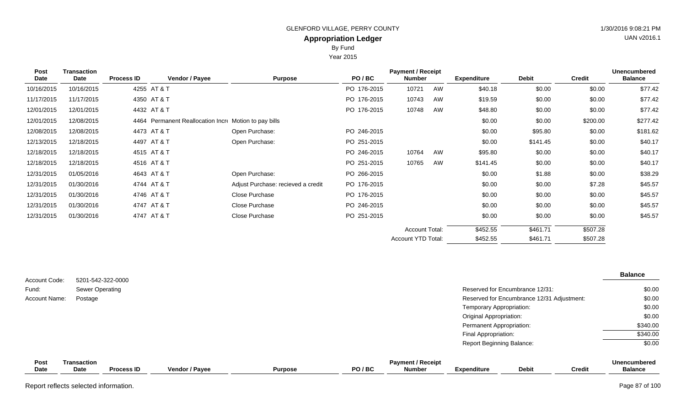By Fund

Year 2015

| Post<br><b>Date</b> | <b>Transaction</b><br>Date | <b>Process ID</b> | Vendor / Payee                                        | <b>Purpose</b>                     | PO/BC       | <b>Payment / Receipt</b><br><b>Number</b> |    | <b>Expenditure</b> | <b>Debit</b> | <b>Credit</b> | <b>Unencumbered</b><br><b>Balance</b> |
|---------------------|----------------------------|-------------------|-------------------------------------------------------|------------------------------------|-------------|-------------------------------------------|----|--------------------|--------------|---------------|---------------------------------------|
| 10/16/2015          | 10/16/2015                 |                   | 4255 AT & T                                           |                                    | PO 176-2015 | 10721                                     | AW | \$40.18            | \$0.00       | \$0.00        | \$77.42                               |
| 11/17/2015          | 11/17/2015                 |                   | 4350 AT & T                                           |                                    | PO 176-2015 | 10743                                     | AW | \$19.59            | \$0.00       | \$0.00        | \$77.42                               |
| 12/01/2015          | 12/01/2015                 |                   | 4432 AT & T                                           |                                    | PO 176-2015 | 10748                                     | AW | \$48.80            | \$0.00       | \$0.00        | \$77.42                               |
| 12/01/2015          | 12/08/2015                 |                   | 4464 Permanent Reallocation Incre Motion to pay bills |                                    |             |                                           |    | \$0.00             | \$0.00       | \$200.00      | \$277.42                              |
| 12/08/2015          | 12/08/2015                 |                   | 4473 AT & T                                           | Open Purchase:                     | PO 246-2015 |                                           |    | \$0.00             | \$95.80      | \$0.00        | \$181.62                              |
| 12/13/2015          | 12/18/2015                 |                   | 4497 AT & T                                           | Open Purchase:                     | PO 251-2015 |                                           |    | \$0.00             | \$141.45     | \$0.00        | \$40.17                               |
| 12/18/2015          | 12/18/2015                 |                   | 4515 AT & T                                           |                                    | PO 246-2015 | 10764                                     | AW | \$95.80            | \$0.00       | \$0.00        | \$40.17                               |
| 12/18/2015          | 12/18/2015                 |                   | 4516 AT&T                                             |                                    | PO 251-2015 | 10765                                     | AW | \$141.45           | \$0.00       | \$0.00        | \$40.17                               |
| 12/31/2015          | 01/05/2016                 |                   | 4643 AT & T                                           | Open Purchase:                     | PO 266-2015 |                                           |    | \$0.00             | \$1.88       | \$0.00        | \$38.29                               |
| 12/31/2015          | 01/30/2016                 |                   | 4744 AT & T                                           | Adjust Purchase: recieved a credit | PO 176-2015 |                                           |    | \$0.00             | \$0.00       | \$7.28        | \$45.57                               |
| 12/31/2015          | 01/30/2016                 |                   | 4746 AT & T                                           | Close Purchase                     | PO 176-2015 |                                           |    | \$0.00             | \$0.00       | \$0.00        | \$45.57                               |
| 12/31/2015          | 01/30/2016                 |                   | 4747 AT & T                                           | Close Purchase                     | PO 246-2015 |                                           |    | \$0.00             | \$0.00       | \$0.00        | \$45.57                               |
| 12/31/2015          | 01/30/2016                 |                   | 4747 AT & T                                           | Close Purchase                     | PO 251-2015 |                                           |    | \$0.00             | \$0.00       | \$0.00        | \$45.57                               |
|                     |                            |                   |                                                       |                                    |             | <b>Account Total:</b>                     |    | \$452.55           | \$461.71     | \$507.28      |                                       |
|                     |                            |                   |                                                       |                                    |             | Account YTD Total:                        |    | \$452.55           | \$461.71     | \$507.28      |                                       |

|                        |                                             |                                            | <b>Balance</b>      |
|------------------------|---------------------------------------------|--------------------------------------------|---------------------|
| Account Code:<br>Fund: | 5201-542-322-0000<br><b>Sewer Operating</b> | Reserved for Encumbrance 12/31:            | \$0.00              |
| Account Name:          | Postage                                     | Reserved for Encumbrance 12/31 Adjustment: | \$0.00              |
|                        |                                             | Temporary Appropriation:                   | \$0.00              |
|                        |                                             | <b>Original Appropriation:</b>             | \$0.00              |
|                        |                                             | Permanent Appropriation:                   | \$340.00            |
|                        |                                             | Final Appropriation:                       | \$340.00            |
|                        |                                             | <b>Report Beginning Balance:</b>           | \$0.00              |
| Post                   | <b>Transaction</b>                          | <b>Payment / Receint</b>                   | <b>Unencumbered</b> |

| Pos. | Transaction |            |                       |                |         | <b>Payment / Receipt</b> |             |              |        | <b>Unencumbered</b> |
|------|-------------|------------|-----------------------|----------------|---------|--------------------------|-------------|--------------|--------|---------------------|
| Date | <b>Date</b> | Process ID | <b>Vendor / Pavee</b> | <b>Purpose</b> | PO / BC | <b>Number</b>            | Expenditure | <b>Debit</b> | Credit | <b>Balance</b>      |
|      |             |            |                       |                |         |                          |             |              |        |                     |

Report reflects selected information. Page 87 of 100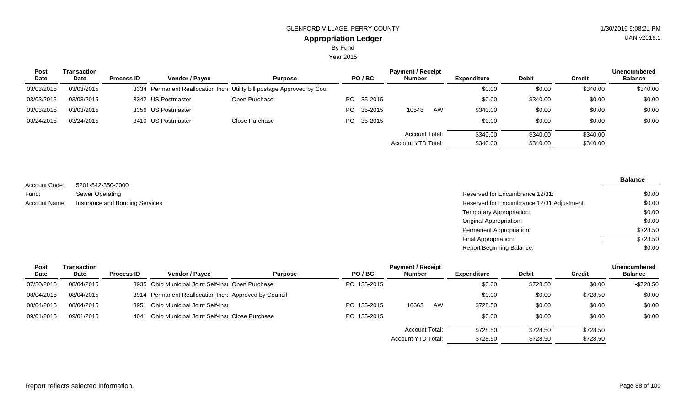Year 2015

| <b>Transaction</b> |                   |                       | <b>Payment / Receipt</b>                                       |                                                                        |  |                                                 |    |                                      |              |          | <b>Unencumbered</b> |
|--------------------|-------------------|-----------------------|----------------------------------------------------------------|------------------------------------------------------------------------|--|-------------------------------------------------|----|--------------------------------------|--------------|----------|---------------------|
| <b>Date</b>        | <b>Process ID</b> | <b>Vendor / Payee</b> | <b>Purpose</b>                                                 |                                                                        |  | <b>Number</b>                                   |    | <b>Expenditure</b>                   | <b>Debit</b> | Credit   | <b>Balance</b>      |
| 03/03/2015         |                   |                       |                                                                |                                                                        |  |                                                 |    | \$0.00                               | \$0.00       | \$340.00 | \$340.00            |
| 03/03/2015         |                   |                       | Open Purchase:                                                 |                                                                        |  |                                                 |    | \$0.00                               | \$340.00     | \$0.00   | \$0.00              |
| 03/03/2015         |                   |                       |                                                                |                                                                        |  | 10548                                           | AW | \$340.00                             | \$0.00       | \$0.00   | \$0.00              |
| 03/24/2015         |                   |                       | Close Purchase                                                 |                                                                        |  |                                                 |    | \$0.00                               | \$0.00       | \$0.00   | \$0.00              |
|                    |                   |                       |                                                                |                                                                        |  |                                                 |    | \$340.00                             | \$340.00     | \$340.00 |                     |
|                    |                   |                       |                                                                |                                                                        |  |                                                 |    | \$340.00                             | \$340.00     | \$340.00 |                     |
|                    |                   |                       | 3342 US Postmaster<br>3356 US Postmaster<br>3410 US Postmaster | 3334 Permanent Reallocation Incre Utility bill postage Approved by Cou |  | PO/BC<br>PO 35-2015<br>PO 35-2015<br>PO 35-2015 |    | Account Total:<br>Account YTD Total: |              |          |                     |

5201-542-350-0000 Sewer Operating Account Name: Insurance and Bonding Services **Reserved for Encumbrance 12/31 Adjustment**: Account Code: Fund:

| Reserved for Encumbrance 12/31:            | \$0.00   |
|--------------------------------------------|----------|
| Reserved for Encumbrance 12/31 Adjustment: | \$0.00   |
| Temporary Appropriation:                   | \$0.00   |
| Original Appropriation:                    | \$0.00   |
| Permanent Appropriation:                   | \$728.50 |
| Final Appropriation:                       | \$728.50 |
| Report Beginning Balance:                  | \$0.00   |

| Post       | Transaction |                   | <b>Unencumbered</b><br><b>Payment / Receipt</b>       |                |             |                       |    |                    |              |          |                |
|------------|-------------|-------------------|-------------------------------------------------------|----------------|-------------|-----------------------|----|--------------------|--------------|----------|----------------|
| Date       | Date        | <b>Process ID</b> | <b>Vendor / Payee</b>                                 | <b>Purpose</b> | PO/BC       | <b>Number</b>         |    | <b>Expenditure</b> | <b>Debit</b> | Credit   | <b>Balance</b> |
| 07/30/2015 | 08/04/2015  |                   | 3935 Ohio Municipal Joint Self-Insi Open Purchase:    |                | PO 135-2015 |                       |    | \$0.00             | \$728.50     | \$0.00   | $-$728.50$     |
| 08/04/2015 | 08/04/2015  |                   | 3914 Permanent Reallocation Incre Approved by Council |                |             |                       |    | \$0.00             | \$0.00       | \$728.50 | \$0.00         |
| 08/04/2015 | 08/04/2015  |                   | 3951 Ohio Municipal Joint Self-Insi                   |                | PO 135-2015 | 10663                 | AW | \$728.50           | \$0.00       | \$0.00   | \$0.00         |
| 09/01/2015 | 09/01/2015  |                   | 4041 Ohio Municipal Joint Self-Insi Close Purchase    |                | PO 135-2015 |                       |    | \$0.00             | \$0.00       | \$0.00   | \$0.00         |
|            |             |                   |                                                       |                |             | <b>Account Total:</b> |    | \$728.50           | \$728.50     | \$728.50 |                |
|            |             |                   |                                                       |                |             | Account YTD Total:    |    | \$728.50           | \$728.50     | \$728.50 |                |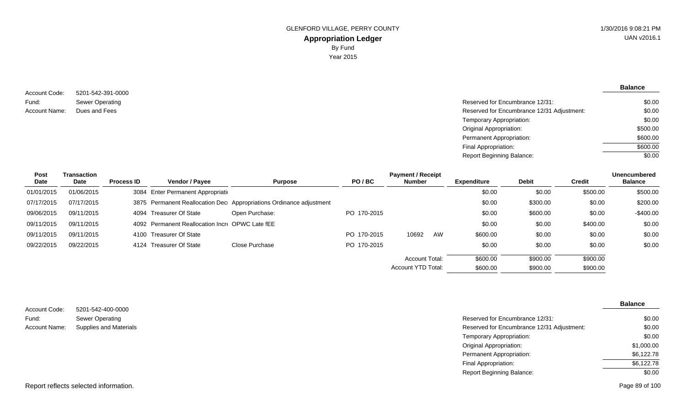5201-542-391-0000 Sewer Operating Account Code: Fund: Account Name: Dues and Fees

| Sewer Operating | Reserved for Encumbrance 12/31:            | \$0.00   |
|-----------------|--------------------------------------------|----------|
| Dues and Fees   | Reserved for Encumbrance 12/31 Adjustment: | \$0.00   |
|                 | Temporary Appropriation:                   | \$0.00   |
|                 | Original Appropriation:                    | \$500.00 |
|                 | Permanent Appropriation:                   | \$600.00 |
|                 | Final Appropriation:                       | \$600.00 |
|                 | <b>Report Beginning Balance:</b>           | \$0.00   |
|                 |                                            |          |

| Post       | Transaction |                   |                                                 |                                                                     |             | <b>Payment / Receipt</b> |    |                    |              |               | <b>Unencumbered</b> |
|------------|-------------|-------------------|-------------------------------------------------|---------------------------------------------------------------------|-------------|--------------------------|----|--------------------|--------------|---------------|---------------------|
| Date       | Date        | <b>Process ID</b> | <b>Vendor / Payee</b>                           | <b>Purpose</b>                                                      | PO/BC       | <b>Number</b>            |    | <b>Expenditure</b> | <b>Debit</b> | <b>Credit</b> | <b>Balance</b>      |
| 01/01/2015 | 01/06/2015  |                   | 3084 Enter Permanent Appropriation              |                                                                     |             |                          |    | \$0.00             | \$0.00       | \$500.00      | \$500.00            |
| 07/17/2015 | 07/17/2015  |                   |                                                 | 3875 Permanent Reallocation Dec Appropriations Ordinance adjustment |             |                          |    | \$0.00             | \$300.00     | \$0.00        | \$200.00            |
| 09/06/2015 | 09/11/2015  |                   | 4094 Treasurer Of State                         | Open Purchase:                                                      | PO 170-2015 |                          |    | \$0.00             | \$600.00     | \$0.00        | $-$400.00$          |
| 09/11/2015 | 09/11/2015  |                   | 4092 Permanent Reallocation Incre OPWC Late fEE |                                                                     |             |                          |    | \$0.00             | \$0.00       | \$400.00      | \$0.00              |
| 09/11/2015 | 09/11/2015  |                   | 4100 Treasurer Of State                         |                                                                     | PO 170-2015 | 10692                    | AW | \$600.00           | \$0.00       | \$0.00        | \$0.00              |
| 09/22/2015 | 09/22/2015  |                   | 4124 Treasurer Of State                         | Close Purchase                                                      | PO 170-2015 |                          |    | \$0.00             | \$0.00       | \$0.00        | \$0.00              |
|            |             |                   |                                                 |                                                                     |             | Account Total:           |    | \$600.00           | \$900.00     | \$900.00      |                     |
|            |             |                   |                                                 |                                                                     |             | Account YTD Total:       |    | \$600.00           | \$900.00     | \$900.00      |                     |

| Account Code: | 5201-542-400-0000             |                                            | <b>Balance</b> |
|---------------|-------------------------------|--------------------------------------------|----------------|
| Fund:         | <b>Sewer Operating</b>        | Reserved for Encumbrance 12/31:            | \$0.00         |
| Account Name: | <b>Supplies and Materials</b> | Reserved for Encumbrance 12/31 Adjustment: | \$0.00         |
|               |                               | Temporary Appropriation:                   | \$0.00         |
|               |                               | Original Appropriation:                    | \$1,000.00     |
|               |                               | Permanent Appropriation:                   | \$6,122.78     |
|               |                               | Final Appropriation:                       | \$6,122.78     |
|               |                               | <b>Report Beginning Balance:</b>           | \$0.00         |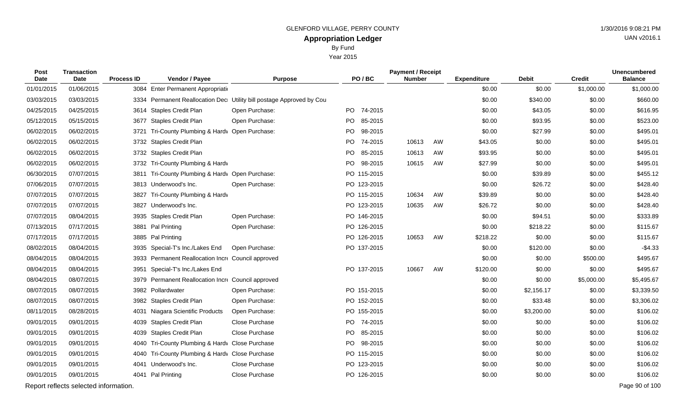By Fund

 $V_{\text{O}}$  2015

|                            |                                   |                   |                                                                                                                                                                                                                                        |                                                                      | rear zutb      |                                           |    |                    |              |                |                                       |
|----------------------------|-----------------------------------|-------------------|----------------------------------------------------------------------------------------------------------------------------------------------------------------------------------------------------------------------------------------|----------------------------------------------------------------------|----------------|-------------------------------------------|----|--------------------|--------------|----------------|---------------------------------------|
| <b>Post</b><br><b>Date</b> | <b>Transaction</b><br><b>Date</b> | <b>Process ID</b> | Vendor / Payee                                                                                                                                                                                                                         | <b>Purpose</b>                                                       | PO/BC          | <b>Payment / Receipt</b><br><b>Number</b> |    | <b>Expenditure</b> | <b>Debit</b> | <b>Credit</b>  | <b>Unencumbered</b><br><b>Balance</b> |
| 01/01/2015                 | 01/06/2015                        |                   | 3084 Enter Permanent Appropriation                                                                                                                                                                                                     |                                                                      |                |                                           |    | \$0.00             | \$0.00       | \$1,000.00     | \$1,000.00                            |
| 03/03/2015                 | 03/03/2015                        |                   |                                                                                                                                                                                                                                        | 3334 Permanent Reallocation Dec Utility bill postage Approved by Cou |                |                                           |    | \$0.00             | \$340.00     | \$0.00         | \$660.00                              |
| 04/25/2015                 | 04/25/2015                        |                   | 3614 Staples Credit Plan                                                                                                                                                                                                               | Open Purchase:                                                       | PO 74-2015     |                                           |    | \$0.00             | \$43.05      | \$0.00         | \$616.95                              |
| 05/12/2015                 | 05/15/2015                        |                   | 3677 Staples Credit Plan                                                                                                                                                                                                               | Open Purchase:                                                       | PO.<br>85-2015 |                                           |    | \$0.00             | \$93.95      | \$0.00         | \$523.00                              |
| 06/02/2015                 | 06/02/2015                        |                   | 3721 Tri-County Plumbing & Hardy Open Purchase:                                                                                                                                                                                        |                                                                      | PO.<br>98-2015 |                                           |    | \$0.00             | \$27.99      | \$0.00         | \$495.01                              |
| 06/02/2015                 | 06/02/2015                        |                   | 3732 Staples Credit Plan                                                                                                                                                                                                               |                                                                      | PO 74-2015     | 10613                                     | AW | \$43.05            | \$0.00       | \$0.00         | \$495.01                              |
| 06/02/2015                 | 06/02/2015                        |                   | 3732 Staples Credit Plan                                                                                                                                                                                                               |                                                                      | PO.<br>85-2015 | 10613                                     | AW | \$93.95            | \$0.00       | \$0.00         | \$495.01                              |
| 06/02/2015                 | 06/02/2015                        |                   | 3732 Tri-County Plumbing & Hardv                                                                                                                                                                                                       |                                                                      | PO.<br>98-2015 | 10615                                     | AW | \$27.99            | \$0.00       | \$0.00         | \$495.01                              |
| 06/30/2015                 | 07/07/2015                        |                   | 3811 Tri-County Plumbing & Hardv Open Purchase:                                                                                                                                                                                        |                                                                      | PO 115-2015    |                                           |    | \$0.00             | \$39.89      | \$0.00         | \$455.12                              |
| 07/06/2015                 | 07/07/2015                        |                   | 3813 Underwood's Inc.                                                                                                                                                                                                                  | Open Purchase:                                                       | PO 123-2015    |                                           |    | \$0.00             | \$26.72      | \$0.00         | \$428.40                              |
| 07/07/2015                 | 07/07/2015                        |                   | 3827 Tri-County Plumbing & Hardv                                                                                                                                                                                                       |                                                                      | PO 115-2015    | 10634                                     | AW | \$39.89            | \$0.00       | \$0.00         | \$428.40                              |
| 07/07/2015                 | 07/07/2015                        |                   | 3827 Underwood's Inc.                                                                                                                                                                                                                  |                                                                      | PO 123-2015    | 10635                                     | AW | \$26.72            | \$0.00       | \$0.00         | \$428.40                              |
| 07/07/2015                 | 08/04/2015                        |                   | 3935 Staples Credit Plan                                                                                                                                                                                                               | Open Purchase:                                                       | PO 146-2015    |                                           |    | \$0.00             | \$94.51      | \$0.00         | \$333.89                              |
| 07/13/2015                 | 07/17/2015                        |                   | 3881 Pal Printing                                                                                                                                                                                                                      | Open Purchase:                                                       | PO 126-2015    |                                           |    | \$0.00             | \$218.22     | \$0.00         | \$115.67                              |
| 07/17/2015                 | 07/17/2015                        |                   | 3885 Pal Printing                                                                                                                                                                                                                      |                                                                      | PO 126-2015    | 10653                                     | AW | \$218.22           | \$0.00       | \$0.00         | \$115.67                              |
| 08/02/2015                 | 08/04/2015                        |                   | 3935 Special-T's Inc./Lakes End                                                                                                                                                                                                        | Open Purchase:                                                       | PO 137-2015    |                                           |    | \$0.00             | \$120.00     | \$0.00         | $-$4.33$                              |
| 08/04/2015                 | 08/04/2015                        |                   | 3933 Permanent Reallocation Incre Council approved                                                                                                                                                                                     |                                                                      |                |                                           |    | \$0.00             | \$0.00       | \$500.00       | \$495.67                              |
| 08/04/2015                 | 08/04/2015                        |                   | 3951 Special-T's Inc./Lakes End                                                                                                                                                                                                        |                                                                      | PO 137-2015    | 10667                                     | AW | \$120.00           | \$0.00       | \$0.00         | \$495.67                              |
| 08/04/2015                 | 08/07/2015                        |                   | 3979 Permanent Reallocation Incre Council approved                                                                                                                                                                                     |                                                                      |                |                                           |    | \$0.00             | \$0.00       | \$5,000.00     | \$5,495.67                            |
| 0.0070015                  | 0.0070015                         |                   | $0.000 \quad \text{D}$ allandi instantia instantia instantia instantia instantia instantia instantia instantia instantia instantia instantia instantia instantia instantia instantia instantia instantia instantia instantia instantia | On an Dunchase                                                       | $DQ = A E A$   |                                           |    | 0 <sub>0</sub>     | 0.45017      | 0 <sub>0</sub> | 0.00000                               |

| 08/04/2015 | 08/04/2015 | 3951 Special-T's Inc./Lakes End                 |                                                    | PO 137-2015     | 10667 | AW | \$120.00 | \$0.00     | \$0.00     | \$495.67   |
|------------|------------|-------------------------------------------------|----------------------------------------------------|-----------------|-------|----|----------|------------|------------|------------|
| 08/04/2015 | 08/07/2015 |                                                 | 3979 Permanent Reallocation Incre Council approved |                 |       |    | \$0.00   | \$0.00     | \$5,000.00 | \$5,495.67 |
| 08/07/2015 | 08/07/2015 | 3982 Pollardwater                               | Open Purchase:                                     | PO 151-2015     |       |    | \$0.00   | \$2,156.17 | \$0.00     | \$3,339.50 |
| 08/07/2015 | 08/07/2015 | 3982 Staples Credit Plan                        | Open Purchase:                                     | PO 152-2015     |       |    | \$0.00   | \$33.48    | \$0.00     | \$3,306.02 |
| 08/11/2015 | 08/28/2015 | 4031 Niagara Scientific Products                | Open Purchase:                                     | PO 155-2015     |       |    | \$0.00   | \$3,200.00 | \$0.00     | \$106.02   |
| 09/01/2015 | 09/01/2015 | 4039 Staples Credit Plan                        | Close Purchase                                     | 74-2015<br>PO - |       |    | \$0.00   | \$0.00     | \$0.00     | \$106.02   |
| 09/01/2015 | 09/01/2015 | 4039 Staples Credit Plan                        | Close Purchase                                     | PO 85-2015      |       |    | \$0.00   | \$0.00     | \$0.00     | \$106.02   |
| 09/01/2015 | 09/01/2015 | 4040 Tri-County Plumbing & Hardy Close Purchase |                                                    | PO.<br>98-2015  |       |    | \$0.00   | \$0.00     | \$0.00     | \$106.02   |
| 09/01/2015 | 09/01/2015 | 4040 Tri-County Plumbing & Hardy Close Purchase |                                                    | PO 115-2015     |       |    | \$0.00   | \$0.00     | \$0.00     | \$106.02   |
| 09/01/2015 | 09/01/2015 | 4041 Underwood's Inc.                           | Close Purchase                                     | PO 123-2015     |       |    | \$0.00   | \$0.00     | \$0.00     | \$106.02   |
| 09/01/2015 | 09/01/2015 | 4041 Pal Printing                               | Close Purchase                                     | PO 126-2015     |       |    | \$0.00   | \$0.00     | \$0.00     | \$106.02   |

Report reflects selected information. Page 90 of 100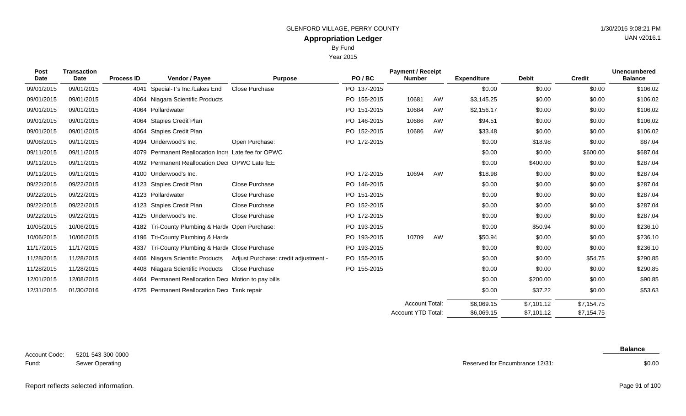Year 2015

| Post<br><b>Date</b> | <b>Transaction</b><br><b>Date</b> | <b>Process ID</b> | Vendor / Payee                                      | <b>Purpose</b>                       | PO/BC       | <b>Payment / Receipt</b><br><b>Number</b> |    | <b>Expenditure</b> | <b>Debit</b> | <b>Credit</b> | <b>Unencumbered</b><br><b>Balance</b> |
|---------------------|-----------------------------------|-------------------|-----------------------------------------------------|--------------------------------------|-------------|-------------------------------------------|----|--------------------|--------------|---------------|---------------------------------------|
| 09/01/2015          | 09/01/2015                        | 4041              | Special-T's Inc./Lakes End                          | <b>Close Purchase</b>                | PO 137-2015 |                                           |    | \$0.00             | \$0.00       | \$0.00        | \$106.02                              |
| 09/01/2015          | 09/01/2015                        |                   | 4064 Niagara Scientific Products                    |                                      | PO 155-2015 | 10681                                     | AW | \$3,145.25         | \$0.00       | \$0.00        | \$106.02                              |
| 09/01/2015          | 09/01/2015                        |                   | 4064 Pollardwater                                   |                                      | PO 151-2015 | 10684                                     | AW | \$2,156.17         | \$0.00       | \$0.00        | \$106.02                              |
| 09/01/2015          | 09/01/2015                        | 4064              | <b>Staples Credit Plan</b>                          |                                      | PO 146-2015 | 10686                                     | AW | \$94.51            | \$0.00       | \$0.00        | \$106.02                              |
| 09/01/2015          | 09/01/2015                        |                   | 4064 Staples Credit Plan                            |                                      | PO 152-2015 | 10686                                     | AW | \$33.48            | \$0.00       | \$0.00        | \$106.02                              |
| 09/06/2015          | 09/11/2015                        |                   | 4094 Underwood's Inc.                               | Open Purchase:                       | PO 172-2015 |                                           |    | \$0.00             | \$18.98      | \$0.00        | \$87.04                               |
| 09/11/2015          | 09/11/2015                        |                   | 4079 Permanent Reallocation Incre Late fee for OPWC |                                      |             |                                           |    | \$0.00             | \$0.00       | \$600.00      | \$687.04                              |
| 09/11/2015          | 09/11/2015                        |                   | 4092 Permanent Reallocation Dec OPWC Late fEE       |                                      |             |                                           |    | \$0.00             | \$400.00     | \$0.00        | \$287.04                              |
| 09/11/2015          | 09/11/2015                        |                   | 4100 Underwood's Inc.                               |                                      | PO 172-2015 | 10694                                     | AW | \$18.98            | \$0.00       | \$0.00        | \$287.04                              |
| 09/22/2015          | 09/22/2015                        |                   | 4123 Staples Credit Plan                            | Close Purchase                       | PO 146-2015 |                                           |    | \$0.00             | \$0.00       | \$0.00        | \$287.04                              |
| 09/22/2015          | 09/22/2015                        |                   | 4123 Pollardwater                                   | Close Purchase                       | PO 151-2015 |                                           |    | \$0.00             | \$0.00       | \$0.00        | \$287.04                              |
| 09/22/2015          | 09/22/2015                        |                   | 4123 Staples Credit Plan                            | Close Purchase                       | PO 152-2015 |                                           |    | \$0.00             | \$0.00       | \$0.00        | \$287.04                              |
| 09/22/2015          | 09/22/2015                        |                   | 4125 Underwood's Inc.                               | Close Purchase                       | PO 172-2015 |                                           |    | \$0.00             | \$0.00       | \$0.00        | \$287.04                              |
| 10/05/2015          | 10/06/2015                        | 4182              | Tri-County Plumbing & Hardy Open Purchase:          |                                      | PO 193-2015 |                                           |    | \$0.00             | \$50.94      | \$0.00        | \$236.10                              |
| 10/06/2015          | 10/06/2015                        | 4196              | Tri-County Plumbing & Hardv                         |                                      | PO 193-2015 | 10709                                     | AW | \$50.94            | \$0.00       | \$0.00        | \$236.10                              |
| 11/17/2015          | 11/17/2015                        | 4337              | Tri-County Plumbing & Hardy Close Purchase          |                                      | PO 193-2015 |                                           |    | \$0.00             | \$0.00       | \$0.00        | \$236.10                              |
| 11/28/2015          | 11/28/2015                        |                   | 4406 Niagara Scientific Products                    | Adjust Purchase: credit adjustment - | PO 155-2015 |                                           |    | \$0.00             | \$0.00       | \$54.75       | \$290.85                              |
| 11/28/2015          | 11/28/2015                        |                   | 4408 Niagara Scientific Products                    | Close Purchase                       | PO 155-2015 |                                           |    | \$0.00             | \$0.00       | \$0.00        | \$290.85                              |
| 12/01/2015          | 12/08/2015                        |                   | 4464 Permanent Reallocation Dec Motion to pay bills |                                      |             |                                           |    | \$0.00             | \$200.00     | \$0.00        | \$90.85                               |
| 12/31/2015          | 01/30/2016                        |                   | 4725 Permanent Reallocation Dec Tank repair         |                                      |             |                                           |    | \$0.00             | \$37.22      | \$0.00        | \$53.63                               |
|                     |                                   |                   |                                                     |                                      |             | Account Total:                            |    | \$6,069.15         | \$7,101.12   | \$7,154.75    |                                       |
|                     |                                   |                   |                                                     |                                      |             | Account YTD Total:                        |    | \$6,069.15         | \$7,101.12   | \$7,154.75    |                                       |

5201-543-300-0000 Sewer Operating Account Code: Fund:

Reserved for Encumbrance 12/31:

\$0.00

UAN v2016.1

**Balance**

#### Report reflects selected information. Page 91 of 100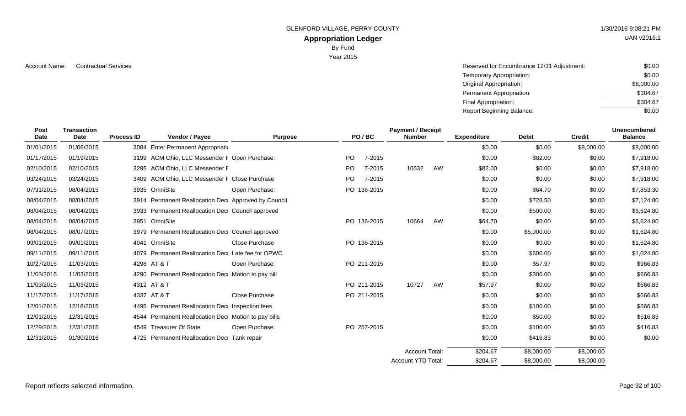GLENFORD VILLAGE, PERRY COUNTY **1/30/2016 9:08:21 PM** 

# **Appropriation Ledger**

By Fund

Year 2015

Account Name: Contractual Services **Account Name:** Contractual Services **Account Name:** Contractual Services **Account Name:**  $\sim$  \$0.00 Temporary Appropriation: Original Appropriation: Permanent Appropriation: Final Appropriation: Report Beginning Balance: \$0.00 \$8,000.00 \$304.67 \$304.67 \$0.00

| Post<br><b>Date</b> | <b>Transaction</b><br><b>Date</b> | <b>Process ID</b> | Vendor / Payee                                      | <b>Purpose</b> |           | PO/BC       | <b>Payment / Receipt</b><br><b>Number</b> |    | <b>Expenditure</b> | <b>Debit</b> | <b>Credit</b> | <b>Unencumbered</b><br><b>Balance</b> |
|---------------------|-----------------------------------|-------------------|-----------------------------------------------------|----------------|-----------|-------------|-------------------------------------------|----|--------------------|--------------|---------------|---------------------------------------|
| 01/01/2015          | 01/06/2015                        |                   | 3084 Enter Permanent Appropriation                  |                |           |             |                                           |    | \$0.00             | \$0.00       | \$8,000.00    | \$8,000.00                            |
| 01/17/2015          | 01/19/2015                        |                   | 3199 ACM Ohio, LLC Messender F Open Purchase:       |                | PO.       | 7-2015      |                                           |    | \$0.00             | \$82.00      | \$0.00        | \$7,918.00                            |
| 02/10/2015          | 02/10/2015                        |                   | 3295 ACM Ohio, LLC Messender F                      |                | <b>PO</b> | 7-2015      | 10532                                     | AW | \$82.00            | \$0.00       | \$0.00        | \$7,918.00                            |
| 03/24/2015          | 03/24/2015                        |                   | 3409 ACM Ohio, LLC Messender F Close Purchase       |                | PO.       | 7-2015      |                                           |    | \$0.00             | \$0.00       | \$0.00        | \$7,918.00                            |
| 07/31/2015          | 08/04/2015                        |                   | 3935 OmniSite                                       | Open Purchase: |           | PO 136-2015 |                                           |    | \$0.00             | \$64.70      | \$0.00        | \$7,853.30                            |
| 08/04/2015          | 08/04/2015                        |                   | 3914 Permanent Reallocation Dec Approved by Council |                |           |             |                                           |    | \$0.00             | \$728.50     | \$0.00        | \$7,124.80                            |
| 08/04/2015          | 08/04/2015                        |                   | 3933 Permanent Reallocation Dec Council approved    |                |           |             |                                           |    | \$0.00             | \$500.00     | \$0.00        | \$6,624.80                            |
| 08/04/2015          | 08/04/2015                        | 3951              | OmniSite                                            |                |           | PO 136-2015 | 10664                                     | AW | \$64.70            | \$0.00       | \$0.00        | \$6,624.80                            |
| 08/04/2015          | 08/07/2015                        |                   | 3979 Permanent Reallocation Dec Council approved    |                |           |             |                                           |    | \$0.00             | \$5,000.00   | \$0.00        | \$1,624.80                            |
| 09/01/2015          | 09/01/2015                        |                   | 4041 OmniSite                                       | Close Purchase |           | PO 136-2015 |                                           |    | \$0.00             | \$0.00       | \$0.00        | \$1,624.80                            |
| 09/11/2015          | 09/11/2015                        |                   | 4079 Permanent Reallocation Dec Late fee for OPWC   |                |           |             |                                           |    | \$0.00             | \$600.00     | \$0.00        | \$1,024.80                            |
| 10/27/2015          | 11/03/2015                        |                   | 4298 AT & T                                         | Open Purchase: |           | PO 211-2015 |                                           |    | \$0.00             | \$57.97      | \$0.00        | \$966.83                              |
| 11/03/2015          | 11/03/2015                        |                   | 4290 Permanent Reallocation Dec Motion to pay bill  |                |           |             |                                           |    | \$0.00             | \$300.00     | \$0.00        | \$666.83                              |
| 11/03/2015          | 11/03/2015                        |                   | 4312 AT & T                                         |                |           | PO 211-2015 | 10727                                     | AW | \$57.97            | \$0.00       | \$0.00        | \$666.83                              |
| 11/17/2015          | 11/17/2015                        |                   | 4337 AT & T                                         | Close Purchase |           | PO 211-2015 |                                           |    | \$0.00             | \$0.00       | \$0.00        | \$666.83                              |
| 12/01/2015          | 12/18/2015                        |                   | 4495 Permanent Reallocation Dec Inspection fees     |                |           |             |                                           |    | \$0.00             | \$100.00     | \$0.00        | \$566.83                              |
| 12/01/2015          | 12/31/2015                        |                   | 4544 Permanent Reallocation Dec Motion to pay bills |                |           |             |                                           |    | \$0.00             | \$50.00      | \$0.00        | \$516.83                              |
| 12/29/2015          | 12/31/2015                        |                   | 4549 Treasurer Of State                             | Open Purchase: |           | PO 257-2015 |                                           |    | \$0.00             | \$100.00     | \$0.00        | \$416.83                              |
| 12/31/2015          | 01/30/2016                        |                   | 4725 Permanent Reallocation Dec Tank repair         |                |           |             |                                           |    | \$0.00             | \$416.83     | \$0.00        | \$0.00                                |
|                     |                                   |                   |                                                     |                |           |             | <b>Account Total:</b>                     |    | \$204.67           | \$8,000.00   | \$8,000.00    |                                       |
|                     |                                   |                   |                                                     |                |           |             | <b>Account YTD Total:</b>                 |    | \$204.67           | \$8,000.00   | \$8,000,00    |                                       |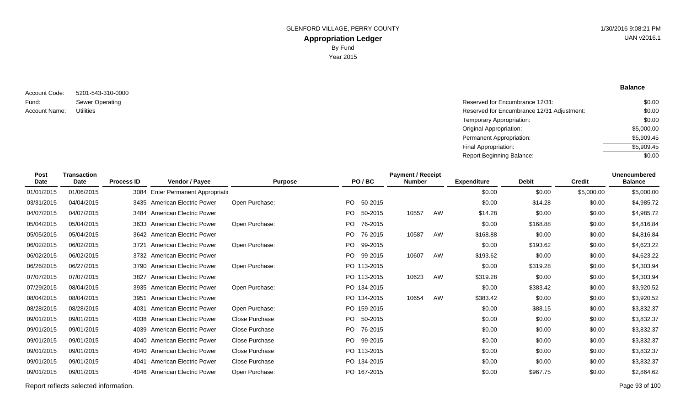5201-543-310-0000 Sewer Operating Account Code: Fund: Account Name:

**Balance**

| Sewer Operating | Reserved for Encumbrance 12/31:            | \$0.00     |
|-----------------|--------------------------------------------|------------|
| Utilities       | Reserved for Encumbrance 12/31 Adjustment: | \$0.00     |
|                 | Temporary Appropriation:                   | \$0.00     |
|                 | <b>Original Appropriation:</b>             | \$5,000.00 |
|                 | Permanent Appropriation:                   | \$5,909.45 |
|                 | Final Appropriation:                       | \$5,909.45 |
|                 | <b>Report Beginning Balance:</b>           | \$0.00     |

| <b>Transaction</b><br><b>Date</b> | <b>Process ID</b> | Vendor / Payee                 | <b>Purpose</b>                                                                                                                                                                                                                                                                                                                                                |         | <b>Number</b>                                                                                                                                                                                       |    | <b>Expenditure</b>       | <b>Debit</b> | <b>Credit</b> | <b>Unencumbered</b><br><b>Balance</b> |
|-----------------------------------|-------------------|--------------------------------|---------------------------------------------------------------------------------------------------------------------------------------------------------------------------------------------------------------------------------------------------------------------------------------------------------------------------------------------------------------|---------|-----------------------------------------------------------------------------------------------------------------------------------------------------------------------------------------------------|----|--------------------------|--------------|---------------|---------------------------------------|
| 01/06/2015                        |                   |                                |                                                                                                                                                                                                                                                                                                                                                               |         |                                                                                                                                                                                                     |    | \$0.00                   | \$0.00       | \$5,000.00    | \$5,000.00                            |
| 04/04/2015                        |                   |                                | Open Purchase:                                                                                                                                                                                                                                                                                                                                                | 50-2015 |                                                                                                                                                                                                     |    | \$0.00                   | \$14.28      | \$0.00        | \$4,985.72                            |
| 04/07/2015                        |                   |                                |                                                                                                                                                                                                                                                                                                                                                               | 50-2015 | 10557                                                                                                                                                                                               | AW | \$14.28                  | \$0.00       | \$0.00        | \$4,985.72                            |
| 05/04/2015                        |                   |                                | Open Purchase:                                                                                                                                                                                                                                                                                                                                                | 76-2015 |                                                                                                                                                                                                     |    | \$0.00                   | \$168.88     | \$0.00        | \$4,816.84                            |
| 05/04/2015                        |                   |                                |                                                                                                                                                                                                                                                                                                                                                               | 76-2015 | 10587                                                                                                                                                                                               | AW | \$168.88                 | \$0.00       | \$0.00        | \$4,816.84                            |
| 06/02/2015                        | 3721              | American Electric Power        | Open Purchase:                                                                                                                                                                                                                                                                                                                                                | 99-2015 |                                                                                                                                                                                                     |    | \$0.00                   | \$193.62     | \$0.00        | \$4,623.22                            |
| 06/02/2015                        |                   |                                |                                                                                                                                                                                                                                                                                                                                                               | 99-2015 | 10607                                                                                                                                                                                               | AW | \$193.62                 | \$0.00       | \$0.00        | \$4,623.22                            |
| 06/27/2015                        |                   |                                | Open Purchase:                                                                                                                                                                                                                                                                                                                                                |         |                                                                                                                                                                                                     |    | \$0.00                   | \$319.28     | \$0.00        | \$4,303.94                            |
| 07/07/2015                        |                   |                                |                                                                                                                                                                                                                                                                                                                                                               |         | 10623                                                                                                                                                                                               | AW | \$319.28                 | \$0.00       | \$0.00        | \$4,303.94                            |
| 08/04/2015                        |                   | <b>American Electric Power</b> | Open Purchase:                                                                                                                                                                                                                                                                                                                                                |         |                                                                                                                                                                                                     |    | \$0.00                   | \$383.42     | \$0.00        | \$3,920.52                            |
| 08/04/2015                        | 3951              | <b>American Electric Power</b> |                                                                                                                                                                                                                                                                                                                                                               |         | 10654                                                                                                                                                                                               | AW | \$383.42                 | \$0.00       | \$0.00        | \$3,920.52                            |
| 08/28/2015                        | 4031              | <b>American Electric Power</b> | Open Purchase:                                                                                                                                                                                                                                                                                                                                                |         |                                                                                                                                                                                                     |    | \$0.00                   | \$88.15      | \$0.00        | \$3,832.37                            |
| 09/01/2015                        |                   |                                | Close Purchase                                                                                                                                                                                                                                                                                                                                                |         |                                                                                                                                                                                                     |    | \$0.00                   | \$0.00       | \$0.00        | \$3,832.37                            |
| 09/01/2015                        |                   | <b>American Electric Power</b> | Close Purchase                                                                                                                                                                                                                                                                                                                                                | 76-2015 |                                                                                                                                                                                                     |    | \$0.00                   | \$0.00       | \$0.00        | \$3,832.37                            |
| 09/01/2015                        |                   |                                | <b>Close Purchase</b>                                                                                                                                                                                                                                                                                                                                         | 99-2015 |                                                                                                                                                                                                     |    | \$0.00                   | \$0.00       | \$0.00        | \$3,832.37                            |
| 09/01/2015                        | 4040              | American Electric Power        | Close Purchase                                                                                                                                                                                                                                                                                                                                                |         |                                                                                                                                                                                                     |    | \$0.00                   | \$0.00       | \$0.00        | \$3,832.37                            |
| 09/01/2015                        | 4041              | American Electric Power        | Close Purchase                                                                                                                                                                                                                                                                                                                                                |         |                                                                                                                                                                                                     |    | \$0.00                   | \$0.00       | \$0.00        | \$3,832.37                            |
| 09/01/2015                        |                   | <b>American Electric Power</b> | Open Purchase:                                                                                                                                                                                                                                                                                                                                                |         |                                                                                                                                                                                                     |    | \$0.00                   | \$967.75     | \$0.00        | \$2,864.62                            |
|                                   |                   |                                | Enter Permanent Appropriation<br>3084<br>3435 American Electric Power<br>3484 American Electric Power<br>3633 American Electric Power<br>3642 American Electric Power<br>3732 American Electric Power<br>3790 American Electric Power<br>3827 American Electric Power<br>3935<br>4038 American Electric Power<br>4039<br>4040 American Electric Power<br>4046 |         | PO/BC<br>PO.<br>PO.<br>PO.<br>PO.<br>PO.<br>PO.<br>PO 113-2015<br>PO 113-2015<br>PO 134-2015<br>PO 134-2015<br>PO 159-2015<br>PO 50-2015<br>PO.<br>PO.<br>PO 113-2015<br>PO 134-2015<br>PO 167-2015 |    | <b>Payment / Receipt</b> |              |               |                                       |

Report reflects selected information. Page 93 of 100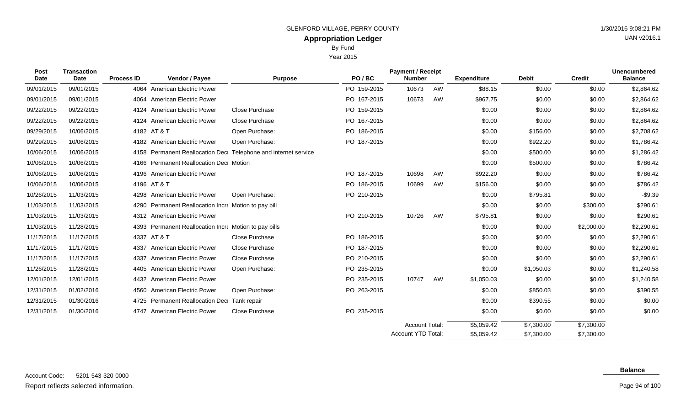**Appropriation Ledger** By Fund

Year 2015

| GLENFORD VILLAGE, PERRY COUNTY | 1/30/2016 9:08:21 PM |
|--------------------------------|----------------------|
| <b>Appropriation Ledger</b>    | UAN v2016.1          |
| <b>By Fund</b>                 |                      |

| Post<br>Date | <b>Transaction</b><br>Date | <b>Process ID</b> | Vendor / Payee                                   | <b>Purpose</b>                                            | PO/BC       | <b>Payment / Receipt</b><br><b>Number</b> |    | <b>Expenditure</b> | <b>Debit</b> | <b>Credit</b> | <b>Unencumbered</b><br><b>Balance</b> |
|--------------|----------------------------|-------------------|--------------------------------------------------|-----------------------------------------------------------|-------------|-------------------------------------------|----|--------------------|--------------|---------------|---------------------------------------|
| 09/01/2015   | 09/01/2015                 |                   | 4064 American Electric Power                     |                                                           | PO 159-2015 | 10673                                     | AW | \$88.15            | \$0.00       | \$0.00        | \$2,864.62                            |
| 09/01/2015   | 09/01/2015                 |                   | 4064 American Electric Power                     |                                                           | PO 167-2015 | 10673                                     | AW | \$967.75           | \$0.00       | \$0.00        | \$2,864.62                            |
| 09/22/2015   | 09/22/2015                 |                   | 4124 American Electric Power                     | <b>Close Purchase</b>                                     | PO 159-2015 |                                           |    | \$0.00             | \$0.00       | \$0.00        | \$2,864.62                            |
| 09/22/2015   | 09/22/2015                 |                   | 4124 American Electric Power                     | Close Purchase                                            | PO 167-2015 |                                           |    | \$0.00             | \$0.00       | \$0.00        | \$2,864.62                            |
| 09/29/2015   | 10/06/2015                 |                   | 4182 AT & T                                      | Open Purchase:                                            | PO 186-2015 |                                           |    | \$0.00             | \$156.00     | \$0.00        | \$2,708.62                            |
| 09/29/2015   | 10/06/2015                 |                   | 4182 American Electric Power                     | Open Purchase:                                            | PO 187-2015 |                                           |    | \$0.00             | \$922.20     | \$0.00        | \$1,786.42                            |
| 10/06/2015   | 10/06/2015                 | 4158              |                                                  | Permanent Reallocation Dec Telephone and internet service |             |                                           |    | \$0.00             | \$500.00     | \$0.00        | \$1,286.42                            |
| 10/06/2015   | 10/06/2015                 |                   | 4166 Permanent Reallocation Dec Motion           |                                                           |             |                                           |    | \$0.00             | \$500.00     | \$0.00        | \$786.42                              |
| 10/06/2015   | 10/06/2015                 |                   | 4196 American Electric Power                     |                                                           | PO 187-2015 | 10698                                     | AW | \$922.20           | \$0.00       | \$0.00        | \$786.42                              |
| 10/06/2015   | 10/06/2015                 |                   | 4196 AT & T                                      |                                                           | PO 186-2015 | 10699                                     | AW | \$156.00           | \$0.00       | \$0.00        | \$786.42                              |
| 10/26/2015   | 11/03/2015                 |                   | 4298 American Electric Power                     | Open Purchase:                                            | PO 210-2015 |                                           |    | \$0.00             | \$795.81     | \$0.00        | $-$9.39$                              |
| 11/03/2015   | 11/03/2015                 | 4290              | Permanent Reallocation Incre Motion to pay bill  |                                                           |             |                                           |    | \$0.00             | \$0.00       | \$300.00      | \$290.61                              |
| 11/03/2015   | 11/03/2015                 |                   | 4312 American Electric Power                     |                                                           | PO 210-2015 | 10726                                     | AW | \$795.81           | \$0.00       | \$0.00        | \$290.61                              |
| 11/03/2015   | 11/28/2015                 | 4393              | Permanent Reallocation Incre Motion to pay bills |                                                           |             |                                           |    | \$0.00             | \$0.00       | \$2,000.00    | \$2,290.61                            |
| 11/17/2015   | 11/17/2015                 |                   | 4337 AT & T                                      | Close Purchase                                            | PO 186-2015 |                                           |    | \$0.00             | \$0.00       | \$0.00        | \$2,290.61                            |
| 11/17/2015   | 11/17/2015                 | 4337              | <b>American Electric Power</b>                   | Close Purchase                                            | PO 187-2015 |                                           |    | \$0.00             | \$0.00       | \$0.00        | \$2,290.61                            |
| 11/17/2015   | 11/17/2015                 | 4337              | <b>American Electric Power</b>                   | <b>Close Purchase</b>                                     | PO 210-2015 |                                           |    | \$0.00             | \$0.00       | \$0.00        | \$2,290.61                            |
| 11/26/2015   | 11/28/2015                 | 4405              | <b>American Electric Power</b>                   | Open Purchase:                                            | PO 235-2015 |                                           |    | \$0.00             | \$1,050.03   | \$0.00        | \$1,240.58                            |
| 12/01/2015   | 12/01/2015                 |                   | 4432 American Electric Power                     |                                                           | PO 235-2015 | 10747                                     | AW | \$1,050.03         | \$0.00       | \$0.00        | \$1,240.58                            |
| 12/31/2015   | 01/02/2016                 |                   | 4560 American Electric Power                     | Open Purchase:                                            | PO 263-2015 |                                           |    | \$0.00             | \$850.03     | \$0.00        | \$390.55                              |
| 12/31/2015   | 01/30/2016                 |                   | 4725 Permanent Reallocation Dec Tank repair      |                                                           |             |                                           |    | \$0.00             | \$390.55     | \$0.00        | \$0.00                                |
| 12/31/2015   | 01/30/2016                 | 4747              | <b>American Electric Power</b>                   | Close Purchase                                            | PO 235-2015 |                                           |    | \$0.00             | \$0.00       | \$0.00        | \$0.00                                |
|              |                            |                   |                                                  |                                                           |             | <b>Account Total:</b>                     |    | \$5,059.42         | \$7,300.00   | \$7,300.00    |                                       |

#### 5201-543-320-0000 Report reflects selected information. Page 94 of 100 Account Code:

#### **Balance**

\$7,300.00

\$7,300.00

\$5,059.42

Account YTD Total:

Page 94 of 100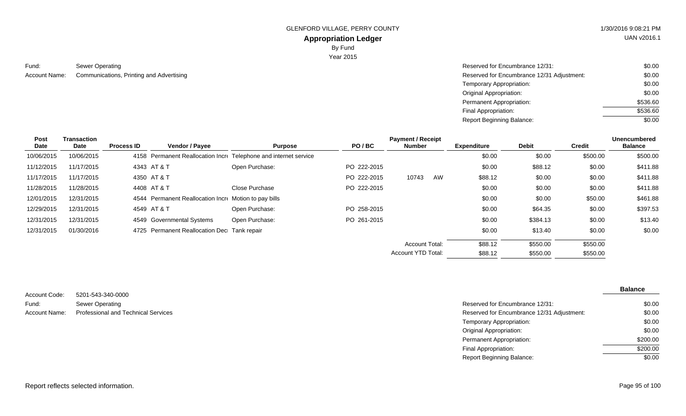GLENFORD VILLAGE, PERRY COUNTY 61 AU 1/30/2016 9:08:21 PM

# UAN v2016.1

### **Appropriation Ledger** By Fund

Year 2015

Sewer Operating Reserved for Encumbrance 12/31: Account Name: Communications, Printing and Advertising Network Communications, Printing and Advertising Network Communications and Advertising Network Communications, Printing and Advertising Network Communications, Printi Fund:

| Reserved for Encumbrance 12/31:            | \$0.00   |
|--------------------------------------------|----------|
| Reserved for Encumbrance 12/31 Adjustment: | \$0.00   |
| Temporary Appropriation:                   | \$0.00   |
| Original Appropriation:                    | \$0.00   |
| Permanent Appropriation:                   | \$536.60 |
| Final Appropriation:                       | \$536.60 |
| Report Beginning Balance:                  | \$0.00   |

| Post       | Transaction |                   |                                                       |                                                                  |             | <b>Payment / Receipt</b>  |    |                    |              |          | <b>Unencumbered</b> |
|------------|-------------|-------------------|-------------------------------------------------------|------------------------------------------------------------------|-------------|---------------------------|----|--------------------|--------------|----------|---------------------|
| Date       | Date        | <b>Process ID</b> | Vendor / Payee                                        | <b>Purpose</b>                                                   | PO/BC       | <b>Number</b>             |    | <b>Expenditure</b> | <b>Debit</b> | Credit   | <b>Balance</b>      |
| 10/06/2015 | 10/06/2015  |                   |                                                       | 4158 Permanent Reallocation Incre Telephone and internet service |             |                           |    | \$0.00             | \$0.00       | \$500.00 | \$500.00            |
| 11/12/2015 | 11/17/2015  |                   | 4343 AT & T                                           | Open Purchase:                                                   | PO 222-2015 |                           |    | \$0.00             | \$88.12      | \$0.00   | \$411.88            |
| 11/17/2015 | 11/17/2015  |                   | 4350 AT & T                                           |                                                                  | PO 222-2015 | 10743                     | AW | \$88.12            | \$0.00       | \$0.00   | \$411.88            |
| 11/28/2015 | 11/28/2015  |                   | 4408 AT & T                                           | Close Purchase                                                   | PO 222-2015 |                           |    | \$0.00             | \$0.00       | \$0.00   | \$411.88            |
| 12/01/2015 | 12/31/2015  |                   | 4544 Permanent Reallocation Incre Motion to pay bills |                                                                  |             |                           |    | \$0.00             | \$0.00       | \$50.00  | \$461.88            |
| 12/29/2015 | 12/31/2015  |                   | 4549 AT & T                                           | Open Purchase:                                                   | PO 258-2015 |                           |    | \$0.00             | \$64.35      | \$0.00   | \$397.53            |
| 12/31/2015 | 12/31/2015  |                   | 4549 Governmental Systems                             | Open Purchase:                                                   | PO 261-2015 |                           |    | \$0.00             | \$384.13     | \$0.00   | \$13.40             |
| 12/31/2015 | 01/30/2016  |                   | 4725 Permanent Reallocation Dec Tank repair           |                                                                  |             |                           |    | \$0.00             | \$13.40      | \$0.00   | \$0.00              |
|            |             |                   |                                                       |                                                                  |             | <b>Account Total:</b>     |    | \$88.12            | \$550.00     | \$550.00 |                     |
|            |             |                   |                                                       |                                                                  |             | <b>Account YTD Total:</b> |    | \$88.12            | \$550.00     | \$550.00 |                     |

| Account Code: | 5201-543-340-0000                          |
|---------------|--------------------------------------------|
| Fund:         | Sewer Operating                            |
| Account Name: | <b>Professional and Technical Services</b> |

| טטטט ט <del>ד</del> ט טדע ו טבע     |                                            |          |
|-------------------------------------|--------------------------------------------|----------|
| Sewer Operating                     | Reserved for Encumbrance 12/31:            | \$0.00   |
| Professional and Technical Services | Reserved for Encumbrance 12/31 Adjustment: | \$0.00   |
|                                     | Temporary Appropriation:                   | \$0.00   |
|                                     | Original Appropriation:                    | \$0.00   |
|                                     | Permanent Appropriation:                   | \$200.00 |
|                                     | Final Appropriation:                       | \$200.00 |
|                                     | <b>Report Beginning Balance:</b>           | \$0.00   |
|                                     |                                            |          |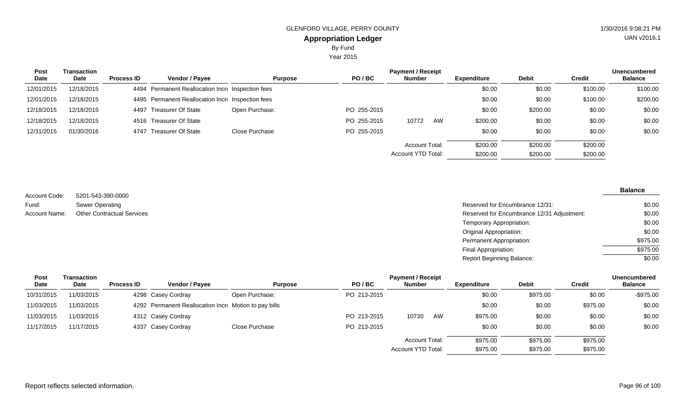Year 2015

| <b>Post</b> | Transaction |                   |                                                   |                |             | <b>Payment / Receipt</b> |    |                    |              |               | <b>Unencumbered</b> |
|-------------|-------------|-------------------|---------------------------------------------------|----------------|-------------|--------------------------|----|--------------------|--------------|---------------|---------------------|
| Date        | <b>Date</b> | <b>Process ID</b> | <b>Vendor / Payee</b>                             | <b>Purpose</b> | PO/BC       | <b>Number</b>            |    | <b>Expenditure</b> | <b>Debit</b> | <b>Credit</b> | <b>Balance</b>      |
| 12/01/2015  | 12/18/2015  |                   | 4494 Permanent Reallocation Incre Inspection fees |                |             |                          |    | \$0.00             | \$0.00       | \$100.00      | \$100.00            |
| 12/01/2015  | 12/18/2015  |                   | 4495 Permanent Reallocation Increanspection fees  |                |             |                          |    | \$0.00             | \$0.00       | \$100.00      | \$200.00            |
| 12/18/2015  | 12/18/2015  |                   | 4497 Treasurer Of State                           | Open Purchase: | PO 255-2015 |                          |    | \$0.00             | \$200.00     | \$0.00        | \$0.00              |
| 12/18/2015  | 12/18/2015  |                   | 4516 Treasurer Of State                           |                | PO 255-2015 | 10772                    | AW | \$200.00           | \$0.00       | \$0.00        | \$0.00              |
| 12/31/2015  | 01/30/2016  |                   | 4747 Treasurer Of State                           | Close Purchase | PO 255-2015 |                          |    | \$0.00             | \$0.00       | \$0.00        | \$0.00              |
|             |             |                   |                                                   |                |             | Account Total:           |    | \$200.00           | \$200.00     | \$200.00      |                     |
|             |             |                   |                                                   |                |             | Account YTD Total:       |    | \$200.00           | \$200.00     | \$200.00      |                     |

5201-543-390-0000 Sewer Operating Account Code: Fund: Account Name:

Reserved for Encumbrance 12/31: Other Contractual Services **Encumbrance 12/31 Adjustment:** Reserved for Encumbrance 12/31 Adjustment: Temporary Appropriation: Original Appropriation: Permanent Appropriation: Final Appropriation: Report Beginning Balance: \$0.00 \$0.00 \$0.00 \$0.00 \$975.00 \$975.00  $\sqrt{$0.00}$ 

| Post       | Transaction | <b>Payment / Receipt</b> |                                                       |                |             |                       |    |                    |              |               | <b>Unencumbered</b> |
|------------|-------------|--------------------------|-------------------------------------------------------|----------------|-------------|-----------------------|----|--------------------|--------------|---------------|---------------------|
| Date       | Date        | <b>Process ID</b>        | Vendor / Payee                                        | <b>Purpose</b> | PO/BC       | <b>Number</b>         |    | <b>Expenditure</b> | <b>Debit</b> | <b>Credit</b> | <b>Balance</b>      |
| 10/31/2015 | 11/03/2015  |                          | 4298 Casey Cordray                                    | Open Purchase: | PO 213-2015 |                       |    | \$0.00             | \$975.00     | \$0.00        | -\$975.00           |
| 11/03/2015 | 11/03/2015  |                          | 4292 Permanent Reallocation Incre Motion to pay bills |                |             |                       |    | \$0.00             | \$0.00       | \$975.00      | \$0.00              |
| 11/03/2015 | 11/03/2015  |                          | 4312 Casey Cordray                                    |                | PO 213-2015 | 10730                 | AW | \$975.00           | \$0.00       | \$0.00        | \$0.00              |
| 11/17/2015 | 11/17/2015  |                          | 4337 Casey Cordray                                    | Close Purchase | PO 213-2015 |                       |    | \$0.00             | \$0.00       | \$0.00        | \$0.00              |
|            |             |                          |                                                       |                |             | <b>Account Total:</b> |    | \$975.00           | \$975.00     | \$975.00      |                     |
|            |             |                          |                                                       |                |             | Account YTD Total:    |    | \$975.00           | \$975.00     | \$975.00      |                     |

UAN v2016.1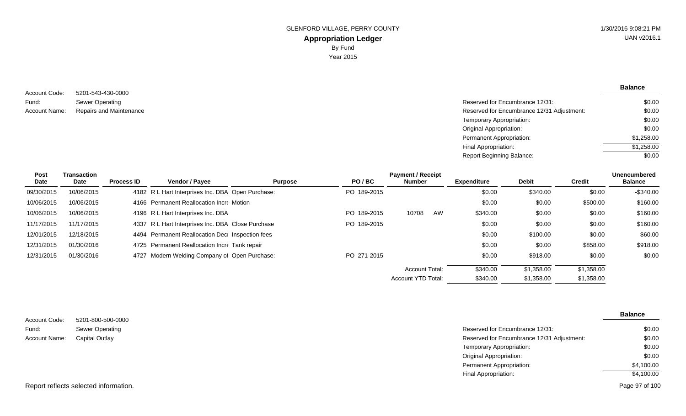5201-543-430-0000 Sewer Operating Repairs and Maintenance Account Code: Fund: Account Name:

| Reserved for Encumbrance 12/31:            | \$0.00     |
|--------------------------------------------|------------|
| Reserved for Encumbrance 12/31 Adjustment: | \$0.00     |
| Temporary Appropriation:                   | \$0.00     |
| Original Appropriation:                    | \$0.00     |
| Permanent Appropriation:                   | \$1,258,00 |
| Final Appropriation:                       | \$1,258,00 |
| Report Beginning Balance:                  | \$0.00     |
|                                            |            |

| Post       | Transaction |                   | <b>Payment / Receipt</b>                          |                |             |                    |    |                    |              |               |                |
|------------|-------------|-------------------|---------------------------------------------------|----------------|-------------|--------------------|----|--------------------|--------------|---------------|----------------|
| Date       | Date        | <b>Process ID</b> | <b>Vendor / Payee</b>                             | <b>Purpose</b> | PO/BC       | Number             |    | <b>Expenditure</b> | <b>Debit</b> | <b>Credit</b> | <b>Balance</b> |
| 09/30/2015 | 10/06/2015  |                   | 4182 R L Hart Interprises Inc. DBA Open Purchase: |                | PO 189-2015 |                    |    | \$0.00             | \$340.00     | \$0.00        | $-$ \$340.00   |
| 10/06/2015 | 10/06/2015  |                   | 4166 Permanent Reallocation Incre Motion          |                |             |                    |    | \$0.00             | \$0.00       | \$500.00      | \$160.00       |
| 10/06/2015 | 10/06/2015  |                   | 4196 R L Hart Interprises Inc. DBA                |                | PO 189-2015 | 10708              | AW | \$340.00           | \$0.00       | \$0.00        | \$160.00       |
| 11/17/2015 | 11/17/2015  |                   | 4337 R L Hart Interprises Inc. DBA Close Purchase |                | PO 189-2015 |                    |    | \$0.00             | \$0.00       | \$0.00        | \$160.00       |
| 12/01/2015 | 12/18/2015  |                   | 4494 Permanent Reallocation Dec Inspection fees   |                |             |                    |    | \$0.00             | \$100.00     | \$0.00        | \$60.00        |
| 12/31/2015 | 01/30/2016  |                   | 4725 Permanent Reallocation Incre Tank repair     |                |             |                    |    | \$0.00             | \$0.00       | \$858.00      | \$918.00       |
| 12/31/2015 | 01/30/2016  |                   | 4727 Modern Welding Company of Open Purchase:     |                | PO 271-2015 |                    |    | \$0.00             | \$918.00     | \$0.00        | \$0.00         |
|            |             |                   |                                                   |                |             | Account Total:     |    | \$340.00           | \$1,358,00   | \$1.358.00    |                |
|            |             |                   |                                                   |                |             | Account YTD Total: |    | \$340.00           | \$1,358.00   | \$1,358.00    |                |

| Account Code: | 5201-800-500-0000      |                                            | <b>Balance</b> |
|---------------|------------------------|--------------------------------------------|----------------|
| Fund:         | <b>Sewer Operating</b> | Reserved for Encumbrance 12/31:            | \$0.00         |
| Account Name: | <b>Capital Outlay</b>  | Reserved for Encumbrance 12/31 Adjustment: | \$0.00         |
|               |                        | Temporary Appropriation:                   | \$0.00         |
|               |                        | <b>Original Appropriation:</b>             | \$0.00         |
|               |                        | Permanent Appropriation:                   | \$4,100.00     |
|               |                        | Final Appropriation:                       | \$4,100.00     |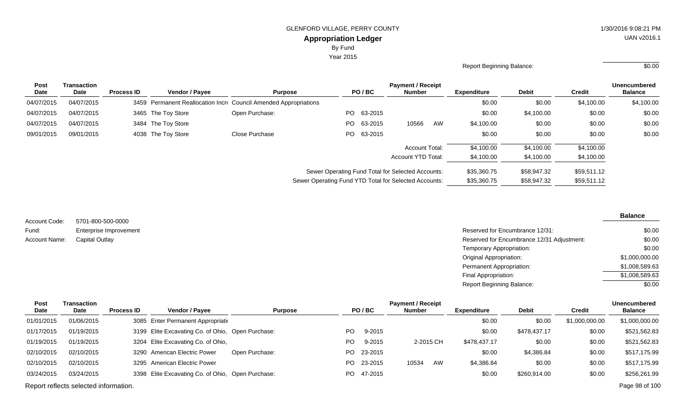By Fund

Year 2015

### Report Beginning Balance: \$0.00

| <b>Post</b> | Transaction |                   |                                                                  |                |                                                       |            | <b>Payment / Receipt</b>  |    |                    |              |               | <b>Unencumbered</b> |
|-------------|-------------|-------------------|------------------------------------------------------------------|----------------|-------------------------------------------------------|------------|---------------------------|----|--------------------|--------------|---------------|---------------------|
| Date        | <b>Date</b> | <b>Process ID</b> | Vendor / Payee                                                   | <b>Purpose</b> |                                                       | PO/BC      | <b>Number</b>             |    | <b>Expenditure</b> | <b>Debit</b> | <b>Credit</b> | <b>Balance</b>      |
| 04/07/2015  | 04/07/2015  |                   | 3459 Permanent Reallocation Incre Council Amended Appropriations |                |                                                       |            |                           |    | \$0.00             | \$0.00       | \$4,100.00    | \$4,100.00          |
| 04/07/2015  | 04/07/2015  |                   | 3465 The Toy Store                                               | Open Purchase: | PO.                                                   | 63-2015    |                           |    | \$0.00             | \$4,100.00   | \$0.00        | \$0.00              |
| 04/07/2015  | 04/07/2015  |                   | 3484 The Toy Store                                               |                | PO.                                                   | 63-2015    | 10566                     | AW | \$4,100.00         | \$0.00       | \$0.00        | \$0.00              |
| 09/01/2015  | 09/01/2015  |                   | 4038 The Toy Store                                               | Close Purchase |                                                       | PO 63-2015 |                           |    | \$0.00             | \$0.00       | \$0.00        | \$0.00              |
|             |             |                   |                                                                  |                |                                                       |            | <b>Account Total:</b>     |    | \$4,100.00         | \$4,100.00   | \$4,100.00    |                     |
|             |             |                   |                                                                  |                |                                                       |            | <b>Account YTD Total:</b> |    | \$4,100.00         | \$4,100.00   | \$4,100.00    |                     |
|             |             |                   |                                                                  |                | Sewer Operating Fund Total for Selected Accounts:     |            |                           |    | \$35,360.75        | \$58,947.32  | \$59,511.12   |                     |
|             |             |                   |                                                                  |                | Sewer Operating Fund YTD Total for Selected Accounts: |            |                           |    | \$35,360.75        | \$58,947.32  | \$59,511.12   |                     |

| Account Code: | 5701-800-500-0000      |
|---------------|------------------------|
| Fund:         | Enterprise Improvement |
| Account Name: | Capital Outlay         |

#### **Balance**

| Reserved for Encumbrance 12/31:            | \$0.00         |
|--------------------------------------------|----------------|
| Reserved for Encumbrance 12/31 Adjustment: | \$0.00         |
| Temporary Appropriation:                   | \$0.00         |
| Original Appropriation:                    | \$1,000,000.00 |
| Permanent Appropriation:                   | \$1,008,589.63 |
| Final Appropriation:                       | \$1,008,589.63 |
| <b>Report Beginning Balance:</b>           | \$0.00         |
|                                            |                |

| <b>Post</b> | Transaction                           |                   |                                                   |                |     |            | <b>Payment / Receipt</b> |           |                    |              |                | Unencumbered   |
|-------------|---------------------------------------|-------------------|---------------------------------------------------|----------------|-----|------------|--------------------------|-----------|--------------------|--------------|----------------|----------------|
| Date        | <b>Date</b>                           | <b>Process ID</b> | <b>Vendor / Payee</b>                             | <b>Purpose</b> |     | PO/BC      | <b>Number</b>            |           | <b>Expenditure</b> | <b>Debit</b> | <b>Credit</b>  | <b>Balance</b> |
| 01/01/2015  | 01/06/2015                            |                   | 3085 Enter Permanent Appropriation                |                |     |            |                          |           | \$0.00             | \$0.00       | \$1,000,000.00 | \$1,000,000.00 |
| 01/17/2015  | 01/19/2015                            |                   | 3199 Elite Excavating Co. of Ohio, Open Purchase: |                | PO. | 9-2015     |                          |           | \$0.00             | \$478.437.17 | \$0.00         | \$521,562.83   |
| 01/19/2015  | 01/19/2015                            |                   | 3204 Elite Excavating Co. of Ohio,                |                | PO. | 9-2015     |                          | 2-2015 CH | \$478,437.17       | \$0.00       | \$0.00         | \$521,562.83   |
| 02/10/2015  | 02/10/2015                            |                   | 3290 American Electric Power                      | Open Purchase: |     | PO 23-2015 |                          |           | \$0.00             | \$4,386.84   | \$0.00         | \$517,175.99   |
| 02/10/2015  | 02/10/2015                            |                   | 3295 American Electric Power                      |                |     | PO 23-2015 | 10534                    | AW        | \$4,386.84         | \$0.00       | \$0.00         | \$517,175.99   |
| 03/24/2015  | 03/24/2015                            |                   | 3398 Elite Excavating Co. of Ohio, Open Purchase: |                |     | PO 47-2015 |                          |           | \$0.00             | \$260,914.00 | \$0.00         | \$256,261.99   |
|             | Report reflects selected information. |                   |                                                   |                |     |            |                          |           |                    |              |                | Page 98 of 100 |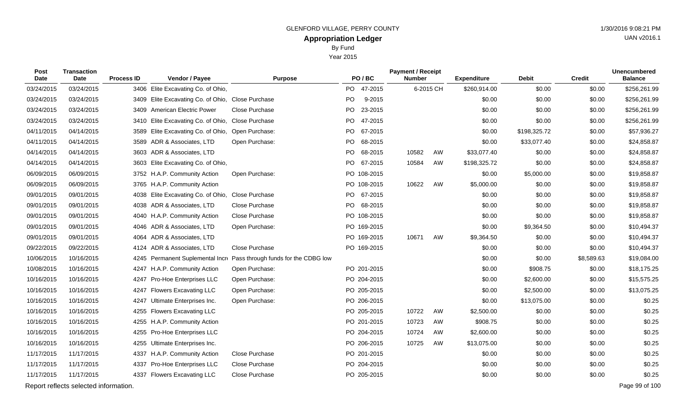Year 2015

| Post<br><b>Date</b> | <b>Transaction</b><br><b>Date</b>     | <b>Process ID</b> | Vendor / Payee                                    | <b>Purpose</b>                      | PO/BC           | <b>Payment / Receipt</b><br><b>Number</b> |    | <b>Expenditure</b> | <b>Debit</b> | <b>Credit</b> | <b>Unencumbered</b><br><b>Balance</b> |
|---------------------|---------------------------------------|-------------------|---------------------------------------------------|-------------------------------------|-----------------|-------------------------------------------|----|--------------------|--------------|---------------|---------------------------------------|
| 03/24/2015          | 03/24/2015                            | 3406              | Elite Excavating Co. of Ohio,                     |                                     | PO.<br>47-2015  | 6-2015 CH                                 |    | \$260,914.00       | \$0.00       | \$0.00        | \$256,261.99                          |
| 03/24/2015          | 03/24/2015                            |                   | 3409 Elite Excavating Co. of Ohio, Close Purchase |                                     | PO<br>9-2015    |                                           |    | \$0.00             | \$0.00       | \$0.00        | \$256,261.99                          |
| 03/24/2015          | 03/24/2015                            | 3409              | <b>American Electric Power</b>                    | Close Purchase                      | 23-2015<br>PO   |                                           |    | \$0.00             | \$0.00       | \$0.00        | \$256,261.99                          |
| 03/24/2015          | 03/24/2015                            | 3410              | Elite Excavating Co. of Ohio,                     | Close Purchase                      | PO.<br>47-2015  |                                           |    | \$0.00             | \$0.00       | \$0.00        | \$256,261.99                          |
| 04/11/2015          | 04/14/2015                            | 3589              | Elite Excavating Co. of Ohio,                     | Open Purchase:                      | PO 67-2015      |                                           |    | \$0.00             | \$198,325.72 | \$0.00        | \$57,936.27                           |
| 04/11/2015          | 04/14/2015                            |                   | 3589 ADR & Associates, LTD                        | Open Purchase:                      | PO<br>68-2015   |                                           |    | \$0.00             | \$33,077.40  | \$0.00        | \$24,858.87                           |
| 04/14/2015          | 04/14/2015                            |                   | 3603 ADR & Associates, LTD                        |                                     | PO 68-2015      | 10582                                     | AW | \$33,077.40        | \$0.00       | \$0.00        | \$24,858.87                           |
| 04/14/2015          | 04/14/2015                            | 3603              | Elite Excavating Co. of Ohio,                     |                                     | PO<br>67-2015   | 10584                                     | AW | \$198,325.72       | \$0.00       | \$0.00        | \$24,858.87                           |
| 06/09/2015          | 06/09/2015                            |                   | 3752 H.A.P. Community Action                      | Open Purchase:                      | PO 108-2015     |                                           |    | \$0.00             | \$5,000.00   | \$0.00        | \$19,858.87                           |
| 06/09/2015          | 06/09/2015                            |                   | 3765 H.A.P. Community Action                      |                                     | PO 108-2015     | 10622                                     | AW | \$5,000.00         | \$0.00       | \$0.00        | \$19,858.87                           |
| 09/01/2015          | 09/01/2015                            |                   | 4038 Elite Excavating Co. of Ohio,                | Close Purchase                      | PO 67-2015      |                                           |    | \$0.00             | \$0.00       | \$0.00        | \$19,858.87                           |
| 09/01/2015          | 09/01/2015                            | 4038              | ADR & Associates, LTD                             | Close Purchase                      | PO i<br>68-2015 |                                           |    | \$0.00             | \$0.00       | \$0.00        | \$19,858.87                           |
| 09/01/2015          | 09/01/2015                            |                   | 4040 H.A.P. Community Action                      | Close Purchase                      | PO 108-2015     |                                           |    | \$0.00             | \$0.00       | \$0.00        | \$19,858.87                           |
| 09/01/2015          | 09/01/2015                            |                   | 4046 ADR & Associates, LTD                        | Open Purchase:                      | PO 169-2015     |                                           |    | \$0.00             | \$9,364.50   | \$0.00        | \$10,494.37                           |
| 09/01/2015          | 09/01/2015                            |                   | 4064 ADR & Associates, LTD                        |                                     | PO 169-2015     | 10671                                     | AW | \$9,364.50         | \$0.00       | \$0.00        | \$10,494.37                           |
| 09/22/2015          | 09/22/2015                            | 4124              | ADR & Associates, LTD                             | Close Purchase                      | PO 169-2015     |                                           |    | \$0.00             | \$0.00       | \$0.00        | \$10,494.37                           |
| 10/06/2015          | 10/16/2015                            |                   | 4245 Permanent Suplemental Incre                  | Pass through funds for the CDBG low |                 |                                           |    | \$0.00             | \$0.00       | \$8,589.63    | \$19,084.00                           |
| 10/08/2015          | 10/16/2015                            |                   | 4247 H.A.P. Community Action                      | Open Purchase:                      | PO 201-2015     |                                           |    | \$0.00             | \$908.75     | \$0.00        | \$18,175.25                           |
| 10/16/2015          | 10/16/2015                            |                   | 4247 Pro-Hoe Enterprises LLC                      | Open Purchase:                      | PO 204-2015     |                                           |    | \$0.00             | \$2,600.00   | \$0.00        | \$15,575.25                           |
| 10/16/2015          | 10/16/2015                            |                   | 4247 Flowers Excavating LLC                       | Open Purchase:                      | PO 205-2015     |                                           |    | \$0.00             | \$2,500.00   | \$0.00        | \$13,075.25                           |
| 10/16/2015          | 10/16/2015                            | 4247              | Ultimate Enterprises Inc.                         | Open Purchase:                      | PO 206-2015     |                                           |    | \$0.00             | \$13,075.00  | \$0.00        | \$0.25                                |
| 10/16/2015          | 10/16/2015                            | 4255              | <b>Flowers Excavating LLC</b>                     |                                     | PO 205-2015     | 10722                                     | AW | \$2,500.00         | \$0.00       | \$0.00        | \$0.25                                |
| 10/16/2015          | 10/16/2015                            |                   | 4255 H.A.P. Community Action                      |                                     | PO 201-2015     | 10723                                     | AW | \$908.75           | \$0.00       | \$0.00        | \$0.25                                |
| 10/16/2015          | 10/16/2015                            | 4255              | Pro-Hoe Enterprises LLC                           |                                     | PO 204-2015     | 10724                                     | AW | \$2,600.00         | \$0.00       | \$0.00        | \$0.25                                |
| 10/16/2015          | 10/16/2015                            | 4255              | Ultimate Enterprises Inc.                         |                                     | PO 206-2015     | 10725                                     | AW | \$13,075.00        | \$0.00       | \$0.00        | \$0.25                                |
| 11/17/2015          | 11/17/2015                            |                   | 4337 H.A.P. Community Action                      | Close Purchase                      | PO 201-2015     |                                           |    | \$0.00             | \$0.00       | \$0.00        | \$0.25                                |
| 11/17/2015          | 11/17/2015                            | 4337              | Pro-Hoe Enterprises LLC                           | Close Purchase                      | PO 204-2015     |                                           |    | \$0.00             | \$0.00       | \$0.00        | \$0.25                                |
| 11/17/2015          | 11/17/2015                            | 4337              | <b>Flowers Excavating LLC</b>                     | Close Purchase                      | PO 205-2015     |                                           |    | \$0.00             | \$0.00       | \$0.00        | \$0.25                                |
|                     | Report reflects selected information. |                   |                                                   |                                     |                 |                                           |    |                    |              |               | Page 99 of 100                        |